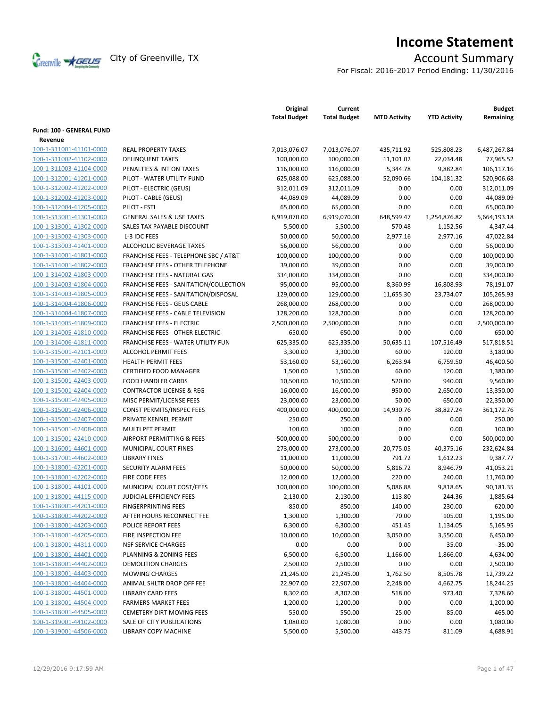

# **Income Statement**

For Fiscal: 2016-2017 Period Ending: 11/30/2016

|                                 |                                          | Original<br><b>Total Budget</b> | Current<br><b>Total Budget</b> | <b>MTD Activity</b> | <b>YTD Activity</b> | <b>Budget</b><br>Remaining |
|---------------------------------|------------------------------------------|---------------------------------|--------------------------------|---------------------|---------------------|----------------------------|
| <b>Fund: 100 - GENERAL FUND</b> |                                          |                                 |                                |                     |                     |                            |
| Revenue                         |                                          |                                 |                                |                     |                     |                            |
| 100-1-311001-41101-0000         | <b>REAL PROPERTY TAXES</b>               | 7,013,076.07                    | 7,013,076.07                   | 435,711.92          | 525,808.23          | 6,487,267.84               |
| 100-1-311002-41102-0000         | <b>DELINQUENT TAXES</b>                  | 100,000.00                      | 100,000.00                     | 11,101.02           | 22,034.48           | 77,965.52                  |
| 100-1-311003-41104-0000         | PENALTIES & INT ON TAXES                 | 116,000.00                      | 116,000.00                     | 5,344.78            | 9,882.84            | 106,117.16                 |
| 100-1-312001-41201-0000         | PILOT - WATER UTILITY FUND               | 625,088.00                      | 625,088.00                     | 52,090.66           | 104,181.32          | 520,906.68                 |
| 100-1-312002-41202-0000         | PILOT - ELECTRIC (GEUS)                  | 312,011.09                      | 312,011.09                     | 0.00                | 0.00                | 312,011.09                 |
| 100-1-312002-41203-0000         | PILOT - CABLE (GEUS)                     | 44,089.09                       | 44,089.09                      | 0.00                | 0.00                | 44,089.09                  |
| 100-1-312004-41205-0000         | PILOT - FSTI                             | 65,000.00                       | 65,000.00                      | 0.00                | 0.00                | 65,000.00                  |
| 100-1-313001-41301-0000         | <b>GENERAL SALES &amp; USE TAXES</b>     | 6,919,070.00                    | 6,919,070.00                   | 648,599.47          | 1,254,876.82        | 5,664,193.18               |
| 100-1-313001-41302-0000         | SALES TAX PAYABLE DISCOUNT               | 5,500.00                        | 5,500.00                       | 570.48              | 1,152.56            | 4,347.44                   |
| 100-1-313002-41303-0000         | L-3 IDC FEES                             | 50,000.00                       | 50,000.00                      | 2,977.16            | 2,977.16            | 47,022.84                  |
| 100-1-313003-41401-0000         | ALCOHOLIC BEVERAGE TAXES                 | 56,000.00                       | 56,000.00                      | 0.00                | 0.00                | 56,000.00                  |
| 100-1-314001-41801-0000         | FRANCHISE FEES - TELEPHONE SBC / AT&T    | 100,000.00                      | 100,000.00                     | 0.00                | 0.00                | 100,000.00                 |
| 100-1-314001-41802-0000         | <b>FRANCHISE FEES - OTHER TELEPHONE</b>  | 39,000.00                       | 39,000.00                      | 0.00                | 0.00                | 39,000.00                  |
| 100-1-314002-41803-0000         | FRANCHISE FEES - NATURAL GAS             | 334,000.00                      | 334,000.00                     | 0.00                | 0.00                | 334,000.00                 |
| 100-1-314003-41804-0000         | FRANCHISE FEES - SANITATION/COLLECTION   | 95,000.00                       | 95,000.00                      | 8,360.99            | 16,808.93           | 78,191.07                  |
| 100-1-314003-41805-0000         | FRANCHISE FEES - SANITATION/DISPOSAL     | 129,000.00                      | 129,000.00                     | 11,655.30           | 23,734.07           | 105,265.93                 |
| 100-1-314004-41806-0000         | <b>FRANCHISE FEES - GEUS CABLE</b>       | 268,000.00                      | 268,000.00                     | 0.00                | 0.00                | 268,000.00                 |
| 100-1-314004-41807-0000         | <b>FRANCHISE FEES - CABLE TELEVISION</b> | 128,200.00                      | 128,200.00                     | 0.00                | 0.00                | 128,200.00                 |
| 100-1-314005-41809-0000         | <b>FRANCHISE FEES - ELECTRIC</b>         | 2,500,000.00                    | 2,500,000.00                   | 0.00                | 0.00                | 2,500,000.00               |
| 100-1-314005-41810-0000         | <b>FRANCHISE FEES - OTHER ELECTRIC</b>   | 650.00                          | 650.00                         | 0.00                | 0.00                | 650.00                     |
| 100-1-314006-41811-0000         | FRANCHISE FEES - WATER UTILITY FUN       | 625,335.00                      | 625,335.00                     | 50,635.11           | 107,516.49          | 517,818.51                 |
| 100-1-315001-42101-0000         | <b>ALCOHOL PERMIT FEES</b>               | 3,300.00                        | 3,300.00                       | 60.00               | 120.00              | 3,180.00                   |
| 100-1-315001-42401-0000         | <b>HEALTH PERMIT FEES</b>                | 53,160.00                       | 53,160.00                      | 6,263.94            | 6,759.50            | 46,400.50                  |
| 100-1-315001-42402-0000         | <b>CERTIFIED FOOD MANAGER</b>            | 1,500.00                        | 1,500.00                       | 60.00               | 120.00              | 1,380.00                   |
| 100-1-315001-42403-0000         | <b>FOOD HANDLER CARDS</b>                | 10,500.00                       | 10,500.00                      | 520.00              | 940.00              | 9,560.00                   |
| 100-1-315001-42404-0000         | <b>CONTRACTOR LICENSE &amp; REG</b>      | 16,000.00                       | 16,000.00                      | 950.00              | 2,650.00            | 13,350.00                  |
| 100-1-315001-42405-0000         | MISC PERMIT/LICENSE FEES                 | 23,000.00                       | 23,000.00                      | 50.00               | 650.00              | 22,350.00                  |
| 100-1-315001-42406-0000         | CONST PERMITS/INSPEC FEES                | 400,000.00                      | 400,000.00                     | 14,930.76           | 38,827.24           | 361,172.76                 |
| 100-1-315001-42407-0000         | PRIVATE KENNEL PERMIT                    | 250.00                          | 250.00                         | 0.00                | 0.00                | 250.00                     |
| 100-1-315001-42408-0000         | MULTI PET PERMIT                         | 100.00                          | 100.00                         | 0.00                | 0.00                | 100.00                     |
| 100-1-315001-42410-0000         | AIRPORT PERMITTING & FEES                | 500,000.00                      | 500,000.00                     | 0.00                | 0.00                | 500,000.00                 |
| 100-1-316001-44601-0000         | MUNICIPAL COURT FINES                    | 273,000.00                      | 273,000.00                     | 20,775.05           | 40,375.16           | 232,624.84                 |
| 100-1-317001-44602-0000         | <b>LIBRARY FINES</b>                     | 11,000.00                       | 11,000.00                      | 791.72              | 1,612.23            | 9,387.77                   |
| 100-1-318001-42201-0000         | <b>SECURITY ALARM FEES</b>               | 50,000.00                       | 50,000.00                      | 5,816.72            | 8,946.79            | 41,053.21                  |
| 100-1-318001-42202-0000         | FIRE CODE FEES                           | 12,000.00                       | 12,000.00                      | 220.00              | 240.00              | 11,760.00                  |
| 100-1-318001-44101-0000         | MUNICIPAL COURT COST/FEES                | 100,000.00                      | 100,000.00                     | 5,086.88            | 9,818.65            | 90,181.35                  |
| 100-1-318001-44115-0000         | <b>JUDICIAL EFFICIENCY FEES</b>          | 2,130.00                        | 2,130.00                       | 113.80              | 244.36              | 1,885.64                   |
| 100-1-318001-44201-0000         | <b>FINGERPRINTING FEES</b>               | 850.00                          | 850.00                         | 140.00              | 230.00              | 620.00                     |
| 100-1-318001-44202-0000         | AFTER HOURS RECONNECT FEE                | 1,300.00                        | 1,300.00                       | 70.00               | 105.00              | 1,195.00                   |
| 100-1-318001-44203-0000         | <b>POLICE REPORT FEES</b>                | 6,300.00                        | 6,300.00                       | 451.45              | 1,134.05            | 5,165.95                   |
| 100-1-318001-44205-0000         | FIRE INSPECTION FEE                      | 10,000.00                       | 10,000.00                      | 3,050.00            | 3,550.00            | 6,450.00                   |
| 100-1-318001-44311-0000         | <b>NSF SERVICE CHARGES</b>               | 0.00                            | 0.00                           | 0.00                | 35.00               | $-35.00$                   |
| 100-1-318001-44401-0000         | PLANNING & ZONING FEES                   | 6,500.00                        | 6,500.00                       | 1,166.00            | 1,866.00            | 4,634.00                   |
| 100-1-318001-44402-0000         | <b>DEMOLITION CHARGES</b>                | 2,500.00                        | 2,500.00                       | 0.00                | 0.00                | 2,500.00                   |
| 100-1-318001-44403-0000         | <b>MOWING CHARGES</b>                    | 21,245.00                       | 21,245.00                      | 1,762.50            | 8,505.78            | 12,739.22                  |
| 100-1-318001-44404-0000         | ANIMAL SHLTR DROP OFF FEE                | 22,907.00                       | 22,907.00                      | 2,248.00            | 4,662.75            | 18,244.25                  |
| 100-1-318001-44501-0000         | <b>LIBRARY CARD FEES</b>                 | 8,302.00                        | 8,302.00                       | 518.00              | 973.40              | 7,328.60                   |
| 100-1-318001-44504-0000         | <b>FARMERS MARKET FEES</b>               | 1,200.00                        | 1,200.00                       | 0.00                | 0.00                | 1,200.00                   |
| 100-1-318001-44505-0000         | <b>CEMETERY DIRT MOVING FEES</b>         | 550.00                          | 550.00                         | 25.00               | 85.00               | 465.00                     |
| 100-1-319001-44102-0000         | SALE OF CITY PUBLICATIONS                | 1,080.00                        | 1,080.00                       | 0.00                | 0.00                | 1,080.00                   |
| 100-1-319001-44506-0000         | LIBRARY COPY MACHINE                     | 5,500.00                        | 5,500.00                       | 443.75              | 811.09              | 4,688.91                   |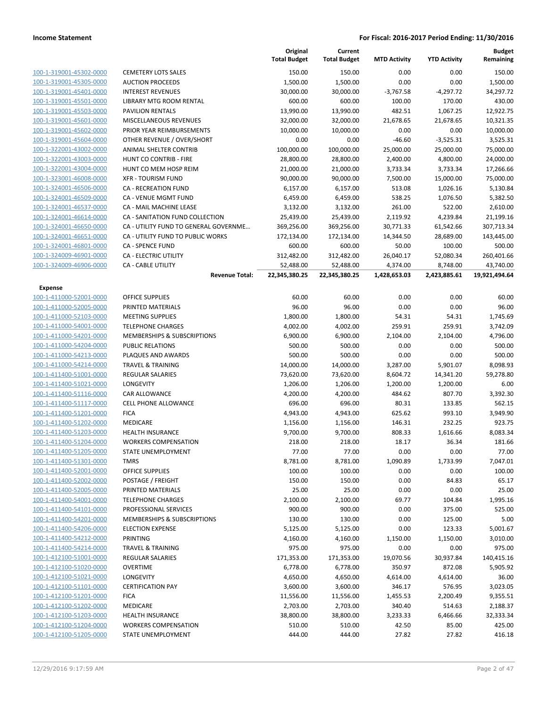| 100-1-319001-45302-0000 |
|-------------------------|
| 100-1-319001-45305-0000 |
| 100-1-319001-45401-0000 |
| 100-1-319001-45501-0000 |
| 100-1-319001-45503-0000 |
| 100-1-319001-45601-0000 |
| 100-1-319001-45602-0000 |
| 100-1-319001-45604-0000 |
| 100-1-322001-43002-0000 |
| 100-1-322001-43003-0000 |
| 100-1-322001-43004-0000 |
| 100-1-323001-46008-0000 |
| 100-1-324001-46506-0000 |
| 100-1-324001-46509-0000 |
| 100-1-324001-46537-0000 |
| 100-1-324001-46614-0000 |
| 100-1-324001-46650-0000 |
| 100-1-324001-46651-0000 |
| 100-1-324001-46801-0000 |
| 100-1-324009-46901-0000 |
| 100-1-324009-46906-0000 |

### **Expense**

|                                                    |                                        | Original<br><b>Total Budget</b> | Current<br><b>Total Budget</b> | <b>MTD Activity</b> | <b>YTD Activity</b> | <b>Budget</b><br>Remaining |
|----------------------------------------------------|----------------------------------------|---------------------------------|--------------------------------|---------------------|---------------------|----------------------------|
| 100-1-319001-45302-0000                            | <b>CEMETERY LOTS SALES</b>             | 150.00                          | 150.00                         | 0.00                | 0.00                | 150.00                     |
| 100-1-319001-45305-0000                            | <b>AUCTION PROCEEDS</b>                | 1,500.00                        | 1,500.00                       | 0.00                | 0.00                | 1,500.00                   |
| 100-1-319001-45401-0000                            | <b>INTEREST REVENUES</b>               | 30,000.00                       | 30,000.00                      | $-3,767.58$         | $-4,297.72$         | 34,297.72                  |
| 100-1-319001-45501-0000                            | LIBRARY MTG ROOM RENTAL                | 600.00                          | 600.00                         | 100.00              | 170.00              | 430.00                     |
| 100-1-319001-45503-0000                            | <b>PAVILION RENTALS</b>                | 13,990.00                       | 13,990.00                      | 482.51              | 1,067.25            | 12,922.75                  |
| 100-1-319001-45601-0000                            | MISCELLANEOUS REVENUES                 | 32,000.00                       | 32,000.00                      | 21,678.65           | 21,678.65           | 10,321.35                  |
| 100-1-319001-45602-0000                            | PRIOR YEAR REIMBURSEMENTS              | 10,000.00                       | 10,000.00                      | 0.00                | 0.00                | 10,000.00                  |
| 100-1-319001-45604-0000                            | OTHER REVENUE / OVER/SHORT             | 0.00                            | 0.00                           | $-46.60$            | $-3,525.31$         | 3,525.31                   |
| 100-1-322001-43002-0000                            | ANIMAL SHELTER CONTRIB                 | 100,000.00                      | 100,000.00                     | 25,000.00           | 25,000.00           | 75,000.00                  |
| 100-1-322001-43003-0000                            | HUNT CO CONTRIB - FIRE                 | 28,800.00                       | 28,800.00                      | 2,400.00            | 4,800.00            | 24,000.00                  |
| 100-1-322001-43004-0000                            | HUNT CO MEM HOSP REIM                  | 21,000.00                       | 21,000.00                      | 3,733.34            | 3,733.34            | 17,266.66                  |
| 100-1-323001-46008-0000                            | <b>XFR - TOURISM FUND</b>              | 90,000.00                       | 90,000.00                      | 7,500.00            | 15,000.00           | 75,000.00                  |
| 100-1-324001-46506-0000                            | <b>CA - RECREATION FUND</b>            | 6,157.00                        | 6,157.00                       | 513.08              | 1,026.16            | 5,130.84                   |
| 100-1-324001-46509-0000                            | CA - VENUE MGMT FUND                   | 6,459.00                        | 6,459.00                       | 538.25              | 1,076.50            | 5,382.50                   |
| 100-1-324001-46537-0000                            | CA - MAIL MACHINE LEASE                | 3,132.00                        | 3,132.00                       | 261.00              | 522.00              | 2,610.00                   |
| 100-1-324001-46614-0000                            | CA - SANITATION FUND COLLECTION        | 25,439.00                       | 25,439.00                      | 2,119.92            | 4,239.84            | 21,199.16                  |
| 100-1-324001-46650-0000                            | CA - UTILITY FUND TO GENERAL GOVERNME  | 369,256.00                      | 369,256.00                     | 30,771.33           | 61,542.66           | 307,713.34                 |
| 100-1-324001-46651-0000                            | CA - UTILITY FUND TO PUBLIC WORKS      | 172,134.00                      | 172,134.00                     | 14,344.50           | 28,689.00           | 143,445.00                 |
| 100-1-324001-46801-0000                            | <b>CA - SPENCE FUND</b>                | 600.00                          | 600.00                         | 50.00               | 100.00              | 500.00                     |
| 100-1-324009-46901-0000                            | CA - ELECTRIC UTILITY                  | 312,482.00                      | 312,482.00                     | 26,040.17           | 52,080.34           | 260,401.66                 |
| 100-1-324009-46906-0000                            | <b>CA - CABLE UTILITY</b>              | 52,488.00                       | 52,488.00                      | 4,374.00            | 8,748.00            | 43,740.00                  |
|                                                    | <b>Revenue Total:</b>                  | 22,345,380.25                   | 22,345,380.25                  | 1,428,653.03        | 2,423,885.61        | 19,921,494.64              |
| <b>Expense</b>                                     |                                        |                                 |                                |                     |                     |                            |
| 100-1-411000-52001-0000                            | OFFICE SUPPLIES                        | 60.00                           | 60.00                          | 0.00                | 0.00                | 60.00                      |
| 100-1-411000-52005-0000                            | PRINTED MATERIALS                      | 96.00                           | 96.00                          | 0.00                | 0.00                | 96.00                      |
| 100-1-411000-52103-0000                            | <b>MEETING SUPPLIES</b>                | 1,800.00                        | 1,800.00                       | 54.31               | 54.31               | 1,745.69                   |
| 100-1-411000-54001-0000                            | <b>TELEPHONE CHARGES</b>               | 4,002.00                        | 4,002.00                       | 259.91              | 259.91              | 3,742.09                   |
| 100-1-411000-54201-0000                            | MEMBERSHIPS & SUBSCRIPTIONS            | 6,900.00                        | 6,900.00                       | 2,104.00            | 2,104.00            | 4,796.00                   |
| 100-1-411000-54204-0000                            | <b>PUBLIC RELATIONS</b>                | 500.00                          | 500.00                         | 0.00                | 0.00                | 500.00                     |
| 100-1-411000-54213-0000                            | PLAQUES AND AWARDS                     | 500.00                          | 500.00                         | 0.00                | 0.00                | 500.00                     |
| 100-1-411000-54214-0000                            | <b>TRAVEL &amp; TRAINING</b>           | 14,000.00                       | 14,000.00                      | 3,287.00            | 5,901.07            | 8,098.93                   |
| 100-1-411400-51001-0000                            | <b>REGULAR SALARIES</b>                | 73,620.00                       | 73,620.00                      | 8,604.72            | 14,341.20           | 59,278.80                  |
| 100-1-411400-51021-0000                            | LONGEVITY                              | 1,206.00                        | 1,206.00                       | 1,200.00            | 1,200.00            | 6.00                       |
| 100-1-411400-51116-0000                            | CAR ALLOWANCE                          | 4,200.00                        | 4,200.00                       | 484.62              | 807.70              | 3,392.30                   |
| 100-1-411400-51117-0000                            | CELL PHONE ALLOWANCE                   | 696.00                          | 696.00                         | 80.31               | 133.85              | 562.15                     |
| 100-1-411400-51201-0000                            | <b>FICA</b>                            | 4,943.00                        | 4,943.00                       | 625.62              | 993.10              | 3,949.90                   |
| 100-1-411400-51202-0000                            | MEDICARE                               | 1,156.00<br>9,700.00            | 1,156.00                       | 146.31              | 232.25              | 923.75                     |
| 100-1-411400-51203-0000                            | <b>HEALTH INSURANCE</b>                |                                 | 9,700.00                       | 808.33              | 1,616.66            | 8,083.34                   |
| 100-1-411400-51204-0000                            | <b>WORKERS COMPENSATION</b>            | 218.00                          | 218.00                         | 18.17               | 36.34               | 181.66                     |
| 100-1-411400-51205-0000<br>100-1-411400-51301-0000 | STATE UNEMPLOYMENT<br><b>TMRS</b>      | 77.00<br>8,781.00               | 77.00<br>8,781.00              | 0.00<br>1,090.89    | 0.00<br>1,733.99    | 77.00<br>7,047.01          |
| 100-1-411400-52001-0000                            | <b>OFFICE SUPPLIES</b>                 | 100.00                          | 100.00                         | 0.00                | 0.00                | 100.00                     |
| 100-1-411400-52002-0000                            | POSTAGE / FREIGHT                      | 150.00                          | 150.00                         | 0.00                | 84.83               | 65.17                      |
| 100-1-411400-52005-0000                            | PRINTED MATERIALS                      | 25.00                           | 25.00                          | 0.00                | 0.00                | 25.00                      |
| 100-1-411400-54001-0000                            | <b>TELEPHONE CHARGES</b>               | 2,100.00                        | 2,100.00                       | 69.77               | 104.84              | 1,995.16                   |
| 100-1-411400-54101-0000                            | PROFESSIONAL SERVICES                  | 900.00                          | 900.00                         | 0.00                | 375.00              | 525.00                     |
| 100-1-411400-54201-0000                            | <b>MEMBERSHIPS &amp; SUBSCRIPTIONS</b> | 130.00                          | 130.00                         | 0.00                | 125.00              | 5.00                       |
| 100-1-411400-54206-0000                            | <b>ELECTION EXPENSE</b>                | 5,125.00                        | 5,125.00                       | 0.00                | 123.33              | 5,001.67                   |
| 100-1-411400-54212-0000                            | PRINTING                               | 4,160.00                        | 4,160.00                       | 1,150.00            | 1,150.00            | 3,010.00                   |
| 100-1-411400-54214-0000                            | <b>TRAVEL &amp; TRAINING</b>           | 975.00                          | 975.00                         | 0.00                | 0.00                | 975.00                     |
| 100-1-412100-51001-0000                            | REGULAR SALARIES                       | 171,353.00                      | 171,353.00                     | 19,070.56           | 30,937.84           | 140,415.16                 |
| 100-1-412100-51020-0000                            | <b>OVERTIME</b>                        | 6,778.00                        | 6,778.00                       | 350.97              | 872.08              | 5,905.92                   |
| 100-1-412100-51021-0000                            | LONGEVITY                              | 4,650.00                        | 4,650.00                       | 4,614.00            | 4,614.00            | 36.00                      |
| 100-1-412100-51101-0000                            | <b>CERTIFICATION PAY</b>               | 3,600.00                        | 3,600.00                       | 346.17              | 576.95              | 3,023.05                   |
| 100-1-412100-51201-0000                            | <b>FICA</b>                            | 11,556.00                       | 11,556.00                      | 1,455.53            | 2,200.49            | 9,355.51                   |
| 100-1-412100-51202-0000                            | MEDICARE                               | 2,703.00                        | 2,703.00                       | 340.40              | 514.63              | 2,188.37                   |
| 100-1-412100-51203-0000                            | <b>HEALTH INSURANCE</b>                | 38,800.00                       | 38,800.00                      | 3,233.33            | 6,466.66            | 32,333.34                  |
| 100-1-412100-51204-0000                            | <b>WORKERS COMPENSATION</b>            | 510.00                          | 510.00                         | 42.50               | 85.00               | 425.00                     |
| 100-1-412100-51205-0000                            | STATE UNEMPLOYMENT                     | 444.00                          | 444.00                         | 27.82               | 27.82               | 416.18                     |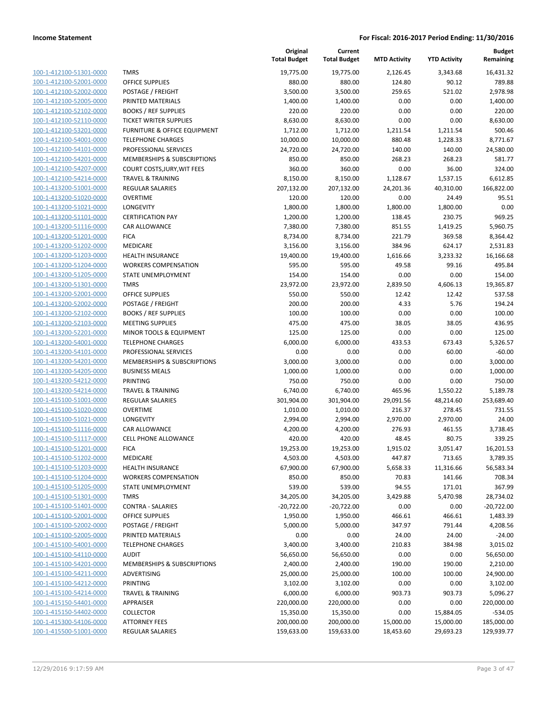**Current**

**Original**

**MTD Activity YTD Activity**

**Budget Remaining**

|                                                    |                                   | <b>Total Budget</b> | <b>Total Budget</b> | <b>MTD Activity</b> | <b>YTD Activity</b> | Remaining          |
|----------------------------------------------------|-----------------------------------|---------------------|---------------------|---------------------|---------------------|--------------------|
| 100-1-412100-51301-0000                            | <b>TMRS</b>                       | 19,775.00           | 19,775.00           | 2,126.45            | 3,343.68            | 16,431.32          |
| 100-1-412100-52001-0000                            | <b>OFFICE SUPPLIES</b>            | 880.00              | 880.00              | 124.80              | 90.12               | 789.88             |
| 100-1-412100-52002-0000                            | POSTAGE / FREIGHT                 | 3,500.00            | 3,500.00            | 259.65              | 521.02              | 2,978.98           |
| 100-1-412100-52005-0000                            | PRINTED MATERIALS                 | 1,400.00            | 1,400.00            | 0.00                | 0.00                | 1,400.00           |
| 100-1-412100-52102-0000                            | <b>BOOKS / REF SUPPLIES</b>       | 220.00              | 220.00              | 0.00                | 0.00                | 220.00             |
| 100-1-412100-52110-0000                            | <b>TICKET WRITER SUPPLIES</b>     | 8,630.00            | 8,630.00            | 0.00                | 0.00                | 8,630.00           |
| 100-1-412100-53201-0000                            | FURNITURE & OFFICE EQUIPMENT      | 1,712.00            | 1,712.00            | 1,211.54            | 1,211.54            | 500.46             |
| 100-1-412100-54001-0000                            | <b>TELEPHONE CHARGES</b>          | 10,000.00           | 10,000.00           | 880.48              | 1,228.33            | 8,771.67           |
| 100-1-412100-54101-0000                            | PROFESSIONAL SERVICES             | 24,720.00           | 24,720.00           | 140.00              | 140.00              | 24,580.00          |
| 100-1-412100-54201-0000                            | MEMBERSHIPS & SUBSCRIPTIONS       | 850.00              | 850.00              | 268.23              | 268.23              | 581.77             |
| 100-1-412100-54207-0000                            | COURT COSTS, JURY, WIT FEES       | 360.00              | 360.00              | 0.00                | 36.00               | 324.00             |
| 100-1-412100-54214-0000                            | <b>TRAVEL &amp; TRAINING</b>      | 8,150.00            | 8,150.00            | 1,128.67            | 1,537.15            | 6,612.85           |
| 100-1-413200-51001-0000                            | <b>REGULAR SALARIES</b>           | 207,132.00          | 207,132.00          | 24,201.36           | 40,310.00           | 166,822.00         |
| 100-1-413200-51020-0000                            | <b>OVERTIME</b>                   | 120.00              | 120.00              | 0.00                | 24.49               | 95.51              |
| 100-1-413200-51021-0000                            | <b>LONGEVITY</b>                  | 1,800.00            | 1,800.00            | 1,800.00            | 1,800.00            | 0.00               |
| 100-1-413200-51101-0000                            | <b>CERTIFICATION PAY</b>          | 1,200.00            | 1,200.00            | 138.45              | 230.75              | 969.25             |
| 100-1-413200-51116-0000                            | CAR ALLOWANCE                     | 7,380.00            | 7,380.00            | 851.55              | 1,419.25            | 5,960.75           |
| 100-1-413200-51201-0000                            | <b>FICA</b>                       | 8,734.00            | 8,734.00            | 221.79              | 369.58              | 8,364.42           |
| 100-1-413200-51202-0000                            | MEDICARE                          | 3,156.00            | 3,156.00            | 384.96              | 624.17              | 2,531.83           |
| 100-1-413200-51203-0000                            | <b>HEALTH INSURANCE</b>           | 19,400.00           | 19,400.00           | 1,616.66            | 3,233.32            | 16,166.68          |
| 100-1-413200-51204-0000                            | <b>WORKERS COMPENSATION</b>       | 595.00              | 595.00              | 49.58               | 99.16               | 495.84             |
| 100-1-413200-51205-0000                            | STATE UNEMPLOYMENT                | 154.00              | 154.00              | 0.00                | 0.00                | 154.00             |
| 100-1-413200-51301-0000                            | <b>TMRS</b>                       | 23,972.00           | 23,972.00           | 2,839.50            | 4,606.13            | 19,365.87          |
| 100-1-413200-52001-0000                            | <b>OFFICE SUPPLIES</b>            | 550.00              | 550.00              | 12.42               | 12.42               | 537.58             |
| 100-1-413200-52002-0000                            | POSTAGE / FREIGHT                 | 200.00              | 200.00              | 4.33                | 5.76                | 194.24             |
| 100-1-413200-52102-0000                            | <b>BOOKS / REF SUPPLIES</b>       | 100.00              | 100.00              | 0.00                | 0.00                | 100.00             |
| 100-1-413200-52103-0000                            | <b>MEETING SUPPLIES</b>           | 475.00              | 475.00              | 38.05               | 38.05               | 436.95             |
| 100-1-413200-52201-0000                            | MINOR TOOLS & EQUIPMENT           | 125.00              | 125.00              | 0.00                | 0.00                | 125.00             |
| 100-1-413200-54001-0000                            | <b>TELEPHONE CHARGES</b>          | 6,000.00            | 6,000.00            | 433.53              | 673.43              | 5,326.57           |
| 100-1-413200-54101-0000                            | PROFESSIONAL SERVICES             | 0.00                | 0.00                | 0.00                | 60.00               | $-60.00$           |
| 100-1-413200-54201-0000<br>100-1-413200-54205-0000 | MEMBERSHIPS & SUBSCRIPTIONS       | 3,000.00            | 3,000.00            | 0.00                | 0.00                | 3,000.00           |
| 100-1-413200-54212-0000                            | <b>BUSINESS MEALS</b><br>PRINTING | 1,000.00<br>750.00  | 1,000.00<br>750.00  | 0.00<br>0.00        | 0.00<br>0.00        | 1,000.00<br>750.00 |
| 100-1-413200-54214-0000                            | <b>TRAVEL &amp; TRAINING</b>      | 6,740.00            | 6,740.00            | 465.96              | 1,550.22            | 5,189.78           |
| 100-1-415100-51001-0000                            | <b>REGULAR SALARIES</b>           | 301,904.00          | 301,904.00          | 29,091.56           | 48,214.60           | 253,689.40         |
| 100-1-415100-51020-0000                            | <b>OVERTIME</b>                   | 1,010.00            | 1,010.00            | 216.37              | 278.45              | 731.55             |
| 100-1-415100-51021-0000                            | LONGEVITY                         | 2,994.00            | 2,994.00            | 2,970.00            | 2,970.00            | 24.00              |
| 100-1-415100-51116-0000                            | <b>CAR ALLOWANCE</b>              | 4,200.00            | 4,200.00            | 276.93              | 461.55              | 3,738.45           |
| 100-1-415100-51117-0000                            | <b>CELL PHONE ALLOWANCE</b>       | 420.00              | 420.00              | 48.45               | 80.75               | 339.25             |
| 100-1-415100-51201-0000                            | <b>FICA</b>                       | 19,253.00           | 19,253.00           | 1,915.02            | 3,051.47            | 16,201.53          |
| 100-1-415100-51202-0000                            | MEDICARE                          | 4,503.00            | 4,503.00            | 447.87              | 713.65              | 3,789.35           |
| 100-1-415100-51203-0000                            | <b>HEALTH INSURANCE</b>           | 67,900.00           | 67,900.00           | 5,658.33            | 11,316.66           | 56,583.34          |
| 100-1-415100-51204-0000                            | <b>WORKERS COMPENSATION</b>       | 850.00              | 850.00              | 70.83               | 141.66              | 708.34             |
| 100-1-415100-51205-0000                            | STATE UNEMPLOYMENT                | 539.00              | 539.00              | 94.55               | 171.01              | 367.99             |
| 100-1-415100-51301-0000                            | <b>TMRS</b>                       | 34,205.00           | 34,205.00           | 3,429.88            | 5,470.98            | 28,734.02          |
| 100-1-415100-51401-0000                            | <b>CONTRA - SALARIES</b>          | $-20,722.00$        | $-20,722.00$        | 0.00                | 0.00                | $-20,722.00$       |
| 100-1-415100-52001-0000                            | <b>OFFICE SUPPLIES</b>            | 1,950.00            | 1,950.00            | 466.61              | 466.61              | 1,483.39           |
| 100-1-415100-52002-0000                            | POSTAGE / FREIGHT                 | 5,000.00            | 5,000.00            | 347.97              | 791.44              | 4,208.56           |
| 100-1-415100-52005-0000                            | PRINTED MATERIALS                 | 0.00                | 0.00                | 24.00               | 24.00               | $-24.00$           |
| 100-1-415100-54001-0000                            | <b>TELEPHONE CHARGES</b>          | 3,400.00            | 3,400.00            | 210.83              | 384.98              | 3,015.02           |
| 100-1-415100-54110-0000                            | <b>AUDIT</b>                      | 56,650.00           | 56,650.00           | 0.00                | 0.00                | 56,650.00          |
| 100-1-415100-54201-0000                            | MEMBERSHIPS & SUBSCRIPTIONS       | 2,400.00            | 2,400.00            | 190.00              | 190.00              | 2,210.00           |
| 100-1-415100-54211-0000                            | ADVERTISING                       | 25,000.00           | 25,000.00           | 100.00              | 100.00              | 24,900.00          |
| 100-1-415100-54212-0000                            | PRINTING                          | 3,102.00            | 3,102.00            | 0.00                | 0.00                | 3,102.00           |
| 100-1-415100-54214-0000                            | <b>TRAVEL &amp; TRAINING</b>      | 6,000.00            | 6,000.00            | 903.73              | 903.73              | 5,096.27           |
| 100-1-415150-54401-0000                            | APPRAISER                         | 220,000.00          | 220,000.00          | 0.00                | 0.00                | 220,000.00         |
| 100-1-415150-54402-0000                            | <b>COLLECTOR</b>                  | 15,350.00           | 15,350.00           | 0.00                | 15,884.05           | $-534.05$          |
| 100-1-415300-54106-0000                            | <b>ATTORNEY FEES</b>              | 200,000.00          | 200,000.00          | 15,000.00           | 15,000.00           | 185,000.00         |
| 100-1-415500-51001-0000                            | <b>REGULAR SALARIES</b>           | 159,633.00          | 159,633.00          | 18,453.60           | 29,693.23           | 129,939.77         |
|                                                    |                                   |                     |                     |                     |                     |                    |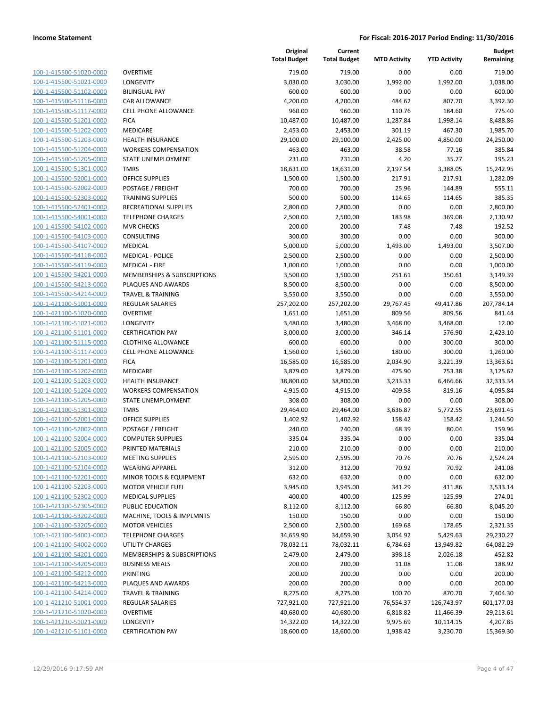| 100-1-415500-51020-0000        |
|--------------------------------|
| 100-1-415500-51021-0000        |
| 100-1-415500-51102-0000        |
| 100-1-415500-51116-0000        |
| 100-1-415500-51117-0000        |
| 100-1-415500-51201-0000        |
| 100-1-415500-51202-0000        |
| 100-1-415500-51203-0000        |
| 100-1-415500-51204-0000        |
| 100-1-415500-51205-0000        |
| 100-1-415500-51301-0000        |
| 100-1-415500-52001-0000        |
| 100-1-415500-52002-0000        |
| 100-1-415500-52303-0000        |
| 100-1-415500-52401-0000        |
| 100-1-415500-54001-0000        |
| 100-1-415500-54102-0000        |
| 100-1-415500-54103-0000        |
| 100-1-415500-54107-0000        |
| 100-1-415500-54118-0000        |
| 100-1-415500-54119-0000        |
| 100-1-415500-54201-0000        |
| 100-1-415500-54213-0000        |
| 100-1-415500-54214-0000        |
| 100-1-421100-51001-0000        |
| 100-1-421100-51020-0000        |
| 100-1-421100-51021-0000        |
| 100-1-421100-51101-0000        |
| 100-1-421100-51115-0000        |
| 100-1-421100-51117-0000        |
| 100-1-421100-51201-0000        |
| 100-1-421100-51202-0000        |
| 100-1-421100-51203-0000        |
| <u>100-1-421100-51204-0000</u> |
| 100-1-421100-51205-0000        |
| 100-1-421100-51301-0000        |
| 100-1-421100-52001-0000        |
| 100-1-421100-52002-0000        |
| 100-1-421100-52004-0000        |
| 100-1-421100-52005-0000        |
| 100-1-421100-52103-0000        |
| <u>100-1-421100-52104-0000</u> |
| 100-1-421100-52201-0000        |
| 100-1-421100-52203-0000        |
| <u>100-1-421100-52302-0000</u> |
| <u>100-1-421100-52305-0000</u> |
| 100-1-421100-53202-0000        |
| <u>100-1-421100-53205-0000</u> |
| <u>100-1-421100-54001-0000</u> |
| <u>100-1-421100-54002-0000</u> |
| 100-1-421100-54201-0000        |
| 100-1-421100-54205-0000        |
| <u>100-1-421100-54212-0000</u> |
| <u>100-1-421100-54213-0000</u> |
| <u>100-1-421100-54214-0000</u> |
| <u>100-1-421210-51001-0000</u> |
| 100-1-421210-51020-0000        |
| 100-1-421210-51021-0000        |
| <u>100-1-421210-51101-0000</u> |
|                                |

|                                                    |                                            | Original<br><b>Total Budget</b> | Current<br><b>Total Budget</b> | <b>MTD Activity</b> | <b>YTD Activity</b> | <b>Budget</b><br>Remaining |
|----------------------------------------------------|--------------------------------------------|---------------------------------|--------------------------------|---------------------|---------------------|----------------------------|
| 100-1-415500-51020-0000                            | <b>OVERTIME</b>                            | 719.00                          | 719.00                         | 0.00                | 0.00                | 719.00                     |
| 100-1-415500-51021-0000                            | LONGEVITY                                  | 3,030.00                        | 3,030.00                       | 1,992.00            | 1,992.00            | 1,038.00                   |
| 100-1-415500-51102-0000                            | <b>BILINGUAL PAY</b>                       | 600.00                          | 600.00                         | 0.00                | 0.00                | 600.00                     |
| 100-1-415500-51116-0000                            | <b>CAR ALLOWANCE</b>                       | 4,200.00                        | 4,200.00                       | 484.62              | 807.70              | 3,392.30                   |
| 100-1-415500-51117-0000                            | <b>CELL PHONE ALLOWANCE</b>                | 960.00                          | 960.00                         | 110.76              | 184.60              | 775.40                     |
| 100-1-415500-51201-0000                            | <b>FICA</b>                                | 10,487.00                       | 10,487.00                      | 1,287.84            | 1,998.14            | 8,488.86                   |
| 100-1-415500-51202-0000                            | MEDICARE                                   | 2,453.00                        | 2,453.00                       | 301.19              | 467.30              | 1,985.70                   |
| 100-1-415500-51203-0000                            | <b>HEALTH INSURANCE</b>                    | 29,100.00                       | 29,100.00                      | 2,425.00            | 4,850.00            | 24,250.00                  |
| 100-1-415500-51204-0000                            | <b>WORKERS COMPENSATION</b>                | 463.00                          | 463.00                         | 38.58               | 77.16               | 385.84                     |
| 100-1-415500-51205-0000                            | STATE UNEMPLOYMENT                         | 231.00                          | 231.00                         | 4.20                | 35.77               | 195.23                     |
| 100-1-415500-51301-0000                            | <b>TMRS</b>                                | 18,631.00                       | 18,631.00                      | 2,197.54            | 3,388.05            | 15,242.95                  |
| 100-1-415500-52001-0000                            | <b>OFFICE SUPPLIES</b>                     | 1,500.00                        | 1,500.00                       | 217.91              | 217.91              | 1,282.09                   |
| 100-1-415500-52002-0000                            | POSTAGE / FREIGHT                          | 700.00                          | 700.00                         | 25.96               | 144.89              | 555.11                     |
| 100-1-415500-52303-0000                            | <b>TRAINING SUPPLIES</b>                   | 500.00                          | 500.00                         | 114.65              | 114.65              | 385.35                     |
| 100-1-415500-52401-0000                            | RECREATIONAL SUPPLIES                      | 2,800.00                        | 2,800.00                       | 0.00                | 0.00                | 2,800.00                   |
| 100-1-415500-54001-0000                            | <b>TELEPHONE CHARGES</b>                   | 2,500.00                        | 2,500.00                       | 183.98              | 369.08              | 2,130.92                   |
| 100-1-415500-54102-0000                            | <b>MVR CHECKS</b>                          | 200.00                          | 200.00                         | 7.48                | 7.48                | 192.52                     |
| 100-1-415500-54103-0000                            | <b>CONSULTING</b>                          | 300.00                          | 300.00                         | 0.00                | 0.00                | 300.00                     |
| 100-1-415500-54107-0000                            | <b>MEDICAL</b>                             | 5,000.00                        | 5,000.00                       | 1,493.00            | 1,493.00            | 3,507.00                   |
| 100-1-415500-54118-0000                            | <b>MEDICAL - POLICE</b>                    | 2,500.00                        | 2,500.00                       | 0.00                | 0.00                | 2,500.00                   |
| 100-1-415500-54119-0000                            | <b>MEDICAL - FIRE</b>                      | 1,000.00                        | 1,000.00                       | 0.00                | 0.00                | 1,000.00                   |
| 100-1-415500-54201-0000                            | MEMBERSHIPS & SUBSCRIPTIONS                | 3,500.00                        | 3,500.00                       | 251.61              | 350.61              | 3,149.39                   |
| 100-1-415500-54213-0000                            | PLAQUES AND AWARDS                         | 8,500.00                        | 8,500.00                       | 0.00                | 0.00                | 8,500.00                   |
| 100-1-415500-54214-0000                            | <b>TRAVEL &amp; TRAINING</b>               | 3,550.00                        | 3,550.00                       | 0.00                | 0.00                | 3,550.00                   |
| 100-1-421100-51001-0000                            | <b>REGULAR SALARIES</b>                    | 257,202.00                      | 257,202.00                     | 29,767.45           | 49,417.86           | 207,784.14                 |
| 100-1-421100-51020-0000                            | <b>OVERTIME</b>                            | 1,651.00                        | 1,651.00                       | 809.56              | 809.56              | 841.44                     |
| 100-1-421100-51021-0000                            | LONGEVITY                                  | 3,480.00                        | 3,480.00                       | 3,468.00            | 3,468.00            | 12.00                      |
| 100-1-421100-51101-0000                            | <b>CERTIFICATION PAY</b>                   | 3,000.00                        | 3,000.00                       | 346.14              | 576.90              | 2,423.10                   |
| 100-1-421100-51115-0000                            | <b>CLOTHING ALLOWANCE</b>                  | 600.00                          | 600.00                         | 0.00                | 300.00              | 300.00                     |
| 100-1-421100-51117-0000                            | <b>CELL PHONE ALLOWANCE</b><br><b>FICA</b> | 1,560.00                        | 1,560.00                       | 180.00              | 300.00              | 1,260.00                   |
| 100-1-421100-51201-0000<br>100-1-421100-51202-0000 | <b>MEDICARE</b>                            | 16,585.00<br>3,879.00           | 16,585.00<br>3,879.00          | 2,034.90<br>475.90  | 3,221.39<br>753.38  | 13,363.61<br>3,125.62      |
| 100-1-421100-51203-0000                            | <b>HEALTH INSURANCE</b>                    | 38,800.00                       | 38,800.00                      | 3,233.33            | 6,466.66            | 32,333.34                  |
| 100-1-421100-51204-0000                            | <b>WORKERS COMPENSATION</b>                | 4,915.00                        | 4,915.00                       | 409.58              | 819.16              | 4,095.84                   |
| 100-1-421100-51205-0000                            | STATE UNEMPLOYMENT                         | 308.00                          | 308.00                         | 0.00                | 0.00                | 308.00                     |
| 100-1-421100-51301-0000                            | <b>TMRS</b>                                | 29,464.00                       | 29,464.00                      | 3,636.87            | 5,772.55            | 23,691.45                  |
| 100-1-421100-52001-0000                            | <b>OFFICE SUPPLIES</b>                     | 1,402.92                        | 1,402.92                       | 158.42              | 158.42              | 1,244.50                   |
| 100-1-421100-52002-0000                            | POSTAGE / FREIGHT                          | 240.00                          | 240.00                         | 68.39               | 80.04               | 159.96                     |
| 100-1-421100-52004-0000                            | <b>COMPUTER SUPPLIES</b>                   | 335.04                          | 335.04                         | 0.00                | 0.00                | 335.04                     |
| 100-1-421100-52005-0000                            | PRINTED MATERIALS                          | 210.00                          | 210.00                         | 0.00                | 0.00                | 210.00                     |
| 100-1-421100-52103-0000                            | <b>MEETING SUPPLIES</b>                    | 2,595.00                        | 2,595.00                       | 70.76               | 70.76               | 2,524.24                   |
| 100-1-421100-52104-0000                            | <b>WEARING APPAREL</b>                     | 312.00                          | 312.00                         | 70.92               | 70.92               | 241.08                     |
| 100-1-421100-52201-0000                            | MINOR TOOLS & EQUIPMENT                    | 632.00                          | 632.00                         | 0.00                | 0.00                | 632.00                     |
| 100-1-421100-52203-0000                            | <b>MOTOR VEHICLE FUEL</b>                  | 3,945.00                        | 3,945.00                       | 341.29              | 411.86              | 3,533.14                   |
| 100-1-421100-52302-0000                            | <b>MEDICAL SUPPLIES</b>                    | 400.00                          | 400.00                         | 125.99              | 125.99              | 274.01                     |
| 100-1-421100-52305-0000                            | PUBLIC EDUCATION                           | 8,112.00                        | 8,112.00                       | 66.80               | 66.80               | 8,045.20                   |
| 100-1-421100-53202-0000                            | MACHINE, TOOLS & IMPLMNTS                  | 150.00                          | 150.00                         | 0.00                | 0.00                | 150.00                     |
| 100-1-421100-53205-0000                            | <b>MOTOR VEHICLES</b>                      | 2,500.00                        | 2,500.00                       | 169.68              | 178.65              | 2,321.35                   |
| 100-1-421100-54001-0000                            | <b>TELEPHONE CHARGES</b>                   | 34,659.90                       | 34,659.90                      | 3,054.92            | 5,429.63            | 29,230.27                  |
| 100-1-421100-54002-0000                            | UTILITY CHARGES                            | 78,032.11                       | 78,032.11                      | 6,784.63            | 13,949.82           | 64,082.29                  |
| 100-1-421100-54201-0000                            | MEMBERSHIPS & SUBSCRIPTIONS                | 2,479.00                        | 2,479.00                       | 398.18              | 2,026.18            | 452.82                     |
| 100-1-421100-54205-0000                            | <b>BUSINESS MEALS</b>                      | 200.00                          | 200.00                         | 11.08               | 11.08               | 188.92                     |
| 100-1-421100-54212-0000                            | PRINTING                                   | 200.00                          | 200.00                         | 0.00                | 0.00                | 200.00                     |
| 100-1-421100-54213-0000                            | PLAQUES AND AWARDS                         | 200.00                          | 200.00                         | 0.00                | 0.00                | 200.00                     |
| 100-1-421100-54214-0000                            | <b>TRAVEL &amp; TRAINING</b>               | 8,275.00                        | 8,275.00                       | 100.70              | 870.70              | 7,404.30                   |
| 100-1-421210-51001-0000                            | REGULAR SALARIES                           | 727,921.00                      | 727,921.00                     | 76,554.37           | 126,743.97          | 601,177.03                 |
| 100-1-421210-51020-0000                            | <b>OVERTIME</b>                            | 40,680.00                       | 40,680.00                      | 6,818.82            | 11,466.39           | 29,213.61                  |
| 100-1-421210-51021-0000                            | LONGEVITY                                  | 14,322.00                       | 14,322.00                      | 9,975.69            | 10,114.15           | 4,207.85                   |
| 100-1-421210-51101-0000                            | <b>CERTIFICATION PAY</b>                   | 18,600.00                       | 18,600.00                      | 1,938.42            | 3,230.70            | 15,369.30                  |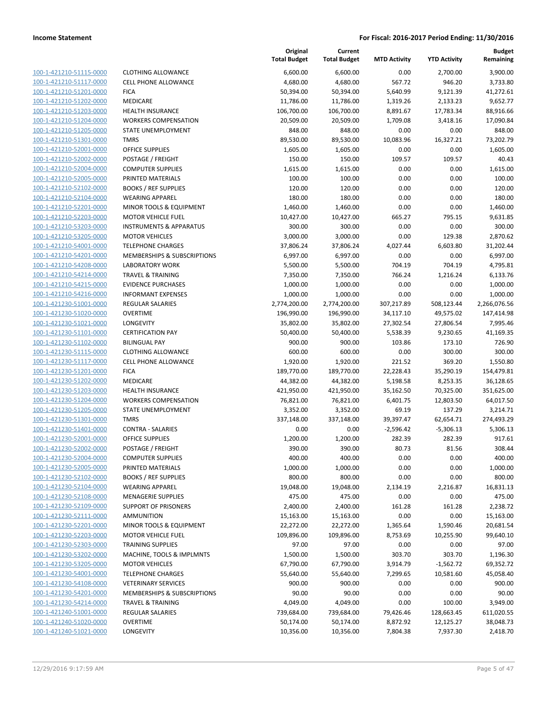**Current**

**Original**

**Budget Remaining**

|                         |                                    | <b>Total Budget</b> | <b>Total Budget</b> | <b>MTD Activity</b> | <b>YTD Activity</b> | Remaining    |
|-------------------------|------------------------------------|---------------------|---------------------|---------------------|---------------------|--------------|
| 100-1-421210-51115-0000 | <b>CLOTHING ALLOWANCE</b>          | 6,600.00            | 6,600.00            | 0.00                | 2,700.00            | 3,900.00     |
| 100-1-421210-51117-0000 | <b>CELL PHONE ALLOWANCE</b>        | 4,680.00            | 4,680.00            | 567.72              | 946.20              | 3,733.80     |
| 100-1-421210-51201-0000 | <b>FICA</b>                        | 50,394.00           | 50,394.00           | 5,640.99            | 9,121.39            | 41,272.61    |
| 100-1-421210-51202-0000 | MEDICARE                           | 11,786.00           | 11,786.00           | 1,319.26            | 2,133.23            | 9,652.77     |
| 100-1-421210-51203-0000 | <b>HEALTH INSURANCE</b>            | 106,700.00          | 106,700.00          | 8,891.67            | 17,783.34           | 88,916.66    |
| 100-1-421210-51204-0000 | <b>WORKERS COMPENSATION</b>        | 20,509.00           | 20,509.00           | 1,709.08            | 3,418.16            | 17,090.84    |
| 100-1-421210-51205-0000 | STATE UNEMPLOYMENT                 | 848.00              | 848.00              | 0.00                | 0.00                | 848.00       |
| 100-1-421210-51301-0000 | <b>TMRS</b>                        | 89,530.00           | 89,530.00           | 10,083.96           | 16,327.21           | 73,202.79    |
| 100-1-421210-52001-0000 | <b>OFFICE SUPPLIES</b>             | 1,605.00            | 1,605.00            | 0.00                | 0.00                | 1,605.00     |
| 100-1-421210-52002-0000 | POSTAGE / FREIGHT                  | 150.00              | 150.00              | 109.57              | 109.57              | 40.43        |
| 100-1-421210-52004-0000 | <b>COMPUTER SUPPLIES</b>           | 1,615.00            | 1,615.00            | 0.00                | 0.00                | 1,615.00     |
| 100-1-421210-52005-0000 | PRINTED MATERIALS                  | 100.00              | 100.00              | 0.00                | 0.00                | 100.00       |
| 100-1-421210-52102-0000 | <b>BOOKS / REF SUPPLIES</b>        | 120.00              | 120.00              | 0.00                | 0.00                | 120.00       |
| 100-1-421210-52104-0000 | <b>WEARING APPAREL</b>             | 180.00              | 180.00              | 0.00                | 0.00                | 180.00       |
| 100-1-421210-52201-0000 | MINOR TOOLS & EQUIPMENT            | 1,460.00            | 1,460.00            | 0.00                | 0.00                | 1,460.00     |
| 100-1-421210-52203-0000 | <b>MOTOR VEHICLE FUEL</b>          | 10,427.00           | 10,427.00           | 665.27              | 795.15              | 9,631.85     |
| 100-1-421210-53203-0000 | <b>INSTRUMENTS &amp; APPARATUS</b> | 300.00              | 300.00              | 0.00                | 0.00                | 300.00       |
| 100-1-421210-53205-0000 | <b>MOTOR VEHICLES</b>              | 3,000.00            | 3,000.00            | 0.00                | 129.38              | 2,870.62     |
| 100-1-421210-54001-0000 | <b>TELEPHONE CHARGES</b>           | 37,806.24           | 37,806.24           | 4,027.44            | 6,603.80            | 31,202.44    |
| 100-1-421210-54201-0000 | MEMBERSHIPS & SUBSCRIPTIONS        | 6,997.00            | 6,997.00            | 0.00                | 0.00                | 6,997.00     |
| 100-1-421210-54208-0000 | <b>LABORATORY WORK</b>             | 5,500.00            | 5,500.00            | 704.19              | 704.19              | 4,795.81     |
| 100-1-421210-54214-0000 | <b>TRAVEL &amp; TRAINING</b>       | 7,350.00            | 7,350.00            | 766.24              | 1,216.24            | 6,133.76     |
| 100-1-421210-54215-0000 | <b>EVIDENCE PURCHASES</b>          | 1,000.00            | 1,000.00            | 0.00                | 0.00                | 1,000.00     |
| 100-1-421210-54216-0000 | <b>INFORMANT EXPENSES</b>          | 1,000.00            | 1,000.00            | 0.00                | 0.00                | 1,000.00     |
| 100-1-421230-51001-0000 | REGULAR SALARIES                   | 2,774,200.00        | 2,774,200.00        | 307,217.89          | 508,123.44          | 2,266,076.56 |
| 100-1-421230-51020-0000 | <b>OVERTIME</b>                    | 196,990.00          | 196,990.00          | 34,117.10           | 49,575.02           | 147,414.98   |
| 100-1-421230-51021-0000 | LONGEVITY                          | 35,802.00           | 35,802.00           | 27,302.54           | 27,806.54           | 7,995.46     |
| 100-1-421230-51101-0000 | <b>CERTIFICATION PAY</b>           | 50,400.00           | 50,400.00           | 5,538.39            | 9,230.65            | 41,169.35    |
| 100-1-421230-51102-0000 | <b>BILINGUAL PAY</b>               | 900.00              | 900.00              | 103.86              | 173.10              | 726.90       |
| 100-1-421230-51115-0000 | <b>CLOTHING ALLOWANCE</b>          | 600.00              | 600.00              | 0.00                | 300.00              | 300.00       |
| 100-1-421230-51117-0000 | <b>CELL PHONE ALLOWANCE</b>        | 1,920.00            | 1,920.00            | 221.52              | 369.20              | 1,550.80     |
| 100-1-421230-51201-0000 | <b>FICA</b>                        | 189,770.00          | 189,770.00          | 22,228.43           | 35,290.19           | 154,479.81   |
| 100-1-421230-51202-0000 | MEDICARE                           | 44,382.00           | 44,382.00           | 5,198.58            | 8,253.35            | 36,128.65    |
| 100-1-421230-51203-0000 | <b>HEALTH INSURANCE</b>            | 421,950.00          | 421,950.00          | 35,162.50           | 70,325.00           | 351,625.00   |
| 100-1-421230-51204-0000 | <b>WORKERS COMPENSATION</b>        | 76,821.00           | 76,821.00           | 6,401.75            | 12,803.50           | 64,017.50    |
| 100-1-421230-51205-0000 | STATE UNEMPLOYMENT                 | 3,352.00            | 3,352.00            | 69.19               | 137.29              | 3,214.71     |
| 100-1-421230-51301-0000 | <b>TMRS</b>                        | 337,148.00          | 337,148.00          | 39,397.47           | 62,654.71           | 274,493.29   |
| 100-1-421230-51401-0000 | <b>CONTRA - SALARIES</b>           | 0.00                | 0.00                | $-2,596.42$         | -5,306.13           | 5,306.13     |
| 100-1-421230-52001-0000 | <b>OFFICE SUPPLIES</b>             | 1,200.00            | 1,200.00            | 282.39              | 282.39              | 917.61       |
| 100-1-421230-52002-0000 | POSTAGE / FREIGHT                  | 390.00              | 390.00              | 80.73               | 81.56               | 308.44       |
| 100-1-421230-52004-0000 | <b>COMPUTER SUPPLIES</b>           | 400.00              | 400.00              | 0.00                | 0.00                | 400.00       |
| 100-1-421230-52005-0000 | PRINTED MATERIALS                  | 1,000.00            | 1,000.00            | 0.00                | 0.00                | 1,000.00     |
| 100-1-421230-52102-0000 | <b>BOOKS / REF SUPPLIES</b>        | 800.00              | 800.00              | 0.00                | 0.00                | 800.00       |
| 100-1-421230-52104-0000 | <b>WEARING APPAREL</b>             | 19,048.00           | 19,048.00           | 2,134.19            | 2,216.87            | 16,831.13    |
| 100-1-421230-52108-0000 | <b>MENAGERIE SUPPLIES</b>          | 475.00              | 475.00              | 0.00                | 0.00                | 475.00       |
| 100-1-421230-52109-0000 | <b>SUPPORT OF PRISONERS</b>        | 2,400.00            | 2,400.00            | 161.28              | 161.28              | 2,238.72     |
| 100-1-421230-52111-0000 | <b>AMMUNITION</b>                  | 15,163.00           | 15,163.00           | 0.00                | 0.00                | 15,163.00    |
| 100-1-421230-52201-0000 | MINOR TOOLS & EQUIPMENT            | 22,272.00           | 22,272.00           | 1,365.64            | 1,590.46            | 20,681.54    |
| 100-1-421230-52203-0000 | <b>MOTOR VEHICLE FUEL</b>          | 109,896.00          | 109,896.00          | 8,753.69            | 10,255.90           | 99,640.10    |
| 100-1-421230-52303-0000 | <b>TRAINING SUPPLIES</b>           | 97.00               | 97.00               | 0.00                | 0.00                | 97.00        |
| 100-1-421230-53202-0000 | MACHINE, TOOLS & IMPLMNTS          | 1,500.00            | 1,500.00            | 303.70              | 303.70              | 1,196.30     |
| 100-1-421230-53205-0000 | <b>MOTOR VEHICLES</b>              | 67,790.00           | 67,790.00           | 3,914.79            | $-1,562.72$         | 69,352.72    |
| 100-1-421230-54001-0000 | <b>TELEPHONE CHARGES</b>           | 55,640.00           | 55,640.00           | 7,299.65            | 10,581.60           | 45,058.40    |
| 100-1-421230-54108-0000 | <b>VETERINARY SERVICES</b>         | 900.00              | 900.00              | 0.00                | 0.00                | 900.00       |
| 100-1-421230-54201-0000 | MEMBERSHIPS & SUBSCRIPTIONS        | 90.00               | 90.00               | 0.00                | 0.00                | 90.00        |
| 100-1-421230-54214-0000 | <b>TRAVEL &amp; TRAINING</b>       | 4,049.00            | 4,049.00            | 0.00                | 100.00              | 3,949.00     |
| 100-1-421240-51001-0000 | <b>REGULAR SALARIES</b>            | 739,684.00          | 739,684.00          | 79,426.46           | 128,663.45          | 611,020.55   |
| 100-1-421240-51020-0000 | <b>OVERTIME</b>                    | 50,174.00           | 50,174.00           | 8,872.92            | 12,125.27           | 38,048.73    |
| 100-1-421240-51021-0000 | <b>LONGEVITY</b>                   | 10,356.00           | 10,356.00           | 7,804.38            | 7,937.30            | 2,418.70     |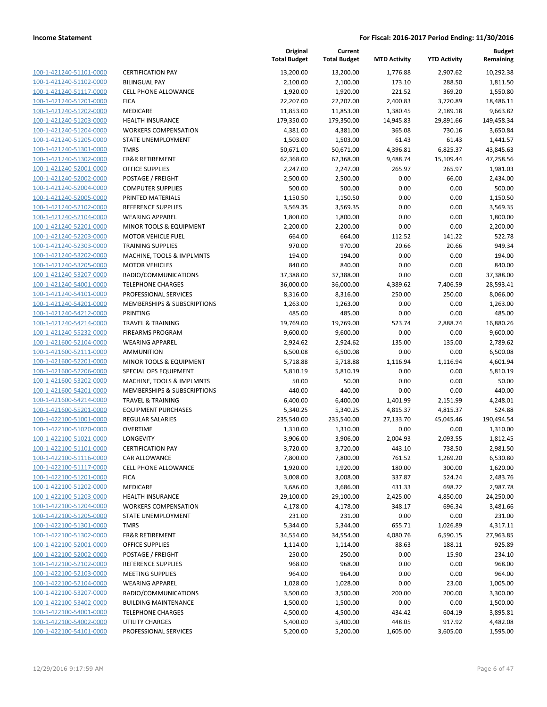| 100-1-421240-51101-0000                                          |
|------------------------------------------------------------------|
| 100-1-421240-51102-0000                                          |
| 100-1-421240-51117-0000                                          |
| 100-1-421240-51201-0000                                          |
| 100-1-421240-51202-0000                                          |
| 100-1-421240-51203-0000                                          |
| <u>100-1-421240-51204-0000</u>                                   |
| 100-1-421240-51205-0000                                          |
| 100-1-421240-51301-0000                                          |
| 100-1-421240-51302-0000                                          |
| 100-1-421240-52001-0000                                          |
| <u>100-1-421240-52002-0000</u>                                   |
| 100-1-421240-52004-0000                                          |
| 100-1-421240-52005-0000                                          |
| 100-1-421240-52102-0000                                          |
| 100-1-421240-52104-0000                                          |
| <u>100-1-421240-52201-0000</u>                                   |
| 100-1-421240-52203-0000                                          |
| 100-1-421240-52303-0000                                          |
| 100-1-421240-53202-0000                                          |
| 100-1-421240-53205-0000                                          |
| 100-1-421240-53207-0000                                          |
| 100-1-421240-54001-0000                                          |
| 100-1-421240-54101-0000                                          |
| 100-1-421240-54201-0000                                          |
| 100-1-421240-54212-0000                                          |
| <u>100-1-421240-54214-0000</u>                                   |
| 100-1-421240-55232-0000                                          |
| 100-1-421600-52104-0000                                          |
| 100-1-421600-52111-0000                                          |
| 100-1-421600-52201-0000                                          |
| 100-1-421600-52206-0000                                          |
| 100-1-421600-53202-0000                                          |
| 100-1-421600-54201-0000                                          |
| 100-1-421600-54214-0000                                          |
| 100-1-421600-55201-0000                                          |
| <u>100-1-422100-51001-0000</u>                                   |
| <u>100-1-422100-51020-0000</u>                                   |
| 100-1-422100-51021-0000                                          |
| 100-1-422100-51101-0000                                          |
| 100-1-422100-51116-0000                                          |
| <u>100-1-422100-51117-0000</u>                                   |
| <u>100-1-422100-51201-0000</u>                                   |
| 100-1-422100-51202-0000                                          |
| 100-1-422100-51203-0000                                          |
| <u>100-1-422100-51204-0000</u>                                   |
|                                                                  |
| <u>100-1-422100-51205-0000</u><br>100-1-422100-51301-0000        |
| 100-1-422100-51302-0000                                          |
| 100-1-422100-52001-0000                                          |
|                                                                  |
| <u>100-1-422100-52002-0000</u><br>100-1-422100-52102-0000        |
|                                                                  |
| <u>100-1-422100-52103-0000</u><br>100-1-422100-52104-0000        |
| 100-1-422100-53207-0000                                          |
|                                                                  |
| 100-1-422100-53402-0000                                          |
| <u>100-1-422100-54001-0000</u><br><u>100-1-422100-54002-0000</u> |
| 100-1-422100-54101-0000                                          |
|                                                                  |

|                         |                              | Original<br><b>Total Budget</b> | Current<br><b>Total Budget</b> | <b>MTD Activity</b> | <b>YTD Activity</b> | Budget<br>Remaining |
|-------------------------|------------------------------|---------------------------------|--------------------------------|---------------------|---------------------|---------------------|
| 100-1-421240-51101-0000 | <b>CERTIFICATION PAY</b>     | 13,200.00                       | 13,200.00                      | 1,776.88            | 2,907.62            | 10,292.38           |
| 100-1-421240-51102-0000 | <b>BILINGUAL PAY</b>         | 2,100.00                        | 2,100.00                       | 173.10              | 288.50              | 1,811.50            |
| 100-1-421240-51117-0000 | <b>CELL PHONE ALLOWANCE</b>  | 1,920.00                        | 1,920.00                       | 221.52              | 369.20              | 1,550.80            |
| 100-1-421240-51201-0000 | <b>FICA</b>                  | 22,207.00                       | 22,207.00                      | 2,400.83            | 3,720.89            | 18,486.11           |
| 100-1-421240-51202-0000 | MEDICARE                     | 11,853.00                       | 11,853.00                      | 1,380.45            | 2,189.18            | 9,663.82            |
| 100-1-421240-51203-0000 | <b>HEALTH INSURANCE</b>      | 179,350.00                      | 179,350.00                     | 14,945.83           | 29,891.66           | 149,458.34          |
| 100-1-421240-51204-0000 | <b>WORKERS COMPENSATION</b>  | 4,381.00                        | 4,381.00                       | 365.08              | 730.16              | 3,650.84            |
| 100-1-421240-51205-0000 | STATE UNEMPLOYMENT           | 1,503.00                        | 1,503.00                       | 61.43               | 61.43               | 1,441.57            |
| 100-1-421240-51301-0000 | <b>TMRS</b>                  | 50,671.00                       | 50,671.00                      | 4,396.81            | 6,825.37            | 43,845.63           |
| 100-1-421240-51302-0000 | <b>FR&amp;R RETIREMENT</b>   | 62,368.00                       | 62,368.00                      | 9,488.74            | 15,109.44           | 47,258.56           |
| 100-1-421240-52001-0000 | <b>OFFICE SUPPLIES</b>       | 2,247.00                        | 2,247.00                       | 265.97              | 265.97              | 1,981.03            |
| 100-1-421240-52002-0000 | POSTAGE / FREIGHT            | 2,500.00                        | 2,500.00                       | 0.00                | 66.00               | 2,434.00            |
| 100-1-421240-52004-0000 | <b>COMPUTER SUPPLIES</b>     | 500.00                          | 500.00                         | 0.00                | 0.00                | 500.00              |
| 100-1-421240-52005-0000 | PRINTED MATERIALS            | 1,150.50                        | 1,150.50                       | 0.00                | 0.00                | 1,150.50            |
| 100-1-421240-52102-0000 | REFERENCE SUPPLIES           | 3,569.35                        | 3,569.35                       | 0.00                | 0.00                | 3,569.35            |
| 100-1-421240-52104-0000 | <b>WEARING APPAREL</b>       | 1,800.00                        | 1,800.00                       | 0.00                | 0.00                | 1,800.00            |
| 100-1-421240-52201-0000 | MINOR TOOLS & EQUIPMENT      | 2,200.00                        | 2,200.00                       | 0.00                | 0.00                | 2,200.00            |
| 100-1-421240-52203-0000 | MOTOR VEHICLE FUEL           | 664.00                          | 664.00                         | 112.52              | 141.22              | 522.78              |
| 100-1-421240-52303-0000 | <b>TRAINING SUPPLIES</b>     | 970.00                          | 970.00                         | 20.66               | 20.66               | 949.34              |
| 100-1-421240-53202-0000 | MACHINE, TOOLS & IMPLMNTS    | 194.00                          | 194.00                         | 0.00                | 0.00                | 194.00              |
| 100-1-421240-53205-0000 | <b>MOTOR VEHICLES</b>        | 840.00                          | 840.00                         | 0.00                | 0.00                | 840.00              |
| 100-1-421240-53207-0000 | RADIO/COMMUNICATIONS         | 37,388.00                       | 37,388.00                      | 0.00                | 0.00                | 37,388.00           |
| 100-1-421240-54001-0000 | <b>TELEPHONE CHARGES</b>     | 36,000.00                       | 36,000.00                      | 4,389.62            | 7,406.59            | 28,593.41           |
| 100-1-421240-54101-0000 | PROFESSIONAL SERVICES        | 8,316.00                        | 8,316.00                       | 250.00              | 250.00              | 8,066.00            |
| 100-1-421240-54201-0000 | MEMBERSHIPS & SUBSCRIPTIONS  | 1,263.00                        | 1,263.00                       | 0.00                | 0.00                | 1,263.00            |
| 100-1-421240-54212-0000 | <b>PRINTING</b>              | 485.00                          | 485.00                         | 0.00                | 0.00                | 485.00              |
| 100-1-421240-54214-0000 | <b>TRAVEL &amp; TRAINING</b> | 19,769.00                       | 19,769.00                      | 523.74              | 2,888.74            | 16,880.26           |
| 100-1-421240-55232-0000 | <b>FIREARMS PROGRAM</b>      | 9,600.00                        | 9,600.00                       | 0.00                | 0.00                | 9,600.00            |
| 100-1-421600-52104-0000 | <b>WEARING APPAREL</b>       | 2,924.62                        | 2,924.62                       | 135.00              | 135.00              | 2,789.62            |
| 100-1-421600-52111-0000 | <b>AMMUNITION</b>            | 6,500.08                        | 6,500.08                       | 0.00                | 0.00                | 6,500.08            |
| 100-1-421600-52201-0000 | MINOR TOOLS & EQUIPMENT      | 5,718.88                        | 5,718.88                       | 1,116.94            | 1,116.94            | 4,601.94            |
| 100-1-421600-52206-0000 | SPECIAL OPS EQUIPMENT        | 5,810.19                        | 5,810.19                       | 0.00                | 0.00                | 5,810.19            |
| 100-1-421600-53202-0000 | MACHINE, TOOLS & IMPLMNTS    | 50.00                           | 50.00                          | 0.00                | 0.00                | 50.00               |
| 100-1-421600-54201-0000 | MEMBERSHIPS & SUBSCRIPTIONS  | 440.00                          | 440.00                         | 0.00                | 0.00                | 440.00              |
| 100-1-421600-54214-0000 | <b>TRAVEL &amp; TRAINING</b> | 6,400.00                        | 6,400.00                       | 1,401.99            | 2,151.99            | 4,248.01            |
| 100-1-421600-55201-0000 | <b>EQUIPMENT PURCHASES</b>   | 5,340.25                        | 5,340.25                       | 4,815.37            | 4,815.37            | 524.88              |
| 100-1-422100-51001-0000 | <b>REGULAR SALARIES</b>      | 235,540.00                      | 235,540.00                     | 27,133.70           | 45,045.46           | 190,494.54          |
| 100-1-422100-51020-0000 | <b>OVERTIME</b>              | 1,310.00                        | 1,310.00                       | 0.00                | 0.00                | 1,310.00            |
| 100-1-422100-51021-0000 | LONGEVITY                    | 3,906.00                        | 3,906.00                       | 2,004.93            | 2,093.55            | 1,812.45            |
| 100-1-422100-51101-0000 | <b>CERTIFICATION PAY</b>     | 3,720.00                        | 3,720.00                       | 443.10              | 738.50              | 2,981.50            |
| 100-1-422100-51116-0000 | CAR ALLOWANCE                | 7,800.00                        | 7,800.00                       | 761.52              | 1,269.20            | 6,530.80            |
| 100-1-422100-51117-0000 | <b>CELL PHONE ALLOWANCE</b>  | 1,920.00                        | 1,920.00                       | 180.00              | 300.00              | 1,620.00            |
| 100-1-422100-51201-0000 | <b>FICA</b>                  | 3,008.00                        | 3,008.00                       | 337.87              | 524.24              | 2,483.76            |
| 100-1-422100-51202-0000 | <b>MEDICARE</b>              | 3,686.00                        | 3,686.00                       | 431.33              | 698.22              | 2,987.78            |
| 100-1-422100-51203-0000 | <b>HEALTH INSURANCE</b>      | 29,100.00                       | 29,100.00                      | 2,425.00            | 4,850.00            | 24,250.00           |
| 100-1-422100-51204-0000 | <b>WORKERS COMPENSATION</b>  | 4,178.00                        | 4,178.00                       | 348.17              | 696.34              | 3,481.66            |
| 100-1-422100-51205-0000 | STATE UNEMPLOYMENT           | 231.00                          | 231.00                         | 0.00                | 0.00                | 231.00              |
| 100-1-422100-51301-0000 | <b>TMRS</b>                  | 5,344.00                        | 5,344.00                       | 655.71              | 1,026.89            | 4,317.11            |
| 100-1-422100-51302-0000 | <b>FR&amp;R RETIREMENT</b>   | 34,554.00                       | 34,554.00                      | 4,080.76            | 6,590.15            | 27,963.85           |
| 100-1-422100-52001-0000 | <b>OFFICE SUPPLIES</b>       | 1,114.00                        | 1,114.00                       | 88.63               | 188.11              | 925.89              |
| 100-1-422100-52002-0000 | POSTAGE / FREIGHT            | 250.00                          | 250.00                         | 0.00                | 15.90               | 234.10              |
| 100-1-422100-52102-0000 | REFERENCE SUPPLIES           | 968.00                          | 968.00                         | 0.00                | 0.00                | 968.00              |
| 100-1-422100-52103-0000 | <b>MEETING SUPPLIES</b>      | 964.00                          | 964.00                         | 0.00                | 0.00                | 964.00              |
| 100-1-422100-52104-0000 | <b>WEARING APPAREL</b>       | 1,028.00                        | 1,028.00                       | 0.00                | 23.00               | 1,005.00            |
| 100-1-422100-53207-0000 | RADIO/COMMUNICATIONS         | 3,500.00                        | 3,500.00                       | 200.00              | 200.00              | 3,300.00            |
| 100-1-422100-53402-0000 | <b>BUILDING MAINTENANCE</b>  | 1,500.00                        | 1,500.00                       | 0.00                | 0.00                | 1,500.00            |
| 100-1-422100-54001-0000 | <b>TELEPHONE CHARGES</b>     | 4,500.00                        | 4,500.00                       | 434.42              | 604.19              | 3,895.81            |
| 100-1-422100-54002-0000 | UTILITY CHARGES              | 5,400.00                        | 5,400.00                       | 448.05              | 917.92              | 4,482.08            |
| 100-1-422100-54101-0000 | PROFESSIONAL SERVICES        | 5,200.00                        | 5,200.00                       | 1,605.00            | 3,605.00            | 1,595.00            |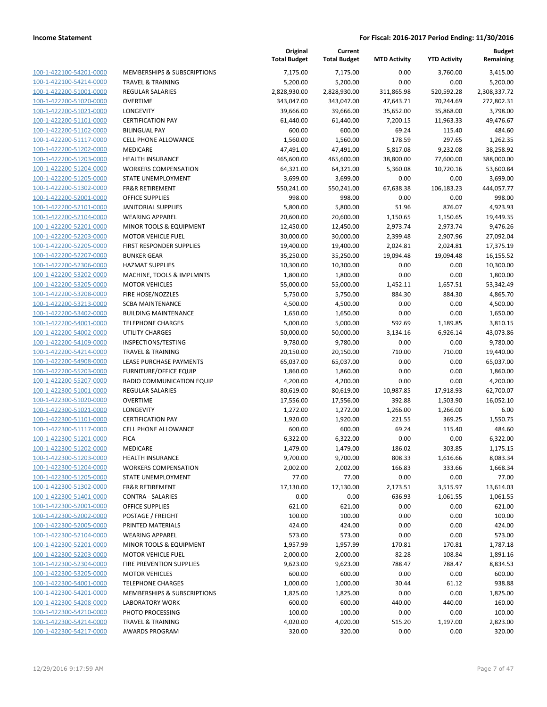| 100-1-422100-54201-0000        |
|--------------------------------|
| 100-1-422100-54214-0000        |
| 100-1-422200-51001-0000        |
| 100-1-422200-51020-0000        |
| 100-1-422200-51021-0000        |
| 100-1-422200-51101-0000        |
| 100-1-422200-51102-0000        |
| 100-1-422200-51117-0000        |
| <u>100-1-422200-51202-0000</u> |
| 100-1-422200-51203-0000        |
| 100-1-422200-51204-0000        |
| 100-1-422200-51205-0000        |
| 100-1-422200-51302-0000        |
| <u>100-1-422200-52001-0000</u> |
| <u>100-1-422200-52101-0000</u> |
| 100-1-422200-52104-0000        |
| 100-1-422200-52201-0000        |
| 100-1-422200-52203-0000        |
| <u>100-1-422200-52205-0000</u> |
| 100-1-422200-52207-0000        |
| 100-1-422200-52306-0000        |
| 100-1-422200-53202-0000        |
| 100-1-422200-53205-0000        |
| <u>100-1-422200-53208-0000</u> |
| 100-1-422200-53213-0000        |
|                                |
| 100-1-422200-53402-0000        |
| 100-1-422200-54001-0000        |
| 100-1-422200-54002-0000        |
| <u>100-1-422200-54109-0000</u> |
| 100-1-422200-54214-0000        |
| <u>100-1-422200-54908-0000</u> |
| 100-1-422200-55203-0000        |
| 100-1-422200-55207-0000        |
| <u>100-1-422300-51001-0000</u> |
| 100-1-422300-51020-0000        |
| 100-1-422300-51021-0000        |
| 100-1-422300-51101-0000        |
| 100-1-422300-51117-0000        |
| 100-1-422300-51201-0000        |
| 100-1-422300-51202-0000        |
| 100-1-422300-51203-0000        |
| 100-1-422300-51204-0000        |
| 100-1-422300-51205-0000        |
| 100-1-422300-51302-0000        |
| 100-1-422300-51401-0000        |
| 100-1-422300-52001-0000        |
| 100-1-422300-52002-0000        |
| 100-1-422300-52005-0000        |
| 100-1-422300-52104-0000        |
| <u>100-1-422300-52201-0000</u> |
| 100-1-422300-52203-0000        |
| 100-1-422300-52304-0000        |
| 100-1-422300-53205-0000        |
| 100-1-422300-54001-0000        |
| <u>100-1-422300-54201-0000</u> |
| <u>100-1-422300-54208-0000</u> |
| 100-1-422300-54210-0000        |
| <u>100-1-422300-54214-0000</u> |
| <u>100-1-422300-54217-0000</u> |
|                                |

| IEMBERSHIPS & SUBSCRIPTIONS            |
|----------------------------------------|
| RAVEL & TRAINING                       |
| EGULAR SALARIES                        |
| VERTIME                                |
| ONGEVITY                               |
| ERTIFICATION PAY                       |
| ILINGUAL PAY                           |
| ELL PHONE ALLOWANCE                    |
| <b>IEDICARE</b>                        |
| <b>EALTH INSURANCE</b>                 |
| <b>/ORKERS COMPENSATION</b>            |
|                                        |
| TATE UNEMPLOYMENT                      |
| R&R RETIREMENT                         |
| <b>FFICE SUPPLIES</b>                  |
| <b><i>NITORIAL SUPPLIES</i></b>        |
| /EARING APPAREL                        |
| 1INOR TOOLS & EQUIPMENT                |
| 1OTOR VEHICLE FUEL                     |
| <b>RST RESPONDER SUPPLIES</b>          |
| UNKER GEAR                             |
| <b>AZMAT SUPPLIES</b>                  |
| 1ACHINE, TOOLS & IMPLMNTS              |
| <b>1OTOR VEHICLES</b>                  |
| <b>RE HOSE/NOZZLES</b>                 |
| <b>CBA MAINTENANCE</b>                 |
| UILDING MAINTENANCE                    |
| ELEPHONE CHARGES                       |
| TILITY CHARGES                         |
| ISPECTIONS/TESTING                     |
| RAVEL & TRAINING                       |
| EASE PURCHASE PAYMENTS                 |
| URNITURE/OFFICE EQUIP                  |
| ADIO COMMUNICATION EQUIP               |
| EGULAR SALARIES                        |
| VERTIME                                |
| ONGEVITY                               |
| ERTIFICATION PAY                       |
| ELL PHONE ALLOWANCE                    |
| <b>ICA</b>                             |
| <b>IEDICARE</b>                        |
| <b>EALTH INSURANCE</b>                 |
| /ORKERS COMPENSATION                   |
| TATE UNEMPLOYMENT                      |
| <b>R&amp;R RETIREMENT</b>              |
| ONTRA - SALARIES                       |
| <b>FFICE SUPPLIES</b>                  |
| OSTAGE / FREIGHT                       |
| RINTED MATERIALS                       |
| /EARING APPAREL                        |
| 1INOR TOOLS & EQUIPMENT                |
| <b>1OTOR VEHICLE FUEL</b>              |
| <b>RE PREVENTION SUPPLIES</b>          |
| <b>IOTOR VEHICLES</b>                  |
| <b>ELEPHONE CHARGES</b>                |
| <b>IEMBERSHIPS &amp; SUBSCRIPTIONS</b> |
| ABORATORY WORK                         |
| HOTO PROCESSING                        |
| RAVEL & TRAINING                       |

|                                                    |                                                        | Original<br><b>Total Budget</b> | Current<br><b>Total Budget</b> | <b>MTD Activity</b> | <b>YTD Activity</b> | <b>Budget</b><br>Remaining |
|----------------------------------------------------|--------------------------------------------------------|---------------------------------|--------------------------------|---------------------|---------------------|----------------------------|
| 100-1-422100-54201-0000                            | <b>MEMBERSHIPS &amp; SUBSCRIPTIONS</b>                 | 7,175.00                        | 7,175.00                       | 0.00                | 3,760.00            | 3,415.00                   |
| 100-1-422100-54214-0000                            | <b>TRAVEL &amp; TRAINING</b>                           | 5,200.00                        | 5,200.00                       | 0.00                | 0.00                | 5,200.00                   |
| 100-1-422200-51001-0000                            | <b>REGULAR SALARIES</b>                                | 2,828,930.00                    | 2,828,930.00                   | 311,865.98          | 520,592.28          | 2,308,337.72               |
| 100-1-422200-51020-0000                            | <b>OVERTIME</b>                                        | 343,047.00                      | 343,047.00                     | 47,643.71           | 70,244.69           | 272,802.31                 |
| 100-1-422200-51021-0000                            | LONGEVITY                                              | 39,666.00                       | 39,666.00                      | 35,652.00           | 35,868.00           | 3,798.00                   |
| 100-1-422200-51101-0000                            | <b>CERTIFICATION PAY</b>                               | 61,440.00                       | 61,440.00                      | 7,200.15            | 11,963.33           | 49,476.67                  |
| 100-1-422200-51102-0000                            | <b>BILINGUAL PAY</b>                                   | 600.00                          | 600.00                         | 69.24               | 115.40              | 484.60                     |
| 100-1-422200-51117-0000                            | <b>CELL PHONE ALLOWANCE</b>                            | 1,560.00                        | 1,560.00                       | 178.59              | 297.65              | 1,262.35                   |
| 100-1-422200-51202-0000                            | MEDICARE                                               | 47,491.00                       | 47,491.00                      | 5,817.08            | 9,232.08            | 38,258.92                  |
| 100-1-422200-51203-0000                            | <b>HEALTH INSURANCE</b>                                | 465,600.00                      | 465,600.00                     | 38,800.00           | 77,600.00           | 388,000.00                 |
| 100-1-422200-51204-0000                            | <b>WORKERS COMPENSATION</b>                            | 64,321.00                       | 64,321.00                      | 5,360.08            | 10,720.16           | 53,600.84                  |
| 100-1-422200-51205-0000                            | STATE UNEMPLOYMENT                                     | 3,699.00                        | 3,699.00                       | 0.00                | 0.00                | 3,699.00                   |
| 100-1-422200-51302-0000                            | <b>FR&amp;R RETIREMENT</b>                             | 550,241.00                      | 550,241.00                     | 67,638.38           | 106,183.23          | 444,057.77                 |
| 100-1-422200-52001-0000                            | <b>OFFICE SUPPLIES</b>                                 | 998.00                          | 998.00                         | 0.00                | 0.00                | 998.00                     |
| 100-1-422200-52101-0000                            | <b>JANITORIAL SUPPLIES</b>                             | 5,800.00                        | 5,800.00                       | 51.96               | 876.07              | 4,923.93                   |
| 100-1-422200-52104-0000                            | <b>WEARING APPAREL</b>                                 | 20,600.00                       | 20,600.00                      | 1,150.65            | 1,150.65            | 19,449.35                  |
| 100-1-422200-52201-0000                            | MINOR TOOLS & EQUIPMENT                                | 12,450.00                       | 12,450.00                      | 2,973.74            | 2,973.74            | 9,476.26                   |
| 100-1-422200-52203-0000                            | <b>MOTOR VEHICLE FUEL</b>                              | 30,000.00                       | 30,000.00                      | 2,399.48            | 2,907.96            | 27,092.04                  |
| 100-1-422200-52205-0000                            | FIRST RESPONDER SUPPLIES                               | 19,400.00                       | 19,400.00                      | 2,024.81            | 2,024.81            | 17,375.19                  |
| 100-1-422200-52207-0000                            | <b>BUNKER GEAR</b>                                     | 35,250.00                       | 35,250.00                      | 19,094.48           | 19,094.48           | 16,155.52                  |
| 100-1-422200-52306-0000                            | <b>HAZMAT SUPPLIES</b>                                 | 10,300.00                       | 10,300.00                      | 0.00                | 0.00                | 10,300.00                  |
| 100-1-422200-53202-0000                            | MACHINE, TOOLS & IMPLMNTS                              | 1,800.00                        | 1,800.00                       | 0.00                | 0.00                | 1,800.00                   |
| 100-1-422200-53205-0000                            | <b>MOTOR VEHICLES</b>                                  | 55,000.00                       | 55,000.00                      | 1,452.11            | 1,657.51            | 53,342.49                  |
| 100-1-422200-53208-0000<br>100-1-422200-53213-0000 | FIRE HOSE/NOZZLES                                      | 5,750.00<br>4,500.00            | 5,750.00<br>4,500.00           | 884.30<br>0.00      | 884.30<br>0.00      | 4,865.70<br>4,500.00       |
| 100-1-422200-53402-0000                            | <b>SCBA MAINTENANCE</b><br><b>BUILDING MAINTENANCE</b> | 1,650.00                        | 1,650.00                       | 0.00                | 0.00                | 1,650.00                   |
| 100-1-422200-54001-0000                            | <b>TELEPHONE CHARGES</b>                               | 5,000.00                        | 5,000.00                       | 592.69              | 1,189.85            | 3,810.15                   |
| 100-1-422200-54002-0000                            | <b>UTILITY CHARGES</b>                                 | 50,000.00                       | 50,000.00                      | 3,134.16            | 6,926.14            | 43,073.86                  |
| 100-1-422200-54109-0000                            | INSPECTIONS/TESTING                                    | 9,780.00                        | 9,780.00                       | 0.00                | 0.00                | 9,780.00                   |
| 100-1-422200-54214-0000                            | <b>TRAVEL &amp; TRAINING</b>                           | 20,150.00                       | 20,150.00                      | 710.00              | 710.00              | 19,440.00                  |
| 100-1-422200-54908-0000                            | LEASE PURCHASE PAYMENTS                                | 65,037.00                       | 65,037.00                      | 0.00                | 0.00                | 65,037.00                  |
| 100-1-422200-55203-0000                            | <b>FURNITURE/OFFICE EQUIP</b>                          | 1,860.00                        | 1,860.00                       | 0.00                | 0.00                | 1,860.00                   |
| 100-1-422200-55207-0000                            | RADIO COMMUNICATION EQUIP                              | 4,200.00                        | 4,200.00                       | 0.00                | 0.00                | 4,200.00                   |
| 100-1-422300-51001-0000                            | <b>REGULAR SALARIES</b>                                | 80,619.00                       | 80,619.00                      | 10,987.85           | 17,918.93           | 62,700.07                  |
| 100-1-422300-51020-0000                            | <b>OVERTIME</b>                                        | 17,556.00                       | 17,556.00                      | 392.88              | 1,503.90            | 16,052.10                  |
| 100-1-422300-51021-0000                            | LONGEVITY                                              | 1,272.00                        | 1,272.00                       | 1,266.00            | 1,266.00            | 6.00                       |
| 100-1-422300-51101-0000                            | <b>CERTIFICATION PAY</b>                               | 1,920.00                        | 1,920.00                       | 221.55              | 369.25              | 1,550.75                   |
| 100-1-422300-51117-0000                            | <b>CELL PHONE ALLOWANCE</b>                            | 600.00                          | 600.00                         | 69.24               | 115.40              | 484.60                     |
| 100-1-422300-51201-0000                            | <b>FICA</b>                                            | 6,322.00                        | 6,322.00                       | 0.00                | 0.00                | 6,322.00                   |
| 100-1-422300-51202-0000                            | MEDICARE                                               | 1,479.00                        | 1,479.00                       | 186.02              | 303.85              | 1,175.15                   |
| 100-1-422300-51203-0000                            | HEALTH INSURANCE                                       | 9,700.00                        | 9,700.00                       | 808.33              | 1,616.66            | 8,083.34                   |
| 100-1-422300-51204-0000                            | <b>WORKERS COMPENSATION</b>                            | 2,002.00                        | 2,002.00                       | 166.83              | 333.66              | 1,668.34                   |
| 100-1-422300-51205-0000                            | STATE UNEMPLOYMENT                                     | 77.00                           | 77.00                          | 0.00                | 0.00                | 77.00                      |
| 100-1-422300-51302-0000                            | <b>FR&amp;R RETIREMENT</b>                             | 17,130.00                       | 17,130.00                      | 2,173.51            | 3,515.97            | 13,614.03                  |
| 100-1-422300-51401-0000                            | <b>CONTRA - SALARIES</b>                               | 0.00                            | 0.00                           | $-636.93$           | $-1,061.55$         | 1,061.55                   |
| 100-1-422300-52001-0000                            | <b>OFFICE SUPPLIES</b>                                 | 621.00                          | 621.00                         | 0.00                | 0.00                | 621.00                     |
| 100-1-422300-52002-0000                            | POSTAGE / FREIGHT                                      | 100.00                          | 100.00                         | 0.00                | 0.00                | 100.00                     |
| 100-1-422300-52005-0000                            | PRINTED MATERIALS                                      | 424.00                          | 424.00                         | 0.00                | 0.00                | 424.00                     |
| 100-1-422300-52104-0000                            | <b>WEARING APPAREL</b>                                 | 573.00                          | 573.00                         | 0.00                | 0.00                | 573.00                     |
| 100-1-422300-52201-0000                            | MINOR TOOLS & EQUIPMENT                                | 1,957.99                        | 1,957.99                       | 170.81              | 170.81              | 1,787.18                   |
| 100-1-422300-52203-0000                            | <b>MOTOR VEHICLE FUEL</b>                              | 2,000.00                        | 2,000.00                       | 82.28               | 108.84              | 1,891.16                   |
| 100-1-422300-52304-0000                            | FIRE PREVENTION SUPPLIES                               | 9,623.00                        | 9,623.00                       | 788.47              | 788.47              | 8,834.53                   |
| 100-1-422300-53205-0000                            | <b>MOTOR VEHICLES</b>                                  | 600.00                          | 600.00                         | 0.00                | 0.00                | 600.00                     |
| 100-1-422300-54001-0000                            | <b>TELEPHONE CHARGES</b>                               | 1,000.00                        | 1,000.00                       | 30.44               | 61.12               | 938.88                     |
| 100-1-422300-54201-0000                            | MEMBERSHIPS & SUBSCRIPTIONS                            | 1,825.00                        | 1,825.00                       | 0.00                | 0.00                | 1,825.00                   |
| 100-1-422300-54208-0000                            | <b>LABORATORY WORK</b>                                 | 600.00                          | 600.00                         | 440.00              | 440.00              | 160.00                     |
| 100-1-422300-54210-0000                            | PHOTO PROCESSING                                       | 100.00                          | 100.00                         | 0.00                | 0.00                | 100.00                     |
| 100-1-422300-54214-0000                            | <b>TRAVEL &amp; TRAINING</b>                           | 4,020.00                        | 4,020.00                       | 515.20              | 1,197.00            | 2,823.00                   |
| 100-1-422300-54217-0000                            | AWARDS PROGRAM                                         | 320.00                          | 320.00                         | 0.00                | 0.00                | 320.00                     |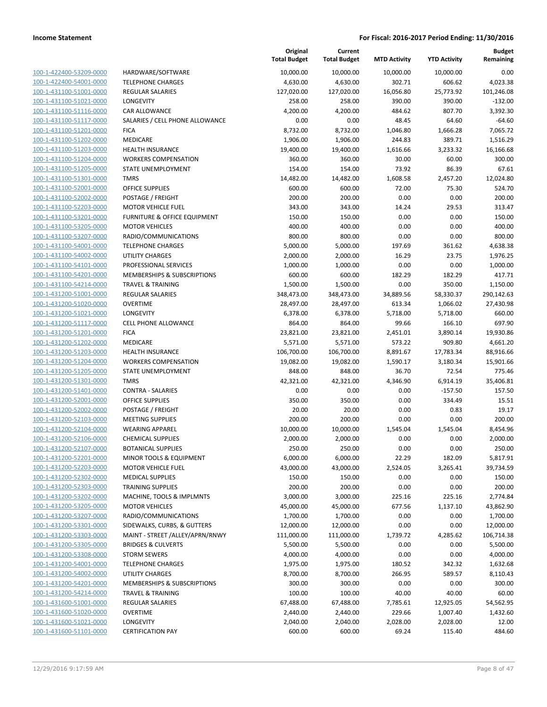|                                                    |                                     | Original<br><b>Total Budget</b> | Current<br><b>Total Budget</b> | <b>MTD Activity</b> | <b>YTD Activity</b>  | <b>Budget</b><br>Remaining |
|----------------------------------------------------|-------------------------------------|---------------------------------|--------------------------------|---------------------|----------------------|----------------------------|
| 100-1-422400-53209-0000                            | HARDWARE/SOFTWARE                   | 10,000.00                       | 10,000.00                      | 10,000.00           | 10,000.00            | 0.00                       |
| 100-1-422400-54001-0000                            | <b>TELEPHONE CHARGES</b>            | 4,630.00                        | 4,630.00                       | 302.71              | 606.62               | 4,023.38                   |
| 100-1-431100-51001-0000                            | <b>REGULAR SALARIES</b>             | 127,020.00                      | 127,020.00                     | 16,056.80           | 25,773.92            | 101,246.08                 |
| 100-1-431100-51021-0000                            | <b>LONGEVITY</b>                    | 258.00                          | 258.00                         | 390.00              | 390.00               | $-132.00$                  |
| 100-1-431100-51116-0000                            | <b>CAR ALLOWANCE</b>                | 4,200.00                        | 4,200.00                       | 484.62              | 807.70               | 3,392.30                   |
| 100-1-431100-51117-0000                            | SALARIES / CELL PHONE ALLOWANCE     | 0.00                            | 0.00                           | 48.45               | 64.60                | -64.60                     |
| 100-1-431100-51201-0000                            | <b>FICA</b>                         | 8,732.00                        | 8,732.00                       | 1,046.80            | 1,666.28             | 7,065.72                   |
| 100-1-431100-51202-0000                            | MEDICARE                            | 1,906.00                        | 1,906.00                       | 244.83              | 389.71               | 1,516.29                   |
| 100-1-431100-51203-0000                            | <b>HEALTH INSURANCE</b>             | 19,400.00                       | 19,400.00                      | 1,616.66            | 3,233.32             | 16,166.68                  |
| 100-1-431100-51204-0000                            | <b>WORKERS COMPENSATION</b>         | 360.00                          | 360.00                         | 30.00               | 60.00                | 300.00                     |
| 100-1-431100-51205-0000                            | STATE UNEMPLOYMENT                  | 154.00                          | 154.00                         | 73.92               | 86.39                | 67.61                      |
| 100-1-431100-51301-0000                            | <b>TMRS</b>                         | 14,482.00                       | 14,482.00                      | 1,608.58            | 2,457.20             | 12,024.80                  |
| 100-1-431100-52001-0000                            | <b>OFFICE SUPPLIES</b>              | 600.00                          | 600.00                         | 72.00               | 75.30                | 524.70                     |
| 100-1-431100-52002-0000                            | POSTAGE / FREIGHT                   | 200.00                          | 200.00                         | 0.00                | 0.00                 | 200.00                     |
| 100-1-431100-52203-0000                            | <b>MOTOR VEHICLE FUEL</b>           | 343.00                          | 343.00                         | 14.24               | 29.53                | 313.47                     |
| 100-1-431100-53201-0000                            | FURNITURE & OFFICE EQUIPMENT        | 150.00                          | 150.00                         | 0.00                | 0.00                 | 150.00                     |
| 100-1-431100-53205-0000                            | <b>MOTOR VEHICLES</b>               | 400.00                          | 400.00                         | 0.00                | 0.00                 | 400.00                     |
| 100-1-431100-53207-0000                            | RADIO/COMMUNICATIONS                | 800.00                          | 800.00                         | 0.00                | 0.00                 | 800.00                     |
| 100-1-431100-54001-0000                            | <b>TELEPHONE CHARGES</b>            | 5,000.00                        | 5,000.00                       | 197.69              | 361.62               | 4,638.38                   |
| 100-1-431100-54002-0000                            | UTILITY CHARGES                     | 2,000.00                        | 2,000.00                       | 16.29               | 23.75                | 1,976.25                   |
| 100-1-431100-54101-0000                            | PROFESSIONAL SERVICES               | 1,000.00                        | 1,000.00                       | 0.00                | 0.00                 | 1,000.00                   |
| 100-1-431100-54201-0000                            | MEMBERSHIPS & SUBSCRIPTIONS         | 600.00                          | 600.00                         | 182.29              | 182.29               | 417.71                     |
| 100-1-431100-54214-0000                            | <b>TRAVEL &amp; TRAINING</b>        | 1,500.00                        | 1,500.00                       | 0.00                | 350.00               | 1,150.00                   |
| 100-1-431200-51001-0000                            | <b>REGULAR SALARIES</b>             | 348,473.00                      | 348,473.00                     | 34,889.56           | 58,330.37            | 290,142.63                 |
| 100-1-431200-51020-0000                            | <b>OVERTIME</b>                     | 28,497.00                       | 28,497.00                      | 613.34              | 1,066.02             | 27,430.98                  |
| 100-1-431200-51021-0000                            | LONGEVITY                           | 6,378.00                        | 6,378.00                       | 5,718.00            | 5,718.00             | 660.00                     |
| 100-1-431200-51117-0000                            | CELL PHONE ALLOWANCE                | 864.00                          | 864.00                         | 99.66               | 166.10               | 697.90                     |
| 100-1-431200-51201-0000                            | <b>FICA</b>                         | 23,821.00                       | 23,821.00                      | 2,451.01            | 3,890.14             | 19,930.86                  |
| 100-1-431200-51202-0000                            | MEDICARE                            | 5,571.00                        | 5,571.00                       | 573.22              | 909.80               | 4,661.20                   |
| 100-1-431200-51203-0000                            | <b>HEALTH INSURANCE</b>             | 106,700.00                      | 106,700.00                     | 8,891.67            | 17,783.34            | 88,916.66                  |
| 100-1-431200-51204-0000                            | <b>WORKERS COMPENSATION</b>         | 19,082.00                       | 19,082.00                      | 1,590.17            | 3,180.34             | 15,901.66                  |
| 100-1-431200-51205-0000                            | STATE UNEMPLOYMENT                  | 848.00                          | 848.00                         | 36.70               | 72.54                | 775.46                     |
| 100-1-431200-51301-0000                            | <b>TMRS</b>                         | 42,321.00                       | 42,321.00                      | 4,346.90            | 6,914.19             | 35,406.81                  |
| 100-1-431200-51401-0000                            | <b>CONTRA - SALARIES</b>            | 0.00                            | 0.00                           | 0.00                | $-157.50$            | 157.50                     |
| 100-1-431200-52001-0000                            | <b>OFFICE SUPPLIES</b>              | 350.00                          | 350.00                         | 0.00                | 334.49               | 15.51                      |
| 100-1-431200-52002-0000                            | POSTAGE / FREIGHT                   | 20.00                           | 20.00                          | 0.00                | 0.83                 | 19.17                      |
| 100-1-431200-52103-0000                            | <b>MEETING SUPPLIES</b>             | 200.00                          | 200.00                         | 0.00                | 0.00                 | 200.00                     |
| 100-1-431200-52104-0000                            | <b>WEARING APPAREL</b>              | 10,000.00                       | 10,000.00                      | 1,545.04            | 1,545.04             | 8,454.96                   |
| 100-1-431200-52106-0000                            | <b>CHEMICAL SUPPLIES</b>            | 2,000.00                        | 2,000.00                       | 0.00                | 0.00                 | 2,000.00                   |
| 100-1-431200-52107-0000                            | <b>BOTANICAL SUPPLIES</b>           | 250.00                          | 250.00                         | 0.00                | 0.00                 | 250.00                     |
| 100-1-431200-52201-0000                            | MINOR TOOLS & EQUIPMENT             | 6,000.00                        | 6,000.00                       | 22.29               | 182.09               | 5,817.91                   |
| 100-1-431200-52203-0000                            | <b>MOTOR VEHICLE FUEL</b>           | 43,000.00                       | 43,000.00                      | 2,524.05            | 3,265.41             | 39,734.59                  |
| 100-1-431200-52302-0000                            | <b>MEDICAL SUPPLIES</b>             | 150.00                          | 150.00                         | 0.00                | 0.00                 | 150.00                     |
| 100-1-431200-52303-0000                            | <b>TRAINING SUPPLIES</b>            | 200.00                          | 200.00                         | 0.00                | 0.00                 | 200.00                     |
| 100-1-431200-53202-0000                            | MACHINE, TOOLS & IMPLMNTS           | 3,000.00                        | 3,000.00                       | 225.16              | 225.16               | 2,774.84                   |
| 100-1-431200-53205-0000                            | <b>MOTOR VEHICLES</b>               | 45,000.00                       | 45,000.00                      | 677.56              | 1,137.10             | 43,862.90                  |
| 100-1-431200-53207-0000                            | RADIO/COMMUNICATIONS                | 1,700.00                        | 1,700.00                       | 0.00                | 0.00                 | 1,700.00                   |
| 100-1-431200-53301-0000                            | SIDEWALKS, CURBS, & GUTTERS         | 12,000.00                       | 12,000.00                      | 0.00                | 0.00                 | 12,000.00                  |
| 100-1-431200-53303-0000                            | MAINT - STREET /ALLEY/APRN/RNWY     | 111,000.00                      | 111,000.00                     | 1,739.72            | 4,285.62             | 106,714.38                 |
| 100-1-431200-53305-0000                            | <b>BRIDGES &amp; CULVERTS</b>       | 5,500.00                        | 5,500.00                       | 0.00                | 0.00                 | 5,500.00                   |
| 100-1-431200-53308-0000                            | <b>STORM SEWERS</b>                 | 4,000.00                        | 4,000.00                       | 0.00                | 0.00                 | 4,000.00                   |
| 100-1-431200-54001-0000                            | <b>TELEPHONE CHARGES</b>            | 1,975.00                        | 1,975.00                       | 180.52              | 342.32               | 1,632.68                   |
| 100-1-431200-54002-0000<br>100-1-431200-54201-0000 | <b>UTILITY CHARGES</b>              | 8,700.00                        | 8,700.00                       | 266.95              | 589.57               | 8,110.43                   |
| 100-1-431200-54214-0000                            | MEMBERSHIPS & SUBSCRIPTIONS         | 300.00<br>100.00                | 300.00<br>100.00               | 0.00<br>40.00       | 0.00<br>40.00        | 300.00<br>60.00            |
| 100-1-431600-51001-0000                            | <b>TRAVEL &amp; TRAINING</b>        | 67,488.00                       |                                |                     |                      | 54,562.95                  |
| 100-1-431600-51020-0000                            | REGULAR SALARIES<br><b>OVERTIME</b> | 2,440.00                        | 67,488.00<br>2,440.00          | 7,785.61<br>229.66  | 12,925.05            | 1,432.60                   |
| 100-1-431600-51021-0000                            | LONGEVITY                           | 2,040.00                        | 2,040.00                       | 2,028.00            | 1,007.40<br>2,028.00 | 12.00                      |
| 100-1-431600-51101-0000                            | <b>CERTIFICATION PAY</b>            | 600.00                          | 600.00                         | 69.24               | 115.40               | 484.60                     |
|                                                    |                                     |                                 |                                |                     |                      |                            |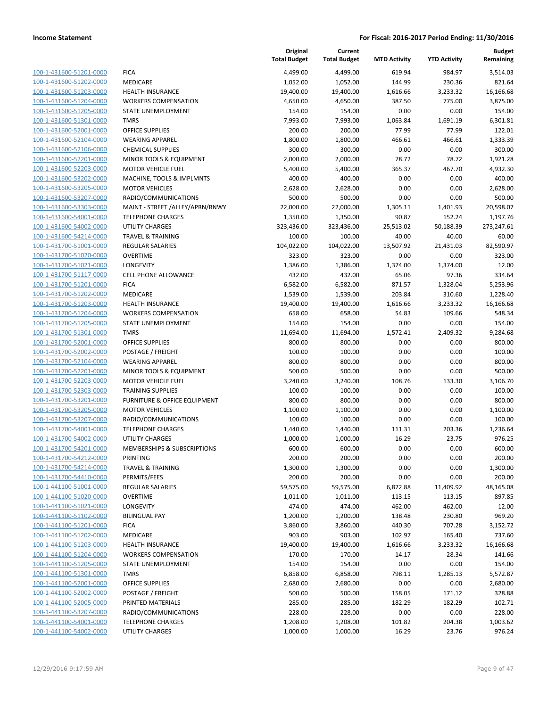| 100-1-431600-51201-0000        |
|--------------------------------|
| 100-1-431600-51202-0000        |
| 100-1-431600-51203-0000        |
| 100-1-431600-51204-0000        |
| 100-1-431600-51205-0000        |
| <u>100-1-431600-51301-0000</u> |
| 100-1-431600-52001-0000        |
| 100-1-431600-52104-0000        |
| 100-1-431600-52106-0000        |
| 100-1-431600-52201-0000        |
| 100-1-431600-52203-0000        |
| 100-1-431600-53202-0000        |
| 100-1-431600-53205-0000        |
| 100-1-431600-53207-0000        |
| 100-1-431600-53303-0000        |
| <u>100-1-431600-54001-0000</u> |
| 100-1-431600-54002-0000        |
| 100-1-431600-54214-0000        |
| 100-1-431700-51001-0000        |
|                                |
| 100-1-431700-51020-0000        |
| <u>100-1-431700-51021-0000</u> |
| 100-1-431700-51117-0000        |
| 100-1-431700-51201-0000        |
| 100-1-431700-51202-0000        |
| 100-1-431700-51203-0000        |
| <u>100-1-431700-51204-0000</u> |
| 100-1-431700-51205-0000        |
| 100-1-431700-51301-0000        |
| 100-1-431700-52001-0000        |
| 100-1-431700-52002-0000        |
| 100-1-431700-52104-0000        |
| 100-1-431700-52201-0000        |
| 100-1-431700-52203-0000        |
| 100-1-431700-52303-0000        |
| 100-1-431700-53201-0000        |
| 100-1-431700-53205-0000        |
| 100-1-431700-53207-0000        |
| 100-1-431700-54001-0000        |
| 100-1-431700-54002-0000        |
| 100-1-431700-54201-0000        |
| 100-1-431700-54212-0000        |
| <u>100-1-431700-54214-0000</u> |
| 100-1-431700-54410-0000        |
| 100-1-441100-51001-0000        |
| <u>100-1-441100-51020-0000</u> |
| 100-1-441100-51021-0000        |
| <u>100-1-441100-51102-0000</u> |
| 100-1-441100-51201-0000        |
|                                |
| 100-1-441100-51202-0000        |
| <u>100-1-441100-51203-0000</u> |
| <u>100-1-441100-51204-0000</u> |
| <u>100-1-441100-51205-0000</u> |
| 100-1-441100-51301-0000        |
| 100-1-441100-52001-0000        |
| <u>100-1-441100-52002-0000</u> |
| <u>100-1-441100-52005-0000</u> |
| <u>100-1-441100-53207-0000</u> |
| 100-1-441100-54001-0000        |
| 100-1-441100-54002-0000        |
|                                |

|                                                    |                                            | Original<br><b>Total Budget</b> | Current<br><b>Total Budget</b> | <b>MTD Activity</b> | <b>YTD Activity</b> | <b>Budget</b><br>Remaining |
|----------------------------------------------------|--------------------------------------------|---------------------------------|--------------------------------|---------------------|---------------------|----------------------------|
| 100-1-431600-51201-0000                            | <b>FICA</b>                                | 4,499.00                        | 4,499.00                       | 619.94              | 984.97              | 3,514.03                   |
| 100-1-431600-51202-0000                            | <b>MEDICARE</b>                            | 1,052.00                        | 1,052.00                       | 144.99              | 230.36              | 821.64                     |
| 100-1-431600-51203-0000                            | <b>HEALTH INSURANCE</b>                    | 19,400.00                       | 19,400.00                      | 1,616.66            | 3,233.32            | 16,166.68                  |
| 100-1-431600-51204-0000                            | <b>WORKERS COMPENSATION</b>                | 4,650.00                        | 4,650.00                       | 387.50              | 775.00              | 3,875.00                   |
| 100-1-431600-51205-0000                            | STATE UNEMPLOYMENT                         | 154.00                          | 154.00                         | 0.00                | 0.00                | 154.00                     |
| 100-1-431600-51301-0000                            | <b>TMRS</b>                                | 7,993.00                        | 7,993.00                       | 1,063.84            | 1,691.19            | 6,301.81                   |
| 100-1-431600-52001-0000                            | <b>OFFICE SUPPLIES</b>                     | 200.00                          | 200.00                         | 77.99               | 77.99               | 122.01                     |
| 100-1-431600-52104-0000                            | <b>WEARING APPAREL</b>                     | 1,800.00                        | 1,800.00                       | 466.61              | 466.61              | 1,333.39                   |
| 100-1-431600-52106-0000                            | <b>CHEMICAL SUPPLIES</b>                   | 300.00                          | 300.00                         | 0.00                | 0.00                | 300.00                     |
| 100-1-431600-52201-0000                            | MINOR TOOLS & EQUIPMENT                    | 2,000.00                        | 2,000.00                       | 78.72               | 78.72               | 1,921.28                   |
| 100-1-431600-52203-0000                            | <b>MOTOR VEHICLE FUEL</b>                  | 5,400.00                        | 5,400.00                       | 365.37              | 467.70              | 4,932.30                   |
| 100-1-431600-53202-0000                            | MACHINE, TOOLS & IMPLMNTS                  | 400.00                          | 400.00                         | 0.00                | 0.00                | 400.00                     |
| 100-1-431600-53205-0000                            | <b>MOTOR VEHICLES</b>                      | 2,628.00                        | 2,628.00                       | 0.00                | 0.00                | 2,628.00                   |
| 100-1-431600-53207-0000                            | RADIO/COMMUNICATIONS                       | 500.00                          | 500.00                         | 0.00                | 0.00                | 500.00                     |
| 100-1-431600-53303-0000                            | MAINT - STREET /ALLEY/APRN/RNWY            | 22,000.00                       | 22,000.00                      | 1,305.11            | 1,401.93            | 20,598.07                  |
| 100-1-431600-54001-0000                            | <b>TELEPHONE CHARGES</b>                   | 1,350.00                        | 1,350.00                       | 90.87               | 152.24              | 1,197.76                   |
| 100-1-431600-54002-0000                            | <b>UTILITY CHARGES</b>                     | 323,436.00                      | 323,436.00                     | 25,513.02           | 50,188.39           | 273,247.61                 |
| 100-1-431600-54214-0000                            | <b>TRAVEL &amp; TRAINING</b>               | 100.00                          | 100.00                         | 40.00               | 40.00               | 60.00                      |
| 100-1-431700-51001-0000                            | <b>REGULAR SALARIES</b><br><b>OVERTIME</b> | 104,022.00                      | 104,022.00                     | 13,507.92<br>0.00   | 21,431.03<br>0.00   | 82,590.97<br>323.00        |
| 100-1-431700-51020-0000                            | LONGEVITY                                  | 323.00                          | 323.00<br>1,386.00             | 1,374.00            |                     |                            |
| 100-1-431700-51021-0000<br>100-1-431700-51117-0000 | <b>CELL PHONE ALLOWANCE</b>                | 1,386.00<br>432.00              | 432.00                         | 65.06               | 1,374.00<br>97.36   | 12.00<br>334.64            |
| 100-1-431700-51201-0000                            | <b>FICA</b>                                | 6,582.00                        | 6,582.00                       | 871.57              | 1,328.04            | 5,253.96                   |
| 100-1-431700-51202-0000                            | MEDICARE                                   | 1,539.00                        | 1,539.00                       | 203.84              | 310.60              | 1,228.40                   |
| 100-1-431700-51203-0000                            | <b>HEALTH INSURANCE</b>                    | 19,400.00                       | 19,400.00                      | 1,616.66            | 3,233.32            | 16,166.68                  |
| 100-1-431700-51204-0000                            | <b>WORKERS COMPENSATION</b>                | 658.00                          | 658.00                         | 54.83               | 109.66              | 548.34                     |
| 100-1-431700-51205-0000                            | STATE UNEMPLOYMENT                         | 154.00                          | 154.00                         | 0.00                | 0.00                | 154.00                     |
| 100-1-431700-51301-0000                            | <b>TMRS</b>                                | 11,694.00                       | 11,694.00                      | 1,572.41            | 2,409.32            | 9,284.68                   |
| 100-1-431700-52001-0000                            | OFFICE SUPPLIES                            | 800.00                          | 800.00                         | 0.00                | 0.00                | 800.00                     |
| 100-1-431700-52002-0000                            | POSTAGE / FREIGHT                          | 100.00                          | 100.00                         | 0.00                | 0.00                | 100.00                     |
| 100-1-431700-52104-0000                            | <b>WEARING APPAREL</b>                     | 800.00                          | 800.00                         | 0.00                | 0.00                | 800.00                     |
| 100-1-431700-52201-0000                            | MINOR TOOLS & EQUIPMENT                    | 500.00                          | 500.00                         | 0.00                | 0.00                | 500.00                     |
| 100-1-431700-52203-0000                            | <b>MOTOR VEHICLE FUEL</b>                  | 3,240.00                        | 3,240.00                       | 108.76              | 133.30              | 3,106.70                   |
| 100-1-431700-52303-0000                            | <b>TRAINING SUPPLIES</b>                   | 100.00                          | 100.00                         | 0.00                | 0.00                | 100.00                     |
| 100-1-431700-53201-0000                            | FURNITURE & OFFICE EQUIPMENT               | 800.00                          | 800.00                         | 0.00                | 0.00                | 800.00                     |
| 100-1-431700-53205-0000                            | <b>MOTOR VEHICLES</b>                      | 1,100.00                        | 1,100.00                       | 0.00                | 0.00                | 1,100.00                   |
| 100-1-431700-53207-0000                            | RADIO/COMMUNICATIONS                       | 100.00                          | 100.00                         | 0.00                | 0.00                | 100.00                     |
| 100-1-431700-54001-0000                            | <b>TELEPHONE CHARGES</b>                   | 1,440.00                        | 1,440.00                       | 111.31              | 203.36              | 1,236.64                   |
| 100-1-431700-54002-0000                            | <b>UTILITY CHARGES</b>                     | 1,000.00                        | 1,000.00                       | 16.29               | 23.75               | 976.25                     |
| 100-1-431700-54201-0000                            | MEMBERSHIPS & SUBSCRIPTIONS                | 600.00                          | 600.00                         | 0.00                | 0.00                | 600.00                     |
| 100-1-431700-54212-0000                            | <b>PRINTING</b>                            | 200.00                          | 200.00                         | 0.00                | 0.00                | 200.00                     |
| 100-1-431700-54214-0000                            | <b>TRAVEL &amp; TRAINING</b>               | 1,300.00                        | 1,300.00                       | 0.00                | 0.00                | 1,300.00                   |
| 100-1-431700-54410-0000                            | PERMITS/FEES                               | 200.00                          | 200.00                         | 0.00                | 0.00                | 200.00                     |
| 100-1-441100-51001-0000                            | REGULAR SALARIES                           | 59,575.00                       | 59,575.00                      | 6,872.88            | 11,409.92           | 48,165.08                  |
| 100-1-441100-51020-0000                            | <b>OVERTIME</b>                            | 1,011.00                        | 1,011.00                       | 113.15              | 113.15              | 897.85                     |
| 100-1-441100-51021-0000                            | LONGEVITY                                  | 474.00                          | 474.00                         | 462.00              | 462.00              | 12.00                      |
| 100-1-441100-51102-0000                            | <b>BILINGUAL PAY</b>                       | 1,200.00                        | 1,200.00                       | 138.48              | 230.80              | 969.20                     |
| 100-1-441100-51201-0000                            | <b>FICA</b>                                | 3,860.00                        | 3,860.00                       | 440.30              | 707.28              | 3,152.72                   |
| 100-1-441100-51202-0000                            | MEDICARE                                   | 903.00                          | 903.00                         | 102.97              | 165.40              | 737.60                     |
| 100-1-441100-51203-0000                            | <b>HEALTH INSURANCE</b>                    | 19,400.00                       | 19,400.00                      | 1,616.66            | 3,233.32            | 16,166.68                  |
| 100-1-441100-51204-0000                            | <b>WORKERS COMPENSATION</b>                | 170.00                          | 170.00                         | 14.17               | 28.34               | 141.66                     |
| 100-1-441100-51205-0000                            | STATE UNEMPLOYMENT                         | 154.00                          | 154.00                         | 0.00                | 0.00                | 154.00                     |
| 100-1-441100-51301-0000                            | <b>TMRS</b>                                | 6,858.00                        | 6,858.00                       | 798.11              | 1,285.13            | 5,572.87                   |
| 100-1-441100-52001-0000                            | <b>OFFICE SUPPLIES</b>                     | 2,680.00                        | 2,680.00                       | 0.00                | 0.00                | 2,680.00                   |
| 100-1-441100-52002-0000                            | POSTAGE / FREIGHT                          | 500.00                          | 500.00                         | 158.05              | 171.12              | 328.88                     |
| 100-1-441100-52005-0000                            | PRINTED MATERIALS                          | 285.00                          | 285.00                         | 182.29              | 182.29              | 102.71                     |
| 100-1-441100-53207-0000                            | RADIO/COMMUNICATIONS                       | 228.00                          | 228.00                         | 0.00                | 0.00                | 228.00                     |
| 100-1-441100-54001-0000                            | <b>TELEPHONE CHARGES</b>                   | 1,208.00                        | 1,208.00                       | 101.82              | 204.38              | 1,003.62                   |
| 100-1-441100-54002-0000                            | <b>UTILITY CHARGES</b>                     | 1,000.00                        | 1,000.00                       | 16.29               | 23.76               | 976.24                     |
|                                                    |                                            |                                 |                                |                     |                     |                            |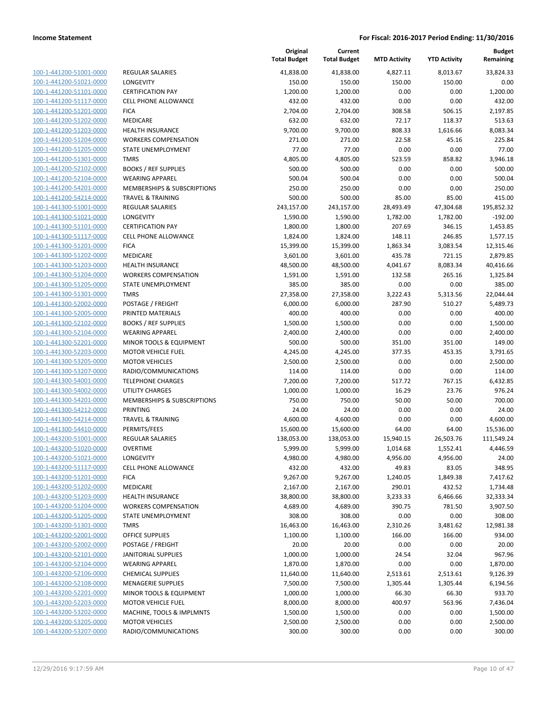| 100-1-441200-51001-0000                            |
|----------------------------------------------------|
| 100-1-441200-51021-0000                            |
| 100-1-441200-51101-0000                            |
| 100-1-441200-51117-0000                            |
| 100-1-441200-51201-0000                            |
| 100-1-441200-51202-0000                            |
| 100-1-441200-51203-0000                            |
| 100-1-441200-51204-0000                            |
| 100-1-441200-51205-0000                            |
| 100-1-441200-51301-0000                            |
| 100-1-441200-52102-0000                            |
| 100-1-441200-52104-0000                            |
| 100-1-441200-54201-0000                            |
| 100-1-441200-54214-0000                            |
| 100-1-441300-51001-0000                            |
|                                                    |
| 100-1-441300-51021-0000                            |
| 100-1-441300-51101-0000                            |
| 100-1-441300-51117-0000                            |
| 100-1-441300-51201-0000                            |
| 100-1-441300-51202-0000                            |
| 100-1-441300-51203-0000                            |
| 100-1-441300-51204-0000                            |
| 100-1-441300-51205-0000                            |
| 100-1-441300-51301-0000                            |
| 100-1-441300-52002-0000                            |
| 100-1-441300-52005-0000                            |
| 100-1-441300-52102-0000                            |
| 100-1-441300-52104-0000                            |
| 100-1-441300-52201-0000                            |
| 100-1-441300-52203-0000                            |
| 100-1-441300-53205-0000                            |
| 100-1-441300-53207-0000                            |
|                                                    |
| 100-1-441300-54001-0000<br>100-1-441300-54002-0000 |
|                                                    |
| 100-1-441300-54201-0000                            |
| 100-1-441300-54212-0000                            |
| 100-1-441300-54214-0000                            |
| 100-1-441300-54410-0000                            |
| 100-1-443200-51001-0000                            |
| 100-1-443200-51020-0000                            |
| 100-1-443200-51021-0000                            |
| <u>100-1-443200-51117-0000</u>                     |
| <u>100-1-443200-51201-0000</u>                     |
| <u>100-1-443200-51202-0000</u>                     |
| <u>100-1-443200-51203-0000</u>                     |
| 100-1-443200-51204-0000                            |
| 100-1-443200-51205-0000                            |
| <u>100-1-443200-51301-0000</u>                     |
| <u>100-1-443200-52001-0000</u>                     |
| <u>100-1-443200-52002-0000</u>                     |
| 100-1-443200-52101-0000                            |
|                                                    |
| 100-1-443200-52104-0000                            |
| <u>100-1-443200-52106-0000</u>                     |
| <u>100-1-443200-52108-0000</u>                     |
| 100-1-443200-52201-0000                            |
| <u>100-1-443200-52203-0000</u>                     |
| 100-1-443200-53202-0000                            |
| <u>100-1-443200-53205-0000</u>                     |
| <u>100-1-443200-53207-0000</u>                     |

|                                                    |                              | Original<br><b>Total Budget</b> | Current<br><b>Total Budget</b> | <b>MTD Activity</b> | <b>YTD Activity</b>  | <b>Budget</b><br>Remaining |
|----------------------------------------------------|------------------------------|---------------------------------|--------------------------------|---------------------|----------------------|----------------------------|
| 100-1-441200-51001-0000                            | <b>REGULAR SALARIES</b>      | 41,838.00                       | 41,838.00                      | 4,827.11            | 8,013.67             | 33,824.33                  |
| 100-1-441200-51021-0000                            | LONGEVITY                    | 150.00                          | 150.00                         | 150.00              | 150.00               | 0.00                       |
| 100-1-441200-51101-0000                            | <b>CERTIFICATION PAY</b>     | 1,200.00                        | 1,200.00                       | 0.00                | 0.00                 | 1,200.00                   |
| 100-1-441200-51117-0000                            | <b>CELL PHONE ALLOWANCE</b>  | 432.00                          | 432.00                         | 0.00                | 0.00                 | 432.00                     |
| 100-1-441200-51201-0000                            | <b>FICA</b>                  | 2,704.00                        | 2,704.00                       | 308.58              | 506.15               | 2,197.85                   |
| 100-1-441200-51202-0000                            | MEDICARE                     | 632.00                          | 632.00                         | 72.17               | 118.37               | 513.63                     |
| 100-1-441200-51203-0000                            | <b>HEALTH INSURANCE</b>      | 9,700.00                        | 9,700.00                       | 808.33              | 1,616.66             | 8,083.34                   |
| 100-1-441200-51204-0000                            | <b>WORKERS COMPENSATION</b>  | 271.00                          | 271.00                         | 22.58               | 45.16                | 225.84                     |
| 100-1-441200-51205-0000                            | <b>STATE UNEMPLOYMENT</b>    | 77.00                           | 77.00                          | 0.00                | 0.00                 | 77.00                      |
| 100-1-441200-51301-0000                            | <b>TMRS</b>                  | 4,805.00                        | 4,805.00                       | 523.59              | 858.82               | 3,946.18                   |
| 100-1-441200-52102-0000                            | <b>BOOKS / REF SUPPLIES</b>  | 500.00                          | 500.00                         | 0.00                | 0.00                 | 500.00                     |
| 100-1-441200-52104-0000                            | <b>WEARING APPAREL</b>       | 500.04                          | 500.04                         | 0.00                | 0.00                 | 500.04                     |
| 100-1-441200-54201-0000                            | MEMBERSHIPS & SUBSCRIPTIONS  | 250.00                          | 250.00                         | 0.00                | 0.00                 | 250.00                     |
| 100-1-441200-54214-0000                            | <b>TRAVEL &amp; TRAINING</b> | 500.00                          | 500.00                         | 85.00               | 85.00                | 415.00                     |
| 100-1-441300-51001-0000                            | <b>REGULAR SALARIES</b>      | 243,157.00                      | 243,157.00                     | 28,493.49           | 47,304.68            | 195,852.32                 |
| 100-1-441300-51021-0000                            | LONGEVITY                    | 1,590.00                        | 1,590.00                       | 1,782.00            | 1,782.00             | $-192.00$                  |
| 100-1-441300-51101-0000                            | <b>CERTIFICATION PAY</b>     | 1,800.00                        | 1,800.00                       | 207.69              | 346.15               | 1,453.85                   |
| 100-1-441300-51117-0000                            | <b>CELL PHONE ALLOWANCE</b>  | 1,824.00                        | 1,824.00                       | 148.11              | 246.85               | 1,577.15                   |
| 100-1-441300-51201-0000                            | <b>FICA</b>                  | 15,399.00                       | 15,399.00                      | 1,863.34            | 3,083.54             | 12,315.46                  |
| 100-1-441300-51202-0000                            | MEDICARE                     | 3,601.00                        | 3,601.00                       | 435.78              | 721.15               | 2,879.85                   |
| 100-1-441300-51203-0000                            | <b>HEALTH INSURANCE</b>      | 48,500.00                       | 48,500.00                      | 4,041.67            | 8,083.34             | 40,416.66                  |
| 100-1-441300-51204-0000                            | <b>WORKERS COMPENSATION</b>  | 1,591.00                        | 1,591.00                       | 132.58              | 265.16               | 1,325.84                   |
| 100-1-441300-51205-0000                            | STATE UNEMPLOYMENT           | 385.00                          | 385.00                         | 0.00                | 0.00                 | 385.00                     |
| 100-1-441300-51301-0000                            | <b>TMRS</b>                  | 27,358.00                       | 27,358.00                      | 3,222.43            | 5,313.56             | 22,044.44                  |
| 100-1-441300-52002-0000                            | POSTAGE / FREIGHT            | 6,000.00                        | 6,000.00                       | 287.90              | 510.27               | 5,489.73                   |
| 100-1-441300-52005-0000                            | PRINTED MATERIALS            | 400.00                          | 400.00                         | 0.00                | 0.00                 | 400.00                     |
| 100-1-441300-52102-0000                            | <b>BOOKS / REF SUPPLIES</b>  | 1,500.00                        | 1,500.00                       | 0.00                | 0.00                 | 1,500.00                   |
| 100-1-441300-52104-0000                            | <b>WEARING APPAREL</b>       | 2,400.00                        | 2,400.00                       | 0.00                | 0.00                 | 2,400.00                   |
| 100-1-441300-52201-0000                            | MINOR TOOLS & EQUIPMENT      | 500.00                          | 500.00                         | 351.00              | 351.00               | 149.00                     |
| 100-1-441300-52203-0000                            | <b>MOTOR VEHICLE FUEL</b>    | 4,245.00                        | 4,245.00                       | 377.35              | 453.35               | 3,791.65                   |
| 100-1-441300-53205-0000                            | <b>MOTOR VEHICLES</b>        | 2,500.00                        | 2,500.00                       | 0.00                | 0.00                 | 2,500.00                   |
| 100-1-441300-53207-0000                            | RADIO/COMMUNICATIONS         | 114.00                          | 114.00                         | 0.00                | 0.00                 | 114.00                     |
| 100-1-441300-54001-0000                            | <b>TELEPHONE CHARGES</b>     | 7,200.00                        | 7,200.00                       | 517.72              | 767.15               | 6,432.85                   |
| 100-1-441300-54002-0000                            | <b>UTILITY CHARGES</b>       | 1,000.00                        | 1,000.00                       | 16.29               | 23.76                | 976.24                     |
| 100-1-441300-54201-0000                            | MEMBERSHIPS & SUBSCRIPTIONS  | 750.00                          | 750.00                         | 50.00               | 50.00                | 700.00                     |
| 100-1-441300-54212-0000                            | PRINTING                     | 24.00                           | 24.00                          | 0.00                | 0.00                 | 24.00                      |
| 100-1-441300-54214-0000                            | TRAVEL & TRAINING            | 4,600.00                        | 4,600.00                       | 0.00                | 0.00                 | 4,600.00                   |
| 100-1-441300-54410-0000                            | PERMITS/FEES                 | 15,600.00                       | 15,600.00                      | 64.00               | 64.00                | 15,536.00                  |
| 100-1-443200-51001-0000                            | REGULAR SALARIES             | 138,053.00                      | 138,053.00<br>5,999.00         | 15,940.15           | 26,503.76            | 111,549.24                 |
| 100-1-443200-51020-0000                            | OVERTIME<br>LONGEVITY        | 5,999.00                        |                                | 1,014.68            | 1,552.41<br>4,956.00 | 4,446.59                   |
| 100-1-443200-51021-0000<br>100-1-443200-51117-0000 | CELL PHONE ALLOWANCE         | 4,980.00<br>432.00              | 4,980.00<br>432.00             | 4,956.00<br>49.83   | 83.05                | 24.00<br>348.95            |
| 100-1-443200-51201-0000                            | <b>FICA</b>                  | 9,267.00                        | 9,267.00                       | 1,240.05            | 1,849.38             | 7,417.62                   |
| 100-1-443200-51202-0000                            | MEDICARE                     | 2,167.00                        | 2,167.00                       | 290.01              | 432.52               | 1,734.48                   |
| 100-1-443200-51203-0000                            | <b>HEALTH INSURANCE</b>      | 38,800.00                       | 38,800.00                      | 3,233.33            | 6,466.66             | 32,333.34                  |
| 100-1-443200-51204-0000                            | <b>WORKERS COMPENSATION</b>  | 4,689.00                        | 4,689.00                       | 390.75              | 781.50               | 3,907.50                   |
| 100-1-443200-51205-0000                            | STATE UNEMPLOYMENT           | 308.00                          | 308.00                         | 0.00                | 0.00                 | 308.00                     |
| 100-1-443200-51301-0000                            | <b>TMRS</b>                  | 16,463.00                       | 16,463.00                      | 2,310.26            | 3,481.62             | 12,981.38                  |
| 100-1-443200-52001-0000                            | <b>OFFICE SUPPLIES</b>       | 1,100.00                        | 1,100.00                       | 166.00              | 166.00               | 934.00                     |
| 100-1-443200-52002-0000                            | POSTAGE / FREIGHT            | 20.00                           | 20.00                          | 0.00                | 0.00                 | 20.00                      |
| 100-1-443200-52101-0000                            | <b>JANITORIAL SUPPLIES</b>   | 1,000.00                        | 1,000.00                       | 24.54               | 32.04                | 967.96                     |
| 100-1-443200-52104-0000                            | <b>WEARING APPAREL</b>       | 1,870.00                        | 1,870.00                       | 0.00                | 0.00                 | 1,870.00                   |
| 100-1-443200-52106-0000                            | <b>CHEMICAL SUPPLIES</b>     | 11,640.00                       | 11,640.00                      | 2,513.61            | 2,513.61             | 9,126.39                   |
| 100-1-443200-52108-0000                            | <b>MENAGERIE SUPPLIES</b>    | 7,500.00                        | 7,500.00                       | 1,305.44            | 1,305.44             | 6,194.56                   |
| 100-1-443200-52201-0000                            | MINOR TOOLS & EQUIPMENT      | 1,000.00                        | 1,000.00                       | 66.30               | 66.30                | 933.70                     |
| 100-1-443200-52203-0000                            | MOTOR VEHICLE FUEL           | 8,000.00                        | 8,000.00                       | 400.97              | 563.96               | 7,436.04                   |
| 100-1-443200-53202-0000                            | MACHINE, TOOLS & IMPLMNTS    | 1,500.00                        | 1,500.00                       | 0.00                | 0.00                 | 1,500.00                   |
| 100-1-443200-53205-0000                            | <b>MOTOR VEHICLES</b>        | 2,500.00                        | 2,500.00                       | 0.00                | 0.00                 | 2,500.00                   |
| 100-1-443200-53207-0000                            | RADIO/COMMUNICATIONS         | 300.00                          | 300.00                         | 0.00                | 0.00                 | 300.00                     |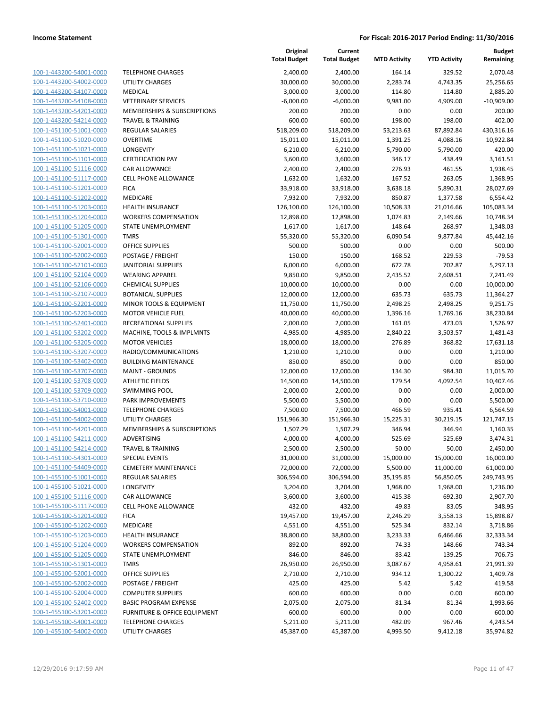| 100-1-443200-54001-0000        | т      |
|--------------------------------|--------|
| 100-1-443200-54002-0000        | U      |
| 100-1-443200-54107-0000        | N      |
| 100-1-443200-54108-0000        | V      |
| 100-1-443200-54201-0000        | N      |
| 100-1-443200-54214-0000        | т      |
| 100-1-451100-51001-0000        | R      |
| 100-1-451100-51020-0000        | O      |
| 100-1-451100-51021-0000        | L      |
| 100-1-451100-51101-0000        | C      |
|                                |        |
| 100-1-451100-51116-0000        | C      |
| 100-1-451100-51117-0000        | C      |
| 100-1-451100-51201-0000        | F      |
| 100-1-451100-51202-0000        | N      |
| 100-1-451100-51203-0000        | Н      |
| 100-1-451100-51204-0000        | V      |
| 100-1-451100-51205-0000        | S.     |
| 100-1-451100-51301-0000        | т      |
| 100-1-451100-52001-0000        | O      |
| 100-1-451100-52002-0000        | P      |
| 100-1-451100-52101-0000        | J      |
| 100-1-451100-52104-0000        | ٧      |
| 100-1-451100-52106-0000        | С      |
| 100-1-451100-52107-0000        | B      |
| 100-1-451100-52201-0000        | N      |
| 100-1-451100-52203-0000        | N      |
| 100-1-451100-52401-0000        | R      |
| 100-1-451100-53202-0000        | N      |
| 100-1-451100-53205-0000        | N      |
| 100-1-451100-53207-0000        | R      |
| 100-1-451100-53402-0000        | B      |
| 100-1-451100-53707-0000        | N      |
| 100-1-451100-53708-0000        | A      |
| 100-1-451100-53709-0000        | S'     |
| 100-1-451100-53710-0000        | P.     |
| 100-1-451100-54001-0000        | т      |
| 100-1-451100-54002-0000        | U      |
| 100-1-451100-54201-0000        | N      |
|                                |        |
| 100-1-451100-54211-0000        | Α<br>T |
| 100-1-451100-54214-0000        |        |
| 100-1-451100-54301-0000        | S      |
| 100-1-451100-54409-0000        | c      |
| 100-1-455100-51001-0000        | R      |
| <u>100-1-455100-51021-0000</u> | L      |
| 100-1-455100-51116-0000        | С      |
| 100-1-455100-51117-0000        | C      |
| 100-1-455100-51201-0000        | F      |
| 100-1-455100-51202-0000        | N      |
| <u>100-1-455100-51203-0000</u> | н      |
| 100-1-455100-51204-0000        | ٧      |
| 100-1-455100-51205-0000        | S.     |
| 100-1-455100-51301-0000        | т      |
| 100-1-455100-52001-0000        | O      |
| <u>100-1-455100-52002-0000</u> | P      |
| 100-1-455100-52004-0000        | C      |
| 100-1-455100-52402-0000        | в      |
| 100-1-455100-53201-0000        | F      |
| 100-1-455100-54001-0000        | т      |
| 100-1-455100-54002-0000        | U      |
|                                |        |

|                         |                              | Original<br><b>Total Budget</b> | Current<br><b>Total Budget</b> | <b>MTD Activity</b> | <b>YTD Activity</b> | <b>Budget</b><br>Remaining |
|-------------------------|------------------------------|---------------------------------|--------------------------------|---------------------|---------------------|----------------------------|
| 100-1-443200-54001-0000 | <b>TELEPHONE CHARGES</b>     | 2,400.00                        | 2,400.00                       | 164.14              | 329.52              | 2,070.48                   |
| 100-1-443200-54002-0000 | UTILITY CHARGES              | 30,000.00                       | 30,000.00                      | 2,283.74            | 4,743.35            | 25,256.65                  |
| 100-1-443200-54107-0000 | <b>MEDICAL</b>               | 3,000.00                        | 3,000.00                       | 114.80              | 114.80              | 2,885.20                   |
| 100-1-443200-54108-0000 | <b>VETERINARY SERVICES</b>   | $-6,000.00$                     | $-6,000.00$                    | 9,981.00            | 4,909.00            | $-10,909.00$               |
| 100-1-443200-54201-0000 | MEMBERSHIPS & SUBSCRIPTIONS  | 200.00                          | 200.00                         | 0.00                | 0.00                | 200.00                     |
| 100-1-443200-54214-0000 | <b>TRAVEL &amp; TRAINING</b> | 600.00                          | 600.00                         | 198.00              | 198.00              | 402.00                     |
| 100-1-451100-51001-0000 | <b>REGULAR SALARIES</b>      | 518,209.00                      | 518,209.00                     | 53,213.63           | 87,892.84           | 430,316.16                 |
| 100-1-451100-51020-0000 | <b>OVERTIME</b>              | 15,011.00                       | 15,011.00                      | 1,391.25            | 4,088.16            | 10,922.84                  |
| 100-1-451100-51021-0000 | LONGEVITY                    | 6,210.00                        | 6,210.00                       | 5,790.00            | 5,790.00            | 420.00                     |
| 100-1-451100-51101-0000 | <b>CERTIFICATION PAY</b>     | 3,600.00                        | 3,600.00                       | 346.17              | 438.49              | 3,161.51                   |
| 100-1-451100-51116-0000 | CAR ALLOWANCE                | 2,400.00                        | 2,400.00                       | 276.93              | 461.55              | 1,938.45                   |
| 100-1-451100-51117-0000 | CELL PHONE ALLOWANCE         | 1,632.00                        | 1,632.00                       | 167.52              | 263.05              | 1,368.95                   |
| 100-1-451100-51201-0000 | <b>FICA</b>                  | 33,918.00                       | 33,918.00                      | 3,638.18            | 5,890.31            | 28,027.69                  |
| 100-1-451100-51202-0000 | MEDICARE                     | 7,932.00                        | 7,932.00                       | 850.87              | 1,377.58            | 6,554.42                   |
| 100-1-451100-51203-0000 | <b>HEALTH INSURANCE</b>      | 126,100.00                      | 126,100.00                     | 10,508.33           | 21,016.66           | 105,083.34                 |
| 100-1-451100-51204-0000 | <b>WORKERS COMPENSATION</b>  | 12,898.00                       | 12,898.00                      | 1,074.83            | 2,149.66            | 10,748.34                  |
| 100-1-451100-51205-0000 | STATE UNEMPLOYMENT           | 1,617.00                        | 1,617.00                       | 148.64              | 268.97              | 1,348.03                   |
| 100-1-451100-51301-0000 | <b>TMRS</b>                  | 55,320.00                       | 55,320.00                      | 6,090.54            | 9,877.84            | 45,442.16                  |
| 100-1-451100-52001-0000 | <b>OFFICE SUPPLIES</b>       | 500.00                          | 500.00                         | 0.00                | 0.00                | 500.00                     |
| 100-1-451100-52002-0000 | POSTAGE / FREIGHT            | 150.00                          | 150.00                         | 168.52              | 229.53              | $-79.53$                   |
| 100-1-451100-52101-0000 | <b>JANITORIAL SUPPLIES</b>   | 6,000.00                        | 6,000.00                       | 672.78              | 702.87              | 5,297.13                   |
| 100-1-451100-52104-0000 | <b>WEARING APPAREL</b>       | 9,850.00                        | 9,850.00                       | 2,435.52            | 2,608.51            | 7,241.49                   |
| 100-1-451100-52106-0000 | <b>CHEMICAL SUPPLIES</b>     | 10,000.00                       | 10,000.00                      | 0.00                | 0.00                | 10,000.00                  |
| 100-1-451100-52107-0000 | <b>BOTANICAL SUPPLIES</b>    | 12,000.00                       | 12,000.00                      | 635.73              | 635.73              | 11,364.27                  |
| 100-1-451100-52201-0000 | MINOR TOOLS & EQUIPMENT      | 11,750.00                       | 11,750.00                      | 2,498.25            | 2,498.25            | 9,251.75                   |
| 100-1-451100-52203-0000 | <b>MOTOR VEHICLE FUEL</b>    | 40,000.00                       | 40,000.00                      | 1,396.16            | 1,769.16            | 38,230.84                  |
| 100-1-451100-52401-0000 | RECREATIONAL SUPPLIES        | 2,000.00                        | 2,000.00                       | 161.05              | 473.03              | 1,526.97                   |
| 100-1-451100-53202-0000 | MACHINE, TOOLS & IMPLMNTS    | 4,985.00                        | 4,985.00                       | 2,840.22            | 3,503.57            | 1,481.43                   |
| 100-1-451100-53205-0000 | <b>MOTOR VEHICLES</b>        | 18,000.00                       | 18,000.00                      | 276.89              | 368.82              | 17,631.18                  |
| 100-1-451100-53207-0000 | RADIO/COMMUNICATIONS         | 1,210.00                        | 1,210.00                       | 0.00                | 0.00                | 1,210.00                   |
| 100-1-451100-53402-0000 | <b>BUILDING MAINTENANCE</b>  | 850.00                          | 850.00                         | 0.00                | 0.00                | 850.00                     |
| 100-1-451100-53707-0000 | <b>MAINT - GROUNDS</b>       | 12,000.00                       | 12,000.00                      | 134.30              | 984.30              | 11,015.70                  |
| 100-1-451100-53708-0000 | <b>ATHLETIC FIELDS</b>       | 14,500.00                       | 14,500.00                      | 179.54              | 4,092.54            | 10,407.46                  |
| 100-1-451100-53709-0000 | <b>SWIMMING POOL</b>         | 2,000.00                        | 2,000.00                       | 0.00                | 0.00                | 2,000.00                   |
| 100-1-451100-53710-0000 | PARK IMPROVEMENTS            | 5,500.00                        | 5,500.00                       | 0.00                | 0.00                | 5,500.00                   |
| 100-1-451100-54001-0000 | <b>TELEPHONE CHARGES</b>     | 7,500.00                        | 7,500.00                       | 466.59              | 935.41              | 6,564.59                   |
| 100-1-451100-54002-0000 | UTILITY CHARGES              | 151,966.30                      | 151,966.30                     | 15,225.31           | 30,219.15           | 121,747.15                 |
| 100-1-451100-54201-0000 | MEMBERSHIPS & SUBSCRIPTIONS  | 1,507.29                        | 1,507.29                       | 346.94              | 346.94              | 1,160.35                   |
| 100-1-451100-54211-0000 | ADVERTISING                  | 4,000.00                        | 4,000.00                       | 525.69              | 525.69              | 3,474.31                   |
| 100-1-451100-54214-0000 | TRAVEL & TRAINING            | 2,500.00                        | 2,500.00                       | 50.00               | 50.00               | 2,450.00                   |
| 100-1-451100-54301-0000 | SPECIAL EVENTS               | 31,000.00                       | 31,000.00                      | 15,000.00           | 15,000.00           | 16,000.00                  |
| 100-1-451100-54409-0000 | <b>CEMETERY MAINTENANCE</b>  | 72,000.00                       | 72,000.00                      | 5,500.00            | 11,000.00           | 61,000.00                  |
| 100-1-455100-51001-0000 | <b>REGULAR SALARIES</b>      | 306,594.00                      | 306,594.00                     | 35,195.85           | 56,850.05           | 249,743.95                 |
| 100-1-455100-51021-0000 | <b>LONGEVITY</b>             | 3,204.00                        | 3,204.00                       | 1,968.00            | 1,968.00            | 1,236.00                   |
| 100-1-455100-51116-0000 | CAR ALLOWANCE                | 3,600.00                        | 3,600.00                       | 415.38              | 692.30              | 2,907.70                   |
| 100-1-455100-51117-0000 | <b>CELL PHONE ALLOWANCE</b>  | 432.00                          | 432.00                         | 49.83               | 83.05               | 348.95                     |
| 100-1-455100-51201-0000 | <b>FICA</b>                  | 19,457.00                       | 19,457.00                      | 2,246.29            | 3,558.13            | 15,898.87                  |
| 100-1-455100-51202-0000 | <b>MEDICARE</b>              | 4,551.00                        | 4,551.00                       | 525.34              | 832.14              | 3,718.86                   |
| 100-1-455100-51203-0000 | <b>HEALTH INSURANCE</b>      | 38,800.00                       | 38,800.00                      | 3,233.33            | 6,466.66            | 32,333.34                  |
| 100-1-455100-51204-0000 | <b>WORKERS COMPENSATION</b>  | 892.00                          | 892.00                         | 74.33               | 148.66              | 743.34                     |
| 100-1-455100-51205-0000 | STATE UNEMPLOYMENT           | 846.00                          | 846.00                         | 83.42               | 139.25              | 706.75                     |
| 100-1-455100-51301-0000 | <b>TMRS</b>                  | 26,950.00                       | 26,950.00                      | 3,087.67            | 4,958.61            | 21,991.39                  |
| 100-1-455100-52001-0000 | <b>OFFICE SUPPLIES</b>       | 2,710.00                        | 2,710.00                       | 934.12              | 1,300.22            | 1,409.78                   |
| 100-1-455100-52002-0000 | POSTAGE / FREIGHT            | 425.00                          | 425.00                         | 5.42                | 5.42                | 419.58                     |
| 100-1-455100-52004-0000 | <b>COMPUTER SUPPLIES</b>     | 600.00                          | 600.00                         | 0.00                | 0.00                | 600.00                     |
| 100-1-455100-52402-0000 | <b>BASIC PROGRAM EXPENSE</b> | 2,075.00                        | 2,075.00                       | 81.34               | 81.34               | 1,993.66                   |
| 100-1-455100-53201-0000 | FURNITURE & OFFICE EQUIPMENT | 600.00                          | 600.00                         | 0.00                | 0.00                | 600.00                     |
| 100-1-455100-54001-0000 | <b>TELEPHONE CHARGES</b>     | 5,211.00                        | 5,211.00                       | 482.09              | 967.46              | 4,243.54                   |
| 100-1-455100-54002-0000 | UTILITY CHARGES              | 45,387.00                       | 45,387.00                      | 4,993.50            | 9,412.18            | 35,974.82                  |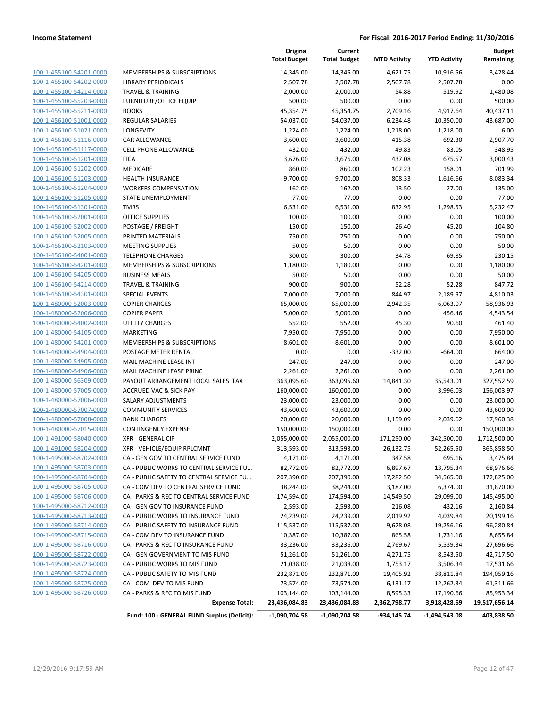| 100-1-455100-54201-0000        | ľ            |
|--------------------------------|--------------|
| 100-1-455100-54202-0000        | ι            |
| 100-1-455100-54214-0000        | ī            |
| 100-1-455100-55203-0000        | F            |
| 100-1-455100-55211-0000        | Ε            |
| 100-1-456100-51001-0000        | F            |
| 100-1-456100-51021-0000        | L            |
| 100-1-456100-51116-0000        | C            |
| 100-1-456100-51117-0000        | C            |
| 100-1-456100-51201-0000        | F            |
| 100-1-456100-51202-0000        | ľ            |
| 100-1-456100-51203-0000        | ŀ            |
| 100-1-456100-51204-0000        | ١            |
| 100-1-456100-51205-0000        | S            |
| 100-1-456100-51301-0000        | ī            |
| 100-1-456100-52001-0000        | C            |
| 100-1-456100-52002-0000        | F            |
| 100-1-456100-52005-0000        | F            |
| 100-1-456100-52103-0000        | ľ            |
| 100-1-456100-54001-0000        | ٦            |
| 100-1-456100-54201-0000        | ľ            |
| 100-1-456100-54205-0000        | Ε            |
| 100-1-456100-54214-0000        | ٦            |
| 100-1-456100-54301-0000        | S            |
| 100-1-480000-52003-0000        | $\mathsf{C}$ |
| 100-1-480000-52006-0000        | C            |
| 100-1-480000-54002-0000        | l            |
| 100-1-480000-54105-0000        | ľ            |
| 100-1-480000-54201-0000        | ľ            |
| 100-1-480000-54904-0000        | F            |
| 100-1-480000-54905-0000        | ľ            |
| 100-1-480000-54906-0000        | ľ            |
| <u>100-1-480000-56309-0000</u> | F            |
| 100-1-480000-57005-0000        | ŀ            |
| 100-1-480000-57006-0000        | S            |
| 100-1-480000-57007-0000        | C            |
| 100-1-480000-57008-0000        | Ε            |
| 100-1-480000-57015-0000        | C            |
| 100-1-491000-58040-0000        | >            |
| 100-1-491000-58204-0000        | >            |
| 100-1-495000-58702-0000        | C            |
| 100-1-495000-58703-0000        | C            |
| <u>100-1-495000-58704-0000</u> | ι            |
| <u>100-1-495000-58705-0000</u> | ι            |
| 100-1-495000-58706-0000        | ι            |
| 100-1-495000-58712-0000        | Ο            |
| 100-1-495000-58713-0000        | C            |
| 100-1-495000-58714-0000        | ι            |
| <u>100-1-495000-58715-0000</u> | O            |
| 100-1-495000-58716-0000        | ι            |
| 100-1-495000-58722-0000        | C            |
| 100-1-495000-58723-0000        | Ο            |
| <u>100-1-495000-58724-0000</u> | Ο            |
| 100-1-495000-58725-0000        | O            |
| 100-1-495000-58726-0000        | C            |
|                                |              |
|                                |              |

|                         |                                             | Original<br><b>Total Budget</b> | Current<br><b>Total Budget</b> | <b>MTD Activity</b> | <b>YTD Activity</b> | <b>Budget</b><br>Remaining |
|-------------------------|---------------------------------------------|---------------------------------|--------------------------------|---------------------|---------------------|----------------------------|
| 100-1-455100-54201-0000 | MEMBERSHIPS & SUBSCRIPTIONS                 | 14,345.00                       | 14,345.00                      | 4,621.75            | 10,916.56           | 3,428.44                   |
| 100-1-455100-54202-0000 | <b>LIBRARY PERIODICALS</b>                  | 2,507.78                        | 2,507.78                       | 2,507.78            | 2,507.78            | 0.00                       |
| 100-1-455100-54214-0000 | <b>TRAVEL &amp; TRAINING</b>                | 2,000.00                        | 2,000.00                       | $-54.88$            | 519.92              | 1,480.08                   |
| 100-1-455100-55203-0000 | <b>FURNITURE/OFFICE EQUIP</b>               | 500.00                          | 500.00                         | 0.00                | 0.00                | 500.00                     |
| 100-1-455100-55211-0000 | <b>BOOKS</b>                                | 45,354.75                       | 45,354.75                      | 2,709.16            | 4,917.64            | 40,437.11                  |
| 100-1-456100-51001-0000 | <b>REGULAR SALARIES</b>                     | 54,037.00                       | 54,037.00                      | 6,234.48            | 10,350.00           | 43,687.00                  |
| 100-1-456100-51021-0000 | <b>LONGEVITY</b>                            | 1,224.00                        | 1,224.00                       | 1,218.00            | 1,218.00            | 6.00                       |
| 100-1-456100-51116-0000 | CAR ALLOWANCE                               | 3,600.00                        | 3,600.00                       | 415.38              | 692.30              | 2,907.70                   |
| 100-1-456100-51117-0000 | <b>CELL PHONE ALLOWANCE</b>                 | 432.00                          | 432.00                         | 49.83               | 83.05               | 348.95                     |
| 100-1-456100-51201-0000 | <b>FICA</b>                                 | 3,676.00                        | 3,676.00                       | 437.08              | 675.57              | 3,000.43                   |
| 100-1-456100-51202-0000 | MEDICARE                                    | 860.00                          | 860.00                         | 102.23              | 158.01              | 701.99                     |
| 100-1-456100-51203-0000 | <b>HEALTH INSURANCE</b>                     | 9,700.00                        | 9,700.00                       | 808.33              | 1,616.66            | 8,083.34                   |
| 100-1-456100-51204-0000 | <b>WORKERS COMPENSATION</b>                 | 162.00                          | 162.00                         | 13.50               | 27.00               | 135.00                     |
| 100-1-456100-51205-0000 | STATE UNEMPLOYMENT                          | 77.00                           | 77.00                          | 0.00                | 0.00                | 77.00                      |
| 100-1-456100-51301-0000 | <b>TMRS</b>                                 | 6,531.00                        | 6,531.00                       | 832.95              | 1,298.53            | 5,232.47                   |
| 100-1-456100-52001-0000 | <b>OFFICE SUPPLIES</b>                      | 100.00                          | 100.00                         | 0.00                | 0.00                | 100.00                     |
| 100-1-456100-52002-0000 | POSTAGE / FREIGHT                           | 150.00                          | 150.00                         | 26.40               | 45.20               | 104.80                     |
| 100-1-456100-52005-0000 | PRINTED MATERIALS                           | 750.00                          | 750.00                         | 0.00                | 0.00                | 750.00                     |
| 100-1-456100-52103-0000 | <b>MEETING SUPPLIES</b>                     | 50.00                           | 50.00                          | 0.00                | 0.00                | 50.00                      |
| 100-1-456100-54001-0000 | <b>TELEPHONE CHARGES</b>                    | 300.00                          | 300.00                         | 34.78               | 69.85               | 230.15                     |
| 100-1-456100-54201-0000 | <b>MEMBERSHIPS &amp; SUBSCRIPTIONS</b>      | 1,180.00                        | 1,180.00                       | 0.00                | 0.00                | 1,180.00                   |
| 100-1-456100-54205-0000 | <b>BUSINESS MEALS</b>                       | 50.00                           | 50.00                          | 0.00                | 0.00                | 50.00                      |
| 100-1-456100-54214-0000 | <b>TRAVEL &amp; TRAINING</b>                | 900.00                          | 900.00                         | 52.28               | 52.28               | 847.72                     |
| 100-1-456100-54301-0000 | <b>SPECIAL EVENTS</b>                       | 7,000.00                        | 7,000.00                       | 844.97              | 2,189.97            | 4,810.03                   |
| 100-1-480000-52003-0000 | <b>COPIER CHARGES</b>                       | 65,000.00                       | 65,000.00                      | 2,942.35            | 6,063.07            | 58,936.93                  |
| 100-1-480000-52006-0000 | <b>COPIER PAPER</b>                         | 5,000.00                        | 5,000.00                       | 0.00                | 456.46              | 4,543.54                   |
| 100-1-480000-54002-0000 | <b>UTILITY CHARGES</b>                      | 552.00                          | 552.00                         | 45.30               | 90.60               | 461.40                     |
| 100-1-480000-54105-0000 | <b>MARKETING</b>                            | 7,950.00                        | 7,950.00                       | 0.00                | 0.00                | 7,950.00                   |
| 100-1-480000-54201-0000 | MEMBERSHIPS & SUBSCRIPTIONS                 | 8,601.00                        | 8,601.00                       | 0.00                | 0.00                | 8,601.00                   |
| 100-1-480000-54904-0000 | POSTAGE METER RENTAL                        | 0.00                            | 0.00                           | $-332.00$           | $-664.00$           | 664.00                     |
| 100-1-480000-54905-0000 | MAIL MACHINE LEASE INT                      | 247.00                          | 247.00                         | 0.00                | 0.00                | 247.00                     |
| 100-1-480000-54906-0000 | MAIL MACHINE LEASE PRINC                    | 2,261.00                        | 2,261.00                       | 0.00                | 0.00                | 2,261.00                   |
| 100-1-480000-56309-0000 | PAYOUT ARRANGEMENT LOCAL SALES TAX          | 363,095.60                      | 363,095.60                     | 14,841.30           | 35,543.01           | 327,552.59                 |
| 100-1-480000-57005-0000 | <b>ACCRUED VAC &amp; SICK PAY</b>           | 160,000.00                      | 160,000.00                     | 0.00                | 3,996.03            | 156,003.97                 |
| 100-1-480000-57006-0000 | SALARY ADJUSTMENTS                          | 23,000.00                       | 23,000.00                      | 0.00                | 0.00                | 23,000.00                  |
| 100-1-480000-57007-0000 | <b>COMMUNITY SERVICES</b>                   | 43,600.00                       | 43,600.00                      | 0.00                | 0.00                | 43,600.00                  |
| 100-1-480000-57008-0000 | <b>BANK CHARGES</b>                         | 20,000.00                       | 20,000.00                      | 1,159.09            | 2,039.62            | 17,960.38                  |
| 100-1-480000-57015-0000 | <b>CONTINGENCY EXPENSE</b>                  | 150,000.00                      | 150,000.00                     | 0.00                | 0.00                | 150,000.00                 |
| 100-1-491000-58040-0000 | <b>XFR - GENERAL CIP</b>                    | 2,055,000.00                    | 2,055,000.00                   | 171,250.00          | 342,500.00          | 1,712,500.00               |
| 100-1-491000-58204-0000 | XFR - VEHICLE/EQUIP RPLCMNT                 | 313,593.00                      | 313,593.00                     | $-26,132.75$        | $-52,265.50$        | 365,858.50                 |
| 100-1-495000-58702-0000 | CA - GEN GOV TO CENTRAL SERVICE FUND        | 4,171.00                        | 4,171.00                       | 347.58              | 695.16              | 3,475.84                   |
| 100-1-495000-58703-0000 | CA - PUBLIC WORKS TO CENTRAL SERVICE FU     | 82,772.00                       | 82,772.00                      | 6,897.67            | 13,795.34           | 68,976.66                  |
| 100-1-495000-58704-0000 | CA - PUBLIC SAFETY TO CENTRAL SERVICE FU    | 207,390.00                      | 207,390.00                     | 17,282.50           | 34,565.00           | 172,825.00                 |
| 100-1-495000-58705-0000 | CA - COM DEV TO CENTRAL SERVICE FUND        | 38,244.00                       | 38,244.00                      | 3,187.00            | 6,374.00            | 31,870.00                  |
| 100-1-495000-58706-0000 | CA - PARKS & REC TO CENTRAL SERVICE FUND    | 174,594.00                      | 174,594.00                     | 14,549.50           | 29,099.00           | 145,495.00                 |
| 100-1-495000-58712-0000 | CA - GEN GOV TO INSURANCE FUND              | 2,593.00                        | 2,593.00                       | 216.08              | 432.16              | 2,160.84                   |
| 100-1-495000-58713-0000 | CA - PUBLIC WORKS TO INSURANCE FUND         | 24,239.00                       | 24,239.00                      | 2,019.92            | 4,039.84            | 20,199.16                  |
| 100-1-495000-58714-0000 | CA - PUBLIC SAFETY TO INSURANCE FUND        | 115,537.00                      | 115,537.00                     | 9,628.08            | 19,256.16           | 96,280.84                  |
| 100-1-495000-58715-0000 | CA - COM DEV TO INSURANCE FUND              | 10,387.00                       | 10,387.00                      | 865.58              | 1,731.16            | 8,655.84                   |
| 100-1-495000-58716-0000 | CA - PARKS & REC TO INSURANCE FUND          | 33,236.00                       | 33,236.00                      | 2,769.67            | 5,539.34            | 27,696.66                  |
| 100-1-495000-58722-0000 | CA - GEN GOVERNMENT TO MIS FUND             | 51,261.00                       | 51,261.00                      | 4,271.75            | 8,543.50            | 42,717.50                  |
| 100-1-495000-58723-0000 | CA - PUBLIC WORKS TO MIS FUND               | 21,038.00                       | 21,038.00                      | 1,753.17            | 3,506.34            | 17,531.66                  |
| 100-1-495000-58724-0000 | CA - PUBLIC SAFETY TO MIS FUND              | 232,871.00                      | 232,871.00                     | 19,405.92           | 38,811.84           | 194,059.16                 |
| 100-1-495000-58725-0000 | CA - COM DEV TO MIS FUND                    | 73,574.00                       | 73,574.00                      | 6,131.17            | 12,262.34           | 61,311.66                  |
| 100-1-495000-58726-0000 | CA - PARKS & REC TO MIS FUND                | 103,144.00                      | 103,144.00                     | 8,595.33            | 17,190.66           | 85,953.34                  |
|                         | <b>Expense Total:</b>                       | 23,436,084.83                   | 23,436,084.83                  | 2,362,798.77        | 3,918,428.69        | 19,517,656.14              |
|                         |                                             |                                 |                                |                     |                     |                            |
|                         | Fund: 100 - GENERAL FUND Surplus (Deficit): | $-1,090,704.58$                 | $-1,090,704.58$                | -934,145.74         | $-1,494,543.08$     | 403,838.50                 |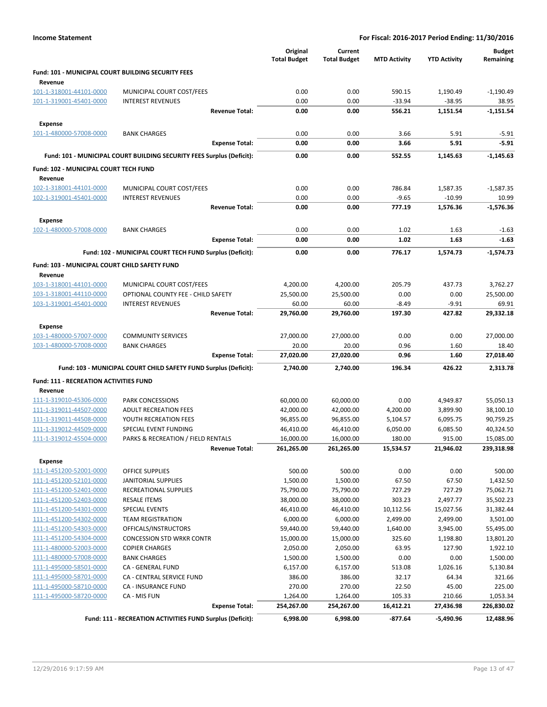|                                                    |                                                                       | Original<br><b>Total Budget</b> | Current<br><b>Total Budget</b> | <b>MTD Activity</b>  | <b>YTD Activity</b>  | <b>Budget</b><br>Remaining |
|----------------------------------------------------|-----------------------------------------------------------------------|---------------------------------|--------------------------------|----------------------|----------------------|----------------------------|
| Fund: 101 - MUNICIPAL COURT BUILDING SECURITY FEES |                                                                       |                                 |                                |                      |                      |                            |
| Revenue                                            |                                                                       |                                 |                                |                      |                      |                            |
| 101-1-318001-44101-0000                            | MUNICIPAL COURT COST/FEES                                             | 0.00                            | 0.00                           | 590.15               | 1,190.49             | $-1,190.49$                |
| 101-1-319001-45401-0000                            | <b>INTEREST REVENUES</b>                                              | 0.00                            | 0.00                           | $-33.94$             | $-38.95$             | 38.95                      |
|                                                    | <b>Revenue Total:</b>                                                 | 0.00                            | 0.00                           | 556.21               | 1,151.54             | $-1,151.54$                |
| <b>Expense</b>                                     |                                                                       |                                 |                                |                      |                      |                            |
| 101-1-480000-57008-0000                            | <b>BANK CHARGES</b>                                                   | 0.00                            | 0.00                           | 3.66                 | 5.91                 | $-5.91$                    |
|                                                    | <b>Expense Total:</b>                                                 | 0.00                            | 0.00                           | 3.66                 | 5.91                 | $-5.91$                    |
|                                                    | Fund: 101 - MUNICIPAL COURT BUILDING SECURITY FEES Surplus (Deficit): | 0.00                            | 0.00                           | 552.55               | 1,145.63             | -1,145.63                  |
| Fund: 102 - MUNICIPAL COURT TECH FUND              |                                                                       |                                 |                                |                      |                      |                            |
| Revenue                                            |                                                                       |                                 |                                |                      |                      |                            |
| 102-1-318001-44101-0000                            | MUNICIPAL COURT COST/FEES                                             | 0.00                            | 0.00                           | 786.84               | 1,587.35             | $-1,587.35$                |
| 102-1-319001-45401-0000                            | <b>INTEREST REVENUES</b>                                              | 0.00                            | 0.00                           | $-9.65$              | $-10.99$             | 10.99                      |
|                                                    | <b>Revenue Total:</b>                                                 | 0.00                            | 0.00                           | 777.19               | 1,576.36             | $-1,576.36$                |
| <b>Expense</b>                                     |                                                                       |                                 |                                |                      |                      |                            |
| 102-1-480000-57008-0000                            | <b>BANK CHARGES</b>                                                   | 0.00                            | 0.00                           | 1.02                 | 1.63                 | $-1.63$                    |
|                                                    | <b>Expense Total:</b>                                                 | 0.00                            | 0.00                           | 1.02                 | 1.63                 | $-1.63$                    |
|                                                    | Fund: 102 - MUNICIPAL COURT TECH FUND Surplus (Deficit):              | 0.00                            | 0.00                           | 776.17               | 1,574.73             | $-1.574.73$                |
| Fund: 103 - MUNICIPAL COURT CHILD SAFETY FUND      |                                                                       |                                 |                                |                      |                      |                            |
| Revenue                                            |                                                                       |                                 |                                |                      |                      |                            |
| 103-1-318001-44101-0000                            | MUNICIPAL COURT COST/FEES                                             | 4,200.00                        | 4,200.00                       | 205.79               | 437.73               | 3,762.27                   |
| 103-1-318001-44110-0000                            | OPTIONAL COUNTY FEE - CHILD SAFETY                                    | 25,500.00                       | 25,500.00                      | 0.00                 | 0.00                 | 25,500.00                  |
| 103-1-319001-45401-0000                            | <b>INTEREST REVENUES</b><br><b>Revenue Total:</b>                     | 60.00<br>29,760.00              | 60.00<br>29,760.00             | $-8.49$<br>197.30    | $-9.91$<br>427.82    | 69.91<br>29,332.18         |
|                                                    |                                                                       |                                 |                                |                      |                      |                            |
| <b>Expense</b><br>103-1-480000-57007-0000          | <b>COMMUNITY SERVICES</b>                                             | 27,000.00                       | 27,000.00                      | 0.00                 | 0.00                 | 27,000.00                  |
| 103-1-480000-57008-0000                            | <b>BANK CHARGES</b>                                                   | 20.00                           | 20.00                          | 0.96                 | 1.60                 | 18.40                      |
|                                                    | <b>Expense Total:</b>                                                 | 27,020.00                       | 27,020.00                      | 0.96                 | 1.60                 | 27,018.40                  |
|                                                    | Fund: 103 - MUNICIPAL COURT CHILD SAFETY FUND Surplus (Deficit):      | 2,740.00                        | 2,740.00                       | 196.34               | 426.22               | 2,313.78                   |
|                                                    |                                                                       |                                 |                                |                      |                      |                            |
| <b>Fund: 111 - RECREATION ACTIVITIES FUND</b>      |                                                                       |                                 |                                |                      |                      |                            |
| Revenue<br>111-1-319010-45306-0000                 | <b>PARK CONCESSIONS</b>                                               | 60,000.00                       | 60,000.00                      | 0.00                 | 4,949.87             | 55,050.13                  |
| 111-1-319011-44507-0000                            | <b>ADULT RECREATION FEES</b>                                          | 42,000.00                       | 42,000.00                      | 4,200.00             | 3,899.90             | 38,100.10                  |
| 111-1-319011-44508-0000                            | YOUTH RECREATION FEES                                                 | 96,855.00                       | 96,855.00                      | 5,104.57             | 6,095.75             | 90,759.25                  |
| 111-1-319012-44509-0000                            | <b>SPECIAL EVENT FUNDING</b>                                          | 46,410.00                       | 46,410.00                      | 6,050.00             | 6,085.50             | 40,324.50                  |
| 111-1-319012-45504-0000                            | PARKS & RECREATION / FIELD RENTALS                                    | 16,000.00                       | 16,000.00                      | 180.00               | 915.00               | 15,085.00                  |
|                                                    | Revenue Total:                                                        | 261,265.00                      | 261,265.00                     | 15,534.57            | 21,946.02            | 239,318.98                 |
| <b>Expense</b>                                     |                                                                       |                                 |                                |                      |                      |                            |
| 111-1-451200-52001-0000                            | OFFICE SUPPLIES                                                       | 500.00                          | 500.00                         | 0.00                 | 0.00                 | 500.00                     |
| 111-1-451200-52101-0000                            | <b>JANITORIAL SUPPLIES</b>                                            | 1,500.00                        | 1,500.00                       | 67.50                | 67.50                | 1,432.50                   |
| 111-1-451200-52401-0000                            | RECREATIONAL SUPPLIES                                                 | 75,790.00                       | 75,790.00                      | 727.29               | 727.29               | 75,062.71                  |
| 111-1-451200-52403-0000                            | RESALE ITEMS                                                          | 38,000.00                       | 38,000.00                      | 303.23               | 2,497.77             | 35,502.23                  |
| 111-1-451200-54301-0000<br>111-1-451200-54302-0000 | <b>SPECIAL EVENTS</b>                                                 | 46,410.00                       | 46,410.00<br>6,000.00          | 10,112.56            | 15,027.56            | 31,382.44                  |
| 111-1-451200-54303-0000                            | <b>TEAM REGISTRATION</b><br>OFFICALS/INSTRUCTORS                      | 6,000.00<br>59,440.00           | 59,440.00                      | 2,499.00<br>1,640.00 | 2,499.00<br>3,945.00 | 3,501.00<br>55,495.00      |
| 111-1-451200-54304-0000                            | <b>CONCESSION STD WRKR CONTR</b>                                      | 15,000.00                       | 15,000.00                      | 325.60               | 1,198.80             | 13,801.20                  |
| 111-1-480000-52003-0000                            | <b>COPIER CHARGES</b>                                                 | 2,050.00                        | 2,050.00                       | 63.95                | 127.90               | 1,922.10                   |
| 111-1-480000-57008-0000                            | <b>BANK CHARGES</b>                                                   | 1,500.00                        | 1,500.00                       | 0.00                 | 0.00                 | 1,500.00                   |
| 111-1-495000-58501-0000                            | CA - GENERAL FUND                                                     | 6,157.00                        | 6,157.00                       | 513.08               | 1,026.16             | 5,130.84                   |
| 111-1-495000-58701-0000                            | CA - CENTRAL SERVICE FUND                                             | 386.00                          | 386.00                         | 32.17                | 64.34                | 321.66                     |
| 111-1-495000-58710-0000                            | <b>CA - INSURANCE FUND</b>                                            | 270.00                          | 270.00                         | 22.50                | 45.00                | 225.00                     |
| 111-1-495000-58720-0000                            | CA - MIS FUN                                                          | 1,264.00                        | 1,264.00                       | 105.33               | 210.66               | 1,053.34                   |
|                                                    | <b>Expense Total:</b>                                                 | 254,267.00                      | 254,267.00                     | 16,412.21            | 27,436.98            | 226,830.02                 |
|                                                    | Fund: 111 - RECREATION ACTIVITIES FUND Surplus (Deficit):             | 6,998.00                        | 6,998.00                       | -877.64              | -5,490.96            | 12,488.96                  |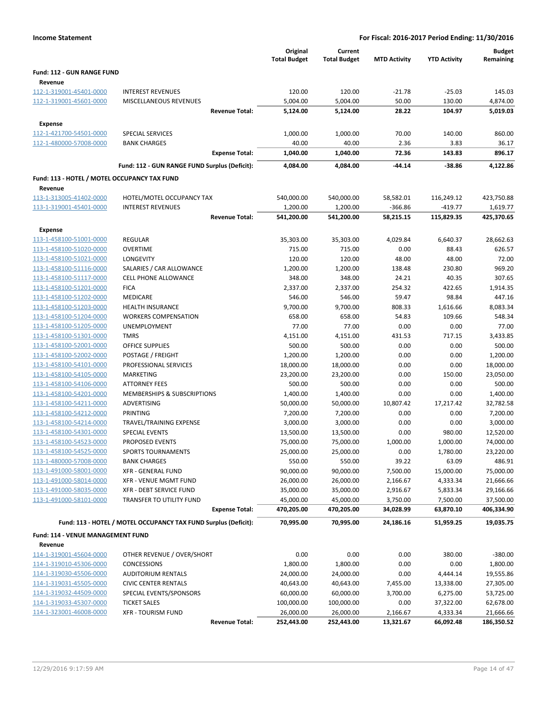|                                                    |                                                                 | Original<br><b>Total Budget</b> | Current<br><b>Total Budget</b> | <b>MTD Activity</b> | <b>YTD Activity</b>   | <b>Budget</b><br>Remaining |
|----------------------------------------------------|-----------------------------------------------------------------|---------------------------------|--------------------------------|---------------------|-----------------------|----------------------------|
| Fund: 112 - GUN RANGE FUND                         |                                                                 |                                 |                                |                     |                       |                            |
| Revenue                                            |                                                                 |                                 |                                |                     |                       |                            |
| 112-1-319001-45401-0000                            | <b>INTEREST REVENUES</b>                                        | 120.00                          | 120.00                         | $-21.78$            | $-25.03$              | 145.03                     |
| 112-1-319001-45601-0000                            | <b>MISCELLANEOUS REVENUES</b>                                   | 5,004.00                        | 5,004.00                       | 50.00               | 130.00                | 4,874.00                   |
|                                                    | <b>Revenue Total:</b>                                           | 5,124.00                        | 5,124.00                       | 28.22               | 104.97                | 5,019.03                   |
| <b>Expense</b>                                     |                                                                 |                                 |                                |                     |                       |                            |
| 112-1-421700-54501-0000                            | SPECIAL SERVICES                                                | 1,000.00                        | 1,000.00                       | 70.00               | 140.00                | 860.00                     |
| 112-1-480000-57008-0000                            | <b>BANK CHARGES</b>                                             | 40.00                           | 40.00                          | 2.36                | 3.83                  | 36.17                      |
|                                                    | <b>Expense Total:</b>                                           | 1,040.00                        | 1,040.00                       | 72.36               | 143.83                | 896.17                     |
|                                                    | Fund: 112 - GUN RANGE FUND Surplus (Deficit):                   | 4,084.00                        | 4,084.00                       | $-44.14$            | $-38.86$              | 4,122.86                   |
| Fund: 113 - HOTEL / MOTEL OCCUPANCY TAX FUND       |                                                                 |                                 |                                |                     |                       |                            |
| Revenue                                            |                                                                 |                                 |                                |                     |                       |                            |
| 113-1-313005-41402-0000                            | HOTEL/MOTEL OCCUPANCY TAX                                       | 540,000.00                      | 540,000.00                     | 58,582.01           | 116,249.12            | 423,750.88                 |
| 113-1-319001-45401-0000                            | <b>INTEREST REVENUES</b>                                        | 1,200.00                        | 1,200.00                       | -366.86             | $-419.77$             | 1,619.77                   |
|                                                    | <b>Revenue Total:</b>                                           | 541,200.00                      | 541,200.00                     | 58,215.15           | 115,829.35            | 425,370.65                 |
| <b>Expense</b>                                     |                                                                 |                                 |                                |                     |                       |                            |
| 113-1-458100-51001-0000                            | REGULAR                                                         | 35,303.00                       | 35,303.00                      | 4,029.84            | 6,640.37              | 28,662.63                  |
| 113-1-458100-51020-0000                            | <b>OVERTIME</b>                                                 | 715.00                          | 715.00                         | 0.00                | 88.43                 | 626.57                     |
| 113-1-458100-51021-0000                            | LONGEVITY                                                       | 120.00                          | 120.00                         | 48.00               | 48.00                 | 72.00                      |
| 113-1-458100-51116-0000                            | SALARIES / CAR ALLOWANCE                                        | 1,200.00                        | 1,200.00                       | 138.48              | 230.80                | 969.20                     |
| 113-1-458100-51117-0000                            | <b>CELL PHONE ALLOWANCE</b>                                     | 348.00                          | 348.00                         | 24.21               | 40.35                 | 307.65                     |
| 113-1-458100-51201-0000                            | <b>FICA</b>                                                     | 2,337.00                        | 2,337.00                       | 254.32              | 422.65                | 1,914.35                   |
| 113-1-458100-51202-0000                            | MEDICARE                                                        | 546.00                          | 546.00                         | 59.47               | 98.84                 | 447.16                     |
| 113-1-458100-51203-0000                            | <b>HEALTH INSURANCE</b>                                         | 9,700.00                        | 9,700.00                       | 808.33              | 1,616.66              | 8,083.34                   |
| 113-1-458100-51204-0000                            | <b>WORKERS COMPENSATION</b>                                     | 658.00                          | 658.00                         | 54.83               | 109.66                | 548.34                     |
| 113-1-458100-51205-0000                            | UNEMPLOYMENT                                                    | 77.00                           | 77.00                          | 0.00                | 0.00                  | 77.00                      |
| 113-1-458100-51301-0000                            | <b>TMRS</b><br><b>OFFICE SUPPLIES</b>                           | 4,151.00<br>500.00              | 4,151.00<br>500.00             | 431.53<br>0.00      | 717.15<br>0.00        | 3,433.85<br>500.00         |
| 113-1-458100-52001-0000<br>113-1-458100-52002-0000 | POSTAGE / FREIGHT                                               | 1,200.00                        | 1,200.00                       | 0.00                | 0.00                  | 1,200.00                   |
| 113-1-458100-54101-0000                            | PROFESSIONAL SERVICES                                           | 18,000.00                       | 18,000.00                      | 0.00                | 0.00                  | 18,000.00                  |
| 113-1-458100-54105-0000                            | <b>MARKETING</b>                                                | 23,200.00                       | 23,200.00                      | 0.00                | 150.00                | 23,050.00                  |
| 113-1-458100-54106-0000                            | <b>ATTORNEY FEES</b>                                            | 500.00                          | 500.00                         | 0.00                | 0.00                  | 500.00                     |
| 113-1-458100-54201-0000                            | MEMBERSHIPS & SUBSCRIPTIONS                                     | 1,400.00                        | 1,400.00                       | 0.00                | 0.00                  | 1,400.00                   |
| 113-1-458100-54211-0000                            | ADVERTISING                                                     | 50,000.00                       | 50,000.00                      | 10,807.42           | 17,217.42             | 32,782.58                  |
| 113-1-458100-54212-0000                            | PRINTING                                                        | 7,200.00                        | 7,200.00                       | 0.00                | 0.00                  | 7,200.00                   |
| 113-1-458100-54214-0000                            | TRAVEL/TRAINING EXPENSE                                         | 3,000.00                        | 3,000.00                       | 0.00                | 0.00                  | 3,000.00                   |
| 113-1-458100-54301-0000                            | <b>SPECIAL EVENTS</b>                                           | 13,500.00                       | 13,500.00                      | 0.00                | 980.00                | 12,520.00                  |
| 113-1-458100-54523-0000                            | <b>PROPOSED EVENTS</b>                                          | 75,000.00                       | 75,000.00                      | 1,000.00            | 1,000.00              | 74,000.00                  |
| 113-1-458100-54525-0000                            | <b>SPORTS TOURNAMENTS</b>                                       | 25,000.00                       | 25,000.00                      | 0.00                | 1,780.00              | 23,220.00                  |
| 113-1-480000-57008-0000                            | <b>BANK CHARGES</b>                                             | 550.00                          | 550.00                         | 39.22               | 63.09                 | 486.91                     |
| 113-1-491000-58001-0000                            | <b>XFR - GENERAL FUND</b>                                       | 90,000.00                       | 90,000.00                      | 7,500.00            | 15,000.00             | 75,000.00                  |
| 113-1-491000-58014-0000                            | <b>XFR - VENUE MGMT FUND</b>                                    | 26,000.00                       | 26,000.00                      | 2,166.67            | 4,333.34              | 21,666.66                  |
| 113-1-491000-58035-0000                            | XFR - DEBT SERVICE FUND                                         | 35,000.00                       | 35,000.00                      | 2,916.67            | 5,833.34              | 29,166.66                  |
| 113-1-491000-58101-0000                            | TRANSFER TO UTILITY FUND                                        | 45,000.00                       | 45,000.00                      | 3,750.00            | 7,500.00              | 37,500.00                  |
|                                                    | <b>Expense Total:</b>                                           | 470,205.00                      | 470,205.00                     | 34,028.99           | 63,870.10             | 406,334.90                 |
|                                                    | Fund: 113 - HOTEL / MOTEL OCCUPANCY TAX FUND Surplus (Deficit): | 70,995.00                       | 70,995.00                      | 24,186.16           | 51,959.25             | 19,035.75                  |
| <b>Fund: 114 - VENUE MANAGEMENT FUND</b>           |                                                                 |                                 |                                |                     |                       |                            |
| Revenue                                            |                                                                 |                                 |                                |                     |                       |                            |
| 114-1-319001-45604-0000                            | OTHER REVENUE / OVER/SHORT                                      | 0.00                            | 0.00                           | 0.00                | 380.00                | $-380.00$                  |
| 114-1-319010-45306-0000                            | <b>CONCESSIONS</b>                                              | 1,800.00                        | 1,800.00                       | 0.00                | 0.00                  | 1,800.00                   |
| 114-1-319030-45506-0000                            | <b>AUDITORIUM RENTALS</b>                                       | 24,000.00                       | 24,000.00                      | 0.00                | 4,444.14              | 19,555.86                  |
| 114-1-319031-45505-0000                            | <b>CIVIC CENTER RENTALS</b>                                     | 40,643.00                       | 40,643.00                      | 7,455.00            | 13,338.00             | 27,305.00                  |
| 114-1-319032-44509-0000                            | SPECIAL EVENTS/SPONSORS                                         | 60,000.00                       | 60,000.00                      | 3,700.00            | 6,275.00              | 53,725.00                  |
| 114-1-319033-45307-0000<br>114-1-323001-46008-0000 | <b>TICKET SALES</b><br><b>XFR - TOURISM FUND</b>                | 100,000.00<br>26,000.00         | 100,000.00<br>26,000.00        | 0.00<br>2,166.67    | 37,322.00<br>4,333.34 | 62,678.00<br>21,666.66     |
|                                                    | <b>Revenue Total:</b>                                           | 252,443.00                      | 252,443.00                     | 13,321.67           | 66,092.48             | 186,350.52                 |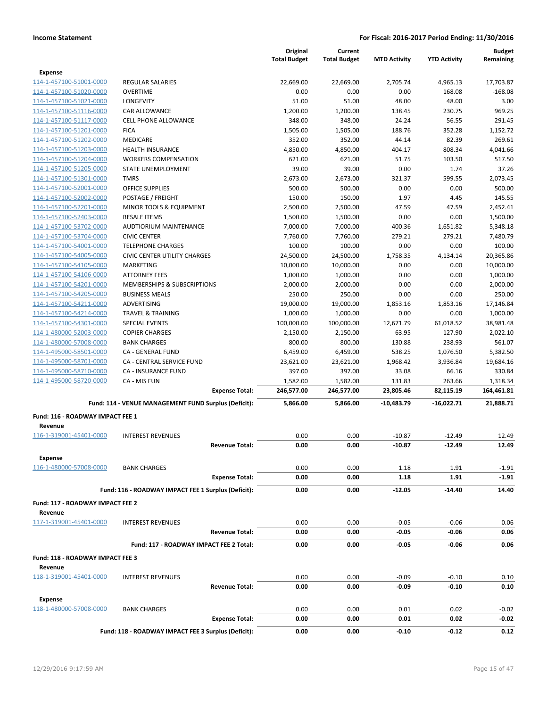|                                             |                                                      | Original            | Current             |                     | <b>Budget</b>       |            |
|---------------------------------------------|------------------------------------------------------|---------------------|---------------------|---------------------|---------------------|------------|
|                                             |                                                      | <b>Total Budget</b> | <b>Total Budget</b> | <b>MTD Activity</b> | <b>YTD Activity</b> | Remaining  |
| <b>Expense</b>                              |                                                      |                     |                     |                     |                     |            |
| 114-1-457100-51001-0000                     | <b>REGULAR SALARIES</b>                              | 22,669.00           | 22,669.00           | 2,705.74            | 4,965.13            | 17,703.87  |
| 114-1-457100-51020-0000                     | <b>OVERTIME</b>                                      | 0.00                | 0.00                | 0.00                | 168.08              | $-168.08$  |
| 114-1-457100-51021-0000                     | <b>LONGEVITY</b>                                     | 51.00               | 51.00               | 48.00               | 48.00               | 3.00       |
| 114-1-457100-51116-0000                     | CAR ALLOWANCE                                        | 1,200.00            | 1,200.00            | 138.45              | 230.75              | 969.25     |
| 114-1-457100-51117-0000                     | <b>CELL PHONE ALLOWANCE</b>                          | 348.00              | 348.00              | 24.24               | 56.55               | 291.45     |
| 114-1-457100-51201-0000                     | <b>FICA</b>                                          | 1,505.00            | 1,505.00            | 188.76              | 352.28              | 1,152.72   |
| 114-1-457100-51202-0000                     | MEDICARE                                             | 352.00              | 352.00              | 44.14               | 82.39               | 269.61     |
| 114-1-457100-51203-0000                     | <b>HEALTH INSURANCE</b>                              | 4,850.00            | 4,850.00            | 404.17              | 808.34              | 4,041.66   |
| 114-1-457100-51204-0000                     | <b>WORKERS COMPENSATION</b>                          | 621.00              | 621.00              | 51.75               | 103.50              | 517.50     |
| 114-1-457100-51205-0000                     | STATE UNEMPLOYMENT                                   | 39.00               | 39.00               | 0.00                | 1.74                | 37.26      |
| 114-1-457100-51301-0000                     | <b>TMRS</b>                                          | 2,673.00            | 2,673.00            | 321.37              | 599.55              | 2,073.45   |
| 114-1-457100-52001-0000                     | <b>OFFICE SUPPLIES</b>                               | 500.00              | 500.00              | 0.00                | 0.00                | 500.00     |
| 114-1-457100-52002-0000                     | POSTAGE / FREIGHT                                    | 150.00              | 150.00              | 1.97                | 4.45                | 145.55     |
| 114-1-457100-52201-0000                     | MINOR TOOLS & EQUIPMENT                              | 2,500.00            | 2,500.00            | 47.59               | 47.59               | 2,452.41   |
| 114-1-457100-52403-0000                     | <b>RESALE ITEMS</b>                                  | 1,500.00            | 1,500.00            | 0.00                | 0.00                | 1,500.00   |
| 114-1-457100-53702-0000                     | <b>AUDTIORIUM MAINTENANCE</b>                        | 7,000.00            | 7,000.00            | 400.36              | 1,651.82            | 5,348.18   |
| 114-1-457100-53704-0000                     | <b>CIVIC CENTER</b>                                  | 7,760.00            | 7,760.00            | 279.21              | 279.21              | 7,480.79   |
| 114-1-457100-54001-0000                     | <b>TELEPHONE CHARGES</b>                             | 100.00              | 100.00              | 0.00                | 0.00                | 100.00     |
| 114-1-457100-54005-0000                     | <b>CIVIC CENTER UTILITY CHARGES</b>                  | 24,500.00           | 24,500.00           | 1,758.35            | 4,134.14            | 20,365.86  |
| 114-1-457100-54105-0000                     | <b>MARKETING</b>                                     | 10,000.00           | 10,000.00           | 0.00                | 0.00                | 10,000.00  |
| 114-1-457100-54106-0000                     | <b>ATTORNEY FEES</b>                                 | 1,000.00            | 1,000.00            | 0.00                | 0.00                | 1,000.00   |
| 114-1-457100-54201-0000                     | MEMBERSHIPS & SUBSCRIPTIONS                          | 2,000.00            | 2,000.00            | 0.00                | 0.00                | 2,000.00   |
| 114-1-457100-54205-0000                     | <b>BUSINESS MEALS</b>                                | 250.00              | 250.00              | 0.00                | 0.00                | 250.00     |
| 114-1-457100-54211-0000                     | <b>ADVERTISING</b>                                   | 19,000.00           | 19,000.00           | 1,853.16            | 1,853.16            | 17,146.84  |
| 114-1-457100-54214-0000                     | <b>TRAVEL &amp; TRAINING</b>                         | 1,000.00            | 1,000.00            | 0.00                | 0.00                | 1,000.00   |
| 114-1-457100-54301-0000                     | <b>SPECIAL EVENTS</b>                                | 100,000.00          | 100,000.00          | 12,671.79           | 61,018.52           | 38,981.48  |
| 114-1-480000-52003-0000                     | <b>COPIER CHARGES</b>                                | 2,150.00            | 2,150.00            | 63.95               | 127.90              | 2,022.10   |
| 114-1-480000-57008-0000                     | <b>BANK CHARGES</b>                                  | 800.00              | 800.00              | 130.88              | 238.93              | 561.07     |
| 114-1-495000-58501-0000                     | CA - GENERAL FUND                                    | 6,459.00            | 6,459.00            | 538.25              | 1,076.50            | 5,382.50   |
| 114-1-495000-58701-0000                     | CA - CENTRAL SERVICE FUND                            | 23,621.00           | 23,621.00           | 1,968.42            | 3,936.84            | 19,684.16  |
| 114-1-495000-58710-0000                     | CA - INSURANCE FUND                                  | 397.00              | 397.00              | 33.08               | 66.16               | 330.84     |
| 114-1-495000-58720-0000                     | CA - MIS FUN                                         | 1,582.00            | 1,582.00            | 131.83              | 263.66              | 1,318.34   |
|                                             | <b>Expense Total:</b>                                | 246,577.00          | 246,577.00          | 23,805.46           | 82,115.19           | 164,461.81 |
|                                             | Fund: 114 - VENUE MANAGEMENT FUND Surplus (Deficit): | 5,866.00            | 5,866.00            | $-10,483.79$        | $-16,022.71$        | 21,888.71  |
| Fund: 116 - ROADWAY IMPACT FEE 1            |                                                      |                     |                     |                     |                     |            |
| Revenue                                     |                                                      |                     |                     |                     |                     |            |
| 116-1-319001-45401-0000                     | <b>INTEREST REVENUES</b>                             | 0.00                | 0.00                | $-10.87$            | $-12.49$            | 12.49      |
|                                             | <b>Revenue Total:</b>                                | 0.00                | 0.00                | $-10.87$            | $-12.49$            | 12.49      |
| Expense                                     |                                                      |                     |                     |                     |                     |            |
| 116-1-480000-57008-0000                     | <b>BANK CHARGES</b>                                  | 0.00                | 0.00                | 1.18                | 1.91                | $-1.91$    |
|                                             | <b>Expense Total:</b>                                | 0.00                | 0.00                | 1.18                | 1.91                | $-1.91$    |
|                                             | Fund: 116 - ROADWAY IMPACT FEE 1 Surplus (Deficit):  | 0.00                | 0.00                | -12.05              | $-14.40$            | 14.40      |
| Fund: 117 - ROADWAY IMPACT FEE 2            |                                                      |                     |                     |                     |                     |            |
| Revenue                                     |                                                      |                     |                     |                     |                     |            |
| 117-1-319001-45401-0000                     | <b>INTEREST REVENUES</b>                             | 0.00                | 0.00                | $-0.05$             | $-0.06$             | 0.06       |
|                                             | <b>Revenue Total:</b>                                | 0.00                | 0.00                | $-0.05$             | $-0.06$             | 0.06       |
|                                             | Fund: 117 - ROADWAY IMPACT FEE 2 Total:              | 0.00                | 0.00                | $-0.05$             | -0.06               | 0.06       |
|                                             |                                                      |                     |                     |                     |                     |            |
| Fund: 118 - ROADWAY IMPACT FEE 3<br>Revenue |                                                      |                     |                     |                     |                     |            |
| 118-1-319001-45401-0000                     | <b>INTEREST REVENUES</b>                             | 0.00                | 0.00                | $-0.09$             | $-0.10$             | 0.10       |
|                                             | <b>Revenue Total:</b>                                | 0.00                | 0.00                | $-0.09$             | $-0.10$             | 0.10       |
| <b>Expense</b>                              |                                                      |                     |                     |                     |                     |            |
| 118-1-480000-57008-0000                     | <b>BANK CHARGES</b>                                  | 0.00                | 0.00                | 0.01                | 0.02                | $-0.02$    |
|                                             | <b>Expense Total:</b>                                | 0.00                | 0.00                | 0.01                | 0.02                | -0.02      |
|                                             | Fund: 118 - ROADWAY IMPACT FEE 3 Surplus (Deficit):  | 0.00                | 0.00                | $-0.10$             | $-0.12$             | 0.12       |
|                                             |                                                      |                     |                     |                     |                     |            |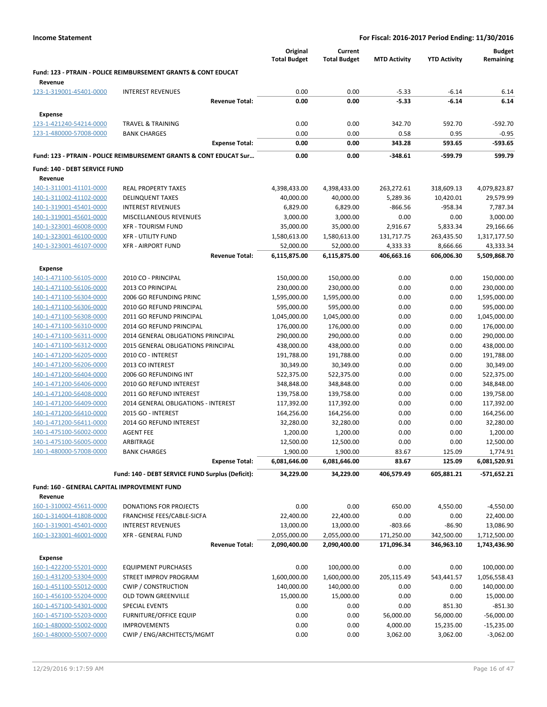|                                                    |                                                                           |                       | Original<br><b>Total Budget</b> | Current<br><b>Total Budget</b> | <b>MTD Activity</b> | <b>YTD Activity</b> | <b>Budget</b><br>Remaining |
|----------------------------------------------------|---------------------------------------------------------------------------|-----------------------|---------------------------------|--------------------------------|---------------------|---------------------|----------------------------|
| Revenue                                            | <b>Fund: 123 - PTRAIN - POLICE REIMBURSEMENT GRANTS &amp; CONT EDUCAT</b> |                       |                                 |                                |                     |                     |                            |
| 123-1-319001-45401-0000                            | <b>INTEREST REVENUES</b>                                                  |                       | 0.00                            | 0.00                           | $-5.33$             | $-6.14$             | 6.14                       |
|                                                    |                                                                           | <b>Revenue Total:</b> | 0.00                            | 0.00                           | $-5.33$             | $-6.14$             | 6.14                       |
| Expense                                            |                                                                           |                       |                                 |                                |                     |                     |                            |
| 123-1-421240-54214-0000                            | <b>TRAVEL &amp; TRAINING</b>                                              |                       | 0.00                            | 0.00                           | 342.70              | 592.70              | -592.70                    |
| 123-1-480000-57008-0000                            | <b>BANK CHARGES</b>                                                       |                       | 0.00                            | 0.00                           | 0.58                | 0.95                | $-0.95$                    |
|                                                    |                                                                           | <b>Expense Total:</b> | 0.00                            | 0.00                           | 343.28              | 593.65              | -593.65                    |
|                                                    | Fund: 123 - PTRAIN - POLICE REIMBURSEMENT GRANTS & CONT EDUCAT Sur        |                       | 0.00                            | 0.00                           | $-348.61$           | -599.79             | 599.79                     |
| Fund: 140 - DEBT SERVICE FUND                      |                                                                           |                       |                                 |                                |                     |                     |                            |
| Revenue                                            |                                                                           |                       |                                 |                                |                     |                     |                            |
| 140-1-311001-41101-0000                            | <b>REAL PROPERTY TAXES</b>                                                |                       | 4,398,433.00                    | 4,398,433.00                   | 263,272.61          | 318,609.13          | 4,079,823.87               |
| 140-1-311002-41102-0000                            | <b>DELINQUENT TAXES</b>                                                   |                       | 40,000.00                       | 40,000.00                      | 5,289.36            | 10,420.01           | 29,579.99                  |
| 140-1-319001-45401-0000                            | <b>INTEREST REVENUES</b>                                                  |                       | 6,829.00                        | 6,829.00                       | $-866.56$           | $-958.34$           | 7,787.34                   |
| 140-1-319001-45601-0000                            | MISCELLANEOUS REVENUES                                                    |                       | 3,000.00                        | 3,000.00                       | 0.00                | 0.00                | 3,000.00                   |
| 140-1-323001-46008-0000                            | <b>XFR - TOURISM FUND</b>                                                 |                       | 35,000.00                       | 35,000.00                      | 2,916.67            | 5,833.34            | 29,166.66                  |
| 140-1-323001-46100-0000                            | <b>XFR - UTILITY FUND</b>                                                 |                       | 1,580,613.00                    | 1,580,613.00                   | 131,717.75          | 263,435.50          | 1,317,177.50               |
| 140-1-323001-46107-0000                            | <b>XFR - AIRPORT FUND</b>                                                 |                       | 52,000.00                       | 52,000.00                      | 4,333.33            | 8,666.66            | 43,333.34                  |
|                                                    |                                                                           | <b>Revenue Total:</b> | 6,115,875.00                    | 6,115,875.00                   | 406,663.16          | 606,006.30          | 5,509,868.70               |
| Expense                                            |                                                                           |                       |                                 |                                |                     |                     |                            |
| 140-1-471100-56105-0000                            | 2010 CO - PRINCIPAL                                                       |                       | 150,000.00                      | 150,000.00                     | 0.00                | 0.00                | 150,000.00                 |
| 140-1-471100-56106-0000                            | 2013 CO PRINCIPAL                                                         |                       | 230,000.00                      | 230,000.00                     | 0.00                | 0.00                | 230,000.00                 |
| 140-1-471100-56304-0000                            | 2006 GO REFUNDING PRINC                                                   |                       | 1,595,000.00                    | 1,595,000.00                   | 0.00                | 0.00                | 1,595,000.00               |
| 140-1-471100-56306-0000                            | 2010 GO REFUND PRINCIPAL                                                  |                       | 595,000.00                      | 595,000.00                     | 0.00                | 0.00                | 595,000.00                 |
| 140-1-471100-56308-0000                            | 2011 GO REFUND PRINCIPAL                                                  |                       | 1,045,000.00                    | 1,045,000.00                   | 0.00                | 0.00                | 1,045,000.00               |
| 140-1-471100-56310-0000                            | 2014 GO REFUND PRINCIPAL                                                  |                       | 176,000.00                      | 176,000.00                     | 0.00                | 0.00                | 176,000.00                 |
| 140-1-471100-56311-0000                            | 2014 GENERAL OBLIGATIONS PRINCIPAL                                        |                       | 290,000.00                      | 290,000.00                     | 0.00                | 0.00                | 290,000.00                 |
| 140-1-471100-56312-0000                            | 2015 GENERAL OBLIGATIONS PRINCIPAL                                        |                       | 438,000.00                      | 438,000.00                     | 0.00                | 0.00                | 438,000.00                 |
| 140-1-471200-56205-0000                            | 2010 CO - INTEREST                                                        |                       | 191,788.00                      | 191,788.00                     | 0.00                | 0.00                | 191,788.00                 |
| 140-1-471200-56206-0000                            | 2013 CO INTEREST                                                          |                       | 30,349.00                       | 30,349.00                      | 0.00                | 0.00                | 30,349.00                  |
| 140-1-471200-56404-0000                            | 2006 GO REFUNDING INT                                                     |                       | 522,375.00                      | 522,375.00                     | 0.00<br>0.00        | 0.00<br>0.00        | 522,375.00<br>348,848.00   |
| 140-1-471200-56406-0000<br>140-1-471200-56408-0000 | 2010 GO REFUND INTEREST<br>2011 GO REFUND INTEREST                        |                       | 348,848.00<br>139,758.00        | 348,848.00<br>139,758.00       | 0.00                | 0.00                | 139,758.00                 |
| 140-1-471200-56409-0000                            | 2014 GENERAL OBLIGATIONS - INTEREST                                       |                       | 117,392.00                      | 117,392.00                     | 0.00                | 0.00                | 117,392.00                 |
| 140-1-471200-56410-0000                            | 2015 GO - INTEREST                                                        |                       | 164,256.00                      | 164,256.00                     | 0.00                | 0.00                | 164,256.00                 |
| 140-1-471200-56411-0000                            | 2014 GO REFUND INTEREST                                                   |                       | 32,280.00                       | 32,280.00                      | 0.00                | 0.00                | 32,280.00                  |
| 140-1-475100-56002-0000                            | <b>AGENT FEE</b>                                                          |                       | 1,200.00                        | 1,200.00                       | 0.00                | 0.00                | 1,200.00                   |
| 140-1-475100-56005-0000                            | ARBITRAGE                                                                 |                       | 12,500.00                       | 12,500.00                      | 0.00                | 0.00                | 12,500.00                  |
| 140-1-480000-57008-0000                            | <b>BANK CHARGES</b>                                                       |                       | 1,900.00                        | 1,900.00                       | 83.67               | 125.09              | 1,774.91                   |
|                                                    |                                                                           | <b>Expense Total:</b> | 6,081,646.00                    | 6,081,646.00                   | 83.67               | 125.09              | 6,081,520.91               |
|                                                    | Fund: 140 - DEBT SERVICE FUND Surplus (Deficit):                          |                       | 34,229.00                       | 34,229.00                      | 406,579.49          | 605,881.21          | $-571,652.21$              |
| Fund: 160 - GENERAL CAPITAL IMPROVEMENT FUND       |                                                                           |                       |                                 |                                |                     |                     |                            |
| Revenue                                            |                                                                           |                       |                                 |                                |                     |                     |                            |
| 160-1-310002-45611-0000                            | DONATIONS FOR PROJECTS                                                    |                       | 0.00                            | 0.00                           | 650.00              | 4,550.00            | $-4,550.00$                |
| 160-1-314004-41808-0000                            | FRANCHISE FEES/CABLE-SICFA                                                |                       | 22,400.00                       | 22,400.00                      | 0.00                | 0.00                | 22,400.00                  |
| 160-1-319001-45401-0000                            | <b>INTEREST REVENUES</b>                                                  |                       | 13,000.00                       | 13,000.00                      | $-803.66$           | $-86.90$            | 13,086.90                  |
| 160-1-323001-46001-0000                            | XFR - GENERAL FUND                                                        |                       | 2,055,000.00                    | 2,055,000.00                   | 171,250.00          | 342,500.00          | 1,712,500.00               |
|                                                    |                                                                           | <b>Revenue Total:</b> | 2,090,400.00                    | 2,090,400.00                   | 171,096.34          | 346,963.10          | 1,743,436.90               |
| <b>Expense</b>                                     |                                                                           |                       |                                 |                                |                     |                     |                            |
| 160-1-422200-55201-0000                            | <b>EQUIPMENT PURCHASES</b>                                                |                       | 0.00                            | 100,000.00                     | 0.00                | 0.00                | 100,000.00                 |
| 160-1-431200-53304-0000                            | STREET IMPROV PROGRAM                                                     |                       | 1,600,000.00                    | 1,600,000.00                   | 205,115.49          | 543,441.57          | 1,056,558.43               |
| 160-1-451100-55012-0000                            | <b>CWIP / CONSTRUCTION</b>                                                |                       | 140,000.00                      | 140,000.00                     | 0.00                | 0.00                | 140,000.00                 |
| 160-1-456100-55204-0000                            | OLD TOWN GREENVILLE                                                       |                       | 15,000.00                       | 15,000.00                      | 0.00                | 0.00                | 15,000.00                  |
| 160-1-457100-54301-0000                            | <b>SPECIAL EVENTS</b>                                                     |                       | 0.00                            | 0.00                           | 0.00                | 851.30              | $-851.30$                  |
| 160-1-457100-55203-0000                            | <b>FURNITURE/OFFICE EQUIP</b>                                             |                       | 0.00                            | 0.00                           | 56,000.00           | 56,000.00           | $-56,000.00$               |
| 160-1-480000-55002-0000                            | <b>IMPROVEMENTS</b>                                                       |                       | 0.00                            | 0.00                           | 4,000.00            | 15,235.00           | $-15,235.00$               |
| 160-1-480000-55007-0000                            | CWIP / ENG/ARCHITECTS/MGMT                                                |                       | 0.00                            | 0.00                           | 3,062.00            | 3,062.00            | $-3,062.00$                |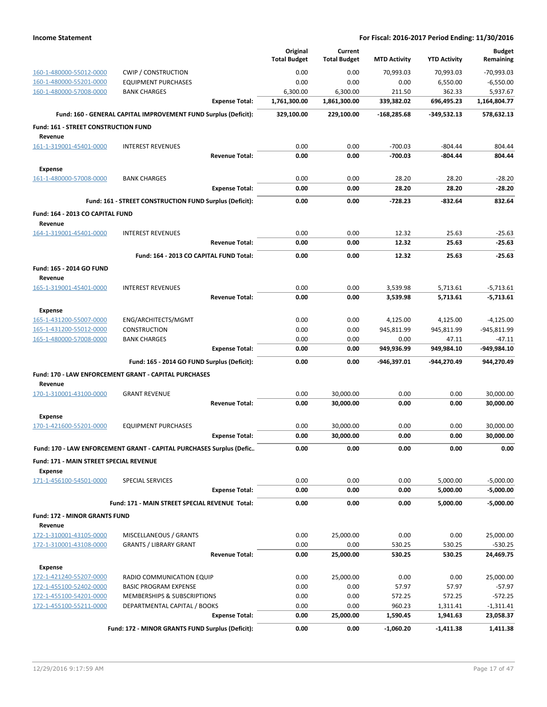|                                                 |                                                                      |                       | Original<br><b>Total Budget</b> | Current<br><b>Total Budget</b> | <b>MTD Activity</b> | <b>YTD Activity</b> | <b>Budget</b><br>Remaining |
|-------------------------------------------------|----------------------------------------------------------------------|-----------------------|---------------------------------|--------------------------------|---------------------|---------------------|----------------------------|
| 160-1-480000-55012-0000                         | <b>CWIP / CONSTRUCTION</b>                                           |                       | 0.00                            | 0.00                           | 70,993.03           | 70,993.03           | $-70,993.03$               |
| 160-1-480000-55201-0000                         | <b>EQUIPMENT PURCHASES</b>                                           |                       | 0.00                            | 0.00                           | 0.00                | 6,550.00            | $-6,550.00$                |
| 160-1-480000-57008-0000                         | <b>BANK CHARGES</b>                                                  |                       | 6,300.00                        | 6,300.00                       | 211.50              | 362.33              | 5,937.67                   |
|                                                 |                                                                      | <b>Expense Total:</b> | 1,761,300.00                    | 1,861,300.00                   | 339,382.02          | 696,495.23          | 1,164,804.77               |
|                                                 | Fund: 160 - GENERAL CAPITAL IMPROVEMENT FUND Surplus (Deficit):      |                       | 329,100.00                      | 229,100.00                     | $-168,285.68$       | $-349,532.13$       | 578,632.13                 |
| Fund: 161 - STREET CONSTRUCTION FUND            |                                                                      |                       |                                 |                                |                     |                     |                            |
| Revenue                                         |                                                                      |                       |                                 |                                |                     |                     |                            |
| 161-1-319001-45401-0000                         | <b>INTEREST REVENUES</b>                                             |                       | 0.00                            | 0.00                           | $-700.03$           | $-804.44$           | 804.44                     |
|                                                 |                                                                      | <b>Revenue Total:</b> | 0.00                            | 0.00                           | $-700.03$           | $-804.44$           | 804.44                     |
| <b>Expense</b>                                  |                                                                      |                       |                                 |                                |                     |                     |                            |
| 161-1-480000-57008-0000                         | <b>BANK CHARGES</b>                                                  |                       | 0.00                            | 0.00                           | 28.20               | 28.20               | $-28.20$                   |
|                                                 |                                                                      | <b>Expense Total:</b> | 0.00                            | 0.00                           | 28.20               | 28.20               | $-28.20$                   |
|                                                 | Fund: 161 - STREET CONSTRUCTION FUND Surplus (Deficit):              |                       | 0.00                            | 0.00                           | $-728.23$           | -832.64             | 832.64                     |
| Fund: 164 - 2013 CO CAPITAL FUND<br>Revenue     |                                                                      |                       |                                 |                                |                     |                     |                            |
| 164-1-319001-45401-0000                         | <b>INTEREST REVENUES</b>                                             |                       | 0.00                            | 0.00                           | 12.32               | 25.63               | $-25.63$                   |
|                                                 |                                                                      | <b>Revenue Total:</b> | 0.00                            | 0.00                           | 12.32               | 25.63               | $-25.63$                   |
|                                                 | Fund: 164 - 2013 CO CAPITAL FUND Total:                              |                       | 0.00                            | 0.00                           | 12.32               | 25.63               | $-25.63$                   |
| Fund: 165 - 2014 GO FUND<br>Revenue             |                                                                      |                       |                                 |                                |                     |                     |                            |
| 165-1-319001-45401-0000                         | <b>INTEREST REVENUES</b>                                             |                       | 0.00                            | 0.00                           | 3,539.98            | 5,713.61            | $-5,713.61$                |
|                                                 |                                                                      | <b>Revenue Total:</b> | 0.00                            | 0.00                           | 3,539.98            | 5,713.61            | $-5,713.61$                |
| <b>Expense</b>                                  |                                                                      |                       |                                 |                                |                     |                     |                            |
| 165-1-431200-55007-0000                         | ENG/ARCHITECTS/MGMT                                                  |                       | 0.00                            | 0.00                           | 4,125.00            | 4,125.00            | $-4,125.00$                |
| 165-1-431200-55012-0000                         | <b>CONSTRUCTION</b>                                                  |                       | 0.00                            | 0.00                           | 945,811.99          | 945,811.99          | -945,811.99                |
| 165-1-480000-57008-0000                         | <b>BANK CHARGES</b>                                                  |                       | 0.00                            | 0.00                           | 0.00                | 47.11               | $-47.11$                   |
|                                                 |                                                                      | <b>Expense Total:</b> | 0.00                            | 0.00                           | 949,936.99          | 949,984.10          | -949,984.10                |
|                                                 | Fund: 165 - 2014 GO FUND Surplus (Deficit):                          |                       | 0.00                            | 0.00                           | -946,397.01         | -944,270.49         | 944,270.49                 |
| Revenue                                         | Fund: 170 - LAW ENFORCEMENT GRANT - CAPITAL PURCHASES                |                       |                                 |                                |                     |                     |                            |
| 170-1-310001-43100-0000                         | <b>GRANT REVENUE</b>                                                 |                       | 0.00                            | 30,000.00                      | 0.00                | 0.00                | 30,000.00                  |
|                                                 |                                                                      | <b>Revenue Total:</b> | 0.00                            | 30,000.00                      | 0.00                | 0.00                | 30,000.00                  |
| <b>Expense</b>                                  |                                                                      |                       |                                 |                                |                     |                     |                            |
| 170-1-421600-55201-0000                         | <b>EQUIPMENT PURCHASES</b>                                           |                       | 0.00                            | 30,000.00                      | 0.00                | 0.00                | 30,000.00                  |
|                                                 |                                                                      | <b>Expense Total:</b> | 0.00                            | 30,000.00                      | 0.00                | 0.00                | 30,000.00                  |
|                                                 | Fund: 170 - LAW ENFORCEMENT GRANT - CAPITAL PURCHASES Surplus (Defic |                       | 0.00                            | 0.00                           | 0.00                | 0.00                | 0.00                       |
| Fund: 171 - MAIN STREET SPECIAL REVENUE         |                                                                      |                       |                                 |                                |                     |                     |                            |
| <b>Expense</b><br>171-1-456100-54501-0000       | SPECIAL SERVICES                                                     |                       | 0.00                            | 0.00                           | 0.00                | 5,000.00            | $-5,000.00$                |
|                                                 |                                                                      | <b>Expense Total:</b> | 0.00                            | 0.00                           | 0.00                | 5,000.00            | $-5,000.00$                |
|                                                 | Fund: 171 - MAIN STREET SPECIAL REVENUE Total:                       |                       | 0.00                            | 0.00                           | 0.00                | 5,000.00            | $-5,000.00$                |
| <b>Fund: 172 - MINOR GRANTS FUND</b><br>Revenue |                                                                      |                       |                                 |                                |                     |                     |                            |
| 172-1-310001-43105-0000                         | MISCELLANEOUS / GRANTS                                               |                       | 0.00                            | 25,000.00                      | 0.00                | 0.00                | 25,000.00                  |
| 172-1-310001-43108-0000                         | <b>GRANTS / LIBRARY GRANT</b>                                        |                       | 0.00                            | 0.00                           | 530.25              | 530.25              | $-530.25$                  |
|                                                 |                                                                      | <b>Revenue Total:</b> | 0.00                            | 25,000.00                      | 530.25              | 530.25              | 24,469.75                  |
| <b>Expense</b>                                  |                                                                      |                       |                                 |                                |                     |                     |                            |
| 172-1-421240-55207-0000                         | RADIO COMMUNICATION EQUIP                                            |                       | 0.00                            | 25,000.00                      | 0.00                | 0.00                | 25,000.00                  |
| 172-1-455100-52402-0000                         | <b>BASIC PROGRAM EXPENSE</b>                                         |                       | 0.00                            | 0.00                           | 57.97               | 57.97               | $-57.97$                   |
| 172-1-455100-54201-0000                         | MEMBERSHIPS & SUBSCRIPTIONS                                          |                       | 0.00                            | 0.00                           | 572.25              | 572.25              | $-572.25$                  |
| 172-1-455100-55211-0000                         | DEPARTMENTAL CAPITAL / BOOKS                                         |                       | 0.00                            | 0.00                           | 960.23              | 1,311.41            | $-1,311.41$                |
|                                                 |                                                                      | <b>Expense Total:</b> | 0.00                            | 25,000.00                      | 1,590.45            | 1,941.63            | 23,058.37                  |
|                                                 | Fund: 172 - MINOR GRANTS FUND Surplus (Deficit):                     |                       | 0.00                            | 0.00                           | $-1,060.20$         | $-1,411.38$         | 1,411.38                   |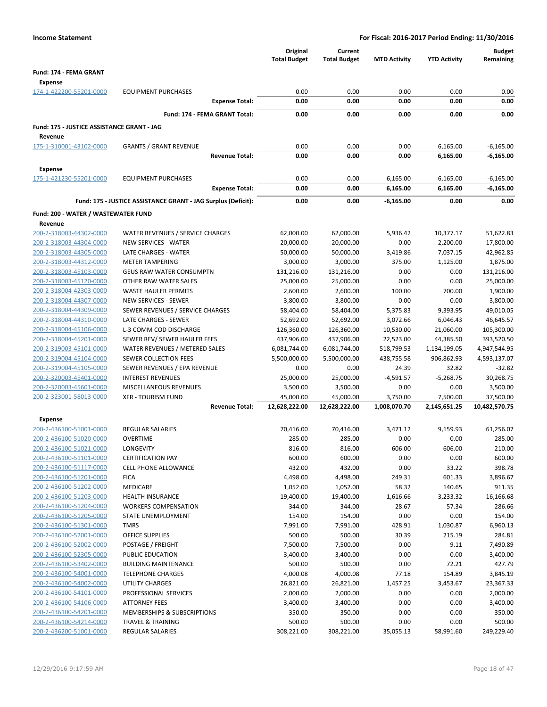|                                                    |                                                               |                       | Original<br><b>Total Budget</b> | Current<br><b>Total Budget</b> | <b>MTD Activity</b> | <b>YTD Activity</b>  | <b>Budget</b><br>Remaining |
|----------------------------------------------------|---------------------------------------------------------------|-----------------------|---------------------------------|--------------------------------|---------------------|----------------------|----------------------------|
| Fund: 174 - FEMA GRANT<br><b>Expense</b>           |                                                               |                       |                                 |                                |                     |                      |                            |
| 174-1-422200-55201-0000                            | <b>EQUIPMENT PURCHASES</b>                                    |                       | 0.00                            | 0.00                           | 0.00                | 0.00                 | 0.00                       |
|                                                    |                                                               | <b>Expense Total:</b> | 0.00                            | 0.00                           | 0.00                | 0.00                 | 0.00                       |
|                                                    | Fund: 174 - FEMA GRANT Total:                                 |                       | 0.00                            | 0.00                           | 0.00                | 0.00                 | 0.00                       |
| Fund: 175 - JUSTICE ASSISTANCE GRANT - JAG         |                                                               |                       |                                 |                                |                     |                      |                            |
| Revenue                                            |                                                               |                       |                                 |                                |                     |                      |                            |
| 175-1-310001-43102-0000                            | <b>GRANTS / GRANT REVENUE</b>                                 |                       | 0.00                            | 0.00                           | 0.00                | 6,165.00             | $-6,165.00$                |
|                                                    |                                                               | <b>Revenue Total:</b> | 0.00                            | 0.00                           | 0.00                | 6,165.00             | $-6,165.00$                |
| <b>Expense</b>                                     |                                                               |                       |                                 |                                |                     |                      |                            |
| 175-1-421230-55201-0000                            | <b>EQUIPMENT PURCHASES</b>                                    |                       | 0.00                            | 0.00                           | 6,165.00            | 6,165.00             | $-6,165.00$                |
|                                                    |                                                               | <b>Expense Total:</b> | 0.00                            | 0.00                           | 6,165.00            | 6,165.00             | $-6,165.00$                |
|                                                    | Fund: 175 - JUSTICE ASSISTANCE GRANT - JAG Surplus (Deficit): |                       | 0.00                            | 0.00                           | -6,165.00           | 0.00                 | 0.00                       |
| Fund: 200 - WATER / WASTEWATER FUND                |                                                               |                       |                                 |                                |                     |                      |                            |
| Revenue                                            |                                                               |                       |                                 |                                |                     |                      |                            |
| 200-2-318003-44302-0000                            | WATER REVENUES / SERVICE CHARGES                              |                       | 62,000.00                       | 62,000.00                      | 5,936.42            | 10,377.17            | 51,622.83                  |
| 200-2-318003-44304-0000<br>200-2-318003-44305-0000 | NEW SERVICES - WATER<br>LATE CHARGES - WATER                  |                       | 20,000.00<br>50,000.00          | 20,000.00<br>50,000.00         | 0.00<br>3,419.86    | 2,200.00<br>7,037.15 | 17,800.00<br>42,962.85     |
| 200-2-318003-44312-0000                            | <b>METER TAMPERING</b>                                        |                       | 3,000.00                        | 3,000.00                       | 375.00              | 1,125.00             | 1,875.00                   |
| 200-2-318003-45103-0000                            | <b>GEUS RAW WATER CONSUMPTN</b>                               |                       | 131,216.00                      | 131,216.00                     | 0.00                | 0.00                 | 131,216.00                 |
| 200-2-318003-45120-0000                            | OTHER RAW WATER SALES                                         |                       | 25,000.00                       | 25,000.00                      | 0.00                | 0.00                 | 25,000.00                  |
| 200-2-318004-42303-0000                            | <b>WASTE HAULER PERMITS</b>                                   |                       | 2,600.00                        | 2,600.00                       | 100.00              | 700.00               | 1,900.00                   |
| 200-2-318004-44307-0000                            | <b>NEW SERVICES - SEWER</b>                                   |                       | 3,800.00                        | 3,800.00                       | 0.00                | 0.00                 | 3,800.00                   |
| 200-2-318004-44309-0000                            | SEWER REVENUES / SERVICE CHARGES                              |                       | 58,404.00                       | 58,404.00                      | 5,375.83            | 9,393.95             | 49,010.05                  |
| 200-2-318004-44310-0000                            | LATE CHARGES - SEWER                                          |                       | 52,692.00                       | 52,692.00                      | 3,072.66            | 6,046.43             | 46,645.57                  |
| 200-2-318004-45106-0000                            | L-3 COMM COD DISCHARGE                                        |                       | 126,360.00                      | 126,360.00                     | 10,530.00           | 21,060.00            | 105,300.00                 |
| 200-2-318004-45201-0000                            | SEWER REV/ SEWER HAULER FEES                                  |                       | 437,906.00                      | 437,906.00                     | 22,523.00           | 44,385.50            | 393,520.50                 |
| 200-2-319003-45101-0000                            | WATER REVENUES / METERED SALES                                |                       | 6,081,744.00                    | 6,081,744.00                   | 518,799.53          | 1,134,199.05         | 4,947,544.95               |
| 200-2-319004-45104-0000                            | <b>SEWER COLLECTION FEES</b>                                  |                       | 5,500,000.00                    | 5,500,000.00                   | 438,755.58          | 906,862.93           | 4,593,137.07               |
| 200-2-319004-45105-0000                            | SEWER REVENUES / EPA REVENUE                                  |                       | 0.00                            | 0.00                           | 24.39               | 32.82                | $-32.82$                   |
| 200-2-320003-45401-0000                            | <b>INTEREST REVENUES</b>                                      |                       | 25,000.00                       | 25,000.00                      | $-4,591.57$         | $-5,268.75$          | 30,268.75                  |
| 200-2-320003-45601-0000                            | MISCELLANEOUS REVENUES                                        |                       | 3,500.00                        | 3,500.00                       | 0.00                | 0.00                 | 3,500.00                   |
| 200-2-323001-58013-0000                            | <b>XFR - TOURISM FUND</b>                                     |                       | 45,000.00                       | 45,000.00                      | 3,750.00            | 7,500.00             | 37,500.00                  |
|                                                    |                                                               | <b>Revenue Total:</b> | 12,628,222.00                   | 12,628,222.00                  | 1,008,070.70        | 2,145,651.25         | 10,482,570.75              |
| Expense                                            |                                                               |                       |                                 |                                |                     |                      |                            |
| 200-2-436100-51001-0000                            | <b>REGULAR SALARIES</b>                                       |                       | 70,416.00                       | 70,416.00                      | 3,471.12            | 9,159.93             | 61,256.07                  |
| 200-2-436100-51020-0000                            | <b>OVERTIME</b>                                               |                       | 285.00                          | 285.00                         | 0.00                | 0.00                 | 285.00                     |
| 200-2-436100-51021-0000                            | LONGEVITY                                                     |                       | 816.00                          | 816.00                         | 606.00              | 606.00               | 210.00                     |
| 200-2-436100-51101-0000<br>200-2-436100-51117-0000 | <b>CERTIFICATION PAY</b><br>CELL PHONE ALLOWANCE              |                       | 600.00<br>432.00                | 600.00<br>432.00               | 0.00<br>0.00        | 0.00<br>33.22        | 600.00<br>398.78           |
| 200-2-436100-51201-0000                            | <b>FICA</b>                                                   |                       | 4,498.00                        | 4,498.00                       | 249.31              | 601.33               | 3,896.67                   |
| 200-2-436100-51202-0000                            | MEDICARE                                                      |                       | 1,052.00                        | 1,052.00                       | 58.32               | 140.65               | 911.35                     |
| 200-2-436100-51203-0000                            | <b>HEALTH INSURANCE</b>                                       |                       | 19,400.00                       | 19,400.00                      | 1,616.66            | 3,233.32             | 16,166.68                  |
| 200-2-436100-51204-0000                            | <b>WORKERS COMPENSATION</b>                                   |                       | 344.00                          | 344.00                         | 28.67               | 57.34                | 286.66                     |
| 200-2-436100-51205-0000                            | STATE UNEMPLOYMENT                                            |                       | 154.00                          | 154.00                         | 0.00                | 0.00                 | 154.00                     |
| 200-2-436100-51301-0000                            | <b>TMRS</b>                                                   |                       | 7,991.00                        | 7,991.00                       | 428.91              | 1,030.87             | 6,960.13                   |
| 200-2-436100-52001-0000                            | <b>OFFICE SUPPLIES</b>                                        |                       | 500.00                          | 500.00                         | 30.39               | 215.19               | 284.81                     |
| 200-2-436100-52002-0000                            | POSTAGE / FREIGHT                                             |                       | 7,500.00                        | 7,500.00                       | 0.00                | 9.11                 | 7,490.89                   |
| 200-2-436100-52305-0000                            | PUBLIC EDUCATION                                              |                       | 3,400.00                        | 3,400.00                       | 0.00                | 0.00                 | 3,400.00                   |
| 200-2-436100-53402-0000                            | <b>BUILDING MAINTENANCE</b>                                   |                       | 500.00                          | 500.00                         | 0.00                | 72.21                | 427.79                     |
| 200-2-436100-54001-0000                            | <b>TELEPHONE CHARGES</b>                                      |                       | 4,000.08                        | 4,000.08                       | 77.18               | 154.89               | 3,845.19                   |
| 200-2-436100-54002-0000                            | <b>UTILITY CHARGES</b>                                        |                       | 26,821.00                       | 26,821.00                      | 1,457.25            | 3,453.67             | 23,367.33                  |
| 200-2-436100-54101-0000                            | PROFESSIONAL SERVICES                                         |                       | 2,000.00                        | 2,000.00                       | 0.00                | 0.00                 | 2,000.00                   |
| 200-2-436100-54106-0000                            | <b>ATTORNEY FEES</b>                                          |                       | 3,400.00                        | 3,400.00                       | 0.00                | 0.00                 | 3,400.00                   |
| 200-2-436100-54201-0000                            | MEMBERSHIPS & SUBSCRIPTIONS                                   |                       | 350.00                          | 350.00                         | 0.00                | 0.00                 | 350.00                     |
| 200-2-436100-54214-0000<br>200-2-436200-51001-0000 | <b>TRAVEL &amp; TRAINING</b><br>REGULAR SALARIES              |                       | 500.00<br>308,221.00            | 500.00<br>308,221.00           | 0.00<br>35,055.13   | 0.00<br>58,991.60    | 500.00<br>249,229.40       |
|                                                    |                                                               |                       |                                 |                                |                     |                      |                            |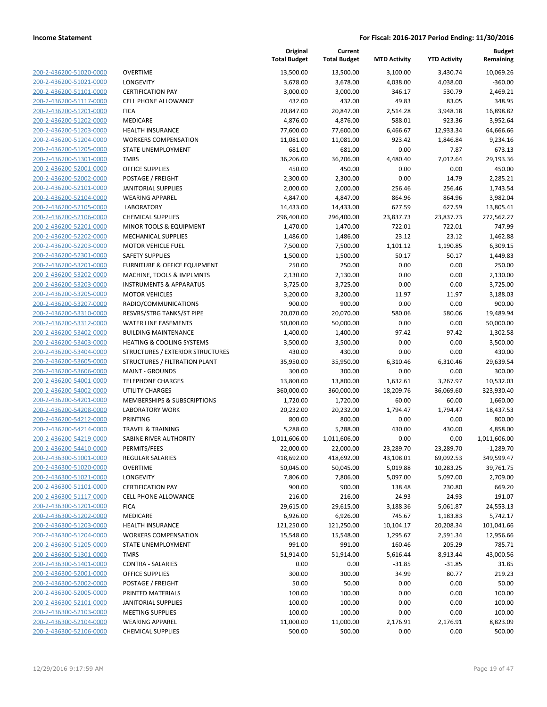**Budget Remaining**

| 200-2-436200-51020-0000                            |
|----------------------------------------------------|
| 200-2-436200-51021-0000                            |
| 200-2-436200-51101-0000                            |
| 200-2-436200-51117-0000                            |
| 200-2-436200-51201-0000                            |
| 200-2-436200-51202-0000                            |
| 200-2-436200-51203-0000                            |
| 200-2-436200-51204-0000                            |
| 200-2-436200-51205-0000                            |
| 200-2-436200-51301-0000                            |
| 200-2-436200-52001-0000                            |
| 200-2-436200-52002-0000                            |
| 200-2-436200-52101-0000                            |
| 200-2-436200-52104-0000                            |
|                                                    |
| 200-2-436200-52105-0000                            |
| 200-2-436200-52106-0000                            |
| 200-2-436200-52201-0000                            |
| 200-2-436200-52202-0000                            |
| 200-2-436200-52203-0000                            |
| 200-2-436200-52301-0000                            |
| 200-2-436200-53201-0000                            |
| 200-2-436200-53202-0000                            |
| 200-2-436200-53203-0000                            |
| 200-2-436200-53205-0000                            |
| 200-2-436200-53207-0000                            |
| 200-2-436200-53310-0000                            |
| 200-2-436200-53312-0000                            |
| 200-2-436200-53402-0000                            |
| 200-2-436200-53403-0000                            |
| 200-2-436200-53404-0000                            |
| 200-2-436200-53605-0000                            |
| 200-2-436200-53606-0000                            |
| 200-2-436200-54001-0000                            |
|                                                    |
| 200-2-436200-54002-0000                            |
| 200-2-436200-54201-0000                            |
| 200-2-436200-54208-0000                            |
| 200-2-436200-54212-0000                            |
| 200-2-436200-54214-0000                            |
| 200-2-436200-54219-0000                            |
| 200-2-436200-54410-0000                            |
| 200-2-436300-51001-0000                            |
| 200-2-436300-51020-0000                            |
| 200-2-436300-51021-0000                            |
| <u>200-2-436300-51101-0000</u>                     |
| <u>200-2-436300-51117-0000</u>                     |
| <u>200-2-436300-51201-0000</u>                     |
| 200-2-436300-51202-0000                            |
| 200-2-436300-51203-0000                            |
| 200-2-436300-51204-0000                            |
| 200-2-436300-51205-0000                            |
| <u>200-2-436300-51301-0000</u>                     |
| 200-2-436300-51401-0000                            |
| 200-2-436300-52001-0000                            |
|                                                    |
| 200-2-436300-52002-0000                            |
| <u>200-2-436300-52005-0000</u>                     |
| <u>200-2-436300-52101-0000</u>                     |
|                                                    |
| 200-2-436300-52103-0000                            |
| 200-2-436300-52104-0000<br>200-2-436300-52106-0000 |

|                                                    |                                                | Original<br><b>Total Budget</b> | Current<br><b>Total Budget</b> | <b>MTD Activity</b> | <b>YTD Activity</b> | <b>Budget</b><br>Remaining |
|----------------------------------------------------|------------------------------------------------|---------------------------------|--------------------------------|---------------------|---------------------|----------------------------|
| 200-2-436200-51020-0000                            | <b>OVERTIME</b>                                | 13,500.00                       | 13,500.00                      | 3,100.00            | 3,430.74            | 10,069.26                  |
| 200-2-436200-51021-0000                            | LONGEVITY                                      | 3,678.00                        | 3,678.00                       | 4,038.00            | 4,038.00            | $-360.00$                  |
| 200-2-436200-51101-0000                            | <b>CERTIFICATION PAY</b>                       | 3,000.00                        | 3,000.00                       | 346.17              | 530.79              | 2,469.21                   |
| 200-2-436200-51117-0000                            | <b>CELL PHONE ALLOWANCE</b>                    | 432.00                          | 432.00                         | 49.83               | 83.05               | 348.95                     |
| 200-2-436200-51201-0000                            | <b>FICA</b>                                    | 20,847.00                       | 20,847.00                      | 2,514.28            | 3,948.18            | 16,898.82                  |
| 200-2-436200-51202-0000                            | MEDICARE                                       | 4,876.00                        | 4,876.00                       | 588.01              | 923.36              | 3,952.64                   |
| 200-2-436200-51203-0000                            | <b>HEALTH INSURANCE</b>                        | 77,600.00                       | 77,600.00                      | 6,466.67            | 12,933.34           | 64,666.66                  |
| 200-2-436200-51204-0000                            | <b>WORKERS COMPENSATION</b>                    | 11,081.00                       | 11,081.00                      | 923.42              | 1,846.84            | 9,234.16                   |
| 200-2-436200-51205-0000                            | STATE UNEMPLOYMENT                             | 681.00                          | 681.00                         | 0.00                | 7.87                | 673.13                     |
| 200-2-436200-51301-0000                            | <b>TMRS</b>                                    | 36,206.00                       | 36,206.00                      | 4,480.40            | 7,012.64            | 29,193.36                  |
| 200-2-436200-52001-0000                            | <b>OFFICE SUPPLIES</b>                         | 450.00                          | 450.00                         | 0.00                | 0.00                | 450.00                     |
| 200-2-436200-52002-0000                            | POSTAGE / FREIGHT                              | 2,300.00                        | 2,300.00                       | 0.00                | 14.79               | 2,285.21                   |
| 200-2-436200-52101-0000                            | <b>JANITORIAL SUPPLIES</b>                     | 2,000.00                        | 2,000.00                       | 256.46              | 256.46              | 1,743.54                   |
| 200-2-436200-52104-0000                            | <b>WEARING APPAREL</b>                         | 4,847.00                        | 4,847.00                       | 864.96              | 864.96              | 3,982.04                   |
| 200-2-436200-52105-0000                            | <b>LABORATORY</b>                              | 14,433.00                       | 14,433.00                      | 627.59              | 627.59              | 13,805.41                  |
| 200-2-436200-52106-0000                            | <b>CHEMICAL SUPPLIES</b>                       | 296,400.00                      | 296,400.00                     | 23,837.73           | 23,837.73           | 272,562.27                 |
| 200-2-436200-52201-0000                            | MINOR TOOLS & EQUIPMENT                        | 1,470.00                        | 1,470.00                       | 722.01              | 722.01              | 747.99                     |
| 200-2-436200-52202-0000                            | <b>MECHANICAL SUPPLIES</b>                     | 1,486.00                        | 1,486.00                       | 23.12               | 23.12               | 1,462.88                   |
| 200-2-436200-52203-0000                            | <b>MOTOR VEHICLE FUEL</b>                      | 7,500.00                        | 7,500.00                       | 1,101.12            | 1,190.85            | 6,309.15                   |
| 200-2-436200-52301-0000                            | <b>SAFETY SUPPLIES</b>                         | 1,500.00                        | 1,500.00                       | 50.17               | 50.17               | 1,449.83                   |
| 200-2-436200-53201-0000                            | FURNITURE & OFFICE EQUIPMENT                   | 250.00                          | 250.00                         | 0.00                | 0.00                | 250.00                     |
| 200-2-436200-53202-0000                            | MACHINE, TOOLS & IMPLMNTS                      | 2,130.00                        | 2,130.00                       | 0.00                | 0.00                | 2,130.00                   |
| 200-2-436200-53203-0000                            | <b>INSTRUMENTS &amp; APPARATUS</b>             | 3,725.00                        | 3,725.00                       | 0.00                | 0.00                | 3,725.00                   |
| 200-2-436200-53205-0000                            | <b>MOTOR VEHICLES</b>                          | 3,200.00                        | 3,200.00                       | 11.97               | 11.97               | 3,188.03                   |
| 200-2-436200-53207-0000                            | RADIO/COMMUNICATIONS                           | 900.00                          | 900.00                         | 0.00                | 0.00                | 900.00                     |
| 200-2-436200-53310-0000                            | RESVRS/STRG TANKS/ST PIPE                      | 20,070.00                       | 20,070.00                      | 580.06              | 580.06              | 19,489.94                  |
| 200-2-436200-53312-0000                            | WATER LINE EASEMENTS                           | 50,000.00                       | 50,000.00                      | 0.00                | 0.00                | 50,000.00                  |
| 200-2-436200-53402-0000                            | <b>BUILDING MAINTENANCE</b>                    | 1,400.00                        | 1,400.00                       | 97.42               | 97.42               | 1,302.58                   |
| 200-2-436200-53403-0000                            | <b>HEATING &amp; COOLING SYSTEMS</b>           | 3,500.00                        | 3,500.00                       | 0.00                | 0.00                | 3,500.00                   |
| 200-2-436200-53404-0000                            | STRUCTURES / EXTERIOR STRUCTURES               | 430.00                          | 430.00                         | 0.00                | 0.00                | 430.00                     |
| 200-2-436200-53605-0000                            | STRUCTURES / FILTRATION PLANT                  | 35,950.00                       | 35,950.00                      | 6,310.46            | 6,310.46            | 29,639.54                  |
| 200-2-436200-53606-0000                            | <b>MAINT - GROUNDS</b>                         | 300.00                          | 300.00                         | 0.00                | 0.00                | 300.00                     |
| 200-2-436200-54001-0000                            | <b>TELEPHONE CHARGES</b>                       | 13,800.00                       | 13,800.00                      | 1,632.61            | 3,267.97            | 10,532.03                  |
| 200-2-436200-54002-0000                            | <b>UTILITY CHARGES</b>                         | 360,000.00                      | 360,000.00                     | 18,209.76           | 36,069.60           | 323,930.40                 |
| 200-2-436200-54201-0000                            | MEMBERSHIPS & SUBSCRIPTIONS                    | 1,720.00                        | 1,720.00                       | 60.00               | 60.00               | 1,660.00                   |
| 200-2-436200-54208-0000                            | <b>LABORATORY WORK</b>                         | 20,232.00                       | 20,232.00                      | 1,794.47            | 1,794.47            | 18,437.53                  |
| 200-2-436200-54212-0000                            | PRINTING                                       | 800.00                          | 800.00                         | 0.00                | 0.00                | 800.00                     |
| 200-2-436200-54214-0000                            | <b>TRAVEL &amp; TRAINING</b>                   | 5,288.00                        | 5,288.00                       | 430.00              | 430.00              | 4,858.00                   |
| 200-2-436200-54219-0000                            | <b>SABINE RIVER AUTHORITY</b>                  | 1,011,606.00                    | 1,011,606.00                   | 0.00                | 0.00                | 1,011,606.00               |
| 200-2-436200-54410-0000                            | PERMITS/FEES                                   | 22,000.00                       | 22,000.00                      | 23,289.70           | 23,289.70           | -1,289.70                  |
| 200-2-436300-51001-0000                            | <b>REGULAR SALARIES</b>                        | 418,692.00                      | 418,692.00                     | 43,108.01           | 69,092.53           | 349,599.47                 |
| 200-2-436300-51020-0000                            | <b>OVERTIME</b>                                | 50,045.00                       | 50,045.00                      | 5,019.88            | 10,283.25           | 39,761.75                  |
| 200-2-436300-51021-0000                            | LONGEVITY                                      | 7,806.00                        | 7,806.00                       | 5,097.00            | 5,097.00            | 2,709.00                   |
| 200-2-436300-51101-0000                            | <b>CERTIFICATION PAY</b>                       | 900.00                          | 900.00                         | 138.48              | 230.80              | 669.20                     |
| 200-2-436300-51117-0000                            | <b>CELL PHONE ALLOWANCE</b>                    | 216.00                          | 216.00                         | 24.93               | 24.93               | 191.07                     |
| 200-2-436300-51201-0000                            | <b>FICA</b>                                    | 29,615.00                       | 29,615.00                      | 3,188.36            | 5,061.87            | 24,553.13                  |
| 200-2-436300-51202-0000                            | MEDICARE                                       | 6,926.00                        | 6,926.00                       | 745.67              | 1,183.83            | 5,742.17                   |
| 200-2-436300-51203-0000                            | HEALTH INSURANCE                               | 121,250.00                      | 121,250.00                     | 10,104.17           | 20,208.34           | 101,041.66                 |
| 200-2-436300-51204-0000                            | <b>WORKERS COMPENSATION</b>                    | 15,548.00                       | 15,548.00                      | 1,295.67            | 2,591.34            | 12,956.66                  |
| 200-2-436300-51205-0000                            | STATE UNEMPLOYMENT                             | 991.00                          | 991.00                         | 160.46              | 205.29              | 785.71                     |
| 200-2-436300-51301-0000                            | <b>TMRS</b>                                    | 51,914.00                       | 51,914.00                      | 5,616.44            | 8,913.44            | 43,000.56                  |
| 200-2-436300-51401-0000                            | <b>CONTRA - SALARIES</b>                       | 0.00                            | 0.00                           | $-31.85$            | $-31.85$            | 31.85                      |
| 200-2-436300-52001-0000<br>200-2-436300-52002-0000 | OFFICE SUPPLIES                                | 300.00                          | 300.00                         | 34.99               | 80.77               | 219.23                     |
|                                                    | POSTAGE / FREIGHT                              | 50.00                           | 50.00                          | 0.00                | 0.00                | 50.00                      |
| 200-2-436300-52005-0000                            | PRINTED MATERIALS                              | 100.00                          | 100.00                         | 0.00                | 0.00                | 100.00                     |
| 200-2-436300-52101-0000<br>200-2-436300-52103-0000 | JANITORIAL SUPPLIES<br><b>MEETING SUPPLIES</b> | 100.00<br>100.00                | 100.00<br>100.00               | 0.00<br>0.00        | 0.00<br>0.00        | 100.00<br>100.00           |
| 200-2-436300-52104-0000                            | <b>WEARING APPAREL</b>                         | 11,000.00                       | 11,000.00                      | 2,176.91            | 2,176.91            | 8,823.09                   |
| 200-2-436300-52106-0000                            | <b>CHEMICAL SUPPLIES</b>                       | 500.00                          | 500.00                         | 0.00                | 0.00                | 500.00                     |
|                                                    |                                                |                                 |                                |                     |                     |                            |

**Original**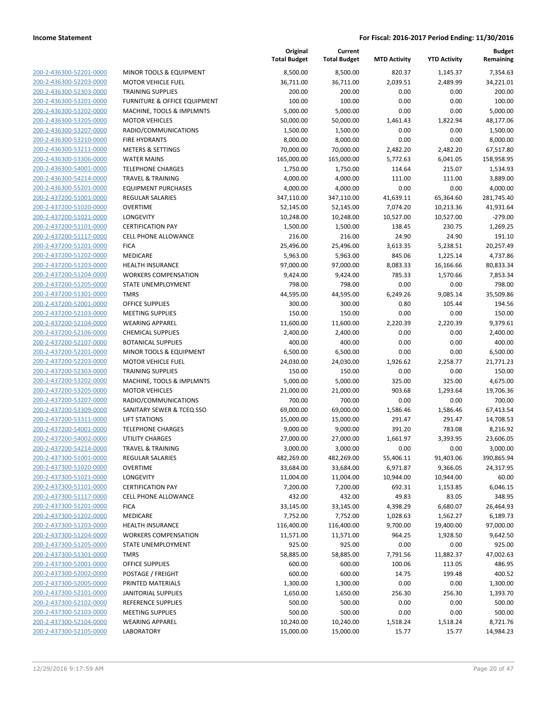| 200-2-436300-52201-0000        |
|--------------------------------|
| 200-2-436300-52203-0000        |
| 200-2-436300-52303-0000        |
| 200-2-436300-53201-0000        |
| 200-2-436300-53202-0000        |
| 200-2-436300-53205-0000        |
| 200-2-436300-53207-0000        |
|                                |
| 200-2-436300-53210-0000        |
| 200-2-436300-53211-0000        |
| 200-2-436300-53306-0000        |
| 200-2-436300-54001-0000        |
| 200-2-436300-54214-0000        |
| 200-2-436300-55201-0000        |
| <u>200-2-437200-51001-0000</u> |
| 200-2-437200-51020-0000        |
| 200-2-437200-51021-0000        |
| 200-2-437200-51101-0000        |
| 200-2-437200-51117-0000        |
|                                |
| 200-2-437200-51201-0000        |
| 200-2-437200-51202-0000        |
| 200-2-437200-51203-0000        |
| 200-2-437200-51204-0000        |
| 200-2-437200-51205-0000        |
| 200-2-437200-51301-0000        |
| 200-2-437200-52001-0000        |
| 200-2-437200-52103-0000        |
| 200-2-437200-52104-0000        |
| 200-2-437200-52106-0000        |
| 200-2-437200-52107-0000        |
|                                |
| 200-2-437200-52201-0000        |
| 200-2-437200-52203-0000        |
| 200-2-437200-52303-0000        |
| 200-2-437200-53202-0000        |
| 200-2-437200-53205-0000        |
| 200-2-437200-53207-0000        |
| 200-2-437200-53309-0000        |
| 200-2-437200-53311-0000        |
| 200-2-437200-54001-0000        |
| 200-2-437200-54002-0000        |
| 200-2-437200-54214-0000        |
| 200-2-437300-51001-0000        |
|                                |
| 200-2-437300-51020-0000        |
| <u>200-2-437300-51021-0000</u> |
| <u>200-2-437300-51101-0000</u> |
| 200-2-437300-51117-0000        |
| 200-2-437300-51201-0000        |
| 200-2-437300-51202-0000        |
| <u>200-2-437300-51203-0000</u> |
| 200-2-437300-51204-0000        |
| 200-2-437300-51205-0000        |
| 200-2-437300-51301-0000        |
| 200-2-437300-52001-0000        |
|                                |
| <u>200-2-437300-52002-0000</u> |
| <u>200-2-437300-52005-0000</u> |
| 200-2-437300-52101-0000        |
| 200-2-437300-52102-0000        |
| 200-2-437300-52103-0000        |
| <u>200-2-437300-52104-0000</u> |
| <u>200-2-437300-52105-0000</u> |
|                                |

| <b>MINOR TOOLS &amp; EQUIPMENT</b>          |
|---------------------------------------------|
| <b>MOTOR VEHICLE FUEL</b>                   |
| <b>TRAINING SUPPLIES</b>                    |
| FURNITURE & OFFICE EQUIPMENT                |
| MACHINE, TOOLS & IMPLMNTS                   |
| <b>MOTOR VEHICLES</b>                       |
| RADIO/COMMUNICATIONS                        |
| <b>FIRE HYDRANTS</b>                        |
| <b>METERS &amp; SETTINGS</b>                |
| <b>WATER MAINS</b>                          |
| <b>TELEPHONE CHARGES</b>                    |
| <b>TRAVEL &amp; TRAINING</b>                |
| <b>EQUIPMENT PURCHASES</b>                  |
| REGULAR SALARIES                            |
| <b>OVERTIME</b>                             |
| LONGEVITY                                   |
| <b>CERTIFICATION PAY</b>                    |
| <b>CELL PHONE ALLOWANCE</b>                 |
| <b>FICA</b>                                 |
| <b>MEDICARE</b>                             |
| <b>HEALTH INSURANCE</b>                     |
| <b>WORKERS COMPENSATION</b>                 |
| STATE UNEMPLOYMENT                          |
| TMRS                                        |
| <b>OFFICE SUPPLIES</b>                      |
| <b>MEETING SUPPLIES</b>                     |
| <b>WEARING APPAREL</b>                      |
| <b>CHEMICAL SUPPLIES</b>                    |
| <b>BOTANICAL SUPPLIES</b>                   |
| <b>MINOR TOOLS &amp; EQUIPMENT</b>          |
| <b>MOTOR VEHICLE FUEL</b>                   |
| <b>TRAINING SUPPLIES</b>                    |
| MACHINE, TOOLS & IMPLMNTS                   |
| <b>MOTOR VEHICLES</b>                       |
| RADIO/COMMUNICATIONS                        |
| SANITARY SEWER & TCEQ SSO                   |
| <b>LIFT STATIONS</b>                        |
| <b>TELEPHONE CHARGES</b>                    |
| <b>UTILITY CHARGES</b>                      |
| <b>TRAVEL &amp; TRAINING</b>                |
| <b>REGULAR SALARIES</b>                     |
| <b>OVERTIME</b>                             |
| <b>LONGEVITY</b>                            |
| <b>CERTIFICATION PAY</b>                    |
| <b>CELL PHONE ALLOWANCE</b>                 |
| <b>FICA</b>                                 |
| <b>MEDICARE</b>                             |
| <b>HEALTH INSURANCE</b>                     |
| <b>WORKERS COMPENSATION</b>                 |
| <b>STATE UNEMPLOYMENT</b>                   |
| <b>TMRS</b>                                 |
| OFFICE SUPPLIES                             |
| POSTAGE / FREIGHT                           |
| PRINTED MATERIALS                           |
| <b>JANITORIAL SUPPLIES</b>                  |
| <b>REFERENCE SUPPLIES</b>                   |
| <b>MEETING SUPPLIES</b>                     |
| <b>WEARING APPAREL</b><br><b>IADODATODY</b> |
|                                             |

|                         |                                         | Original<br><b>Total Budget</b> | Current<br><b>Total Budget</b> | <b>MTD Activity</b> | <b>YTD Activity</b> | <b>Budget</b><br>Remaining |
|-------------------------|-----------------------------------------|---------------------------------|--------------------------------|---------------------|---------------------|----------------------------|
| 200-2-436300-52201-0000 | MINOR TOOLS & EQUIPMENT                 | 8,500.00                        | 8,500.00                       | 820.37              | 1,145.37            | 7,354.63                   |
| 200-2-436300-52203-0000 | <b>MOTOR VEHICLE FUEL</b>               | 36,711.00                       | 36,711.00                      | 2,039.51            | 2,489.99            | 34,221.01                  |
| 200-2-436300-52303-0000 | <b>TRAINING SUPPLIES</b>                | 200.00                          | 200.00                         | 0.00                | 0.00                | 200.00                     |
| 200-2-436300-53201-0000 | <b>FURNITURE &amp; OFFICE EQUIPMENT</b> | 100.00                          | 100.00                         | 0.00                | 0.00                | 100.00                     |
| 200-2-436300-53202-0000 | MACHINE, TOOLS & IMPLMNTS               | 5,000.00                        | 5,000.00                       | 0.00                | 0.00                | 5,000.00                   |
| 200-2-436300-53205-0000 | <b>MOTOR VEHICLES</b>                   | 50,000.00                       | 50,000.00                      | 1,461.43            | 1,822.94            | 48,177.06                  |
| 200-2-436300-53207-0000 | RADIO/COMMUNICATIONS                    | 1,500.00                        | 1,500.00                       | 0.00                | 0.00                | 1,500.00                   |
| 200-2-436300-53210-0000 | <b>FIRE HYDRANTS</b>                    | 8,000.00                        | 8,000.00                       | 0.00                | 0.00                | 8,000.00                   |
| 200-2-436300-53211-0000 | <b>METERS &amp; SETTINGS</b>            | 70,000.00                       | 70,000.00                      | 2,482.20            | 2,482.20            | 67,517.80                  |
| 200-2-436300-53306-0000 | <b>WATER MAINS</b>                      | 165,000.00                      | 165,000.00                     | 5,772.63            | 6,041.05            | 158,958.95                 |
| 200-2-436300-54001-0000 | <b>TELEPHONE CHARGES</b>                | 1,750.00                        | 1,750.00                       | 114.64              | 215.07              | 1,534.93                   |
| 200-2-436300-54214-0000 | <b>TRAVEL &amp; TRAINING</b>            | 4,000.00                        | 4,000.00                       | 111.00              | 111.00              | 3,889.00                   |
| 200-2-436300-55201-0000 | <b>EQUIPMENT PURCHASES</b>              | 4,000.00                        | 4,000.00                       | 0.00                | 0.00                | 4,000.00                   |
| 200-2-437200-51001-0000 | <b>REGULAR SALARIES</b>                 | 347,110.00                      | 347,110.00                     | 41,639.11           | 65,364.60           | 281,745.40                 |
| 200-2-437200-51020-0000 | <b>OVERTIME</b>                         | 52,145.00                       | 52,145.00                      | 7,074.20            | 10,213.36           | 41,931.64                  |
| 200-2-437200-51021-0000 | <b>LONGEVITY</b>                        | 10,248.00                       | 10,248.00                      | 10,527.00           | 10,527.00           | $-279.00$                  |
| 200-2-437200-51101-0000 | <b>CERTIFICATION PAY</b>                | 1,500.00                        | 1,500.00                       | 138.45              | 230.75              | 1,269.25                   |
| 200-2-437200-51117-0000 | <b>CELL PHONE ALLOWANCE</b>             | 216.00                          | 216.00                         | 24.90               | 24.90               | 191.10                     |
| 200-2-437200-51201-0000 | <b>FICA</b>                             | 25,496.00                       | 25,496.00                      | 3,613.35            | 5,238.51            | 20,257.49                  |
| 200-2-437200-51202-0000 | MEDICARE                                | 5,963.00                        | 5,963.00                       | 845.06              | 1,225.14            | 4,737.86                   |
| 200-2-437200-51203-0000 | HEALTH INSURANCE                        | 97,000.00                       | 97,000.00                      | 8,083.33            | 16,166.66           | 80,833.34                  |
| 200-2-437200-51204-0000 | <b>WORKERS COMPENSATION</b>             | 9,424.00                        | 9,424.00                       | 785.33              | 1,570.66            | 7,853.34                   |
| 200-2-437200-51205-0000 | STATE UNEMPLOYMENT                      | 798.00                          | 798.00                         | 0.00                | 0.00                | 798.00                     |
| 200-2-437200-51301-0000 | <b>TMRS</b>                             | 44,595.00                       | 44,595.00                      | 6,249.26            | 9,085.14            | 35,509.86                  |
| 200-2-437200-52001-0000 | <b>OFFICE SUPPLIES</b>                  | 300.00                          | 300.00                         | 0.80                | 105.44              | 194.56                     |
| 200-2-437200-52103-0000 | <b>MEETING SUPPLIES</b>                 | 150.00                          | 150.00                         | 0.00                | 0.00                | 150.00                     |
| 200-2-437200-52104-0000 | <b>WEARING APPAREL</b>                  | 11,600.00                       | 11,600.00                      | 2,220.39            | 2,220.39            | 9,379.61                   |
| 200-2-437200-52106-0000 | <b>CHEMICAL SUPPLIES</b>                | 2,400.00                        | 2,400.00                       | 0.00                | 0.00                | 2,400.00                   |
| 200-2-437200-52107-0000 | <b>BOTANICAL SUPPLIES</b>               | 400.00                          | 400.00                         | 0.00                | 0.00                | 400.00                     |
| 200-2-437200-52201-0000 | MINOR TOOLS & EQUIPMENT                 | 6,500.00                        | 6,500.00                       | 0.00                | 0.00                | 6,500.00                   |
| 200-2-437200-52203-0000 | <b>MOTOR VEHICLE FUEL</b>               | 24,030.00                       | 24,030.00                      | 1,926.62            | 2,258.77            | 21,771.23                  |
| 200-2-437200-52303-0000 | <b>TRAINING SUPPLIES</b>                | 150.00                          | 150.00                         | 0.00                | 0.00                | 150.00                     |
| 200-2-437200-53202-0000 | MACHINE, TOOLS & IMPLMNTS               | 5,000.00                        | 5,000.00                       | 325.00              | 325.00              | 4,675.00                   |
| 200-2-437200-53205-0000 | <b>MOTOR VEHICLES</b>                   | 21,000.00                       | 21,000.00                      | 903.68              | 1,293.64            | 19,706.36                  |
| 200-2-437200-53207-0000 | RADIO/COMMUNICATIONS                    | 700.00                          | 700.00                         | 0.00                | 0.00                | 700.00                     |
| 200-2-437200-53309-0000 | SANITARY SEWER & TCEQ SSO               | 69,000.00                       | 69,000.00                      | 1,586.46            | 1,586.46            | 67,413.54                  |
| 200-2-437200-53311-0000 | <b>LIFT STATIONS</b>                    | 15,000.00                       | 15,000.00                      | 291.47              | 291.47              | 14,708.53                  |
| 200-2-437200-54001-0000 | <b>TELEPHONE CHARGES</b>                | 9,000.00                        | 9,000.00                       | 391.20              | 783.08              | 8,216.92                   |
| 200-2-437200-54002-0000 | <b>UTILITY CHARGES</b>                  | 27,000.00                       | 27,000.00                      | 1,661.97            | 3,393.95            | 23,606.05                  |
| 200-2-437200-54214-0000 | TRAVEL & TRAINING                       | 3,000.00                        | 3,000.00                       | 0.00                | 0.00                | 3,000.00                   |
| 200-2-437300-51001-0000 | REGULAR SALARIES                        | 482,269.00                      | 482,269.00                     | 55,406.11           | 91,403.06           | 390,865.94                 |
| 200-2-437300-51020-0000 | <b>OVERTIME</b>                         | 33,684.00                       | 33,684.00                      | 6,971.87            | 9,366.05            | 24,317.95                  |
| 200-2-437300-51021-0000 | LONGEVITY                               | 11,004.00                       | 11,004.00                      | 10,944.00           | 10,944.00           | 60.00                      |
| 200-2-437300-51101-0000 | <b>CERTIFICATION PAY</b>                | 7,200.00                        | 7,200.00                       | 692.31              | 1,153.85            | 6,046.15                   |
| 200-2-437300-51117-0000 | <b>CELL PHONE ALLOWANCE</b>             | 432.00                          | 432.00                         | 49.83               | 83.05               | 348.95                     |
| 200-2-437300-51201-0000 | <b>FICA</b>                             | 33,145.00                       | 33,145.00                      | 4,398.29            | 6,680.07            | 26,464.93                  |
| 200-2-437300-51202-0000 | MEDICARE                                | 7,752.00                        | 7,752.00                       | 1,028.63            | 1,562.27            | 6,189.73                   |
| 200-2-437300-51203-0000 | HEALTH INSURANCE                        | 116,400.00                      | 116,400.00                     | 9,700.00            | 19,400.00           | 97,000.00                  |
| 200-2-437300-51204-0000 | <b>WORKERS COMPENSATION</b>             | 11,571.00                       | 11,571.00                      | 964.25              | 1,928.50            | 9,642.50                   |
| 200-2-437300-51205-0000 | STATE UNEMPLOYMENT                      | 925.00                          | 925.00                         | 0.00                | 0.00                | 925.00                     |
| 200-2-437300-51301-0000 | TMRS                                    | 58,885.00                       | 58,885.00                      | 7,791.56            | 11,882.37           | 47,002.63                  |
| 200-2-437300-52001-0000 | <b>OFFICE SUPPLIES</b>                  | 600.00                          | 600.00                         | 100.06              | 113.05              | 486.95                     |
| 200-2-437300-52002-0000 | POSTAGE / FREIGHT                       | 600.00                          | 600.00                         | 14.75               | 199.48              | 400.52                     |
| 200-2-437300-52005-0000 | PRINTED MATERIALS                       | 1,300.00                        | 1,300.00                       | 0.00                | 0.00                | 1,300.00                   |
| 200-2-437300-52101-0000 | <b>JANITORIAL SUPPLIES</b>              | 1,650.00                        | 1,650.00                       | 256.30              | 256.30              | 1,393.70                   |
| 200-2-437300-52102-0000 | REFERENCE SUPPLIES                      | 500.00                          | 500.00                         | 0.00                | 0.00                | 500.00                     |
| 200-2-437300-52103-0000 | <b>MEETING SUPPLIES</b>                 | 500.00                          | 500.00                         | 0.00                | 0.00                | 500.00                     |
| 200-2-437300-52104-0000 | <b>WEARING APPAREL</b>                  | 10,240.00                       | 10,240.00                      | 1,518.24            | 1,518.24            | 8,721.76                   |
| 200-2-437300-52105-0000 | <b>LABORATORY</b>                       | 15,000.00                       | 15,000.00                      | 15.77               | 15.77               | 14,984.23                  |
|                         |                                         |                                 |                                |                     |                     |                            |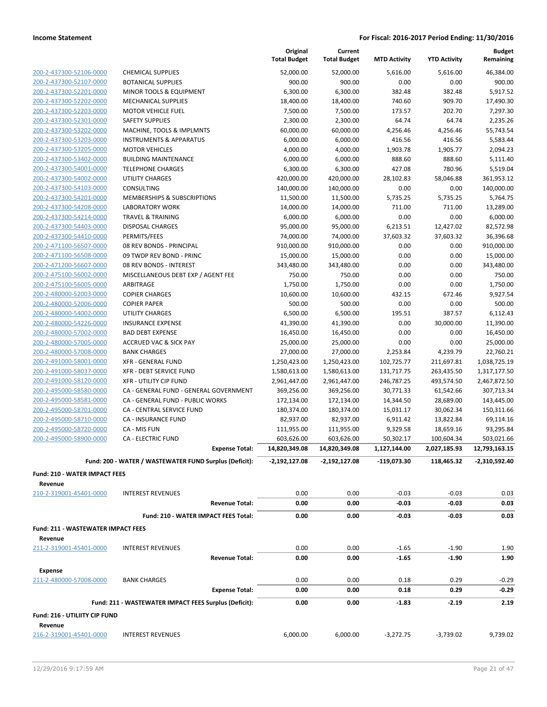|                                                      |                                                                            | Original<br><b>Total Budget</b> | Current<br><b>Total Budget</b> | <b>MTD Activity</b>    | <b>YTD Activity</b>    | <b>Budget</b><br>Remaining |
|------------------------------------------------------|----------------------------------------------------------------------------|---------------------------------|--------------------------------|------------------------|------------------------|----------------------------|
| 200-2-437300-52106-0000                              | <b>CHEMICAL SUPPLIES</b>                                                   | 52,000.00                       | 52,000.00                      | 5,616.00               | 5,616.00               | 46,384.00                  |
| 200-2-437300-52107-0000                              | <b>BOTANICAL SUPPLIES</b>                                                  | 900.00                          | 900.00                         | 0.00                   | 0.00                   | 900.00                     |
| 200-2-437300-52201-0000                              | MINOR TOOLS & EQUIPMENT                                                    | 6,300.00                        | 6,300.00                       | 382.48                 | 382.48                 | 5,917.52                   |
| 200-2-437300-52202-0000                              | <b>MECHANICAL SUPPLIES</b>                                                 | 18,400.00                       | 18,400.00                      | 740.60                 | 909.70                 | 17,490.30                  |
| 200-2-437300-52203-0000                              | <b>MOTOR VEHICLE FUEL</b>                                                  | 7,500.00                        | 7,500.00                       | 173.57                 | 202.70                 | 7,297.30                   |
| 200-2-437300-52301-0000                              | <b>SAFETY SUPPLIES</b>                                                     | 2,300.00                        | 2,300.00                       | 64.74                  | 64.74                  | 2,235.26                   |
| 200-2-437300-53202-0000                              | MACHINE, TOOLS & IMPLMNTS                                                  | 60,000.00                       | 60,000.00                      | 4,256.46               | 4,256.46               | 55,743.54                  |
| 200-2-437300-53203-0000                              | <b>INSTRUMENTS &amp; APPARATUS</b>                                         | 6,000.00                        | 6,000.00                       | 416.56                 | 416.56                 | 5,583.44                   |
| 200-2-437300-53205-0000                              | <b>MOTOR VEHICLES</b>                                                      | 4,000.00                        | 4,000.00                       | 1,903.78               | 1,905.77               | 2,094.23                   |
| 200-2-437300-53402-0000                              | <b>BUILDING MAINTENANCE</b>                                                | 6,000.00                        | 6,000.00                       | 888.60                 | 888.60                 | 5,111.40                   |
| 200-2-437300-54001-0000                              | <b>TELEPHONE CHARGES</b>                                                   | 6,300.00                        | 6,300.00                       | 427.08                 | 780.96                 | 5,519.04                   |
| 200-2-437300-54002-0000                              | <b>UTILITY CHARGES</b>                                                     | 420,000.00                      | 420,000.00                     | 28,102.83              | 58,046.88              | 361,953.12                 |
| 200-2-437300-54103-0000                              | <b>CONSULTING</b>                                                          | 140,000.00                      | 140,000.00                     | 0.00                   | 0.00                   | 140,000.00                 |
| 200-2-437300-54201-0000                              | MEMBERSHIPS & SUBSCRIPTIONS                                                | 11,500.00                       | 11,500.00                      | 5,735.25               | 5,735.25               | 5,764.75                   |
| 200-2-437300-54208-0000                              | LABORATORY WORK                                                            | 14,000.00                       | 14,000.00                      | 711.00                 | 711.00                 | 13,289.00                  |
| 200-2-437300-54214-0000                              | <b>TRAVEL &amp; TRAINING</b>                                               | 6,000.00                        | 6,000.00                       | 0.00                   | 0.00                   | 6,000.00                   |
| 200-2-437300-54403-0000                              | <b>DISPOSAL CHARGES</b>                                                    | 95,000.00                       | 95,000.00                      | 6,213.51               | 12,427.02              | 82,572.98                  |
| 200-2-437300-54410-0000                              | PERMITS/FEES                                                               | 74,000.00                       | 74,000.00                      | 37,603.32              | 37,603.32              | 36,396.68                  |
| 200-2-471100-56507-0000                              | 08 REV BONDS - PRINCIPAL                                                   | 910,000.00                      | 910,000.00                     | 0.00                   | 0.00                   | 910,000.00                 |
| 200-2-471100-56508-0000                              | 09 TWDP REV BOND - PRINC                                                   | 15,000.00                       | 15,000.00                      | 0.00                   | 0.00                   | 15,000.00                  |
| 200-2-471200-56607-0000                              | 08 REV BONDS - INTEREST                                                    | 343,480.00                      | 343,480.00                     | 0.00                   | 0.00                   | 343,480.00                 |
| 200-2-475100-56002-0000                              | MISCELLANEOUS DEBT EXP / AGENT FEE                                         | 750.00                          | 750.00                         | 0.00                   | 0.00                   | 750.00                     |
| 200-2-475100-56005-0000                              | ARBITRAGE                                                                  | 1,750.00                        | 1,750.00                       | 0.00                   | 0.00                   | 1,750.00                   |
| 200-2-480000-52003-0000                              | <b>COPIER CHARGES</b>                                                      | 10,600.00                       | 10,600.00                      | 432.15                 | 672.46                 | 9,927.54                   |
| 200-2-480000-52006-0000                              | <b>COPIER PAPER</b>                                                        | 500.00                          | 500.00                         | 0.00                   | 0.00                   | 500.00                     |
| 200-2-480000-54002-0000                              | <b>UTILITY CHARGES</b>                                                     | 6,500.00                        | 6,500.00                       | 195.51                 | 387.57                 | 6,112.43                   |
| 200-2-480000-54226-0000                              | <b>INSURANCE EXPENSE</b>                                                   | 41,390.00                       | 41,390.00                      | 0.00                   | 30,000.00              | 11,390.00                  |
| 200-2-480000-57002-0000                              | <b>BAD DEBT EXPENSE</b>                                                    | 16,450.00                       | 16,450.00                      | 0.00                   | 0.00                   | 16,450.00                  |
| 200-2-480000-57005-0000                              | <b>ACCRUED VAC &amp; SICK PAY</b><br><b>BANK CHARGES</b>                   | 25,000.00                       | 25,000.00                      | 0.00                   | 0.00                   | 25,000.00                  |
| 200-2-480000-57008-0000                              |                                                                            | 27,000.00                       | 27,000.00                      | 2,253.84               | 4,239.79               | 22,760.21                  |
| 200-2-491000-58001-0000                              | <b>XFR - GENERAL FUND</b><br>XFR - DEBT SERVICE FUND                       | 1,250,423.00                    | 1,250,423.00                   | 102,725.77             | 211,697.81             | 1,038,725.19               |
| 200-2-491000-58037-0000<br>200-2-491000-58120-0000   | <b>XFR - UTILITY CIP FUND</b>                                              | 1,580,613.00                    | 1,580,613.00                   | 131,717.75             | 263,435.50             | 1,317,177.50               |
| 200-2-495000-58580-0000                              |                                                                            | 2,961,447.00                    | 2,961,447.00                   | 246,787.25             | 493,574.50             | 2,467,872.50               |
| 200-2-495000-58581-0000                              | CA - GENERAL FUND - GENERAL GOVERNMENT<br>CA - GENERAL FUND - PUBLIC WORKS | 369,256.00                      | 369,256.00                     | 30,771.33<br>14,344.50 | 61,542.66<br>28,689.00 | 307,713.34<br>143,445.00   |
| 200-2-495000-58701-0000                              | CA - CENTRAL SERVICE FUND                                                  | 172,134.00<br>180,374.00        | 172,134.00<br>180,374.00       | 15,031.17              | 30,062.34              | 150,311.66                 |
| 200-2-495000-58710-0000                              | CA - INSURANCE FUND                                                        | 82,937.00                       | 82,937.00                      | 6,911.42               | 13,822.84              | 69,114.16                  |
| 200-2-495000-58720-0000                              | CA - MIS FUN                                                               | 111,955.00                      | 111,955.00                     | 9,329.58               | 18,659.16              | 93,295.84                  |
| 200-2-495000-58900-0000                              | <b>CA - ELECTRIC FUND</b>                                                  | 603,626.00                      | 603,626.00                     | 50,302.17              | 100,604.34             | 503,021.66                 |
|                                                      | <b>Expense Total:</b>                                                      | 14,820,349.08                   | 14,820,349.08                  | 1,127,144.00           | 2,027,185.93           | 12,793,163.15              |
|                                                      |                                                                            |                                 |                                |                        |                        |                            |
|                                                      | Fund: 200 - WATER / WASTEWATER FUND Surplus (Deficit):                     | $-2,192,127.08$                 | -2,192,127.08                  | $-119,073.30$          | 118,465.32             | -2,310,592.40              |
| <b>Fund: 210 - WATER IMPACT FEES</b>                 |                                                                            |                                 |                                |                        |                        |                            |
| Revenue                                              |                                                                            |                                 |                                |                        |                        |                            |
| 210-2-319001-45401-0000                              | <b>INTEREST REVENUES</b>                                                   | 0.00                            | 0.00                           | $-0.03$                | $-0.03$                | 0.03                       |
|                                                      | <b>Revenue Total:</b>                                                      | 0.00                            | 0.00                           | $-0.03$                | -0.03                  | 0.03                       |
|                                                      | Fund: 210 - WATER IMPACT FEES Total:                                       | 0.00                            | 0.00                           | $-0.03$                | $-0.03$                | 0.03                       |
| <b>Fund: 211 - WASTEWATER IMPACT FEES</b><br>Revenue |                                                                            |                                 |                                |                        |                        |                            |
| 211-2-319001-45401-0000                              | <b>INTEREST REVENUES</b>                                                   | 0.00                            | 0.00                           | $-1.65$                | $-1.90$                | 1.90                       |
|                                                      | <b>Revenue Total:</b>                                                      | 0.00                            | 0.00                           | $-1.65$                | $-1.90$                | 1.90                       |
| <b>Expense</b>                                       |                                                                            |                                 |                                |                        |                        |                            |
| 211-2-480000-57008-0000                              | <b>BANK CHARGES</b>                                                        | 0.00                            | 0.00                           | 0.18                   | 0.29                   | $-0.29$                    |
|                                                      | <b>Expense Total:</b>                                                      | 0.00                            | 0.00                           | 0.18                   | 0.29                   | $-0.29$                    |
|                                                      | Fund: 211 - WASTEWATER IMPACT FEES Surplus (Deficit):                      | 0.00                            | 0.00                           | $-1.83$                | $-2.19$                | 2.19                       |
|                                                      |                                                                            |                                 |                                |                        |                        |                            |
| Fund: 216 - UTILIITY CIP FUND<br>Revenue             |                                                                            |                                 |                                |                        |                        |                            |
| 216-2-319001-45401-0000                              | <b>INTEREST REVENUES</b>                                                   | 6,000.00                        | 6,000.00                       | $-3,272.75$            | $-3,739.02$            | 9,739.02                   |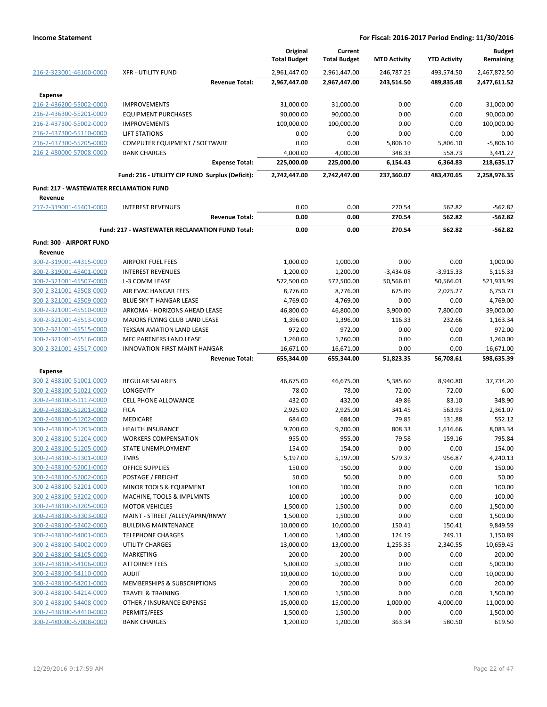|                                         |                                                       | Original<br><b>Total Budget</b> | Current<br><b>Total Budget</b> | <b>MTD Activity</b> | <b>YTD Activity</b> | <b>Budget</b><br>Remaining |
|-----------------------------------------|-------------------------------------------------------|---------------------------------|--------------------------------|---------------------|---------------------|----------------------------|
| 216-2-323001-46100-0000                 | <b>XFR - UTILITY FUND</b>                             | 2,961,447.00                    | 2,961,447.00                   | 246.787.25          | 493.574.50          | 2,467,872.50               |
|                                         | <b>Revenue Total:</b>                                 | 2,967,447.00                    | 2,967,447.00                   | 243,514.50          | 489,835.48          | 2,477,611.52               |
| <b>Expense</b>                          |                                                       |                                 |                                |                     |                     |                            |
| 216-2-436200-55002-0000                 | <b>IMPROVEMENTS</b>                                   | 31,000.00                       | 31,000.00                      | 0.00                | 0.00                | 31,000.00                  |
| 216-2-436300-55201-0000                 | <b>EQUIPMENT PURCHASES</b>                            | 90,000.00                       | 90,000.00                      | 0.00                | 0.00                | 90,000.00                  |
| 216-2-437300-55002-0000                 | <b>IMPROVEMENTS</b>                                   | 100,000.00                      | 100,000.00                     | 0.00                | 0.00                | 100,000.00                 |
| 216-2-437300-55110-0000                 | <b>LIFT STATIONS</b>                                  | 0.00                            | 0.00                           | 0.00                | 0.00                | 0.00                       |
| 216-2-437300-55205-0000                 | COMPUTER EQUIPMENT / SOFTWARE                         | 0.00                            | 0.00                           | 5,806.10            | 5,806.10            | $-5,806.10$                |
| 216-2-480000-57008-0000                 | <b>BANK CHARGES</b>                                   | 4,000.00                        | 4,000.00                       | 348.33              | 558.73              | 3,441.27                   |
|                                         | <b>Expense Total:</b>                                 | 225,000.00                      | 225,000.00                     | 6,154.43            | 6,364.83            | 218,635.17                 |
|                                         | Fund: 216 - UTILIITY CIP FUND Surplus (Deficit):      | 2,742,447.00                    | 2,742,447.00                   | 237,360.07          | 483,470.65          | 2,258,976.35               |
| Fund: 217 - WASTEWATER RECLAMATION FUND |                                                       |                                 |                                |                     |                     |                            |
| Revenue                                 |                                                       |                                 |                                |                     |                     |                            |
| 217-2-319001-45401-0000                 | <b>INTEREST REVENUES</b>                              | 0.00                            | 0.00                           | 270.54              | 562.82              | $-562.82$                  |
|                                         | <b>Revenue Total:</b>                                 | 0.00                            | 0.00                           | 270.54              | 562.82              | $-562.82$                  |
|                                         | <b>Fund: 217 - WASTEWATER RECLAMATION FUND Total:</b> | 0.00                            | 0.00                           | 270.54              | 562.82              | $-562.82$                  |
| Fund: 300 - AIRPORT FUND                |                                                       |                                 |                                |                     |                     |                            |
| Revenue                                 |                                                       |                                 |                                |                     |                     |                            |
| 300-2-319001-44315-0000                 | <b>AIRPORT FUEL FEES</b>                              | 1,000.00                        | 1,000.00                       | 0.00                | 0.00                | 1,000.00                   |
| 300-2-319001-45401-0000                 | <b>INTEREST REVENUES</b>                              | 1,200.00                        | 1,200.00                       | $-3,434.08$         | $-3,915.33$         | 5,115.33                   |
| 300-2-321001-45507-0000                 | L-3 COMM LEASE                                        | 572,500.00                      | 572,500.00                     | 50,566.01           | 50,566.01           | 521,933.99                 |
| 300-2-321001-45508-0000                 | AIR EVAC HANGAR FEES                                  | 8,776.00                        | 8,776.00                       | 675.09              | 2,025.27            | 6,750.73                   |
| 300-2-321001-45509-0000                 | BLUE SKY T-HANGAR LEASE                               | 4,769.00                        | 4,769.00                       | 0.00                | 0.00                | 4,769.00                   |
| 300-2-321001-45510-0000                 | ARKOMA - HORIZONS AHEAD LEASE                         | 46,800.00                       | 46,800.00                      | 3,900.00            | 7,800.00            | 39,000.00                  |
| 300-2-321001-45513-0000                 | MAJORS FLYING CLUB LAND LEASE                         | 1,396.00                        | 1,396.00                       | 116.33              | 232.66              | 1,163.34                   |
| 300-2-321001-45515-0000                 | TEXSAN AVIATION LAND LEASE                            | 972.00                          | 972.00                         | 0.00                | 0.00                | 972.00                     |
| 300-2-321001-45516-0000                 | MFC PARTNERS LAND LEASE                               | 1,260.00                        | 1,260.00                       | 0.00                | 0.00                | 1,260.00                   |
| 300-2-321001-45517-0000                 | <b>INNOVATION FIRST MAINT HANGAR</b>                  | 16,671.00                       | 16,671.00                      | 0.00                | 0.00                | 16,671.00                  |
|                                         | <b>Revenue Total:</b>                                 | 655,344.00                      | 655,344.00                     | 51,823.35           | 56,708.61           | 598,635.39                 |
| <b>Expense</b>                          |                                                       |                                 |                                |                     |                     |                            |
| 300-2-438100-51001-0000                 | <b>REGULAR SALARIES</b>                               | 46,675.00                       | 46,675.00                      | 5,385.60            | 8,940.80            | 37,734.20                  |
| 300-2-438100-51021-0000                 | <b>LONGEVITY</b>                                      | 78.00                           | 78.00                          | 72.00               | 72.00               | 6.00                       |
| 300-2-438100-51117-0000                 | <b>CELL PHONE ALLOWANCE</b>                           | 432.00                          | 432.00                         | 49.86               | 83.10               | 348.90                     |
| 300-2-438100-51201-0000                 | <b>FICA</b>                                           | 2,925.00                        | 2,925.00                       | 341.45              | 563.93              | 2,361.07                   |
| 300-2-438100-51202-0000                 | <b>MEDICARE</b>                                       | 684.00                          | 684.00                         | 79.85               | 131.88              | 552.12                     |
| 300-2-438100-51203-0000                 | <b>HEALTH INSURANCE</b>                               | 9,700.00                        | 9,700.00                       | 808.33              | 1,616.66            | 8,083.34                   |
| 300-2-438100-51204-0000                 | <b>WORKERS COMPENSATION</b>                           | 955.00                          | 955.00                         | 79.58               | 159.16              | 795.84                     |
| 300-2-438100-51205-0000                 | STATE UNEMPLOYMENT                                    | 154.00                          | 154.00                         | 0.00                | 0.00                | 154.00                     |
| 300-2-438100-51301-0000                 | <b>TMRS</b>                                           | 5,197.00                        | 5,197.00                       | 579.37              | 956.87              | 4,240.13                   |
| 300-2-438100-52001-0000                 | OFFICE SUPPLIES                                       | 150.00                          | 150.00                         | 0.00                | 0.00                | 150.00                     |
| 300-2-438100-52002-0000                 | POSTAGE / FREIGHT                                     | 50.00                           | 50.00                          | 0.00                | 0.00                | 50.00                      |
| 300-2-438100-52201-0000                 | <b>MINOR TOOLS &amp; EQUIPMENT</b>                    | 100.00                          | 100.00                         | 0.00                | 0.00                | 100.00                     |
| 300-2-438100-53202-0000                 | MACHINE, TOOLS & IMPLMNTS                             | 100.00                          | 100.00                         | 0.00                | 0.00                | 100.00                     |
| 300-2-438100-53205-0000                 | <b>MOTOR VEHICLES</b>                                 | 1,500.00                        | 1,500.00                       | 0.00                | 0.00                | 1,500.00                   |
| 300-2-438100-53303-0000                 | MAINT - STREET /ALLEY/APRN/RNWY                       | 1,500.00                        | 1,500.00                       | 0.00                | 0.00                | 1,500.00                   |
| 300-2-438100-53402-0000                 | <b>BUILDING MAINTENANCE</b>                           | 10,000.00                       | 10,000.00                      | 150.41              | 150.41              | 9,849.59                   |
| 300-2-438100-54001-0000                 | <b>TELEPHONE CHARGES</b>                              | 1,400.00                        | 1,400.00                       | 124.19              | 249.11              | 1,150.89                   |
| 300-2-438100-54002-0000                 | UTILITY CHARGES                                       | 13,000.00                       | 13,000.00                      | 1,255.35            | 2,340.55            | 10,659.45                  |
| 300-2-438100-54105-0000                 | MARKETING                                             | 200.00                          | 200.00                         | 0.00                | 0.00                | 200.00                     |
| 300-2-438100-54106-0000                 | <b>ATTORNEY FEES</b>                                  | 5,000.00                        | 5,000.00                       | 0.00                | 0.00                | 5,000.00                   |
| 300-2-438100-54110-0000                 | <b>AUDIT</b>                                          | 10,000.00                       | 10,000.00                      | 0.00                | 0.00                | 10,000.00                  |
| 300-2-438100-54201-0000                 | MEMBERSHIPS & SUBSCRIPTIONS                           | 200.00                          | 200.00                         | 0.00                | 0.00                | 200.00                     |
| 300-2-438100-54214-0000                 | TRAVEL & TRAINING                                     | 1,500.00                        | 1,500.00                       | 0.00                | 0.00                | 1,500.00                   |
| 300-2-438100-54408-0000                 | OTHER / INSURANCE EXPENSE                             | 15,000.00                       | 15,000.00                      | 1,000.00            | 4,000.00            | 11,000.00                  |
| 300-2-438100-54410-0000                 | PERMITS/FEES                                          | 1,500.00                        | 1,500.00                       | 0.00                | 0.00                | 1,500.00                   |
| 300-2-480000-57008-0000                 | <b>BANK CHARGES</b>                                   | 1,200.00                        | 1,200.00                       | 363.34              | 580.50              | 619.50                     |
|                                         |                                                       |                                 |                                |                     |                     |                            |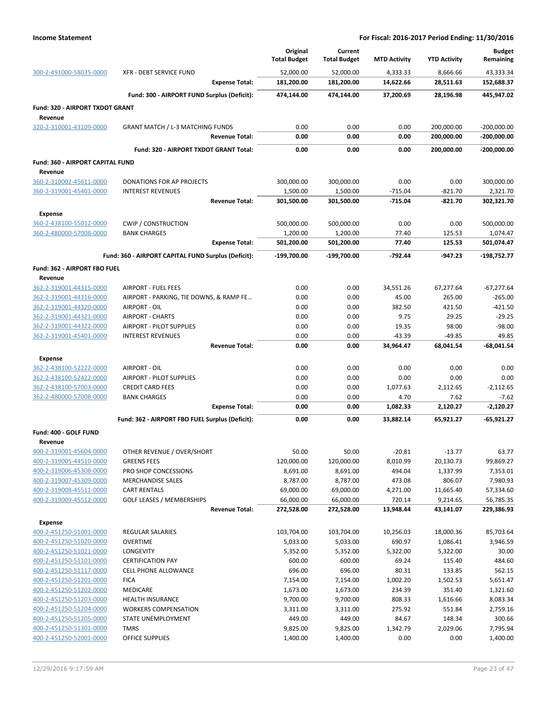|                                                    |                                                             | Original<br><b>Total Budget</b> | Current<br><b>Total Budget</b> | <b>MTD Activity</b> | <b>YTD Activity</b> | <b>Budget</b><br>Remaining |
|----------------------------------------------------|-------------------------------------------------------------|---------------------------------|--------------------------------|---------------------|---------------------|----------------------------|
| 300-2-491000-58035-0000                            | <b>XFR - DEBT SERVICE FUND</b>                              | 52,000.00                       | 52,000.00                      | 4,333.33            | 8,666.66            | 43,333.34                  |
|                                                    | <b>Expense Total:</b>                                       | 181,200.00                      | 181,200.00                     | 14,622.66           | 28,511.63           | 152,688.37                 |
|                                                    | Fund: 300 - AIRPORT FUND Surplus (Deficit):                 | 474,144.00                      | 474,144.00                     | 37,200.69           | 28,196.98           | 445,947.02                 |
| Fund: 320 - AIRPORT TXDOT GRANT                    |                                                             |                                 |                                |                     |                     |                            |
| Revenue                                            |                                                             |                                 |                                |                     |                     |                            |
| 320-2-310001-43109-0000                            | <b>GRANT MATCH / L-3 MATCHING FUNDS</b>                     | 0.00                            | 0.00                           | 0.00                | 200,000.00          | $-200,000.00$              |
|                                                    | <b>Revenue Total:</b>                                       | 0.00                            | 0.00                           | 0.00                | 200,000.00          | $-200,000.00$              |
|                                                    | Fund: 320 - AIRPORT TXDOT GRANT Total:                      | 0.00                            | 0.00                           | 0.00                | 200,000.00          | $-200,000.00$              |
| Fund: 360 - AIRPORT CAPITAL FUND                   |                                                             |                                 |                                |                     |                     |                            |
| Revenue                                            |                                                             |                                 |                                |                     |                     |                            |
| 360-2-310002-45611-0000                            | DONATIONS FOR AP PROJECTS                                   | 300,000.00                      | 300,000.00                     | 0.00                | 0.00                | 300,000.00                 |
| 360-2-319001-45401-0000                            | <b>INTEREST REVENUES</b>                                    | 1,500.00                        | 1,500.00                       | $-715.04$           | $-821.70$           | 2,321.70                   |
|                                                    | <b>Revenue Total:</b>                                       | 301,500.00                      | 301,500.00                     | $-715.04$           | $-821.70$           | 302,321.70                 |
| <b>Expense</b>                                     |                                                             |                                 |                                |                     |                     |                            |
| 360-2-438100-55012-0000                            | <b>CWIP / CONSTRUCTION</b>                                  | 500,000.00                      | 500,000.00                     | 0.00                | 0.00                | 500,000.00                 |
| 360-2-480000-57008-0000                            | <b>BANK CHARGES</b>                                         | 1,200.00                        | 1,200.00                       | 77.40               | 125.53              | 1,074.47                   |
|                                                    | <b>Expense Total:</b>                                       | 501,200.00                      | 501,200.00                     | 77.40               | 125.53              | 501,074.47                 |
|                                                    | Fund: 360 - AIRPORT CAPITAL FUND Surplus (Deficit):         | -199.700.00                     | $-199,700.00$                  | $-792.44$           | -947.23             | -198,752.77                |
| Fund: 362 - AIRPORT FBO FUEL                       |                                                             |                                 |                                |                     |                     |                            |
| Revenue                                            |                                                             |                                 |                                |                     |                     |                            |
| 362-2-319001-44315-0000                            | <b>AIRPORT - FUEL FEES</b>                                  | 0.00                            | 0.00                           | 34,551.26           | 67,277.64           | $-67,277.64$               |
| 362-2-319001-44316-0000                            | AIRPORT - PARKING, TIE DOWNS, & RAMP FE                     | 0.00                            | 0.00                           | 45.00               | 265.00              | $-265.00$                  |
| 362-2-319001-44320-0000                            | AIRPORT - OIL                                               | 0.00                            | 0.00                           | 382.50              | 421.50              | $-421.50$                  |
| 362-2-319001-44321-0000                            | <b>AIRPORT - CHARTS</b>                                     | 0.00                            | 0.00                           | 9.75                | 29.25               | $-29.25$                   |
| 362-2-319001-44322-0000<br>362-2-319001-45401-0000 | <b>AIRPORT - PILOT SUPPLIES</b><br><b>INTEREST REVENUES</b> | 0.00<br>0.00                    | 0.00<br>0.00                   | 19.35<br>$-43.39$   | 98.00<br>$-49.85$   | $-98.00$<br>49.85          |
|                                                    | <b>Revenue Total:</b>                                       | 0.00                            | 0.00                           | 34,964.47           | 68,041.54           | $-68,041.54$               |
|                                                    |                                                             |                                 |                                |                     |                     |                            |
| <b>Expense</b><br>362-2-438100-52222-0000          | AIRPORT - OIL                                               | 0.00                            | 0.00                           | 0.00                | 0.00                | 0.00                       |
| 362-2-438100-52422-0000                            | AIRPORT - PILOT SUPPLIES                                    | 0.00                            | 0.00                           | 0.00                | 0.00                | 0.00                       |
| 362-2-438100-57003-0000                            | <b>CREDIT CARD FEES</b>                                     | 0.00                            | 0.00                           | 1,077.63            | 2,112.65            | $-2,112.65$                |
| 362-2-480000-57008-0000                            | <b>BANK CHARGES</b>                                         | 0.00                            | 0.00                           | 4.70                | 7.62                | $-7.62$                    |
|                                                    | <b>Expense Total:</b>                                       | 0.00                            | 0.00                           | 1,082.33            | 2,120.27            | $-2,120.27$                |
|                                                    | Fund: 362 - AIRPORT FBO FUEL Surplus (Deficit):             | 0.00                            | 0.00                           | 33,882.14           | 65,921.27           | $-65,921.27$               |
| Fund: 400 - GOLF FUND                              |                                                             |                                 |                                |                     |                     |                            |
| Revenue                                            |                                                             |                                 |                                |                     |                     |                            |
| 400-2-319001-45604-0000                            | OTHER REVENUE / OVER/SHORT                                  | 50.00                           | 50.00                          | $-20.81$            | $-13.77$            | 63.77                      |
| 400-2-319005-44510-0000                            | <b>GREENS FEES</b>                                          | 120,000.00                      | 120,000.00                     | 8,010.99            | 20,130.73           | 99,869.27                  |
| 400-2-319006-45308-0000                            | PRO SHOP CONCESSIONS                                        | 8,691.00                        | 8,691.00                       | 494.04              | 1,337.99            | 7,353.01                   |
| 400-2-319007-45309-0000                            | <b>MERCHANDISE SALES</b>                                    | 8,787.00                        | 8,787.00                       | 473.08              | 806.07              | 7,980.93                   |
| 400-2-319008-45511-0000                            | <b>CART RENTALS</b>                                         | 69,000.00                       | 69,000.00                      | 4,271.00            | 11,665.40           | 57,334.60                  |
| 400-2-319009-45512-0000                            | <b>GOLF LEASES / MEMBERSHIPS</b><br><b>Revenue Total:</b>   | 66,000.00<br>272,528.00         | 66,000.00<br>272,528.00        | 720.14<br>13,948.44 | 9,214.65            | 56,785.35<br>229,386.93    |
|                                                    |                                                             |                                 |                                |                     | 43,141.07           |                            |
| Expense                                            |                                                             |                                 |                                |                     |                     |                            |
| 400-2-451250-51001-0000                            | <b>REGULAR SALARIES</b>                                     | 103,704.00                      | 103,704.00                     | 10,256.03           | 18,000.36           | 85,703.64                  |
| 400-2-451250-51020-0000                            | <b>OVERTIME</b>                                             | 5,033.00<br>5,352.00            | 5,033.00                       | 690.97              | 1,086.41            | 3,946.59                   |
| 400-2-451250-51021-0000                            | LONGEVITY<br><b>CERTIFICATION PAY</b>                       | 600.00                          | 5,352.00<br>600.00             | 5,322.00<br>69.24   | 5,322.00<br>115.40  | 30.00<br>484.60            |
| 400-2-451250-51101-0000<br>400-2-451250-51117-0000 | CELL PHONE ALLOWANCE                                        | 696.00                          | 696.00                         | 80.31               | 133.85              | 562.15                     |
| 400-2-451250-51201-0000                            | <b>FICA</b>                                                 | 7,154.00                        | 7,154.00                       | 1,002.20            | 1,502.53            | 5,651.47                   |
| 400-2-451250-51202-0000                            | <b>MEDICARE</b>                                             | 1,673.00                        | 1,673.00                       | 234.39              | 351.40              | 1,321.60                   |
| 400-2-451250-51203-0000                            | <b>HEALTH INSURANCE</b>                                     | 9,700.00                        | 9,700.00                       | 808.33              | 1,616.66            | 8,083.34                   |
| 400-2-451250-51204-0000                            | <b>WORKERS COMPENSATION</b>                                 | 3,311.00                        | 3,311.00                       | 275.92              | 551.84              | 2,759.16                   |
| 400-2-451250-51205-0000                            | STATE UNEMPLOYMENT                                          | 449.00                          | 449.00                         | 84.67               | 148.34              | 300.66                     |
| 400-2-451250-51301-0000                            | <b>TMRS</b>                                                 | 9,825.00                        | 9,825.00                       | 1,342.79            | 2,029.06            | 7,795.94                   |
| 400-2-451250-52001-0000                            | OFFICE SUPPLIES                                             | 1,400.00                        | 1,400.00                       | 0.00                | 0.00                | 1,400.00                   |
|                                                    |                                                             |                                 |                                |                     |                     |                            |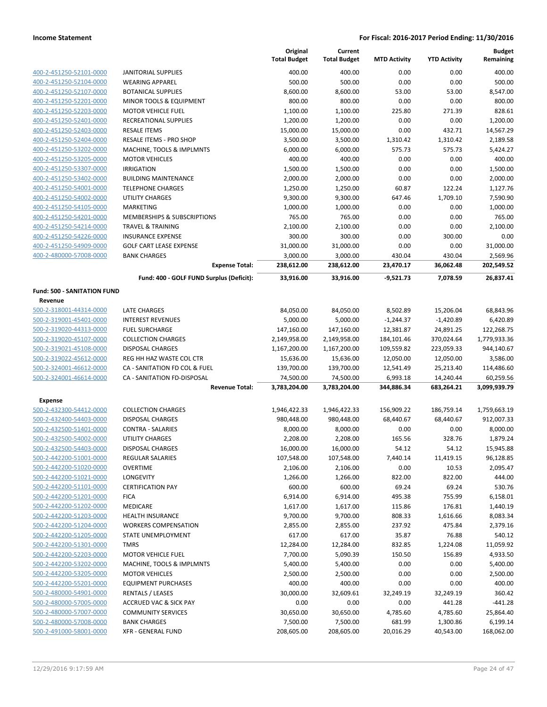|                                    |                                                      | Original<br><b>Total Budget</b> | Current<br><b>Total Budget</b> | <b>MTD Activity</b>    | <b>YTD Activity</b>     | <b>Budget</b><br>Remaining |
|------------------------------------|------------------------------------------------------|---------------------------------|--------------------------------|------------------------|-------------------------|----------------------------|
| 400-2-451250-52101-0000            | <b>JANITORIAL SUPPLIES</b>                           | 400.00                          | 400.00                         | 0.00                   | 0.00                    | 400.00                     |
| 400-2-451250-52104-0000            | <b>WEARING APPAREL</b>                               | 500.00                          | 500.00                         | 0.00                   | 0.00                    | 500.00                     |
| 400-2-451250-52107-0000            | <b>BOTANICAL SUPPLIES</b>                            | 8,600.00                        | 8,600.00                       | 53.00                  | 53.00                   | 8,547.00                   |
| 400-2-451250-52201-0000            | MINOR TOOLS & EQUIPMENT                              | 800.00                          | 800.00                         | 0.00                   | 0.00                    | 800.00                     |
| 400-2-451250-52203-0000            | <b>MOTOR VEHICLE FUEL</b>                            | 1,100.00                        | 1,100.00                       | 225.80                 | 271.39                  | 828.61                     |
| 400-2-451250-52401-0000            | RECREATIONAL SUPPLIES                                | 1,200.00                        | 1,200.00                       | 0.00                   | 0.00                    | 1,200.00                   |
| 400-2-451250-52403-0000            | <b>RESALE ITEMS</b>                                  | 15,000.00                       | 15,000.00                      | 0.00                   | 432.71                  | 14,567.29                  |
| 400-2-451250-52404-0000            | RESALE ITEMS - PRO SHOP                              | 3,500.00                        | 3,500.00                       | 1,310.42               | 1,310.42                | 2,189.58                   |
| 400-2-451250-53202-0000            | MACHINE, TOOLS & IMPLMNTS                            | 6,000.00                        | 6,000.00                       | 575.73                 | 575.73                  | 5,424.27                   |
| 400-2-451250-53205-0000            | <b>MOTOR VEHICLES</b>                                | 400.00                          | 400.00                         | 0.00                   | 0.00                    | 400.00                     |
| 400-2-451250-53307-0000            | <b>IRRIGATION</b>                                    | 1,500.00                        | 1,500.00                       | 0.00                   | 0.00                    | 1,500.00                   |
| 400-2-451250-53402-0000            | <b>BUILDING MAINTENANCE</b>                          | 2,000.00                        | 2,000.00                       | 0.00                   | 0.00                    | 2,000.00                   |
| 400-2-451250-54001-0000            | <b>TELEPHONE CHARGES</b>                             | 1,250.00                        | 1,250.00                       | 60.87                  | 122.24                  | 1,127.76                   |
| 400-2-451250-54002-0000            | <b>UTILITY CHARGES</b>                               | 9,300.00                        | 9,300.00                       | 647.46                 | 1,709.10                | 7,590.90                   |
| 400-2-451250-54105-0000            | <b>MARKETING</b>                                     | 1,000.00                        | 1,000.00                       | 0.00                   | 0.00                    | 1,000.00                   |
| 400-2-451250-54201-0000            | MEMBERSHIPS & SUBSCRIPTIONS                          | 765.00                          | 765.00                         | 0.00                   | 0.00                    | 765.00                     |
| 400-2-451250-54214-0000            | <b>TRAVEL &amp; TRAINING</b>                         | 2,100.00                        | 2,100.00                       | 0.00                   | 0.00                    | 2,100.00                   |
| 400-2-451250-54226-0000            | <b>INSURANCE EXPENSE</b>                             | 300.00                          | 300.00                         | 0.00                   | 300.00                  | 0.00                       |
| 400-2-451250-54909-0000            | <b>GOLF CART LEASE EXPENSE</b>                       | 31,000.00                       | 31,000.00                      | 0.00                   | 0.00                    | 31,000.00                  |
| 400-2-480000-57008-0000            | <b>BANK CHARGES</b>                                  | 3,000.00                        | 3,000.00                       | 430.04                 | 430.04                  | 2,569.96                   |
|                                    | <b>Expense Total:</b>                                | 238,612.00                      | 238,612.00                     | 23,470.17              | 36,062.48               | 202,549.52                 |
|                                    | Fund: 400 - GOLF FUND Surplus (Deficit):             | 33,916.00                       | 33,916.00                      | $-9,521.73$            | 7,078.59                | 26,837.41                  |
| <b>Fund: 500 - SANITATION FUND</b> |                                                      |                                 |                                |                        |                         |                            |
| Revenue                            |                                                      |                                 |                                |                        |                         |                            |
| 500-2-318001-44314-0000            | <b>LATE CHARGES</b>                                  | 84,050.00                       | 84,050.00                      | 8,502.89               | 15,206.04               | 68,843.96                  |
| 500-2-319001-45401-0000            | <b>INTEREST REVENUES</b>                             | 5,000.00                        | 5,000.00                       | $-1,244.37$            | $-1,420.89$             | 6,420.89                   |
| 500-2-319020-44313-0000            | <b>FUEL SURCHARGE</b>                                | 147,160.00                      | 147,160.00                     | 12,381.87              | 24,891.25               | 122,268.75                 |
| 500-2-319020-45107-0000            | <b>COLLECTION CHARGES</b>                            | 2,149,958.00                    | 2,149,958.00                   | 184,101.46             | 370,024.64              | 1,779,933.36               |
| 500-2-319021-45108-0000            | <b>DISPOSAL CHARGES</b>                              | 1,167,200.00                    | 1,167,200.00                   | 109,559.82             | 223,059.33              | 944,140.67                 |
| 500-2-319022-45612-0000            | REG HH HAZ WASTE COL CTR                             | 15,636.00                       | 15,636.00                      | 12,050.00              | 12,050.00               | 3,586.00                   |
| 500-2-324001-46612-0000            | CA - SANITATION FD COL & FUEL                        | 139,700.00                      | 139,700.00                     | 12,541.49              | 25,213.40               | 114,486.60                 |
| 500-2-324001-46614-0000            | CA - SANITATION FD-DISPOSAL<br><b>Revenue Total:</b> | 74,500.00<br>3,783,204.00       | 74,500.00<br>3,783,204.00      | 6,993.18<br>344,886.34 | 14,240.44<br>683,264.21 | 60,259.56<br>3,099,939.79  |
| <b>Expense</b>                     |                                                      |                                 |                                |                        |                         |                            |
| 500-2-432300-54412-0000            | <b>COLLECTION CHARGES</b>                            | 1,946,422.33                    | 1,946,422.33                   | 156,909.22             | 186,759.14              | 1,759,663.19               |
| 500-2-432400-54403-0000            | <b>DISPOSAL CHARGES</b>                              | 980,448.00                      | 980,448.00                     | 68,440.67              | 68,440.67               | 912,007.33                 |
| 500-2-432500-51401-0000            | CONTRA - SALARIES                                    | 8,000.00                        | 8,000.00                       | 0.00                   | 0.00                    | 8,000.00                   |
| 500-2-432500-54002-0000            | UTILITY CHARGES                                      | 2,208.00                        | 2,208.00                       | 165.56                 | 328.76                  | 1,879.24                   |
| 500-2-432500-54403-0000            | <b>DISPOSAL CHARGES</b>                              | 16,000.00                       | 16,000.00                      | 54.12                  | 54.12                   | 15,945.88                  |
| 500-2-442200-51001-0000            | <b>REGULAR SALARIES</b>                              | 107,548.00                      | 107,548.00                     | 7,440.14               | 11,419.15               | 96,128.85                  |
| 500-2-442200-51020-0000            | <b>OVERTIME</b>                                      | 2,106.00                        | 2,106.00                       | 0.00                   | 10.53                   | 2,095.47                   |
| 500-2-442200-51021-0000            | <b>LONGEVITY</b>                                     | 1,266.00                        | 1,266.00                       | 822.00                 | 822.00                  | 444.00                     |
| 500-2-442200-51101-0000            | <b>CERTIFICATION PAY</b>                             | 600.00                          | 600.00                         | 69.24                  | 69.24                   | 530.76                     |
| 500-2-442200-51201-0000            | <b>FICA</b>                                          | 6,914.00                        | 6,914.00                       | 495.38                 | 755.99                  | 6,158.01                   |
| 500-2-442200-51202-0000            | <b>MEDICARE</b>                                      | 1,617.00                        | 1,617.00                       | 115.86                 | 176.81                  | 1,440.19                   |
| 500-2-442200-51203-0000            | <b>HEALTH INSURANCE</b>                              | 9,700.00                        | 9,700.00                       | 808.33                 | 1,616.66                | 8,083.34                   |
| 500-2-442200-51204-0000            | <b>WORKERS COMPENSATION</b>                          | 2,855.00                        | 2,855.00                       | 237.92                 | 475.84                  | 2,379.16                   |
| 500-2-442200-51205-0000            | STATE UNEMPLOYMENT                                   | 617.00                          | 617.00                         | 35.87                  | 76.88                   | 540.12                     |
| 500-2-442200-51301-0000            | <b>TMRS</b>                                          | 12,284.00                       | 12,284.00                      | 832.85                 | 1,224.08                | 11,059.92                  |
| 500-2-442200-52203-0000            | MOTOR VEHICLE FUEL                                   | 7,700.00                        | 5,090.39                       | 150.50                 | 156.89                  | 4,933.50                   |
| 500-2-442200-53202-0000            | MACHINE, TOOLS & IMPLMNTS                            | 5,400.00                        | 5,400.00                       | 0.00                   | 0.00                    | 5,400.00                   |
| 500-2-442200-53205-0000            | <b>MOTOR VEHICLES</b>                                | 2,500.00                        | 2,500.00                       | 0.00                   | 0.00                    | 2,500.00                   |
| 500-2-442200-55201-0000            | <b>EQUIPMENT PURCHASES</b>                           | 400.00                          | 400.00                         | 0.00                   | 0.00                    | 400.00                     |
| 500-2-480000-54901-0000            | <b>RENTALS / LEASES</b>                              | 30,000.00                       | 32,609.61                      | 32,249.19              | 32,249.19               | 360.42                     |
| 500-2-480000-57005-0000            | ACCRUED VAC & SICK PAY                               | 0.00                            | 0.00                           | 0.00                   | 441.28                  | $-441.28$                  |
| 500-2-480000-57007-0000            | <b>COMMUNITY SERVICES</b>                            | 30,650.00                       | 30,650.00                      | 4,785.60               | 4,785.60                | 25,864.40                  |
| 500-2-480000-57008-0000            | <b>BANK CHARGES</b>                                  | 7,500.00                        | 7,500.00                       | 681.99                 | 1,300.86                | 6,199.14                   |
| 500-2-491000-58001-0000            | <b>XFR - GENERAL FUND</b>                            | 208,605.00                      | 208,605.00                     | 20,016.29              | 40,543.00               | 168,062.00                 |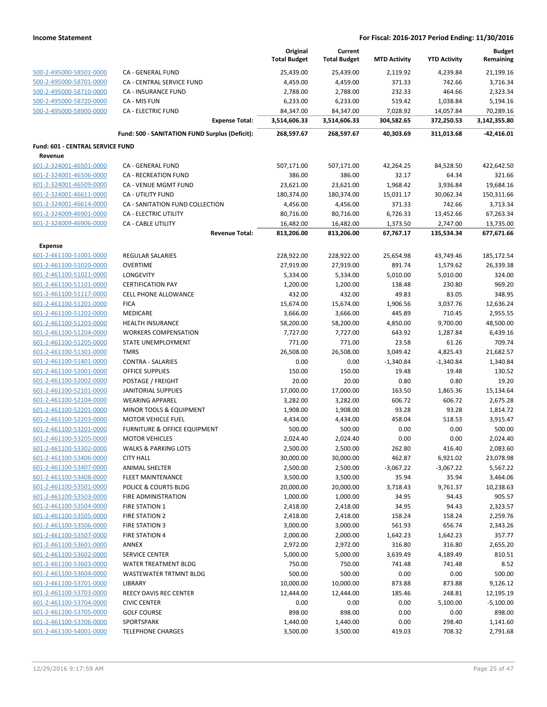|                                  |                                                | Original<br><b>Total Budget</b> | Current<br><b>Total Budget</b> | <b>MTD Activity</b> | <b>YTD Activity</b> | <b>Budget</b><br>Remaining |
|----------------------------------|------------------------------------------------|---------------------------------|--------------------------------|---------------------|---------------------|----------------------------|
| 500-2-495000-58501-0000          | <b>CA - GENERAL FUND</b>                       | 25,439.00                       | 25,439.00                      | 2,119.92            | 4,239.84            | 21,199.16                  |
| 500-2-495000-58701-0000          | CA - CENTRAL SERVICE FUND                      | 4,459.00                        | 4,459.00                       | 371.33              | 742.66              | 3,716.34                   |
| 500-2-495000-58710-0000          | CA - INSURANCE FUND                            | 2,788.00                        | 2,788.00                       | 232.33              | 464.66              | 2,323.34                   |
| 500-2-495000-58720-0000          | CA - MIS FUN                                   | 6,233.00                        | 6,233.00                       | 519.42              | 1,038.84            | 5,194.16                   |
| 500-2-495000-58900-0000          | <b>CA - ELECTRIC FUND</b>                      | 84,347.00                       | 84,347.00                      | 7,028.92            | 14,057.84           | 70,289.16                  |
|                                  | <b>Expense Total:</b>                          | 3,514,606.33                    | 3,514,606.33                   | 304,582.65          | 372,250.53          | 3,142,355.80               |
|                                  | Fund: 500 - SANITATION FUND Surplus (Deficit): | 268,597.67                      | 268,597.67                     | 40,303.69           | 311,013.68          | $-42,416.01$               |
| Fund: 601 - CENTRAL SERVICE FUND |                                                |                                 |                                |                     |                     |                            |
| Revenue                          |                                                |                                 |                                |                     |                     |                            |
| 601-2-324001-46501-0000          | CA - GENERAL FUND                              | 507,171.00                      | 507,171.00                     | 42,264.25           | 84,528.50           | 422,642.50                 |
| 601-2-324001-46506-0000          | CA - RECREATION FUND                           | 386.00                          | 386.00                         | 32.17               | 64.34               | 321.66                     |
| 601-2-324001-46509-0000          | CA - VENUE MGMT FUND                           | 23,621.00                       | 23,621.00                      | 1,968.42            | 3,936.84            | 19,684.16                  |
| 601-2-324001-46611-0000          | CA - UTILITY FUND                              | 180,374.00                      | 180,374.00                     | 15,031.17           | 30,062.34           | 150,311.66                 |
| 601-2-324001-46614-0000          | CA - SANITATION FUND COLLECTION                | 4,456.00                        | 4,456.00                       | 371.33              | 742.66              | 3,713.34                   |
| 601-2-324009-46901-0000          | CA - ELECTRIC UTILITY                          | 80,716.00                       | 80,716.00                      | 6,726.33            | 13,452.66           | 67,263.34                  |
| 601-2-324009-46906-0000          | <b>CA - CABLE UTILITY</b>                      | 16,482.00                       | 16,482.00                      | 1,373.50            | 2,747.00            | 13,735.00                  |
|                                  | <b>Revenue Total:</b>                          | 813,206.00                      | 813,206.00                     | 67,767.17           | 135,534.34          | 677,671.66                 |
| <b>Expense</b>                   |                                                |                                 |                                |                     |                     |                            |
| 601-2-461100-51001-0000          | REGULAR SALARIES                               | 228,922.00                      | 228,922.00                     | 25,654.98           | 43,749.46           | 185,172.54                 |
| 601-2-461100-51020-0000          | <b>OVERTIME</b>                                | 27,919.00                       | 27,919.00                      | 891.74              | 1,579.62            | 26,339.38                  |
| 601-2-461100-51021-0000          | <b>LONGEVITY</b>                               | 5,334.00                        | 5,334.00                       | 5,010.00            | 5,010.00            | 324.00                     |
| 601-2-461100-51101-0000          | <b>CERTIFICATION PAY</b>                       | 1,200.00                        | 1,200.00                       | 138.48              | 230.80              | 969.20                     |
| 601-2-461100-51117-0000          | <b>CELL PHONE ALLOWANCE</b>                    | 432.00                          | 432.00                         | 49.83               | 83.05               | 348.95                     |
| 601-2-461100-51201-0000          | <b>FICA</b>                                    | 15,674.00                       | 15,674.00                      | 1,906.56            | 3,037.76            | 12,636.24                  |
| 601-2-461100-51202-0000          | <b>MEDICARE</b>                                | 3,666.00                        | 3,666.00                       | 445.89              | 710.45              | 2,955.55                   |
| 601-2-461100-51203-0000          | <b>HEALTH INSURANCE</b>                        | 58,200.00                       | 58,200.00                      | 4,850.00            | 9,700.00            | 48,500.00                  |
| 601-2-461100-51204-0000          | <b>WORKERS COMPENSATION</b>                    | 7,727.00                        | 7,727.00                       | 643.92              | 1,287.84            | 6,439.16                   |
| 601-2-461100-51205-0000          | STATE UNEMPLOYMENT                             | 771.00                          | 771.00                         | 23.58               | 61.26               | 709.74                     |
| 601-2-461100-51301-0000          | <b>TMRS</b>                                    | 26,508.00                       | 26,508.00                      | 3,049.42            | 4,825.43            | 21,682.57                  |
| 601-2-461100-51401-0000          | <b>CONTRA - SALARIES</b>                       | 0.00                            | 0.00                           | $-1,340.84$         | $-1,340.84$         | 1,340.84                   |
| 601-2-461100-52001-0000          | OFFICE SUPPLIES                                | 150.00                          | 150.00                         | 19.48               | 19.48               | 130.52                     |
| 601-2-461100-52002-0000          | POSTAGE / FREIGHT                              | 20.00                           | 20.00                          | 0.80                | 0.80                | 19.20                      |
| 601-2-461100-52101-0000          | <b>JANITORIAL SUPPLIES</b>                     | 17,000.00                       | 17,000.00                      | 163.50              | 1,865.36            | 15,134.64                  |
| 601-2-461100-52104-0000          | <b>WEARING APPAREL</b>                         | 3,282.00                        | 3,282.00                       | 606.72              | 606.72              | 2,675.28                   |
| 601-2-461100-52201-0000          | MINOR TOOLS & EQUIPMENT                        | 1,908.00                        | 1,908.00                       | 93.28               | 93.28               | 1,814.72                   |
| 601-2-461100-52203-0000          | <b>MOTOR VEHICLE FUEL</b>                      | 4,434.00                        | 4,434.00                       | 458.04              | 518.53              | 3,915.47                   |
| 601-2-461100-53201-0000          | FURNITURE & OFFICE EQUIPMENT                   | 500.00                          | 500.00                         | 0.00                | 0.00                | 500.00                     |
| 601-2-461100-53205-0000          | <b>MOTOR VEHICLES</b>                          | 2,024.40                        | 2,024.40                       | 0.00                | 0.00                | 2,024.40                   |
| 601-2-461100-53302-0000          | WALKS & PARKING LOTS                           | 2,500.00                        | 2,500.00                       | 262.80              | 416.40              | 2,083.60                   |
| 601-2-461100-53406-0000          | <b>CITY HALL</b>                               | 30,000.00                       | 30,000.00                      | 462.87              | 6,921.02            | 23,078.98                  |
| 601-2-461100-53407-0000          | <b>ANIMAL SHELTER</b>                          | 2,500.00                        | 2,500.00                       | $-3,067.22$         | $-3,067.22$         | 5,567.22                   |
| 601-2-461100-53408-0000          | <b>FLEET MAINTENANCE</b>                       | 3,500.00                        | 3,500.00                       | 35.94               | 35.94               | 3,464.06                   |
| 601-2-461100-53501-0000          | POLICE & COURTS BLDG                           | 20,000.00                       | 20,000.00                      | 3,718.43            | 9,761.37            | 10,238.63                  |
| 601-2-461100-53503-0000          | FIRE ADMINISTRATION                            | 1,000.00                        | 1,000.00                       | 34.95               | 94.43               | 905.57                     |
| 601-2-461100-53504-0000          | <b>FIRE STATION 1</b>                          | 2,418.00                        | 2,418.00                       | 34.95               | 94.43               | 2,323.57                   |
| 601-2-461100-53505-0000          | FIRE STATION 2                                 | 2,418.00                        | 2,418.00                       | 158.24              | 158.24              | 2,259.76                   |
| 601-2-461100-53506-0000          | FIRE STATION 3                                 | 3,000.00                        | 3,000.00                       | 561.93              | 656.74              | 2,343.26                   |
| 601-2-461100-53507-0000          | <b>FIRE STATION 4</b>                          | 2,000.00                        | 2,000.00                       | 1,642.23            | 1,642.23            | 357.77                     |
| 601-2-461100-53601-0000          | ANNEX                                          | 2,972.00                        | 2,972.00                       | 316.80              | 316.80              | 2,655.20                   |
| 601-2-461100-53602-0000          | <b>SERVICE CENTER</b>                          | 5,000.00                        | 5,000.00                       | 3,639.49            | 4,189.49            | 810.51                     |
| 601-2-461100-53603-0000          | <b>WATER TREATMENT BLDG</b>                    | 750.00                          | 750.00                         | 741.48              | 741.48              | 8.52                       |
| 601-2-461100-53604-0000          | WASTEWATER TRTMNT BLDG                         | 500.00                          | 500.00                         | 0.00                | 0.00                | 500.00                     |
| 601-2-461100-53701-0000          | LIBRARY                                        | 10,000.00                       | 10,000.00                      | 873.88              | 873.88              | 9,126.12                   |
| 601-2-461100-53703-0000          | REECY DAVIS REC CENTER                         | 12,444.00                       | 12,444.00                      | 185.46              | 248.81              | 12,195.19                  |
| 601-2-461100-53704-0000          | <b>CIVIC CENTER</b>                            | 0.00                            | 0.00                           | 0.00                | 5,100.00            | $-5,100.00$                |
| 601-2-461100-53705-0000          | <b>GOLF COURSE</b>                             | 898.00                          | 898.00                         | 0.00                | 0.00                | 898.00                     |
| 601-2-461100-53706-0000          | SPORTSPARK                                     | 1,440.00                        | 1,440.00                       | 0.00                | 298.40              | 1,141.60                   |
| 601-2-461100-54001-0000          | <b>TELEPHONE CHARGES</b>                       | 3,500.00                        | 3,500.00                       | 419.03              | 708.32              | 2,791.68                   |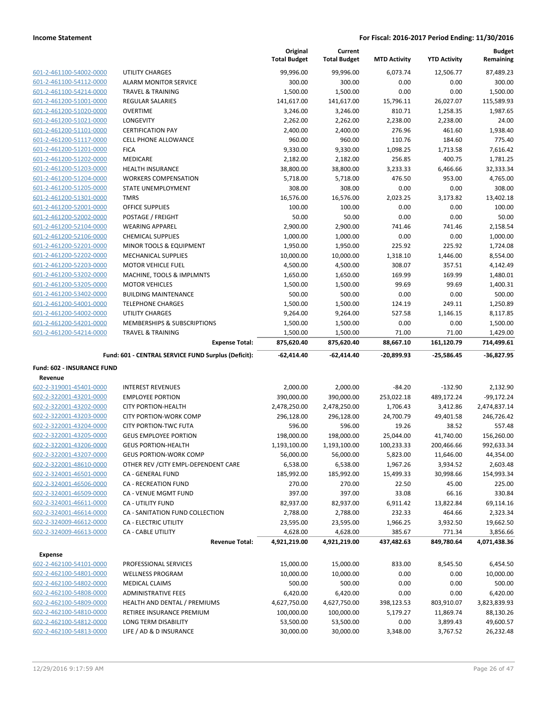|                                                    |                                                                       | Original<br><b>Total Budget</b> | Current<br><b>Total Budget</b> | <b>MTD Activity</b>  | <b>YTD Activity</b>  | <b>Budget</b><br>Remaining |
|----------------------------------------------------|-----------------------------------------------------------------------|---------------------------------|--------------------------------|----------------------|----------------------|----------------------------|
| 601-2-461100-54002-0000                            | UTILITY CHARGES                                                       | 99,996.00                       | 99,996.00                      | 6,073.74             | 12,506.77            | 87,489.23                  |
| 601-2-461100-54112-0000                            | <b>ALARM MONITOR SERVICE</b>                                          | 300.00                          | 300.00                         | 0.00                 | 0.00                 | 300.00                     |
| 601-2-461100-54214-0000                            | TRAVEL & TRAINING                                                     | 1,500.00                        | 1,500.00                       | 0.00                 | 0.00                 | 1,500.00                   |
| 601-2-461200-51001-0000                            | <b>REGULAR SALARIES</b>                                               | 141,617.00                      | 141,617.00                     | 15,796.11            | 26,027.07            | 115,589.93                 |
| 601-2-461200-51020-0000                            | <b>OVERTIME</b>                                                       | 3,246.00                        | 3,246.00                       | 810.71               | 1,258.35             | 1,987.65                   |
| 601-2-461200-51021-0000                            | LONGEVITY                                                             | 2,262.00                        | 2,262.00                       | 2,238.00             | 2,238.00             | 24.00                      |
| 601-2-461200-51101-0000                            | <b>CERTIFICATION PAY</b>                                              | 2,400.00                        | 2,400.00                       | 276.96               | 461.60               | 1,938.40                   |
| 601-2-461200-51117-0000                            | <b>CELL PHONE ALLOWANCE</b>                                           | 960.00                          | 960.00                         | 110.76               | 184.60               | 775.40                     |
| 601-2-461200-51201-0000                            | <b>FICA</b>                                                           | 9,330.00                        | 9,330.00                       | 1,098.25             | 1,713.58             | 7,616.42                   |
| 601-2-461200-51202-0000                            | MEDICARE                                                              | 2,182.00                        | 2,182.00                       | 256.85               | 400.75               | 1,781.25                   |
| 601-2-461200-51203-0000                            | <b>HEALTH INSURANCE</b>                                               | 38,800.00                       | 38,800.00                      | 3,233.33             | 6,466.66             | 32,333.34                  |
| 601-2-461200-51204-0000                            | <b>WORKERS COMPENSATION</b>                                           | 5,718.00                        | 5,718.00                       | 476.50               | 953.00               | 4,765.00                   |
| 601-2-461200-51205-0000                            | STATE UNEMPLOYMENT                                                    | 308.00                          | 308.00                         | 0.00                 | 0.00                 | 308.00                     |
| 601-2-461200-51301-0000                            | <b>TMRS</b>                                                           | 16,576.00                       | 16,576.00                      | 2,023.25             | 3,173.82             | 13,402.18                  |
| 601-2-461200-52001-0000                            | OFFICE SUPPLIES                                                       | 100.00                          | 100.00                         | 0.00                 | 0.00                 | 100.00                     |
| 601-2-461200-52002-0000                            | POSTAGE / FREIGHT                                                     | 50.00                           | 50.00                          | 0.00                 | 0.00                 | 50.00                      |
| 601-2-461200-52104-0000                            | <b>WEARING APPAREL</b>                                                | 2,900.00                        | 2,900.00                       | 741.46               | 741.46               | 2,158.54                   |
| 601-2-461200-52106-0000                            | <b>CHEMICAL SUPPLIES</b>                                              | 1,000.00                        | 1,000.00                       | 0.00                 | 0.00                 | 1,000.00                   |
| 601-2-461200-52201-0000                            | MINOR TOOLS & EQUIPMENT                                               | 1,950.00                        | 1,950.00                       | 225.92               | 225.92               | 1,724.08                   |
| 601-2-461200-52202-0000                            | <b>MECHANICAL SUPPLIES</b>                                            | 10,000.00                       | 10,000.00                      | 1,318.10             | 1,446.00             | 8,554.00                   |
| 601-2-461200-52203-0000                            | <b>MOTOR VEHICLE FUEL</b>                                             | 4,500.00                        | 4,500.00                       | 308.07               | 357.51               | 4,142.49                   |
| 601-2-461200-53202-0000                            | MACHINE, TOOLS & IMPLMNTS                                             | 1,650.00                        | 1,650.00                       | 169.99               | 169.99               | 1,480.01                   |
| 601-2-461200-53205-0000                            | <b>MOTOR VEHICLES</b>                                                 | 1,500.00                        | 1,500.00                       | 99.69                | 99.69                | 1,400.31                   |
| 601-2-461200-53402-0000                            | <b>BUILDING MAINTENANCE</b>                                           | 500.00                          | 500.00                         | 0.00                 | 0.00                 | 500.00                     |
| 601-2-461200-54001-0000                            | <b>TELEPHONE CHARGES</b>                                              | 1,500.00                        | 1,500.00                       | 124.19               | 249.11               | 1,250.89                   |
| 601-2-461200-54002-0000                            | UTILITY CHARGES                                                       | 9,264.00                        | 9,264.00                       | 527.58               | 1,146.15             | 8,117.85                   |
| 601-2-461200-54201-0000                            | MEMBERSHIPS & SUBSCRIPTIONS                                           | 1,500.00                        | 1,500.00                       | 0.00                 | 0.00                 | 1,500.00                   |
| 601-2-461200-54214-0000                            | <b>TRAVEL &amp; TRAINING</b>                                          | 1,500.00                        | 1,500.00                       | 71.00                | 71.00                | 1,429.00                   |
|                                                    | <b>Expense Total:</b>                                                 | 875,620.40                      | 875,620.40                     | 88,667.10            | 161,120.79           | 714,499.61                 |
|                                                    | Fund: 601 - CENTRAL SERVICE FUND Surplus (Deficit):                   | -62,414.40                      | -62,414.40                     | -20,899.93           | -25,586.45           | $-36,827.95$               |
| <b>Fund: 602 - INSURANCE FUND</b>                  |                                                                       |                                 |                                |                      |                      |                            |
| Revenue                                            |                                                                       |                                 |                                |                      |                      |                            |
| 602-2-319001-45401-0000                            | <b>INTEREST REVENUES</b>                                              | 2,000.00                        | 2,000.00                       | $-84.20$             | $-132.90$            | 2,132.90                   |
| 602-2-322001-43201-0000                            | <b>EMPLOYEE PORTION</b>                                               | 390,000.00                      | 390,000.00                     | 253,022.18           | 489,172.24           | $-99,172.24$               |
| 602-2-322001-43202-0000                            | <b>CITY PORTION-HEALTH</b>                                            | 2,478,250.00                    | 2,478,250.00                   | 1,706.43             | 3,412.86             | 2,474,837.14               |
| 602-2-322001-43203-0000<br>602-2-322001-43204-0000 | <b>CITY PORTION-WORK COMP</b>                                         | 296,128.00                      | 296,128.00                     | 24,700.79            | 49,401.58            | 246,726.42                 |
|                                                    | <b>CITY PORTION-TWC FUTA</b>                                          | 596.00                          | 596.00                         | 19.26                | 38.52                | 557.48                     |
| 602-2-322001-43205-0000                            | <b>GEUS EMPLOYEE PORTION</b>                                          | 198,000.00                      | 198,000.00                     | 25,044.00            | 41,740.00            | 156,260.00                 |
| 602-2-322001-43206-0000                            | <b>GEUS PORTION-HEALTH</b>                                            | 1,193,100.00                    | 1,193,100.00                   | 100,233.33           | 200,466.66           | 992,633.34                 |
| 602-2-322001-43207-0000                            | <b>GEUS PORTION-WORK COMP</b><br>OTHER REV / CITY EMPL-DEPENDENT CARE | 56,000.00                       | 56,000.00                      | 5,823.00             | 11,646.00            | 44,354.00                  |
| 602-2-322001-48610-0000                            |                                                                       | 6,538.00                        | 6,538.00<br>185,992.00         | 1,967.26             | 3,934.52             | 2,603.48                   |
| 602-2-324001-46501-0000<br>602-2-324001-46506-0000 | CA - GENERAL FUND<br><b>CA - RECREATION FUND</b>                      | 185,992.00                      |                                | 15,499.33            | 30,998.66            | 154,993.34                 |
|                                                    |                                                                       | 270.00                          | 270.00                         | 22.50                | 45.00                | 225.00                     |
| 602-2-324001-46509-0000<br>602-2-324001-46611-0000 | CA - VENUE MGMT FUND                                                  | 397.00                          | 397.00                         | 33.08                | 66.16                | 330.84                     |
|                                                    | CA - UTILITY FUND                                                     | 82,937.00                       | 82,937.00                      | 6,911.42             | 13,822.84            | 69,114.16                  |
| 602-2-324001-46614-0000                            | CA - SANITATION FUND COLLECTION                                       | 2,788.00                        | 2,788.00                       | 232.33               | 464.66               | 2,323.34                   |
| 602-2-324009-46612-0000                            | CA - ELECTRIC UTILITY                                                 | 23,595.00                       | 23,595.00                      | 1,966.25             | 3,932.50             | 19,662.50                  |
| 602-2-324009-46613-0000                            | CA - CABLE UTILITY<br><b>Revenue Total:</b>                           | 4,628.00<br>4,921,219.00        | 4,628.00<br>4,921,219.00       | 385.67<br>437,482.63 | 771.34<br>849,780.64 | 3,856.66<br>4,071,438.36   |
|                                                    |                                                                       |                                 |                                |                      |                      |                            |
| Expense<br>602-2-462100-54101-0000                 | PROFESSIONAL SERVICES                                                 | 15,000.00                       | 15,000.00                      | 833.00               | 8,545.50             | 6,454.50                   |
| 602-2-462100-54801-0000                            | <b>WELLNESS PROGRAM</b>                                               | 10,000.00                       | 10,000.00                      | 0.00                 | 0.00                 | 10,000.00                  |
| 602-2-462100-54802-0000                            | <b>MEDICAL CLAIMS</b>                                                 | 500.00                          | 500.00                         | 0.00                 | 0.00                 | 500.00                     |
| 602-2-462100-54808-0000                            | <b>ADMINISTRATIVE FEES</b>                                            |                                 |                                | 0.00                 | 0.00                 | 6,420.00                   |
|                                                    |                                                                       | 6,420.00                        | 6,420.00                       |                      |                      |                            |
| 602-2-462100-54809-0000                            | HEALTH AND DENTAL / PREMIUMS                                          | 4,627,750.00                    | 4,627,750.00                   | 398,123.53           | 803,910.07           | 3,823,839.93               |
| 602-2-462100-54810-0000<br>602-2-462100-54812-0000 | RETIREE INSURANCE PREMIUM                                             | 100,000.00                      | 100,000.00                     | 5,179.27             | 11,869.74            | 88,130.26                  |
|                                                    |                                                                       |                                 |                                |                      |                      |                            |
| 602-2-462100-54813-0000                            | LONG TERM DISABILITY<br>LIFE / AD & D INSURANCE                       | 53,500.00<br>30,000.00          | 53,500.00<br>30,000.00         | 0.00<br>3,348.00     | 3,899.43<br>3,767.52 | 49,600.57<br>26,232.48     |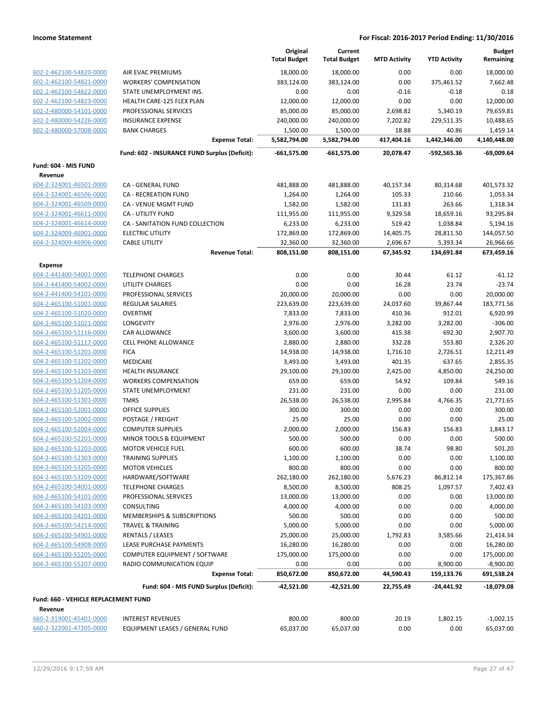|                                                    |                                               | Original<br><b>Total Budget</b> | Current<br><b>Total Budget</b> | <b>MTD Activity</b> | <b>YTD Activity</b> | <b>Budget</b><br>Remaining |
|----------------------------------------------------|-----------------------------------------------|---------------------------------|--------------------------------|---------------------|---------------------|----------------------------|
| 602-2-462100-54820-0000                            | AIR EVAC PREMIUMS                             | 18,000.00                       | 18,000.00                      | 0.00                | 0.00                | 18,000.00                  |
| 602-2-462100-54821-0000                            | <b>WORKERS' COMPENSATION</b>                  | 383,124.00                      | 383,124.00                     | 0.00                | 375,461.52          | 7,662.48                   |
| 602-2-462100-54822-0000                            | STATE UNEMPLOYMENT INS.                       | 0.00                            | 0.00                           | $-0.16$             | $-0.18$             | 0.18                       |
| 602-2-462100-54823-0000                            | HEALTH CARE-125 FLEX PLAN                     | 12,000.00                       | 12,000.00                      | 0.00                | 0.00                | 12,000.00                  |
| 602-2-480000-54101-0000                            | PROFESSIONAL SERVICES                         | 85,000.00                       | 85,000.00                      | 2,698.82            | 5,340.19            | 79,659.81                  |
| 602-2-480000-54226-0000                            | <b>INSURANCE EXPENSE</b>                      | 240,000.00                      | 240,000.00                     | 7,202.82            | 229,511.35          | 10,488.65                  |
| 602-2-480000-57008-0000                            | <b>BANK CHARGES</b>                           | 1,500.00                        | 1,500.00                       | 18.88               | 40.86               | 1,459.14                   |
|                                                    | <b>Expense Total:</b>                         | 5,582,794.00                    | 5,582,794.00                   | 417,404.16          | 1,442,346.00        | 4,140,448.00               |
|                                                    | Fund: 602 - INSURANCE FUND Surplus (Deficit): | $-661,575.00$                   | $-661,575.00$                  | 20,078.47           | -592,565.36         | -69,009.64                 |
| Fund: 604 - MIS FUND                               |                                               |                                 |                                |                     |                     |                            |
| Revenue                                            |                                               |                                 |                                |                     |                     |                            |
| 604-2-324001-46501-0000                            | CA - GENERAL FUND                             | 481,888.00                      | 481,888.00                     | 40,157.34           | 80,314.68           | 401,573.32                 |
| 604-2-324001-46506-0000                            | <b>CA - RECREATION FUND</b>                   | 1,264.00                        | 1,264.00                       | 105.33              | 210.66              | 1,053.34                   |
| 604-2-324001-46509-0000                            | CA - VENUE MGMT FUND                          | 1,582.00                        | 1,582.00                       | 131.83              | 263.66              | 1,318.34                   |
| 604-2-324001-46611-0000                            | CA - UTILITY FUND                             | 111,955.00                      | 111,955.00                     | 9,329.58            | 18,659.16           | 93,295.84                  |
| 604-2-324001-46614-0000                            | CA - SANITATION FUND COLLECTION               | 6,233.00                        | 6,233.00                       | 519.42              | 1,038.84            | 5,194.16                   |
| 604-2-324009-46901-0000                            | <b>ELECTRIC UTILITY</b>                       | 172,869.00                      | 172,869.00                     | 14,405.75           | 28,811.50           | 144,057.50                 |
| 604-2-324009-46906-0000                            | <b>CABLE UTILITY</b>                          | 32,360.00                       | 32,360.00                      | 2,696.67            | 5,393.34            | 26,966.66                  |
|                                                    | <b>Revenue Total:</b>                         | 808,151.00                      | 808,151.00                     | 67,345.92           | 134,691.84          | 673,459.16                 |
| <b>Expense</b>                                     |                                               |                                 |                                |                     |                     |                            |
| 604-2-441400-54001-0000                            | <b>TELEPHONE CHARGES</b>                      | 0.00                            | 0.00                           | 30.44               | 61.12               | $-61.12$                   |
| 604-2-441400-54002-0000                            | UTILITY CHARGES                               | 0.00                            | 0.00                           | 16.28               | 23.74               | $-23.74$                   |
| 604-2-441400-54101-0000                            | PROFESSIONAL SERVICES                         | 20,000.00                       | 20,000.00                      | 0.00                | 0.00                | 20,000.00                  |
| 604-2-465100-51001-0000                            | REGULAR SALARIES                              | 223,639.00                      | 223,639.00                     | 24,037.60           | 39,867.44           | 183,771.56                 |
| 604-2-465100-51020-0000                            | <b>OVERTIME</b>                               | 7,833.00                        | 7,833.00                       | 410.36              | 912.01              | 6,920.99                   |
| 604-2-465100-51021-0000                            | LONGEVITY                                     | 2,976.00                        | 2,976.00                       | 3,282.00            | 3,282.00            | $-306.00$                  |
| 604-2-465100-51116-0000                            | CAR ALLOWANCE                                 | 3,600.00                        | 3,600.00                       | 415.38              | 692.30              | 2,907.70                   |
| 604-2-465100-51117-0000                            | <b>CELL PHONE ALLOWANCE</b>                   | 2,880.00                        | 2,880.00                       | 332.28              | 553.80              | 2,326.20                   |
| 604-2-465100-51201-0000                            | <b>FICA</b>                                   | 14,938.00                       | 14,938.00                      | 1,716.10            | 2,726.51            | 12,211.49                  |
| 604-2-465100-51202-0000                            | MEDICARE                                      | 3,493.00                        | 3,493.00                       | 401.35              | 637.65              | 2,855.35                   |
| 604-2-465100-51203-0000                            | <b>HEALTH INSURANCE</b>                       | 29,100.00                       | 29,100.00                      | 2,425.00            | 4,850.00            | 24,250.00                  |
| 604-2-465100-51204-0000                            | <b>WORKERS COMPENSATION</b>                   | 659.00                          | 659.00                         | 54.92               | 109.84              | 549.16                     |
| 604-2-465100-51205-0000                            | STATE UNEMPLOYMENT                            | 231.00                          | 231.00<br>26,538.00            | 0.00                | 0.00                | 231.00                     |
| 604-2-465100-51301-0000<br>604-2-465100-52001-0000 | <b>TMRS</b><br><b>OFFICE SUPPLIES</b>         | 26,538.00<br>300.00             | 300.00                         | 2,995.84<br>0.00    | 4,766.35<br>0.00    | 21,771.65<br>300.00        |
| 604-2-465100-52002-0000                            |                                               | 25.00                           | 25.00                          | 0.00                | 0.00                | 25.00                      |
| 604-2-465100-52004-0000                            | POSTAGE / FREIGHT<br><b>COMPUTER SUPPLIES</b> | 2,000.00                        |                                | 156.83              | 156.83              | 1,843.17                   |
| 604-2-465100-52201-0000                            | MINOR TOOLS & EQUIPMENT                       | 500.00                          | 2,000.00<br>500.00             | 0.00                | 0.00                | 500.00                     |
| 604-2-465100-52203-0000                            | <b>MOTOR VEHICLE FUEL</b>                     | 600.00                          | 600.00                         | 38.74               | 98.80               | 501.20                     |
| 604-2-465100-52303-0000                            | <b>TRAINING SUPPLIES</b>                      | 1,100.00                        | 1,100.00                       | 0.00                | 0.00                | 1,100.00                   |
| 604-2-465100-53205-0000                            | <b>MOTOR VEHICLES</b>                         | 800.00                          | 800.00                         | 0.00                | 0.00                | 800.00                     |
| 604-2-465100-53209-0000                            | HARDWARE/SOFTWARE                             | 262,180.00                      | 262,180.00                     | 5,676.23            | 86,812.14           | 175,367.86                 |
| 604-2-465100-54001-0000                            | <b>TELEPHONE CHARGES</b>                      | 8,500.00                        | 8,500.00                       | 808.25              | 1,097.57            | 7,402.43                   |
| 604-2-465100-54101-0000                            | PROFESSIONAL SERVICES                         | 13,000.00                       | 13,000.00                      | 0.00                | 0.00                | 13,000.00                  |
| 604-2-465100-54103-0000                            | CONSULTING                                    | 4,000.00                        | 4,000.00                       | 0.00                | 0.00                | 4,000.00                   |
| 604-2-465100-54201-0000                            | MEMBERSHIPS & SUBSCRIPTIONS                   | 500.00                          | 500.00                         | 0.00                | 0.00                | 500.00                     |
| 604-2-465100-54214-0000                            | <b>TRAVEL &amp; TRAINING</b>                  | 5,000.00                        | 5,000.00                       | 0.00                | 0.00                | 5,000.00                   |
| 604-2-465100-54901-0000                            | <b>RENTALS / LEASES</b>                       | 25,000.00                       | 25,000.00                      | 1,792.83            | 3,585.66            | 21,414.34                  |
| 604-2-465100-54908-0000                            | LEASE PURCHASE PAYMENTS                       | 16,280.00                       | 16,280.00                      | 0.00                | 0.00                | 16,280.00                  |
| 604-2-465100-55205-0000                            | COMPUTER EQUIPMENT / SOFTWARE                 | 175,000.00                      | 175,000.00                     | 0.00                | 0.00                | 175,000.00                 |
| 604-2-465100-55207-0000                            | RADIO COMMUNICATION EQUIP                     | 0.00                            | 0.00                           | 0.00                | 8,900.00            | $-8,900.00$                |
|                                                    | <b>Expense Total:</b>                         | 850,672.00                      | 850,672.00                     | 44,590.43           | 159,133.76          | 691,538.24                 |
|                                                    | Fund: 604 - MIS FUND Surplus (Deficit):       | -42,521.00                      | -42,521.00                     | 22,755.49           | -24,441.92          | -18,079.08                 |
| Fund: 660 - VEHICLE REPLACEMENT FUND               |                                               |                                 |                                |                     |                     |                            |
| Revenue                                            |                                               |                                 |                                |                     |                     |                            |
| 660-2-319001-45401-0000                            | <b>INTEREST REVENUES</b>                      | 800.00                          | 800.00                         | 20.19               | 1,802.15            | $-1,002.15$                |
| 660-2-322001-47205-0000                            | EQUIPMENT LEASES / GENERAL FUND               | 65,037.00                       | 65,037.00                      | 0.00                | 0.00                | 65,037.00                  |
|                                                    |                                               |                                 |                                |                     |                     |                            |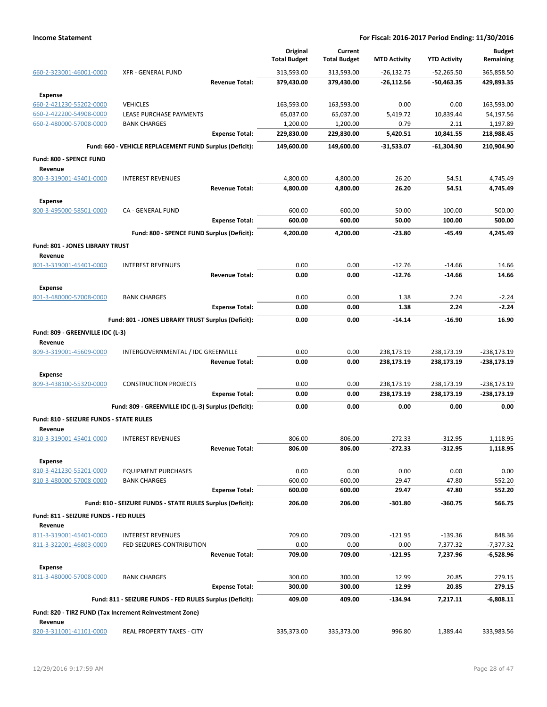|                                                   |                                                            |                       | Original<br><b>Total Budget</b> | Current<br><b>Total Budget</b> | <b>MTD Activity</b> | <b>YTD Activity</b> | <b>Budget</b><br>Remaining |
|---------------------------------------------------|------------------------------------------------------------|-----------------------|---------------------------------|--------------------------------|---------------------|---------------------|----------------------------|
| 660-2-323001-46001-0000                           | <b>XFR - GENERAL FUND</b>                                  |                       | 313,593.00                      | 313,593.00                     | $-26, 132.75$       | $-52,265.50$        | 365,858.50                 |
|                                                   |                                                            | <b>Revenue Total:</b> | 379,430.00                      | 379,430.00                     | $-26,112.56$        | -50,463.35          | 429,893.35                 |
| <b>Expense</b><br>660-2-421230-55202-0000         | <b>VEHICLES</b>                                            |                       | 163,593.00                      | 163,593.00                     | 0.00                | 0.00                | 163,593.00                 |
| 660-2-422200-54908-0000                           | LEASE PURCHASE PAYMENTS                                    |                       | 65,037.00                       | 65,037.00                      | 5,419.72            | 10,839.44           | 54,197.56                  |
| 660-2-480000-57008-0000                           | <b>BANK CHARGES</b>                                        |                       | 1,200.00                        | 1,200.00                       | 0.79                | 2.11                | 1,197.89                   |
|                                                   |                                                            | <b>Expense Total:</b> | 229,830.00                      | 229,830.00                     | 5,420.51            | 10,841.55           | 218,988.45                 |
|                                                   | Fund: 660 - VEHICLE REPLACEMENT FUND Surplus (Deficit):    |                       | 149,600.00                      | 149,600.00                     | $-31,533.07$        | $-61.304.90$        | 210,904.90                 |
| Fund: 800 - SPENCE FUND                           |                                                            |                       |                                 |                                |                     |                     |                            |
| Revenue                                           |                                                            |                       |                                 |                                |                     |                     |                            |
| 800-3-319001-45401-0000                           | <b>INTEREST REVENUES</b>                                   |                       | 4,800.00                        | 4,800.00                       | 26.20               | 54.51               | 4,745.49                   |
|                                                   |                                                            | <b>Revenue Total:</b> | 4,800.00                        | 4,800.00                       | 26.20               | 54.51               | 4,745.49                   |
| <b>Expense</b>                                    |                                                            |                       |                                 |                                |                     |                     |                            |
| 800-3-495000-58501-0000                           | CA - GENERAL FUND                                          |                       | 600.00                          | 600.00                         | 50.00               | 100.00              | 500.00                     |
|                                                   |                                                            | <b>Expense Total:</b> | 600.00                          | 600.00                         | 50.00               | 100.00              | 500.00                     |
|                                                   | Fund: 800 - SPENCE FUND Surplus (Deficit):                 |                       | 4,200.00                        | 4,200.00                       | -23.80              | $-45.49$            | 4,245.49                   |
| <b>Fund: 801 - JONES LIBRARY TRUST</b><br>Revenue |                                                            |                       |                                 |                                |                     |                     |                            |
| 801-3-319001-45401-0000                           | <b>INTEREST REVENUES</b>                                   |                       | 0.00                            | 0.00                           | $-12.76$            | $-14.66$            | 14.66                      |
|                                                   |                                                            | <b>Revenue Total:</b> | 0.00                            | 0.00                           | $-12.76$            | $-14.66$            | 14.66                      |
| <b>Expense</b>                                    |                                                            |                       |                                 |                                |                     |                     |                            |
| 801-3-480000-57008-0000                           | <b>BANK CHARGES</b>                                        |                       | 0.00                            | 0.00                           | 1.38                | 2.24                | $-2.24$                    |
|                                                   |                                                            | <b>Expense Total:</b> | 0.00                            | 0.00                           | 1.38                | 2.24                | $-2.24$                    |
|                                                   | Fund: 801 - JONES LIBRARY TRUST Surplus (Deficit):         |                       | 0.00                            | 0.00                           | -14.14              | $-16.90$            | 16.90                      |
| Fund: 809 - GREENVILLE IDC (L-3)<br>Revenue       |                                                            |                       |                                 |                                |                     |                     |                            |
| 809-3-319001-45609-0000                           | INTERGOVERNMENTAL / IDC GREENVILLE                         |                       | 0.00                            | 0.00                           | 238,173.19          | 238,173.19          | -238,173.19                |
|                                                   |                                                            | <b>Revenue Total:</b> | 0.00                            | 0.00                           | 238,173.19          | 238,173.19          | $-238,173.19$              |
| <b>Expense</b>                                    |                                                            |                       |                                 |                                |                     |                     |                            |
| 809-3-438100-55320-0000                           | <b>CONSTRUCTION PROJECTS</b>                               |                       | 0.00                            | 0.00                           | 238,173.19          | 238,173.19          | $-238,173.19$              |
|                                                   |                                                            | <b>Expense Total:</b> | 0.00                            | 0.00                           | 238,173.19          | 238,173.19          | $-238,173.19$              |
|                                                   | Fund: 809 - GREENVILLE IDC (L-3) Surplus (Deficit):        |                       | 0.00                            | 0.00                           | 0.00                | 0.00                | 0.00                       |
| Fund: 810 - SEIZURE FUNDS - STATE RULES           |                                                            |                       |                                 |                                |                     |                     |                            |
| Revenue<br>810-3-319001-45401-0000                | <b>INTEREST REVENUES</b>                                   |                       | 806.00                          | 806.00                         | $-272.33$           | $-312.95$           | 1,118.95                   |
|                                                   |                                                            | <b>Revenue Total:</b> | 806.00                          | 806.00                         | $-272.33$           | $-312.95$           | 1,118.95                   |
| Expense                                           |                                                            |                       |                                 |                                |                     |                     |                            |
| 810-3-421230-55201-0000                           | <b>EQUIPMENT PURCHASES</b>                                 |                       | 0.00                            | 0.00                           | 0.00                | 0.00                | 0.00                       |
| 810-3-480000-57008-0000                           | <b>BANK CHARGES</b>                                        |                       | 600.00                          | 600.00                         | 29.47               | 47.80               | 552.20                     |
|                                                   |                                                            | <b>Expense Total:</b> | 600.00                          | 600.00                         | 29.47               | 47.80               | 552.20                     |
|                                                   | Fund: 810 - SEIZURE FUNDS - STATE RULES Surplus (Deficit): |                       | 206.00                          | 206.00                         | $-301.80$           | $-360.75$           | 566.75                     |
| Fund: 811 - SEIZURE FUNDS - FED RULES<br>Revenue  |                                                            |                       |                                 |                                |                     |                     |                            |
| 811-3-319001-45401-0000                           | <b>INTEREST REVENUES</b>                                   |                       | 709.00                          | 709.00                         | $-121.95$           | $-139.36$           | 848.36                     |
| 811-3-322001-46803-0000                           | FED SEIZURES-CONTRIBUTION                                  |                       | 0.00                            | 0.00                           | 0.00                | 7,377.32            | $-7,377.32$                |
|                                                   |                                                            | <b>Revenue Total:</b> | 709.00                          | 709.00                         | $-121.95$           | 7,237.96            | -6,528.96                  |
| <b>Expense</b>                                    |                                                            |                       |                                 |                                |                     |                     |                            |
| 811-3-480000-57008-0000                           | <b>BANK CHARGES</b>                                        |                       | 300.00                          | 300.00                         | 12.99               | 20.85               | 279.15                     |
|                                                   |                                                            | <b>Expense Total:</b> | 300.00                          | 300.00                         | 12.99               | 20.85               | 279.15                     |
|                                                   | Fund: 811 - SEIZURE FUNDS - FED RULES Surplus (Deficit):   |                       | 409.00                          | 409.00                         | -134.94             | 7,217.11            | $-6,808.11$                |
| Revenue                                           | Fund: 820 - TIRZ FUND (Tax Increment Reinvestment Zone)    |                       |                                 |                                |                     |                     |                            |
| 820-3-311001-41101-0000                           | REAL PROPERTY TAXES - CITY                                 |                       | 335,373.00                      | 335,373.00                     | 996.80              | 1,389.44            | 333,983.56                 |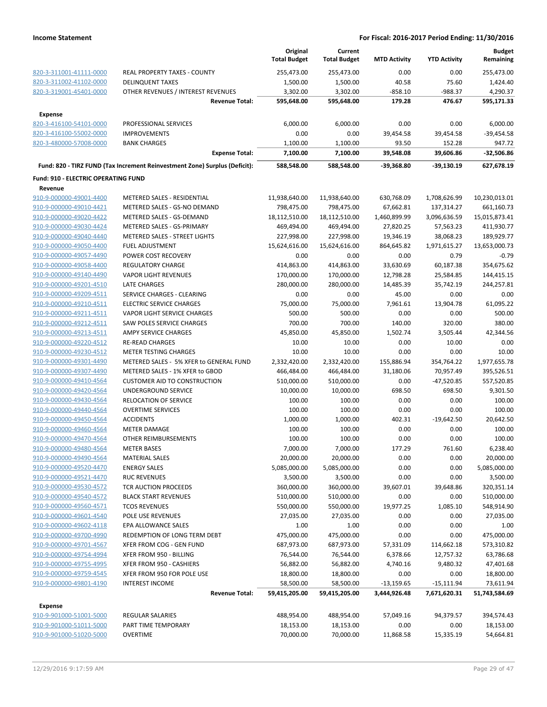|                                     |                                                                            | Original<br><b>Total Budget</b> | Current<br><b>Total Budget</b> | <b>MTD Activity</b> | <b>YTD Activity</b> | <b>Budget</b><br>Remaining |
|-------------------------------------|----------------------------------------------------------------------------|---------------------------------|--------------------------------|---------------------|---------------------|----------------------------|
| 820-3-311001-41111-0000             | REAL PROPERTY TAXES - COUNTY                                               | 255,473.00                      | 255,473.00                     | 0.00                | 0.00                | 255,473.00                 |
| 820-3-311002-41102-0000             | <b>DELINQUENT TAXES</b>                                                    | 1,500.00                        | 1,500.00                       | 40.58               | 75.60               | 1,424.40                   |
| 820-3-319001-45401-0000             | OTHER REVENUES / INTEREST REVENUES                                         | 3,302.00                        | 3,302.00                       | $-858.10$           | -988.37             | 4,290.37                   |
|                                     | <b>Revenue Total:</b>                                                      | 595,648.00                      | 595,648.00                     | 179.28              | 476.67              | 595,171.33                 |
| <b>Expense</b>                      |                                                                            |                                 |                                |                     |                     |                            |
| 820-3-416100-54101-0000             | PROFESSIONAL SERVICES                                                      | 6,000.00                        | 6,000.00                       | 0.00                | 0.00                | 6,000.00                   |
| 820-3-416100-55002-0000             | <b>IMPROVEMENTS</b>                                                        | 0.00                            | 0.00                           | 39,454.58           | 39,454.58           | $-39,454.58$               |
| 820-3-480000-57008-0000             | <b>BANK CHARGES</b>                                                        | 1,100.00                        | 1,100.00                       | 93.50               | 152.28              | 947.72                     |
|                                     | <b>Expense Total:</b>                                                      | 7,100.00                        | 7,100.00                       | 39,548.08           | 39,606.86           | $-32,506.86$               |
|                                     | Fund: 820 - TIRZ FUND (Tax Increment Reinvestment Zone) Surplus (Deficit): | 588,548.00                      | 588,548.00                     | $-39,368.80$        | $-39,130.19$        | 627,678.19                 |
| Fund: 910 - ELECTRIC OPERATING FUND |                                                                            |                                 |                                |                     |                     |                            |
| Revenue                             |                                                                            |                                 |                                |                     |                     |                            |
| 910-9-000000-49001-4400             | METERED SALES - RESIDENTIAL                                                | 11,938,640.00                   | 11,938,640.00                  | 630,768.09          | 1,708,626.99        | 10,230,013.01              |
| 910-9-000000-49010-4421             | METERED SALES - GS-NO DEMAND                                               | 798,475.00                      | 798,475.00                     | 67,662.81           | 137,314.27          | 661,160.73                 |
| 910-9-000000-49020-4422             | METERED SALES - GS-DEMAND                                                  | 18,112,510.00                   | 18,112,510.00                  | 1,460,899.99        | 3,096,636.59        | 15,015,873.41              |
| 910-9-000000-49030-4424             | METERED SALES - GS-PRIMARY                                                 | 469,494.00                      | 469,494.00                     | 27,820.25           | 57,563.23           | 411,930.77                 |
| 910-9-000000-49040-4440             | <b>METERED SALES - STREET LIGHTS</b>                                       | 227,998.00                      | 227,998.00                     | 19,346.19           | 38,068.23           | 189,929.77                 |
| 910-9-000000-49050-4400             | <b>FUEL ADJUSTMENT</b>                                                     | 15,624,616.00                   | 15,624,616.00                  | 864,645.82          | 1,971,615.27        | 13,653,000.73              |
| 910-9-000000-49057-4490             | POWER COST RECOVERY                                                        | 0.00                            | 0.00                           | 0.00                | 0.79                | $-0.79$                    |
| 910-9-000000-49058-4400             | REGULATORY CHARGE                                                          | 414,863.00                      | 414,863.00                     | 33,630.69           | 60,187.38           | 354,675.62                 |
| 910-9-000000-49140-4490             | <b>VAPOR LIGHT REVENUES</b>                                                | 170,000.00                      | 170,000.00                     | 12,798.28           | 25,584.85           | 144,415.15                 |
| 910-9-000000-49201-4510             | LATE CHARGES                                                               | 280,000.00                      | 280,000.00                     | 14,485.39           | 35,742.19           | 244,257.81                 |
| 910-9-000000-49209-4511             | SERVICE CHARGES - CLEARING                                                 | 0.00                            | 0.00                           | 45.00               | 0.00                | 0.00                       |
| 910-9-000000-49210-4511             | <b>ELECTRIC SERVICE CHARGES</b>                                            | 75,000.00                       | 75,000.00                      | 7,961.61            | 13,904.78           | 61,095.22                  |
| 910-9-000000-49211-4511             | VAPOR LIGHT SERVICE CHARGES                                                | 500.00                          | 500.00                         | 0.00                | 0.00                | 500.00                     |
| 910-9-000000-49212-4511             | SAW POLES SERVICE CHARGES                                                  | 700.00                          | 700.00                         | 140.00              | 320.00              | 380.00                     |
| 910-9-000000-49213-4511             | AMPY SERVICE CHARGES                                                       | 45,850.00                       | 45,850.00                      | 1,502.74            | 3,505.44            | 42,344.56                  |
| 910-9-000000-49220-4512             | <b>RE-READ CHARGES</b>                                                     | 10.00                           | 10.00                          | 0.00                | 10.00               | 0.00                       |
| 910-9-000000-49230-4512             | <b>METER TESTING CHARGES</b>                                               | 10.00                           | 10.00                          | 0.00                | 0.00                | 10.00                      |
| 910-9-000000-49301-4490             | METERED SALES - 5% XFER to GENERAL FUND                                    | 2,332,420.00                    | 2,332,420.00                   | 155,886.94          | 354,764.22          | 1,977,655.78               |
| 910-9-000000-49307-4490             | METERED SALES - 1% XFER to GBOD                                            | 466,484.00                      | 466,484.00                     | 31,180.06           | 70,957.49           | 395,526.51                 |
| 910-9-000000-49410-4564             | <b>CUSTOMER AID TO CONSTRUCTION</b>                                        | 510,000.00                      | 510,000.00                     | 0.00                | $-47,520.85$        | 557,520.85                 |
| 910-9-000000-49420-4564             | UNDERGROUND SERVICE                                                        | 10,000.00                       | 10,000.00                      | 698.50              | 698.50              | 9,301.50                   |
| 910-9-000000-49430-4564             | RELOCATION OF SERVICE                                                      | 100.00                          | 100.00                         | 0.00                | 0.00                | 100.00                     |
| 910-9-000000-49440-4564             | <b>OVERTIME SERVICES</b>                                                   | 100.00                          | 100.00                         | 0.00                | 0.00                | 100.00                     |
|                                     | <b>ACCIDENTS</b>                                                           |                                 |                                | 402.31              |                     | 20,642.50                  |
| 910-9-000000-49450-4564             |                                                                            | 1,000.00                        | 1,000.00                       |                     | $-19,642.50$        |                            |
| 910-9-000000-49460-4564             | <b>METER DAMAGE</b>                                                        | 100.00                          | 100.00                         | 0.00                | 0.00                | 100.00                     |
| 910-9-000000-49470-4564             | OTHER REIMBURSEMENTS                                                       | 100.00                          | 100.00                         | 0.00                | 0.00                | 100.00                     |
| 910-9-000000-49480-4564             | <b>METER BASES</b>                                                         | 7,000.00                        | 7,000.00                       | 177.29              | 761.60              | 6,238.40                   |
| 910-9-000000-49490-4564             | <b>MATERIAL SALES</b>                                                      | 20,000.00                       | 20,000.00                      | 0.00                | 0.00                | 20,000.00                  |
| 910-9-000000-49520-4470             | <b>ENERGY SALES</b>                                                        | 5,085,000.00                    | 5,085,000.00                   | 0.00                | 0.00                | 5,085,000.00               |
| 910-9-000000-49521-4470             | <b>RUC REVENUES</b>                                                        | 3,500.00                        | 3,500.00                       | 0.00                | 0.00                | 3,500.00                   |
| 910-9-000000-49530-4572             | TCR AUCTION PROCEEDS                                                       | 360,000.00                      | 360,000.00                     | 39,607.01           | 39,648.86           | 320,351.14                 |
| 910-9-000000-49540-4572             | <b>BLACK START REVENUES</b>                                                | 510,000.00                      | 510,000.00                     | 0.00                | 0.00                | 510,000.00                 |
| 910-9-000000-49560-4571             | <b>TCOS REVENUES</b>                                                       | 550,000.00                      | 550,000.00                     | 19,977.25           | 1,085.10            | 548,914.90                 |
| 910-9-000000-49601-4540             | <b>POLE USE REVENUES</b>                                                   | 27,035.00                       | 27,035.00                      | 0.00                | 0.00                | 27,035.00                  |
| 910-9-000000-49602-4118             | <b>EPA ALLOWANCE SALES</b>                                                 | 1.00                            | 1.00                           | 0.00                | 0.00                | 1.00                       |
| 910-9-000000-49700-4990             | REDEMPTION OF LONG TERM DEBT                                               | 475,000.00                      | 475,000.00                     | 0.00                | 0.00                | 475,000.00                 |
| 910-9-000000-49701-4567             | XFER FROM COG - GEN FUND                                                   | 687,973.00                      | 687,973.00                     | 57,331.09           | 114,662.18          | 573,310.82                 |
| 910-9-000000-49754-4994             | XFER FROM 950 - BILLING                                                    | 76,544.00                       | 76,544.00                      | 6,378.66            | 12,757.32           | 63,786.68                  |
| 910-9-000000-49755-4995             | XFER FROM 950 - CASHIERS                                                   | 56,882.00                       | 56,882.00                      | 4,740.16            | 9,480.32            | 47,401.68                  |
| 910-9-000000-49759-4545             | XFER FROM 950 FOR POLE USE                                                 | 18,800.00                       | 18,800.00                      | 0.00                | 0.00                | 18,800.00                  |
| 910-9-000000-49801-4190             | <b>INTEREST INCOME</b>                                                     | 58,500.00                       | 58,500.00                      | $-13,159.65$        | $-15,111.94$        | 73,611.94                  |
|                                     | <b>Revenue Total:</b>                                                      | 59,415,205.00                   | 59,415,205.00                  | 3,444,926.48        | 7,671,620.31        | 51,743,584.69              |
| <b>Expense</b>                      |                                                                            |                                 |                                |                     |                     |                            |
| 910-9-901000-51001-5000             | <b>REGULAR SALARIES</b>                                                    | 488,954.00                      | 488,954.00                     | 57,049.16           | 94,379.57           | 394,574.43                 |
| 910-9-901000-51011-5000             | PART TIME TEMPORARY                                                        | 18,153.00                       | 18,153.00                      | 0.00                | 0.00                | 18,153.00                  |
| 910-9-901000-51020-5000             | OVERTIME                                                                   | 70,000.00                       | 70,000.00                      | 11,868.58           | 15,335.19           | 54,664.81                  |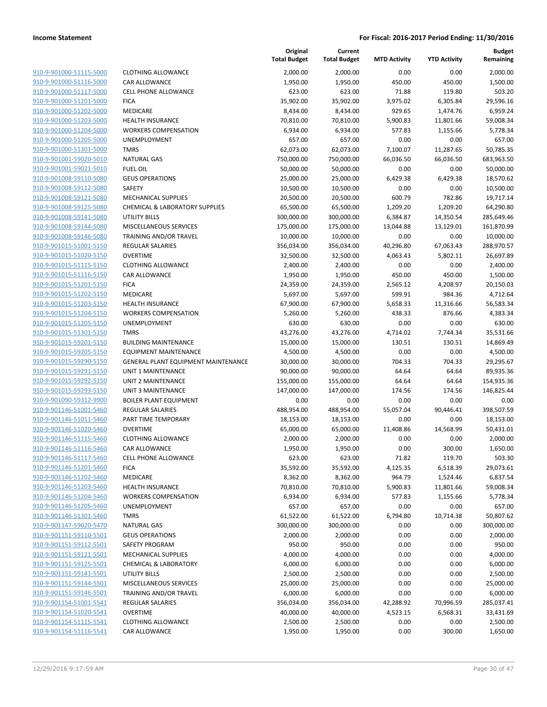| 910-9-901000-51115-5000                                   |
|-----------------------------------------------------------|
| 910-9-901000-51116-5000                                   |
| 910-9-901000-51117-5000                                   |
| 910-9-901000-51201-5000                                   |
| 910-9-901000-51202-5000                                   |
| 910-9-901000-51203-5000                                   |
| 910-9-901000-51204-5000                                   |
| 910-9-901000-51205-5000                                   |
| 910-9-901000-51301-5000                                   |
| 910-9-901001-59020-5010                                   |
| 910-9-901001-59021-5010                                   |
| 910-9-901008-59110-5080                                   |
| 910-9-901008-59112-5080                                   |
| 910-9-901008-59121-5080                                   |
| 910-9-901008-59125-5080                                   |
| 910-9-901008-59141-5080<br>910-9-901008-59144-5080        |
| 910-9-901008-59146-5080                                   |
| 910-9-901015-51001-5150                                   |
| 910-9-901015-51020-5150                                   |
| 910-9-901015-51115-5150                                   |
| 910-9-901015-51116-5150                                   |
| 910-9-901015-51201-5150                                   |
| 910-9-901015-51202-5150                                   |
| 910-9-901015-51203-5150                                   |
| 910-9-901015-51204-5150                                   |
| 910-9-901015-51205-5150                                   |
| 910-9-901015-51301-5150                                   |
| 910-9-901015-59201-5150                                   |
| <u>910-9-901015-59205-5150</u>                            |
| 910-9-901015-59290-5150                                   |
| 910-9-901015-59291-5150                                   |
| 910-9-901015-59292-5150                                   |
| 910-9-901015-59293-5150                                   |
| <u>910-9-901090-59312-9900</u>                            |
| 910-9-901146-51001-5460                                   |
| 910-9-901146-51011-5460                                   |
| 910-9-901146-51020-5460                                   |
| 910-9-901146-51115-5460                                   |
| <u>910-9-901146-51116-5460</u><br>910-9-901146-51117-5460 |
| 910-9-901146-51201-5460                                   |
| 910-9-901146-51202-5460                                   |
| 910-9-901146-51203-5460                                   |
| <u>910-9-901146-51204-5460</u>                            |
| 910-9-901146-51205-5460                                   |
| 910-9-901146-51301-5460                                   |
| 910-9-901147-59020-5470                                   |
| 910-9-901151-59110-5501                                   |
| <u>910-9-901151-59112-5501</u>                            |
| 910-9-901151-59121-5501                                   |
| 910-9-901151-59125-5501                                   |
| 910-9-901151-59141-5501                                   |
| 910-9-901151-59144-5501                                   |
| <u>910-9-901151-59146-5501</u>                            |
| 910-9-901154-51001-5541                                   |
| 910-9-901154-51020-5541                                   |
| 910-9-901154-51115-5541                                   |
| 910-9-901154-51116-5541                                   |
|                                                           |

|                                                    |                                                      | Original<br><b>Total Budget</b> | Current<br><b>Total Budget</b> | <b>MTD Activity</b> | <b>YTD Activity</b> | <b>Budget</b><br>Remaining |
|----------------------------------------------------|------------------------------------------------------|---------------------------------|--------------------------------|---------------------|---------------------|----------------------------|
| 910-9-901000-51115-5000                            | <b>CLOTHING ALLOWANCE</b>                            | 2,000.00                        | 2,000.00                       | 0.00                | 0.00                | 2,000.00                   |
| 910-9-901000-51116-5000                            | <b>CAR ALLOWANCE</b>                                 | 1,950.00                        | 1,950.00                       | 450.00              | 450.00              | 1,500.00                   |
| 910-9-901000-51117-5000                            | <b>CELL PHONE ALLOWANCE</b>                          | 623.00                          | 623.00                         | 71.88               | 119.80              | 503.20                     |
| 910-9-901000-51201-5000                            | <b>FICA</b>                                          | 35,902.00                       | 35,902.00                      | 3,975.02            | 6,305.84            | 29,596.16                  |
| 910-9-901000-51202-5000                            | MEDICARE                                             | 8,434.00                        | 8,434.00                       | 929.65              | 1,474.76            | 6,959.24                   |
| 910-9-901000-51203-5000                            | <b>HEALTH INSURANCE</b>                              | 70,810.00                       | 70,810.00                      | 5,900.83            | 11,801.66           | 59,008.34                  |
| 910-9-901000-51204-5000                            | <b>WORKERS COMPENSATION</b>                          | 6,934.00                        | 6,934.00                       | 577.83              | 1,155.66            | 5,778.34                   |
| 910-9-901000-51205-5000                            | UNEMPLOYMENT                                         | 657.00                          | 657.00                         | 0.00                | 0.00                | 657.00                     |
| 910-9-901000-51301-5000                            | <b>TMRS</b>                                          | 62,073.00                       | 62,073.00                      | 7,100.07            | 11,287.65           | 50,785.35                  |
| 910-9-901001-59020-5010                            | <b>NATURAL GAS</b>                                   | 750,000.00                      | 750,000.00                     | 66,036.50           | 66,036.50           | 683,963.50                 |
| 910-9-901001-59021-5010                            | <b>FUEL OIL</b>                                      | 50,000.00                       | 50,000.00                      | 0.00                | 0.00                | 50,000.00                  |
| 910-9-901008-59110-5080                            | <b>GEUS OPERATIONS</b>                               | 25,000.00                       | 25,000.00                      | 6,429.38            | 6,429.38            | 18,570.62                  |
| 910-9-901008-59112-5080                            | SAFETY                                               | 10,500.00                       | 10,500.00                      | 0.00                | 0.00                | 10,500.00                  |
| 910-9-901008-59121-5080                            | <b>MECHANICAL SUPPLIES</b>                           | 20,500.00                       | 20,500.00                      | 600.79              | 782.86              | 19,717.14                  |
| 910-9-901008-59125-5080                            | <b>CHEMICAL &amp; LABORATORY SUPPLIES</b>            | 65,500.00                       | 65,500.00                      | 1,209.20            | 1,209.20            | 64,290.80                  |
| 910-9-901008-59141-5080                            | UTILITY BILLS                                        | 300,000.00                      | 300,000.00                     | 6,384.87            | 14,350.54           | 285,649.46                 |
| 910-9-901008-59144-5080                            | MISCELLANEOUS SERVICES                               | 175,000.00                      | 175,000.00                     | 13,044.88           | 13,129.01           | 161,870.99                 |
| 910-9-901008-59146-5080                            | TRAINING AND/OR TRAVEL                               | 10,000.00                       | 10,000.00                      | 0.00                | 0.00                | 10,000.00                  |
| 910-9-901015-51001-5150                            | <b>REGULAR SALARIES</b>                              | 356,034.00                      | 356,034.00                     | 40,296.80           | 67,063.43           | 288,970.57                 |
| 910-9-901015-51020-5150                            | <b>OVERTIME</b>                                      | 32,500.00                       | 32,500.00                      | 4,063.43            | 5,802.11            | 26,697.89                  |
| 910-9-901015-51115-5150                            | <b>CLOTHING ALLOWANCE</b>                            | 2,400.00                        | 2,400.00                       | 0.00                | 0.00                | 2,400.00                   |
| 910-9-901015-51116-5150                            | <b>CAR ALLOWANCE</b>                                 | 1,950.00                        | 1,950.00                       | 450.00              | 450.00              | 1,500.00                   |
| 910-9-901015-51201-5150                            | <b>FICA</b>                                          | 24,359.00                       | 24,359.00                      | 2,565.12            | 4,208.97            | 20,150.03                  |
| 910-9-901015-51202-5150                            | MEDICARE                                             | 5,697.00                        | 5,697.00                       | 599.91              | 984.36              | 4,712.64                   |
| 910-9-901015-51203-5150                            | <b>HEALTH INSURANCE</b>                              | 67,900.00                       | 67,900.00                      | 5,658.33            | 11,316.66           | 56,583.34                  |
| 910-9-901015-51204-5150                            | <b>WORKERS COMPENSATION</b>                          | 5,260.00                        | 5,260.00                       | 438.33              | 876.66              | 4,383.34                   |
| 910-9-901015-51205-5150                            | UNEMPLOYMENT                                         | 630.00                          | 630.00                         | 0.00                | 0.00                | 630.00                     |
| 910-9-901015-51301-5150<br>910-9-901015-59201-5150 | <b>TMRS</b>                                          | 43,276.00                       | 43,276.00                      | 4,714.02            | 7,744.34            | 35,531.66                  |
| 910-9-901015-59205-5150                            | <b>BUILDING MAINTENANCE</b><br>EQUIPMENT MAINTENANCE | 15,000.00<br>4,500.00           | 15,000.00<br>4,500.00          | 130.51<br>0.00      | 130.51<br>0.00      | 14,869.49<br>4,500.00      |
| 910-9-901015-59290-5150                            | <b>GENERAL PLANT EQUIPMENT MAINTENANCE</b>           | 30,000.00                       | 30,000.00                      | 704.33              | 704.33              | 29,295.67                  |
| 910-9-901015-59291-5150                            | UNIT 1 MAINTENANCE                                   | 90,000.00                       | 90,000.00                      | 64.64               | 64.64               | 89,935.36                  |
| 910-9-901015-59292-5150                            | UNIT 2 MAINTENANCE                                   | 155,000.00                      | 155,000.00                     | 64.64               | 64.64               | 154,935.36                 |
| 910-9-901015-59293-5150                            | UNIT 3 MAINTENANCE                                   | 147,000.00                      | 147,000.00                     | 174.56              | 174.56              | 146,825.44                 |
| 910-9-901090-59312-9900                            | <b>BOILER PLANT EQUIPMENT</b>                        | 0.00                            | 0.00                           | 0.00                | 0.00                | 0.00                       |
| 910-9-901146-51001-5460                            | <b>REGULAR SALARIES</b>                              | 488,954.00                      | 488,954.00                     | 55,057.04           | 90,446.41           | 398,507.59                 |
| 910-9-901146-51011-5460                            | PART TIME TEMPORARY                                  | 18,153.00                       | 18,153.00                      | 0.00                | 0.00                | 18,153.00                  |
| 910-9-901146-51020-5460                            | <b>OVERTIME</b>                                      | 65,000.00                       | 65,000.00                      | 11,408.86           | 14,568.99           | 50,431.01                  |
| 910-9-901146-51115-5460                            | <b>CLOTHING ALLOWANCE</b>                            | 2,000.00                        | 2,000.00                       | 0.00                | 0.00                | 2,000.00                   |
| 910-9-901146-51116-5460                            | CAR ALLOWANCE                                        | 1,950.00                        | 1,950.00                       | 0.00                | 300.00              | 1,650.00                   |
| 910-9-901146-51117-5460                            | <b>CELL PHONE ALLOWANCE</b>                          | 623.00                          | 623.00                         | 71.82               | 119.70              | 503.30                     |
| 910-9-901146-51201-5460                            | <b>FICA</b>                                          | 35,592.00                       | 35,592.00                      | 4,125.35            | 6,518.39            | 29,073.61                  |
| 910-9-901146-51202-5460                            | <b>MEDICARE</b>                                      | 8,362.00                        | 8,362.00                       | 964.79              | 1,524.46            | 6,837.54                   |
| 910-9-901146-51203-5460                            | <b>HEALTH INSURANCE</b>                              | 70,810.00                       | 70,810.00                      | 5,900.83            | 11,801.66           | 59,008.34                  |
| 910-9-901146-51204-5460                            | <b>WORKERS COMPENSATION</b>                          | 6,934.00                        | 6,934.00                       | 577.83              | 1,155.66            | 5,778.34                   |
| 910-9-901146-51205-5460                            | UNEMPLOYMENT                                         | 657.00                          | 657.00                         | 0.00                | 0.00                | 657.00                     |
| 910-9-901146-51301-5460                            | <b>TMRS</b>                                          | 61,522.00                       | 61,522.00                      | 6,794.80            | 10,714.38           | 50,807.62                  |
| 910-9-901147-59020-5470                            | <b>NATURAL GAS</b>                                   | 300,000.00                      | 300,000.00                     | 0.00                | 0.00                | 300,000.00                 |
| 910-9-901151-59110-5501                            | <b>GEUS OPERATIONS</b>                               | 2,000.00                        | 2,000.00                       | 0.00                | 0.00                | 2,000.00                   |
| 910-9-901151-59112-5501                            | SAFETY PROGRAM                                       | 950.00                          | 950.00                         | 0.00                | 0.00                | 950.00                     |
| 910-9-901151-59121-5501                            | MECHANICAL SUPPLIES                                  | 4,000.00                        | 4,000.00                       | 0.00                | 0.00                | 4,000.00                   |
| 910-9-901151-59125-5501                            | <b>CHEMICAL &amp; LABORATORY</b>                     | 6,000.00                        | 6,000.00                       | 0.00                | 0.00                | 6,000.00                   |
| 910-9-901151-59141-5501                            | <b>UTILITY BILLS</b>                                 | 2,500.00                        | 2,500.00                       | 0.00                | 0.00                | 2,500.00                   |
| 910-9-901151-59144-5501                            | MISCELLANEOUS SERVICES                               | 25,000.00                       | 25,000.00                      | 0.00                | 0.00                | 25,000.00                  |
| 910-9-901151-59146-5501                            | TRAINING AND/OR TRAVEL                               | 6,000.00                        | 6,000.00                       | 0.00                | 0.00                | 6,000.00                   |
| 910-9-901154-51001-5541                            | <b>REGULAR SALARIES</b>                              | 356,034.00                      | 356,034.00                     | 42,288.92           | 70,996.59           | 285,037.41                 |
| 910-9-901154-51020-5541                            | <b>OVERTIME</b>                                      | 40,000.00                       | 40,000.00                      | 4,523.15            | 6,568.31            | 33,431.69                  |
| 910-9-901154-51115-5541                            | <b>CLOTHING ALLOWANCE</b>                            | 2,500.00                        | 2,500.00                       | 0.00                | 0.00                | 2,500.00                   |
| 910-9-901154-51116-5541                            | CAR ALLOWANCE                                        | 1,950.00                        | 1,950.00                       | 0.00                | 300.00              | 1,650.00                   |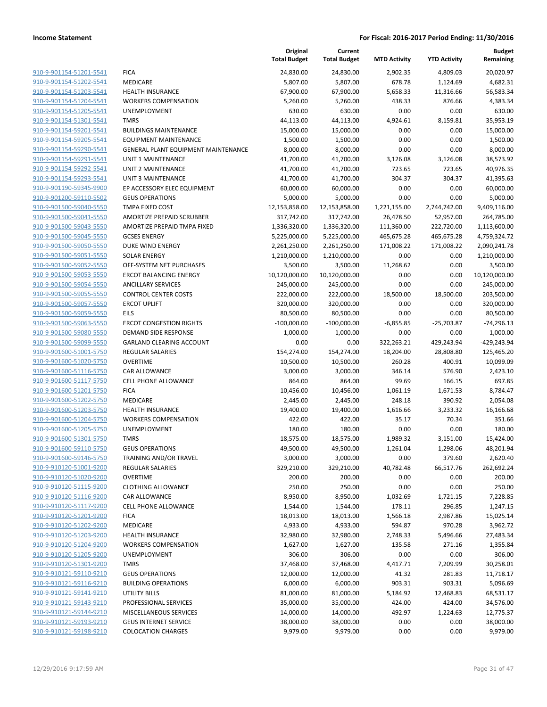|                         |                                            | Original<br><b>Total Budget</b> | Current<br><b>Total Budget</b> | <b>MTD Activity</b> | <b>YTD Activity</b> | <b>Budget</b><br>Remaining |
|-------------------------|--------------------------------------------|---------------------------------|--------------------------------|---------------------|---------------------|----------------------------|
| 910-9-901154-51201-5541 | <b>FICA</b>                                | 24,830.00                       | 24,830.00                      | 2,902.35            | 4,809.03            | 20,020.97                  |
| 910-9-901154-51202-5541 | MEDICARE                                   | 5,807.00                        | 5,807.00                       | 678.78              | 1,124.69            | 4,682.31                   |
| 910-9-901154-51203-5541 | <b>HEALTH INSURANCE</b>                    | 67,900.00                       | 67,900.00                      | 5,658.33            | 11,316.66           | 56,583.34                  |
| 910-9-901154-51204-5541 | <b>WORKERS COMPENSATION</b>                | 5,260.00                        | 5,260.00                       | 438.33              | 876.66              | 4,383.34                   |
| 910-9-901154-51205-5541 | <b>UNEMPLOYMENT</b>                        | 630.00                          | 630.00                         | 0.00                | 0.00                | 630.00                     |
| 910-9-901154-51301-5541 | <b>TMRS</b>                                | 44,113.00                       | 44,113.00                      | 4,924.61            | 8,159.81            | 35,953.19                  |
| 910-9-901154-59201-5541 | <b>BUILDINGS MAINTENANCE</b>               | 15,000.00                       | 15,000.00                      | 0.00                | 0.00                | 15,000.00                  |
| 910-9-901154-59205-5541 | <b>EQUIPMENT MAINTENANCE</b>               | 1,500.00                        | 1,500.00                       | 0.00                | 0.00                | 1,500.00                   |
| 910-9-901154-59290-5541 | <b>GENERAL PLANT EQUIPMENT MAINTENANCE</b> | 8,000.00                        | 8,000.00                       | 0.00                | 0.00                | 8,000.00                   |
| 910-9-901154-59291-5541 | <b>UNIT 1 MAINTENANCE</b>                  | 41,700.00                       | 41,700.00                      | 3,126.08            | 3,126.08            | 38,573.92                  |
| 910-9-901154-59292-5541 | <b>UNIT 2 MAINTENANCE</b>                  | 41,700.00                       | 41,700.00                      | 723.65              | 723.65              | 40,976.35                  |
| 910-9-901154-59293-5541 | UNIT 3 MAINTENANCE                         | 41,700.00                       | 41,700.00                      | 304.37              | 304.37              | 41,395.63                  |
| 910-9-901190-59345-9900 | EP ACCESSORY ELEC EQUIPMENT                | 60,000.00                       | 60,000.00                      | 0.00                | 0.00                | 60,000.00                  |
| 910-9-901200-59110-5502 | <b>GEUS OPERATIONS</b>                     | 5,000.00                        | 5,000.00                       | 0.00                | 0.00                | 5,000.00                   |
| 910-9-901500-59040-5550 | TMPA FIXED COST                            | 12,153,858.00                   | 12,153,858.00                  | 1,221,155.00        | 2,744,742.00        | 9,409,116.00               |
| 910-9-901500-59041-5550 | AMORTIZE PREPAID SCRUBBER                  | 317,742.00                      | 317,742.00                     | 26,478.50           | 52,957.00           | 264,785.00                 |
| 910-9-901500-59043-5550 | AMORTIZE PREPAID TMPA FIXED                | 1,336,320.00                    | 1,336,320.00                   | 111,360.00          | 222,720.00          | 1,113,600.00               |
| 910-9-901500-59045-5550 | <b>GCSES ENERGY</b>                        | 5,225,000.00                    | 5,225,000.00                   | 465,675.28          | 465,675.28          | 4,759,324.72               |
| 910-9-901500-59050-5550 | <b>DUKE WIND ENERGY</b>                    | 2,261,250.00                    | 2,261,250.00                   | 171,008.22          | 171,008.22          | 2,090,241.78               |
| 910-9-901500-59051-5550 | <b>SOLAR ENERGY</b>                        | 1,210,000.00                    | 1,210,000.00                   | 0.00                | 0.00                | 1,210,000.00               |
| 910-9-901500-59052-5550 | OFF-SYSTEM NET PURCHASES                   | 3,500.00                        | 3,500.00                       | 11,268.62           | 0.00                | 3,500.00                   |
| 910-9-901500-59053-5550 | <b>ERCOT BALANCING ENERGY</b>              | 10,120,000.00                   | 10,120,000.00                  | 0.00                | 0.00                | 10,120,000.00              |
| 910-9-901500-59054-5550 | <b>ANCILLARY SERVICES</b>                  | 245,000.00                      | 245,000.00                     | 0.00                | 0.00                | 245,000.00                 |
| 910-9-901500-59055-5550 | <b>CONTROL CENTER COSTS</b>                | 222,000.00                      | 222,000.00                     | 18,500.00           | 18,500.00           | 203,500.00                 |
| 910-9-901500-59057-5550 | <b>ERCOT UPLIFT</b>                        | 320,000.00                      | 320,000.00                     | 0.00                | 0.00                | 320,000.00                 |
| 910-9-901500-59059-5550 | <b>EILS</b>                                | 80,500.00                       | 80,500.00                      | 0.00                | 0.00                | 80,500.00                  |
| 910-9-901500-59063-5550 | <b>ERCOT CONGESTION RIGHTS</b>             | $-100,000.00$                   | $-100,000.00$                  | $-6,855.85$         | $-25,703.87$        | $-74,296.13$               |
| 910-9-901500-59080-5550 | DEMAND SIDE RESPONSE                       | 1,000.00                        | 1,000.00                       | 0.00                | 0.00                | 1,000.00                   |
| 910-9-901500-59099-5550 | <b>GARLAND CLEARING ACCOUNT</b>            | 0.00                            | 0.00                           | 322,263.21          | 429,243.94          | -429,243.94                |
| 910-9-901600-51001-5750 | <b>REGULAR SALARIES</b>                    | 154,274.00                      | 154,274.00                     | 18,204.00           | 28,808.80           | 125,465.20                 |
| 910-9-901600-51020-5750 | <b>OVERTIME</b>                            | 10,500.00                       | 10,500.00                      | 260.28              | 400.91              | 10,099.09                  |
| 910-9-901600-51116-5750 | CAR ALLOWANCE                              | 3,000.00                        | 3,000.00                       | 346.14              | 576.90              | 2,423.10                   |
| 910-9-901600-51117-5750 | <b>CELL PHONE ALLOWANCE</b>                | 864.00                          | 864.00                         | 99.69               | 166.15              | 697.85                     |
| 910-9-901600-51201-5750 | <b>FICA</b>                                | 10,456.00                       | 10,456.00                      | 1,061.19            | 1,671.53            | 8,784.47                   |
| 910-9-901600-51202-5750 | <b>MEDICARE</b>                            | 2,445.00                        | 2,445.00                       | 248.18              | 390.92              | 2,054.08                   |
| 910-9-901600-51203-5750 | HEALTH INSURANCE                           | 19,400.00                       | 19,400.00                      | 1,616.66            | 3,233.32            | 16,166.68                  |
| 910-9-901600-51204-5750 | <b>WORKERS COMPENSATION</b>                | 422.00                          | 422.00                         | 35.17               | 70.34               | 351.66                     |
| 910-9-901600-51205-5750 | UNEMPLOYMENT                               | 180.00                          | 180.00                         | 0.00                | 0.00                | 180.00                     |
| 910-9-901600-51301-5750 | <b>TMRS</b>                                | 18,575.00                       | 18,575.00                      | 1,989.32            | 3,151.00            | 15,424.00                  |
| 910-9-901600-59110-5750 | <b>GEUS OPERATIONS</b>                     | 49,500.00                       | 49,500.00                      | 1,261.04            | 1,298.06            | 48,201.94                  |
| 910-9-901600-59146-5750 | TRAINING AND/OR TRAVEL                     | 3,000.00                        | 3,000.00                       | 0.00                | 379.60              | 2,620.40                   |
| 910-9-910120-51001-9200 | <b>REGULAR SALARIES</b>                    | 329,210.00                      | 329,210.00                     | 40,782.48           | 66,517.76           | 262,692.24                 |
| 910-9-910120-51020-9200 | <b>OVERTIME</b>                            | 200.00                          | 200.00                         | 0.00                | 0.00                | 200.00                     |
| 910-9-910120-51115-9200 | <b>CLOTHING ALLOWANCE</b>                  | 250.00                          | 250.00                         | 0.00                | 0.00                | 250.00                     |
| 910-9-910120-51116-9200 | CAR ALLOWANCE                              | 8,950.00                        | 8,950.00                       | 1,032.69            | 1,721.15            | 7,228.85                   |
| 910-9-910120-51117-9200 | <b>CELL PHONE ALLOWANCE</b>                | 1,544.00                        | 1,544.00                       | 178.11              | 296.85              | 1,247.15                   |
| 910-9-910120-51201-9200 | <b>FICA</b>                                | 18,013.00                       | 18,013.00                      | 1,566.18            | 2,987.86            | 15,025.14                  |
| 910-9-910120-51202-9200 | <b>MEDICARE</b>                            | 4,933.00                        | 4,933.00                       | 594.87              | 970.28              | 3,962.72                   |
| 910-9-910120-51203-9200 | HEALTH INSURANCE                           | 32,980.00                       | 32,980.00                      | 2,748.33            | 5,496.66            | 27,483.34                  |
| 910-9-910120-51204-9200 | <b>WORKERS COMPENSATION</b>                | 1,627.00                        | 1,627.00                       | 135.58              | 271.16              | 1,355.84                   |
| 910-9-910120-51205-9200 | <b>UNEMPLOYMENT</b>                        | 306.00                          | 306.00                         | 0.00                | 0.00                | 306.00                     |
| 910-9-910120-51301-9200 | <b>TMRS</b>                                | 37,468.00                       | 37,468.00                      | 4,417.71            | 7,209.99            | 30,258.01                  |
| 910-9-910121-59110-9210 | <b>GEUS OPERATIONS</b>                     | 12,000.00                       | 12,000.00                      | 41.32               | 281.83              | 11,718.17                  |
| 910-9-910121-59116-9210 | <b>BUILDING OPERATIONS</b>                 | 6,000.00                        | 6,000.00                       | 903.31              | 903.31              | 5,096.69                   |
| 910-9-910121-59141-9210 | <b>UTILITY BILLS</b>                       | 81,000.00                       | 81,000.00                      | 5,184.92            | 12,468.83           | 68,531.17                  |
| 910-9-910121-59143-9210 | PROFESSIONAL SERVICES                      | 35,000.00                       | 35,000.00                      | 424.00              | 424.00              | 34,576.00                  |
| 910-9-910121-59144-9210 | MISCELLANEOUS SERVICES                     | 14,000.00                       | 14,000.00                      | 492.97              | 1,224.63            | 12,775.37                  |
| 910-9-910121-59193-9210 | <b>GEUS INTERNET SERVICE</b>               | 38,000.00                       | 38,000.00                      | 0.00                | 0.00                | 38,000.00                  |
| 910-9-910121-59198-9210 | <b>COLOCATION CHARGES</b>                  | 9,979.00                        | 9,979.00                       | 0.00                | 0.00                | 9,979.00                   |
|                         |                                            |                                 |                                |                     |                     |                            |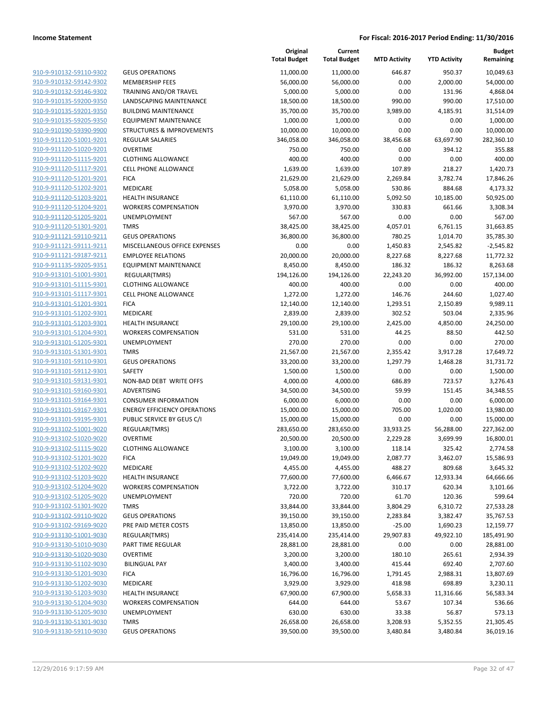|                         |                                      | Original<br><b>Total Budget</b> | Current<br><b>Total Budget</b> | <b>MTD Activity</b> | <b>YTD Activity</b> | <b>Budget</b><br>Remaining |
|-------------------------|--------------------------------------|---------------------------------|--------------------------------|---------------------|---------------------|----------------------------|
| 910-9-910132-59110-9302 | <b>GEUS OPERATIONS</b>               | 11,000.00                       | 11,000.00                      | 646.87              | 950.37              | 10,049.63                  |
| 910-9-910132-59142-9302 | <b>MEMBERSHIP FEES</b>               | 56,000.00                       | 56,000.00                      | 0.00                | 2,000.00            | 54,000.00                  |
| 910-9-910132-59146-9302 | <b>TRAINING AND/OR TRAVEL</b>        | 5,000.00                        | 5,000.00                       | 0.00                | 131.96              | 4,868.04                   |
| 910-9-910135-59200-9350 | <b>LANDSCAPING MAINTENANCE</b>       | 18,500.00                       | 18,500.00                      | 990.00              | 990.00              | 17,510.00                  |
| 910-9-910135-59201-9350 | <b>BUILDING MAINTENANCE</b>          | 35,700.00                       | 35,700.00                      | 3,989.00            | 4,185.91            | 31,514.09                  |
| 910-9-910135-59205-9350 | <b>EQUIPMENT MAINTENANCE</b>         | 1,000.00                        | 1,000.00                       | 0.00                | 0.00                | 1,000.00                   |
| 910-9-910190-59390-9900 | <b>STRUCTURES &amp; IMPROVEMENTS</b> | 10,000.00                       | 10,000.00                      | 0.00                | 0.00                | 10,000.00                  |
| 910-9-911120-51001-9201 | REGULAR SALARIES                     | 346,058.00                      | 346,058.00                     | 38,456.68           | 63,697.90           | 282,360.10                 |
| 910-9-911120-51020-9201 | <b>OVERTIME</b>                      | 750.00                          | 750.00                         | 0.00                | 394.12              | 355.88                     |
| 910-9-911120-51115-9201 | <b>CLOTHING ALLOWANCE</b>            | 400.00                          | 400.00                         | 0.00                | 0.00                | 400.00                     |
| 910-9-911120-51117-9201 | <b>CELL PHONE ALLOWANCE</b>          | 1,639.00                        | 1,639.00                       | 107.89              | 218.27              | 1,420.73                   |
| 910-9-911120-51201-9201 | <b>FICA</b>                          | 21,629.00                       | 21,629.00                      | 2,269.84            | 3,782.74            | 17,846.26                  |
| 910-9-911120-51202-9201 | MEDICARE                             | 5,058.00                        | 5,058.00                       | 530.86              | 884.68              | 4,173.32                   |
| 910-9-911120-51203-9201 | <b>HEALTH INSURANCE</b>              | 61,110.00                       | 61,110.00                      | 5,092.50            | 10,185.00           | 50,925.00                  |
| 910-9-911120-51204-9201 | <b>WORKERS COMPENSATION</b>          | 3,970.00                        | 3,970.00                       | 330.83              | 661.66              | 3,308.34                   |
| 910-9-911120-51205-9201 | UNEMPLOYMENT                         | 567.00                          | 567.00                         | 0.00                | 0.00                | 567.00                     |
| 910-9-911120-51301-9201 | <b>TMRS</b>                          | 38,425.00                       | 38,425.00                      | 4,057.01            | 6,761.15            | 31,663.85                  |
| 910-9-911121-59110-9211 | <b>GEUS OPERATIONS</b>               | 36,800.00                       | 36,800.00                      | 780.25              | 1,014.70            | 35,785.30                  |
| 910-9-911121-59111-9211 | MISCELLANEOUS OFFICE EXPENSES        | 0.00                            | 0.00                           | 1,450.83            | 2,545.82            | $-2,545.82$                |
| 910-9-911121-59187-9211 | <b>EMPLOYEE RELATIONS</b>            | 20,000.00                       | 20,000.00                      | 8,227.68            | 8,227.68            | 11,772.32                  |
| 910-9-911135-59205-9351 | <b>EQUIPMENT MAINTENANCE</b>         | 8,450.00                        | 8,450.00                       | 186.32              | 186.32              | 8,263.68                   |
| 910-9-913101-51001-9301 | REGULAR(TMRS)                        | 194,126.00                      | 194,126.00                     | 22,243.20           | 36,992.00           | 157,134.00                 |
| 910-9-913101-51115-9301 | <b>CLOTHING ALLOWANCE</b>            | 400.00                          | 400.00                         | 0.00                | 0.00                | 400.00                     |
| 910-9-913101-51117-9301 | <b>CELL PHONE ALLOWANCE</b>          | 1,272.00                        | 1,272.00                       | 146.76              | 244.60              | 1,027.40                   |
| 910-9-913101-51201-9301 | <b>FICA</b>                          | 12,140.00                       | 12,140.00                      | 1,293.51            | 2,150.89            | 9,989.11                   |
| 910-9-913101-51202-9301 | MEDICARE                             | 2,839.00                        | 2,839.00                       | 302.52              | 503.04              | 2,335.96                   |
| 910-9-913101-51203-9301 | <b>HEALTH INSURANCE</b>              | 29,100.00                       | 29,100.00                      | 2,425.00            | 4,850.00            | 24,250.00                  |
| 910-9-913101-51204-9301 | <b>WORKERS COMPENSATION</b>          | 531.00                          | 531.00                         | 44.25               | 88.50               | 442.50                     |
| 910-9-913101-51205-9301 | UNEMPLOYMENT                         | 270.00                          | 270.00                         | 0.00                | 0.00                | 270.00                     |
| 910-9-913101-51301-9301 | <b>TMRS</b>                          | 21,567.00                       | 21,567.00                      | 2,355.42            | 3,917.28            | 17,649.72                  |
| 910-9-913101-59110-9301 | <b>GEUS OPERATIONS</b>               | 33,200.00                       | 33,200.00                      | 1,297.79            | 1,468.28            | 31,731.72                  |
| 910-9-913101-59112-9301 | <b>SAFETY</b>                        | 1,500.00                        | 1,500.00                       | 0.00                | 0.00                | 1,500.00                   |
| 910-9-913101-59131-9301 | NON-BAD DEBT WRITE OFFS              | 4,000.00                        | 4,000.00                       | 686.89              | 723.57              | 3,276.43                   |
| 910-9-913101-59160-9301 | ADVERTISING                          | 34,500.00                       | 34,500.00                      | 59.99               | 151.45              | 34,348.55                  |
| 910-9-913101-59164-9301 | <b>CONSUMER INFORMATION</b>          | 6,000.00                        | 6,000.00                       | 0.00                | 0.00                | 6,000.00                   |
| 910-9-913101-59167-9301 | <b>ENERGY EFFICIENCY OPERATIONS</b>  | 15,000.00                       | 15,000.00                      | 705.00              | 1,020.00            | 13,980.00                  |
| 910-9-913101-59195-9301 | PUBLIC SERVICE BY GEUS C/I           | 15,000.00                       | 15,000.00                      | 0.00                | 0.00                | 15,000.00                  |
| 910-9-913102-51001-9020 | REGULAR(TMRS)                        | 283,650.00                      | 283,650.00                     | 33,933.25           | 56,288.00           | 227,362.00                 |
| 910-9-913102-51020-9020 | <b>OVERTIME</b>                      | 20,500.00                       | 20,500.00                      | 2,229.28            | 3,699.99            | 16,800.01                  |
| 910-9-913102-51115-9020 | <b>CLOTHING ALLOWANCE</b>            | 3,100.00                        | 3,100.00                       | 118.14              | 325.42              | 2,774.58                   |
| 910-9-913102-51201-9020 | <b>FICA</b>                          | 19,049.00                       | 19,049.00                      | 2,087.77            | 3,462.07            | 15,586.93                  |
| 910-9-913102-51202-9020 | MEDICARE                             | 4,455.00                        | 4,455.00                       | 488.27              | 809.68              | 3,645.32                   |
| 910-9-913102-51203-9020 | <b>HEALTH INSURANCE</b>              | 77,600.00                       | 77,600.00                      | 6,466.67            | 12,933.34           | 64,666.66                  |
| 910-9-913102-51204-9020 | <b>WORKERS COMPENSATION</b>          | 3,722.00                        | 3,722.00                       | 310.17              | 620.34              | 3,101.66                   |
| 910-9-913102-51205-9020 | <b>UNEMPLOYMENT</b>                  | 720.00                          | 720.00                         | 61.70               | 120.36              | 599.64                     |
| 910-9-913102-51301-9020 | <b>TMRS</b>                          | 33,844.00                       | 33,844.00                      | 3,804.29            | 6,310.72            | 27,533.28                  |
| 910-9-913102-59110-9020 | <b>GEUS OPERATIONS</b>               | 39,150.00                       | 39,150.00                      | 2,283.84            | 3,382.47            | 35,767.53                  |
| 910-9-913102-59169-9020 | PRE PAID METER COSTS                 | 13,850.00                       | 13,850.00                      | $-25.00$            | 1,690.23            | 12,159.77                  |
| 910-9-913130-51001-9030 | REGULAR(TMRS)                        | 235,414.00                      | 235,414.00                     | 29,907.83           | 49,922.10           | 185,491.90                 |
| 910-9-913130-51010-9030 | PART TIME REGULAR                    | 28,881.00                       | 28,881.00                      | 0.00                | 0.00                | 28,881.00                  |
| 910-9-913130-51020-9030 | <b>OVERTIME</b>                      | 3,200.00                        | 3,200.00                       | 180.10              | 265.61              | 2,934.39                   |
| 910-9-913130-51102-9030 | <b>BILINGUAL PAY</b>                 | 3,400.00                        | 3,400.00                       | 415.44              | 692.40              | 2,707.60                   |
| 910-9-913130-51201-9030 | <b>FICA</b>                          | 16,796.00                       | 16,796.00                      | 1,791.45            | 2,988.31            | 13,807.69                  |
| 910-9-913130-51202-9030 | MEDICARE                             | 3,929.00                        | 3,929.00                       | 418.98              | 698.89              | 3,230.11                   |
| 910-9-913130-51203-9030 | <b>HEALTH INSURANCE</b>              | 67,900.00                       | 67,900.00                      | 5,658.33            | 11,316.66           | 56,583.34                  |
| 910-9-913130-51204-9030 | <b>WORKERS COMPENSATION</b>          | 644.00                          | 644.00                         | 53.67               | 107.34              | 536.66                     |
| 910-9-913130-51205-9030 | UNEMPLOYMENT                         | 630.00                          | 630.00                         | 33.38               | 56.87               | 573.13                     |
| 910-9-913130-51301-9030 | <b>TMRS</b>                          | 26,658.00                       | 26,658.00                      | 3,208.93            | 5,352.55            | 21,305.45                  |
| 910-9-913130-59110-9030 | <b>GEUS OPERATIONS</b>               | 39,500.00                       | 39,500.00                      | 3,480.84            | 3,480.84            | 36,019.16                  |
|                         |                                      |                                 |                                |                     |                     |                            |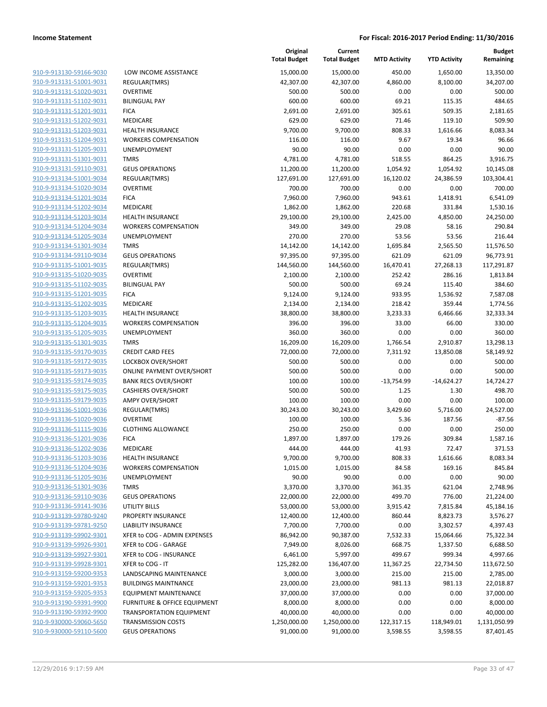| 910-9-913130-59166-9030                                   |
|-----------------------------------------------------------|
| 910-9-913131-51001-9031                                   |
| 910-9-913131-51020-9031                                   |
| 910-9-913131-51102-9031                                   |
| 910-9-913131-51201-9031                                   |
| 910-9-913131-51202-9031                                   |
| 910-9-913131-51203-9031                                   |
| 910-9-913131-51204-9031                                   |
| 910-9-913131-51205-9031                                   |
| <u>910-9-913131-51301-9031</u>                            |
| 910-9-913131-59110-9031                                   |
| 910-9-913134-51001-9034                                   |
| 910-9-913134-51020-9034                                   |
| 910-9-913134-51201-9034                                   |
| <u>910-9-913134-51202-9034</u>                            |
| 910-9-913134-51203-9034                                   |
| 910-9-913134-51204-9034                                   |
| 910-9-913134-51205-9034                                   |
| 910-9-913134-51301-9034                                   |
| 910-9-913134-59110-9034                                   |
| 910-9-913135-51001-9035                                   |
| 910-9-913135-51020-9035                                   |
| 910-9-913135-51102-9035                                   |
| 910-9-913135-51201-9035                                   |
| <u>910-9-913135-51202-9035</u>                            |
| 910-9-913135-51203-9035                                   |
| 910-9-913135-51204-9035                                   |
| 910-9-913135-51205-9035                                   |
| 910-9-913135-51301-9035                                   |
| 910-9-913135-59170-9035                                   |
| 910-9-913135-59172-9035                                   |
| 910-9-913135-59173-9035                                   |
| 910-9-913135-59174-9035                                   |
| 910-9-913135-59175-9035                                   |
| 910-9-913135-59179-9035                                   |
| 910-9-913136-51001-9036                                   |
| 910-9-913136-51020-9036                                   |
| 910-9-913136-51115-9036                                   |
| 910-9-913136-51201-9036                                   |
| 910-9-913136-51202-9036                                   |
| 910-9-913136-51203-9036                                   |
| 910-9-913136-51204-9036                                   |
| 910-9-913136-51205-9036                                   |
| 910-9-913136-51301-9036                                   |
|                                                           |
| <u>910-9-913136-59110-9036</u>                            |
| <u>910-9-913136-59141-9036</u><br>910-9-913139-59780-9240 |
|                                                           |
| <u>910-9-913139-59781-9250</u>                            |
| 910-9-913139-59902-9301                                   |
| <u>910-9-913139-59926-9301</u>                            |
| 910-9-913139-59927-9301                                   |
| <u>910-9-913139-59928-9301</u>                            |
| 910-9-913159-59200-9353                                   |
| 910-9-913159-59201-9353                                   |
| <u>910-9-913159-59205-9353</u>                            |
| <u>910-9-913190-59391-9900</u>                            |
| <u>910-9-913190-59392-9900</u>                            |
| <u>910-9-930000-59060-5650</u>                            |
| 910-9-930000-59110-5600                                   |

|                                                      | Total B        |
|------------------------------------------------------|----------------|
| <b>LOW INCOME ASSISTANCE</b>                         | 15,0           |
| REGULAR(TMRS)                                        | 42,3           |
| OVERTIME                                             | 5              |
| <b>BILINGUAL PAY</b>                                 | 6              |
| <b>FICA</b>                                          | 2,6            |
| <b>MEDICARE</b>                                      | 6              |
| <b>HEALTH INSURANCE</b>                              | 9,7            |
| <b>WORKERS COMPENSATION</b><br><b>UNEMPLOYMENT</b>   | 1              |
| <b>TMRS</b>                                          | 4,7            |
| <b>GEUS OPERATIONS</b>                               | 11,2           |
| REGULAR(TMRS)                                        | 127,6          |
| <b>OVERTIME</b>                                      | 7              |
| <b>FICA</b>                                          | 7,9            |
| <b>MEDICARE</b>                                      | 1,8            |
| <b>HEALTH INSURANCE</b>                              | 29,1           |
| <b>WORKERS COMPENSATION</b>                          | 3              |
| <b>UNEMPLOYMENT</b>                                  | $\overline{2}$ |
| <b>TMRS</b>                                          | 14,1           |
| <b>GEUS OPERATIONS</b>                               | 97,3           |
| REGULAR(TMRS)                                        | 144,5          |
| <b>OVERTIME</b><br><b>BILINGUAL PAY</b>              | 2,1<br>5       |
| <b>FICA</b>                                          | 9,1            |
| <b>MEDICARE</b>                                      | 2,1            |
| <b>HEALTH INSURANCE</b>                              | 38,8           |
| <b>WORKERS COMPENSATION</b>                          | 3              |
| <b>UNEMPLOYMENT</b>                                  | 3              |
| <b>TMRS</b>                                          | 16,2           |
| <b>CREDIT CARD FEES</b>                              | 72,0           |
| <b>LOCKBOX OVER/SHORT</b>                            | 5              |
| <b>ONLINE PAYMENT OVER/SHORT</b>                     | 5              |
| <b>BANK RECS OVER/SHORT</b>                          | 1              |
| <b>CASHIERS OVER/SHORT</b>                           | 5              |
| <b>AMPY OVER/SHORT</b><br><b>REGULAR(TMRS)</b>       | 1<br>30,2      |
| <b>OVERTIME</b>                                      | 1              |
| <b>CLOTHING ALLOWANCE</b>                            | $\overline{a}$ |
| <b>FICA</b>                                          | 1,8            |
| MEDICARE                                             | 4              |
| <b>HEALTH INSURANCE</b>                              | 9,7            |
| <b>WORKERS COMPENSATION</b>                          | 1,0            |
| <b>UNEMPLOYMENT</b>                                  |                |
| <b>TMRS</b>                                          | 3,3            |
| <b>GEUS OPERATIONS</b>                               | 22,0           |
| <b>UTILITY BILLS</b>                                 | 53,0           |
| PROPERTY INSURANCE                                   | 12,4           |
| <b>LIABILITY INSURANCE</b>                           | 7,7            |
| XFER to COG - ADMIN EXPENSES<br>XFER to COG - GARAGE | 86,9<br>7,9    |
| XFER to COG - INSURANCE                              | 6,4            |
| XFER to COG - IT                                     | 125,2          |
| LANDSCAPING MAINTENANCE                              | 3,0            |
| <b>BUILDINGS MAINTNANCE</b>                          | 23,0           |
| <b>EQUIPMENT MAINTENANCE</b>                         | 37,0           |
| FURNITURE & OFFICE EQUIPMENT                         | 8,0            |
| <b>TRANSPORTATION EQUIPMENT</b>                      | 40,0           |
| <b>TRANSMISSION COSTS</b>                            | 1,250,0        |
| <b>GEUS OPERATIONS</b>                               | 91,0           |

|                                                    |                                             | Original<br><b>Total Budget</b> | Current<br><b>Total Budget</b> | <b>MTD Activity</b> | <b>YTD Activity</b> | <b>Budget</b><br>Remaining |
|----------------------------------------------------|---------------------------------------------|---------------------------------|--------------------------------|---------------------|---------------------|----------------------------|
| 910-9-913130-59166-9030                            | LOW INCOME ASSISTANCE                       | 15,000.00                       | 15,000.00                      | 450.00              | 1,650.00            | 13,350.00                  |
| 910-9-913131-51001-9031                            | REGULAR(TMRS)                               | 42,307.00                       | 42,307.00                      | 4,860.00            | 8,100.00            | 34,207.00                  |
| 910-9-913131-51020-9031                            | <b>OVERTIME</b>                             | 500.00                          | 500.00                         | 0.00                | 0.00                | 500.00                     |
| 910-9-913131-51102-9031                            | <b>BILINGUAL PAY</b>                        | 600.00                          | 600.00                         | 69.21               | 115.35              | 484.65                     |
| 910-9-913131-51201-9031                            | <b>FICA</b>                                 | 2,691.00                        | 2,691.00                       | 305.61              | 509.35              | 2,181.65                   |
| 910-9-913131-51202-9031                            | <b>MEDICARE</b>                             | 629.00                          | 629.00                         | 71.46               | 119.10              | 509.90                     |
| 910-9-913131-51203-9031                            | <b>HEALTH INSURANCE</b>                     | 9,700.00                        | 9,700.00                       | 808.33              | 1,616.66            | 8,083.34                   |
| 910-9-913131-51204-9031                            | <b>WORKERS COMPENSATION</b>                 | 116.00                          | 116.00                         | 9.67                | 19.34               | 96.66                      |
| 910-9-913131-51205-9031                            | UNEMPLOYMENT                                | 90.00                           | 90.00                          | 0.00                | 0.00                | 90.00                      |
| 910-9-913131-51301-9031                            | <b>TMRS</b>                                 | 4,781.00                        | 4,781.00                       | 518.55              | 864.25              | 3,916.75                   |
| 910-9-913131-59110-9031                            | <b>GEUS OPERATIONS</b>                      | 11,200.00                       | 11,200.00                      | 1,054.92            | 1,054.92            | 10,145.08                  |
| 910-9-913134-51001-9034                            | REGULAR(TMRS)                               | 127,691.00                      | 127,691.00                     | 16,120.02           | 24,386.59           | 103,304.41                 |
| 910-9-913134-51020-9034                            | <b>OVERTIME</b>                             | 700.00                          | 700.00                         | 0.00                | 0.00                | 700.00                     |
| 910-9-913134-51201-9034                            | <b>FICA</b>                                 | 7,960.00                        | 7,960.00                       | 943.61              | 1,418.91            | 6,541.09                   |
| 910-9-913134-51202-9034                            | <b>MEDICARE</b>                             | 1,862.00                        | 1,862.00                       | 220.68              | 331.84              | 1,530.16                   |
| 910-9-913134-51203-9034                            | <b>HEALTH INSURANCE</b>                     | 29,100.00                       | 29,100.00                      | 2,425.00            | 4,850.00            | 24,250.00                  |
| 910-9-913134-51204-9034                            | <b>WORKERS COMPENSATION</b>                 | 349.00                          | 349.00                         | 29.08               | 58.16               | 290.84                     |
| 910-9-913134-51205-9034                            | <b>UNEMPLOYMENT</b>                         | 270.00                          | 270.00                         | 53.56               | 53.56               | 216.44                     |
| 910-9-913134-51301-9034<br>910-9-913134-59110-9034 | <b>TMRS</b>                                 | 14,142.00<br>97,395.00          | 14,142.00                      | 1,695.84<br>621.09  | 2,565.50            | 11,576.50<br>96,773.91     |
| 910-9-913135-51001-9035                            | <b>GEUS OPERATIONS</b><br>REGULAR(TMRS)     | 144,560.00                      | 97,395.00<br>144,560.00        | 16,470.41           | 621.09<br>27,268.13 | 117,291.87                 |
| 910-9-913135-51020-9035                            | <b>OVERTIME</b>                             | 2,100.00                        | 2,100.00                       | 252.42              | 286.16              | 1,813.84                   |
| 910-9-913135-51102-9035                            | <b>BILINGUAL PAY</b>                        | 500.00                          | 500.00                         | 69.24               | 115.40              | 384.60                     |
| 910-9-913135-51201-9035                            | <b>FICA</b>                                 | 9,124.00                        | 9,124.00                       | 933.95              | 1,536.92            | 7,587.08                   |
| 910-9-913135-51202-9035                            | <b>MEDICARE</b>                             | 2,134.00                        | 2,134.00                       | 218.42              | 359.44              | 1,774.56                   |
| 910-9-913135-51203-9035                            | <b>HEALTH INSURANCE</b>                     | 38,800.00                       | 38,800.00                      | 3,233.33            | 6,466.66            | 32,333.34                  |
| 910-9-913135-51204-9035                            | <b>WORKERS COMPENSATION</b>                 | 396.00                          | 396.00                         | 33.00               | 66.00               | 330.00                     |
| 910-9-913135-51205-9035                            | UNEMPLOYMENT                                | 360.00                          | 360.00                         | 0.00                | 0.00                | 360.00                     |
| 910-9-913135-51301-9035                            | <b>TMRS</b>                                 | 16,209.00                       | 16,209.00                      | 1,766.54            | 2,910.87            | 13,298.13                  |
| 910-9-913135-59170-9035                            | <b>CREDIT CARD FEES</b>                     | 72,000.00                       | 72,000.00                      | 7,311.92            | 13,850.08           | 58,149.92                  |
| 910-9-913135-59172-9035                            | LOCKBOX OVER/SHORT                          | 500.00                          | 500.00                         | 0.00                | 0.00                | 500.00                     |
| 910-9-913135-59173-9035                            | <b>ONLINE PAYMENT OVER/SHORT</b>            | 500.00                          | 500.00                         | 0.00                | 0.00                | 500.00                     |
| 910-9-913135-59174-9035                            | <b>BANK RECS OVER/SHORT</b>                 | 100.00                          | 100.00                         | $-13,754.99$        | $-14,624.27$        | 14,724.27                  |
| 910-9-913135-59175-9035                            | <b>CASHIERS OVER/SHORT</b>                  | 500.00                          | 500.00                         | 1.25                | 1.30                | 498.70                     |
| 910-9-913135-59179-9035                            | <b>AMPY OVER/SHORT</b>                      | 100.00                          | 100.00                         | 0.00                | 0.00                | 100.00                     |
| 910-9-913136-51001-9036                            | REGULAR(TMRS)                               | 30,243.00                       | 30,243.00                      | 3,429.60            | 5,716.00            | 24,527.00                  |
| 910-9-913136-51020-9036                            | <b>OVERTIME</b>                             | 100.00                          | 100.00                         | 5.36                | 187.56              | $-87.56$                   |
| 910-9-913136-51115-9036                            | <b>CLOTHING ALLOWANCE</b>                   | 250.00                          | 250.00                         | 0.00                | 0.00                | 250.00                     |
| 910-9-913136-51201-9036                            | <b>FICA</b>                                 | 1,897.00                        | 1,897.00                       | 179.26              | 309.84              | 1,587.16                   |
| 910-9-913136-51202-9036                            | MEDICARE                                    | 444.00                          | 444.00                         | 41.93               | 72.47               | 371.53                     |
| 910-9-913136-51203-9036                            | <b>HEALTH INSURANCE</b>                     | 9,700.00                        | 9,700.00                       | 808.33              | 1,616.66            | 8,083.34                   |
| 910-9-913136-51204-9036                            | <b>WORKERS COMPENSATION</b>                 | 1,015.00                        | 1,015.00                       | 84.58               | 169.16              | 845.84                     |
| 910-9-913136-51205-9036                            | <b>UNEMPLOYMENT</b>                         | 90.00                           | 90.00                          | 0.00                | 0.00                | 90.00                      |
| 910-9-913136-51301-9036                            | <b>TMRS</b>                                 | 3,370.00                        | 3,370.00                       | 361.35              | 621.04              | 2,748.96                   |
| 910-9-913136-59110-9036                            | <b>GEUS OPERATIONS</b>                      | 22,000.00                       | 22,000.00                      | 499.70              | 776.00              | 21,224.00                  |
| 910-9-913136-59141-9036                            | <b>UTILITY BILLS</b>                        | 53,000.00                       | 53,000.00                      | 3,915.42            | 7,815.84            | 45,184.16                  |
| 910-9-913139-59780-9240                            | PROPERTY INSURANCE                          | 12,400.00                       | 12,400.00                      | 860.44              | 8,823.73            | 3,576.27                   |
| 910-9-913139-59781-9250                            | <b>LIABILITY INSURANCE</b>                  | 7,700.00                        | 7,700.00                       | 0.00                | 3,302.57            | 4,397.43                   |
| 910-9-913139-59902-9301                            | XFER to COG - ADMIN EXPENSES                | 86,942.00                       | 90,387.00                      | 7,532.33            | 15,064.66           | 75,322.34                  |
| 910-9-913139-59926-9301                            | XFER to COG - GARAGE                        | 7,949.00                        | 8,026.00                       | 668.75              | 1,337.50            | 6,688.50                   |
| 910-9-913139-59927-9301<br>910-9-913139-59928-9301 | XFER to COG - INSURANCE<br>XFER to COG - IT | 6,461.00<br>125,282.00          | 5,997.00                       | 499.67              | 999.34<br>22,734.50 | 4,997.66<br>113,672.50     |
| 910-9-913159-59200-9353                            | LANDSCAPING MAINTENANCE                     | 3,000.00                        | 136,407.00                     | 11,367.25<br>215.00 | 215.00              | 2,785.00                   |
| 910-9-913159-59201-9353                            | <b>BUILDINGS MAINTNANCE</b>                 |                                 | 3,000.00                       |                     | 981.13              |                            |
| 910-9-913159-59205-9353                            | EQUIPMENT MAINTENANCE                       | 23,000.00<br>37,000.00          | 23,000.00<br>37,000.00         | 981.13<br>0.00      | 0.00                | 22,018.87<br>37,000.00     |
| 910-9-913190-59391-9900                            | FURNITURE & OFFICE EQUIPMENT                | 8,000.00                        | 8,000.00                       | 0.00                | 0.00                | 8,000.00                   |
| 910-9-913190-59392-9900                            | <b>TRANSPORTATION EQUIPMENT</b>             | 40,000.00                       | 40,000.00                      | 0.00                | 0.00                | 40,000.00                  |
| 910-9-930000-59060-5650                            | <b>TRANSMISSION COSTS</b>                   | 1,250,000.00                    | 1,250,000.00                   | 122,317.15          | 118,949.01          | 1,131,050.99               |
| 910-9-930000-59110-5600                            | <b>GEUS OPERATIONS</b>                      | 91,000.00                       | 91,000.00                      | 3,598.55            | 3,598.55            | 87,401.45                  |
|                                                    |                                             |                                 |                                |                     |                     |                            |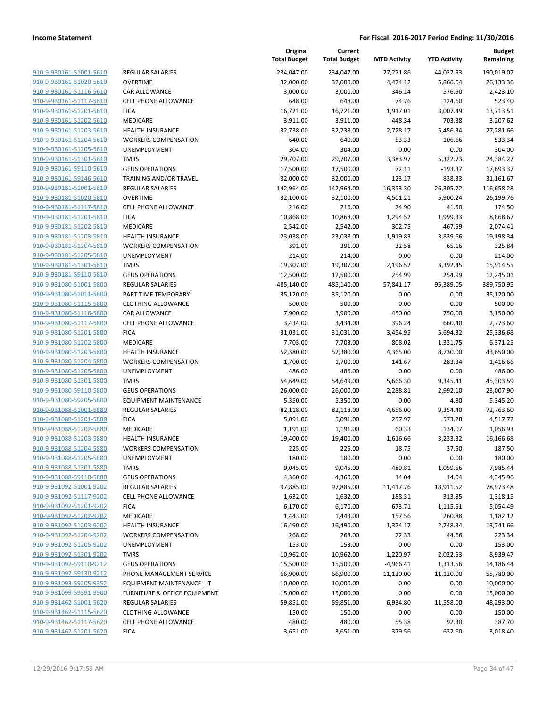|                                                    |                                                            | Original<br><b>Total Budget</b> | Current<br><b>Total Budget</b> | <b>MTD Activity</b> | <b>YTD Activity</b> | <b>Budget</b><br>Remaining |
|----------------------------------------------------|------------------------------------------------------------|---------------------------------|--------------------------------|---------------------|---------------------|----------------------------|
| 910-9-930161-51001-5610                            | <b>REGULAR SALARIES</b>                                    | 234,047.00                      | 234,047.00                     | 27,271.86           | 44,027.93           | 190,019.07                 |
| 910-9-930161-51020-5610                            | <b>OVERTIME</b>                                            | 32,000.00                       | 32,000.00                      | 4,474.12            | 5,866.64            | 26,133.36                  |
| 910-9-930161-51116-5610                            | <b>CAR ALLOWANCE</b>                                       | 3,000.00                        | 3,000.00                       | 346.14              | 576.90              | 2,423.10                   |
| 910-9-930161-51117-5610                            | <b>CELL PHONE ALLOWANCE</b>                                | 648.00                          | 648.00                         | 74.76               | 124.60              | 523.40                     |
| 910-9-930161-51201-5610                            | <b>FICA</b>                                                | 16,721.00                       | 16,721.00                      | 1,917.01            | 3,007.49            | 13,713.51                  |
| 910-9-930161-51202-5610                            | MEDICARE                                                   | 3,911.00                        | 3,911.00                       | 448.34              | 703.38              | 3,207.62                   |
| 910-9-930161-51203-5610                            | <b>HEALTH INSURANCE</b>                                    | 32,738.00                       | 32,738.00                      | 2,728.17            | 5,456.34            | 27,281.66                  |
| 910-9-930161-51204-5610                            | <b>WORKERS COMPENSATION</b>                                | 640.00                          | 640.00                         | 53.33               | 106.66              | 533.34                     |
| 910-9-930161-51205-5610                            | <b>UNEMPLOYMENT</b>                                        | 304.00                          | 304.00                         | 0.00                | 0.00                | 304.00                     |
| 910-9-930161-51301-5610                            | <b>TMRS</b>                                                | 29,707.00                       | 29,707.00                      | 3,383.97            | 5,322.73            | 24,384.27                  |
| 910-9-930161-59110-5610                            | <b>GEUS OPERATIONS</b>                                     | 17,500.00                       | 17,500.00                      | 72.11               | -193.37             | 17,693.37                  |
| 910-9-930161-59146-5610                            | TRAINING AND/OR TRAVEL                                     | 32,000.00                       | 32,000.00                      | 123.17              | 838.33              | 31,161.67                  |
| 910-9-930181-51001-5810                            | <b>REGULAR SALARIES</b>                                    | 142,964.00                      | 142,964.00                     | 16,353.30           | 26,305.72           | 116,658.28                 |
| 910-9-930181-51020-5810                            | <b>OVERTIME</b>                                            | 32,100.00                       | 32,100.00                      | 4,501.21            | 5,900.24            | 26,199.76                  |
| 910-9-930181-51117-5810                            | <b>CELL PHONE ALLOWANCE</b>                                | 216.00                          | 216.00                         | 24.90               | 41.50               | 174.50                     |
| 910-9-930181-51201-5810                            | <b>FICA</b>                                                | 10,868.00                       | 10,868.00                      | 1,294.52            | 1,999.33            | 8,868.67                   |
| 910-9-930181-51202-5810                            | <b>MEDICARE</b>                                            | 2,542.00                        | 2,542.00                       | 302.75              | 467.59              | 2,074.41                   |
| 910-9-930181-51203-5810<br>910-9-930181-51204-5810 | <b>HEALTH INSURANCE</b>                                    | 23,038.00                       | 23,038.00                      | 1,919.83            | 3,839.66            | 19,198.34                  |
| 910-9-930181-51205-5810                            | <b>WORKERS COMPENSATION</b><br>UNEMPLOYMENT                | 391.00<br>214.00                | 391.00<br>214.00               | 32.58<br>0.00       | 65.16<br>0.00       | 325.84<br>214.00           |
| 910-9-930181-51301-5810                            | <b>TMRS</b>                                                | 19,307.00                       | 19,307.00                      | 2,196.52            | 3,392.45            | 15,914.55                  |
| 910-9-930181-59110-5810                            | <b>GEUS OPERATIONS</b>                                     | 12,500.00                       | 12,500.00                      | 254.99              | 254.99              | 12,245.01                  |
| 910-9-931080-51001-5800                            | <b>REGULAR SALARIES</b>                                    | 485,140.00                      | 485,140.00                     | 57,841.17           | 95,389.05           | 389,750.95                 |
| 910-9-931080-51011-5800                            | PART TIME TEMPORARY                                        | 35,120.00                       | 35,120.00                      | 0.00                | 0.00                | 35,120.00                  |
| 910-9-931080-51115-5800                            | <b>CLOTHING ALLOWANCE</b>                                  | 500.00                          | 500.00                         | 0.00                | 0.00                | 500.00                     |
| 910-9-931080-51116-5800                            | <b>CAR ALLOWANCE</b>                                       | 7,900.00                        | 3,900.00                       | 450.00              | 750.00              | 3,150.00                   |
| 910-9-931080-51117-5800                            | <b>CELL PHONE ALLOWANCE</b>                                | 3,434.00                        | 3,434.00                       | 396.24              | 660.40              | 2,773.60                   |
| 910-9-931080-51201-5800                            | <b>FICA</b>                                                | 31,031.00                       | 31,031.00                      | 3,454.95            | 5,694.32            | 25,336.68                  |
| 910-9-931080-51202-5800                            | MEDICARE                                                   | 7,703.00                        | 7,703.00                       | 808.02              | 1,331.75            | 6,371.25                   |
| 910-9-931080-51203-5800                            | <b>HEALTH INSURANCE</b>                                    | 52,380.00                       | 52,380.00                      | 4,365.00            | 8,730.00            | 43,650.00                  |
| 910-9-931080-51204-5800                            | <b>WORKERS COMPENSATION</b>                                | 1,700.00                        | 1,700.00                       | 141.67              | 283.34              | 1,416.66                   |
| 910-9-931080-51205-5800                            | UNEMPLOYMENT                                               | 486.00                          | 486.00                         | 0.00                | 0.00                | 486.00                     |
| 910-9-931080-51301-5800                            | <b>TMRS</b>                                                | 54,649.00                       | 54,649.00                      | 5,666.30            | 9,345.41            | 45,303.59                  |
| 910-9-931080-59110-5800                            | <b>GEUS OPERATIONS</b>                                     | 26,000.00                       | 26,000.00                      | 2,288.81            | 2,992.10            | 23,007.90                  |
| 910-9-931080-59205-5800                            | <b>EQUIPMENT MAINTENANCE</b>                               | 5,350.00                        | 5,350.00                       | 0.00                | 4.80                | 5,345.20                   |
| 910-9-931088-51001-5880                            | REGULAR SALARIES                                           | 82,118.00                       | 82,118.00                      | 4,656.00            | 9,354.40            | 72,763.60                  |
| 910-9-931088-51201-5880                            | <b>FICA</b>                                                | 5,091.00                        | 5,091.00                       | 257.97              | 573.28              | 4,517.72                   |
| 910-9-931088-51202-5880                            | <b>MEDICARE</b>                                            | 1,191.00                        | 1,191.00                       | 60.33               | 134.07              | 1,056.93                   |
| 910-9-931088-51203-5880                            | <b>HEALTH INSURANCE</b>                                    | 19,400.00                       | 19,400.00                      | 1,616.66            | 3,233.32            | 16,166.68                  |
| 910-9-931088-51204-5880                            | <b>WORKERS COMPENSATION</b>                                | 225.00                          | 225.00                         | 18.75               | 37.50               | 187.50                     |
| 910-9-931088-51205-5880                            | <b>UNEMPLOYMENT</b>                                        | 180.00                          | 180.00                         | 0.00                | 0.00                | 180.00                     |
| 910-9-931088-51301-5880                            | <b>TMRS</b>                                                | 9,045.00                        | 9,045.00                       | 489.81              | 1,059.56            | 7,985.44                   |
| 910-9-931088-59110-5880                            | <b>GEUS OPERATIONS</b>                                     | 4,360.00                        | 4,360.00                       | 14.04               | 14.04               | 4,345.96                   |
| 910-9-931092-51001-9202                            | <b>REGULAR SALARIES</b>                                    | 97,885.00                       | 97,885.00                      | 11,417.76           | 18,911.52           | 78,973.48                  |
| 910-9-931092-51117-9202                            | <b>CELL PHONE ALLOWANCE</b>                                | 1,632.00                        | 1,632.00                       | 188.31              | 313.85              | 1,318.15                   |
| 910-9-931092-51201-9202                            | <b>FICA</b>                                                | 6,170.00                        | 6,170.00                       | 673.71              | 1,115.51            | 5,054.49                   |
| 910-9-931092-51202-9202                            | MEDICARE                                                   | 1,443.00                        | 1,443.00                       | 157.56              | 260.88              | 1,182.12                   |
| 910-9-931092-51203-9202                            | <b>HEALTH INSURANCE</b>                                    | 16,490.00                       | 16,490.00                      | 1,374.17            | 2,748.34            | 13,741.66                  |
| 910-9-931092-51204-9202                            | <b>WORKERS COMPENSATION</b>                                | 268.00                          | 268.00                         | 22.33               | 44.66               | 223.34                     |
| 910-9-931092-51205-9202                            | UNEMPLOYMENT                                               | 153.00                          | 153.00                         | 0.00                | 0.00                | 153.00                     |
| 910-9-931092-51301-9202                            | <b>TMRS</b>                                                | 10,962.00                       | 10,962.00                      | 1,220.97            | 2,022.53            | 8,939.47                   |
| 910-9-931092-59110-9212                            | <b>GEUS OPERATIONS</b>                                     | 15,500.00                       | 15,500.00                      | $-4,966.41$         | 1,313.56            | 14,186.44                  |
| 910-9-931092-59130-9212<br>910-9-931093-59205-9352 | PHONE MANAGEMENT SERVICE                                   | 66,900.00                       | 66,900.00                      | 11,120.00           | 11,120.00           | 55,780.00                  |
|                                                    | EQUIPMENT MAINTENANCE - IT<br>FURNITURE & OFFICE EQUIPMENT | 10,000.00                       | 10,000.00                      | 0.00                | 0.00                | 10,000.00                  |
| 910-9-931099-59391-9900                            |                                                            | 15,000.00                       | 15,000.00                      | 0.00                | 0.00                | 15,000.00                  |
| 910-9-931462-51001-5620                            | REGULAR SALARIES                                           | 59,851.00                       | 59,851.00                      | 6,934.80            | 11,558.00           | 48,293.00                  |
| 910-9-931462-51115-5620<br>910-9-931462-51117-5620 | <b>CLOTHING ALLOWANCE</b><br>CELL PHONE ALLOWANCE          | 150.00<br>480.00                | 150.00<br>480.00               | 0.00<br>55.38       | 0.00<br>92.30       | 150.00<br>387.70           |
| 910-9-931462-51201-5620                            | <b>FICA</b>                                                |                                 |                                |                     |                     |                            |
|                                                    |                                                            | 3,651.00                        | 3,651.00                       | 379.56              | 632.60              | 3,018.40                   |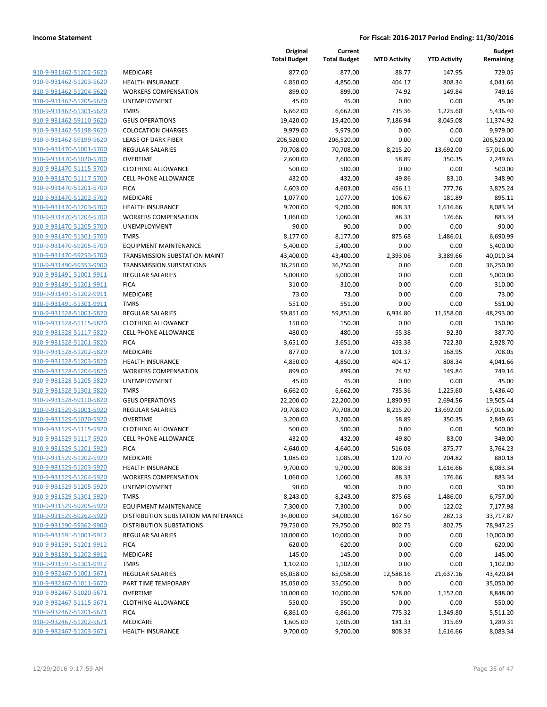|                                                    |                                            | Original<br><b>Total Budget</b> | Current<br><b>Total Budget</b> | <b>MTD Activity</b> | <b>YTD Activity</b> | <b>Budget</b><br>Remaining |
|----------------------------------------------------|--------------------------------------------|---------------------------------|--------------------------------|---------------------|---------------------|----------------------------|
| 910-9-931462-51202-5620                            | MEDICARE                                   | 877.00                          | 877.00                         | 88.77               | 147.95              | 729.05                     |
| 910-9-931462-51203-5620                            | <b>HEALTH INSURANCE</b>                    | 4,850.00                        | 4,850.00                       | 404.17              | 808.34              | 4,041.66                   |
| 910-9-931462-51204-5620                            | <b>WORKERS COMPENSATION</b>                | 899.00                          | 899.00                         | 74.92               | 149.84              | 749.16                     |
| 910-9-931462-51205-5620                            | UNEMPLOYMENT                               | 45.00                           | 45.00                          | 0.00                | 0.00                | 45.00                      |
| 910-9-931462-51301-5620                            | <b>TMRS</b>                                | 6,662.00                        | 6,662.00                       | 735.36              | 1,225.60            | 5,436.40                   |
| 910-9-931462-59110-5620                            | <b>GEUS OPERATIONS</b>                     | 19,420.00                       | 19,420.00                      | 7,186.94            | 8,045.08            | 11,374.92                  |
| 910-9-931462-59198-5620                            | <b>COLOCATION CHARGES</b>                  | 9,979.00                        | 9,979.00                       | 0.00                | 0.00                | 9,979.00                   |
| 910-9-931462-59199-5620                            | LEASE OF DARK FIBER                        | 206,520.00                      | 206,520.00                     | 0.00                | 0.00                | 206,520.00                 |
| 910-9-931470-51001-5700                            | <b>REGULAR SALARIES</b>                    | 70,708.00                       | 70,708.00                      | 8,215.20            | 13,692.00           | 57,016.00                  |
| 910-9-931470-51020-5700                            | <b>OVERTIME</b>                            | 2,600.00                        | 2,600.00                       | 58.89               | 350.35              | 2,249.65                   |
| 910-9-931470-51115-5700                            | <b>CLOTHING ALLOWANCE</b>                  | 500.00                          | 500.00                         | 0.00                | 0.00                | 500.00                     |
| 910-9-931470-51117-5700                            | <b>CELL PHONE ALLOWANCE</b>                | 432.00                          | 432.00                         | 49.86               | 83.10               | 348.90                     |
| 910-9-931470-51201-5700                            | <b>FICA</b>                                | 4,603.00                        | 4,603.00                       | 456.11              | 777.76              | 3,825.24                   |
| 910-9-931470-51202-5700                            | MEDICARE                                   | 1,077.00                        | 1,077.00                       | 106.67              | 181.89              | 895.11                     |
| 910-9-931470-51203-5700                            | <b>HEALTH INSURANCE</b>                    | 9,700.00                        | 9,700.00                       | 808.33              | 1,616.66            | 8,083.34                   |
| 910-9-931470-51204-5700                            | <b>WORKERS COMPENSATION</b>                | 1,060.00                        | 1,060.00                       | 88.33               | 176.66              | 883.34                     |
| 910-9-931470-51205-5700                            | UNEMPLOYMENT                               | 90.00                           | 90.00                          | 0.00                | 0.00                | 90.00                      |
| 910-9-931470-51301-5700                            | <b>TMRS</b>                                | 8,177.00                        | 8,177.00                       | 875.68              | 1,486.01            | 6,690.99                   |
| 910-9-931470-59205-5700                            | <b>EQUIPMENT MAINTENANCE</b>               | 5,400.00                        | 5,400.00                       | 0.00                | 0.00                | 5,400.00                   |
| 910-9-931470-59253-5700                            | TRANSMISSION SUBSTATION MAINT              | 43,400.00                       | 43,400.00                      | 2,393.06            | 3,389.66            | 40,010.34                  |
| 910-9-931490-59353-9900                            | <b>TRANSMISSION SUBSTATIONS</b>            | 36,250.00                       | 36,250.00                      | 0.00                | 0.00                | 36,250.00                  |
| 910-9-931491-51001-9911                            | <b>REGULAR SALARIES</b>                    | 5,000.00                        | 5,000.00                       | 0.00                | 0.00                | 5,000.00                   |
| 910-9-931491-51201-9911                            | <b>FICA</b>                                | 310.00                          | 310.00                         | 0.00                | 0.00                | 310.00                     |
| 910-9-931491-51202-9911                            | <b>MEDICARE</b>                            | 73.00                           | 73.00                          | 0.00                | 0.00                | 73.00                      |
| 910-9-931491-51301-9911                            | <b>TMRS</b>                                | 551.00                          | 551.00                         | 0.00                | 0.00                | 551.00                     |
| 910-9-931528-51001-5820                            | <b>REGULAR SALARIES</b>                    | 59,851.00                       | 59,851.00                      | 6,934.80            | 11,558.00           | 48,293.00                  |
| 910-9-931528-51115-5820                            | <b>CLOTHING ALLOWANCE</b>                  | 150.00                          | 150.00                         | 0.00                | 0.00<br>92.30       | 150.00                     |
| 910-9-931528-51117-5820<br>910-9-931528-51201-5820 | <b>CELL PHONE ALLOWANCE</b><br><b>FICA</b> | 480.00<br>3,651.00              | 480.00<br>3,651.00             | 55.38<br>433.38     | 722.30              | 387.70<br>2,928.70         |
| 910-9-931528-51202-5820                            | MEDICARE                                   | 877.00                          | 877.00                         | 101.37              | 168.95              | 708.05                     |
| 910-9-931528-51203-5820                            | <b>HEALTH INSURANCE</b>                    | 4,850.00                        | 4,850.00                       | 404.17              | 808.34              | 4,041.66                   |
| 910-9-931528-51204-5820                            | <b>WORKERS COMPENSATION</b>                | 899.00                          | 899.00                         | 74.92               | 149.84              | 749.16                     |
| 910-9-931528-51205-5820                            | UNEMPLOYMENT                               | 45.00                           | 45.00                          | 0.00                | 0.00                | 45.00                      |
| 910-9-931528-51301-5820                            | <b>TMRS</b>                                | 6,662.00                        | 6,662.00                       | 735.36              | 1,225.60            | 5,436.40                   |
| 910-9-931528-59110-5820                            | <b>GEUS OPERATIONS</b>                     | 22,200.00                       | 22,200.00                      | 1,890.95            | 2,694.56            | 19,505.44                  |
| 910-9-931529-51001-5920                            | REGULAR SALARIES                           | 70,708.00                       | 70,708.00                      | 8,215.20            | 13,692.00           | 57,016.00                  |
| 910-9-931529-51020-5920                            | <b>OVERTIME</b>                            | 3,200.00                        | 3,200.00                       | 58.89               | 350.35              | 2,849.65                   |
| 910-9-931529-51115-5920                            | <b>CLOTHING ALLOWANCE</b>                  | 500.00                          | 500.00                         | 0.00                | 0.00                | 500.00                     |
| 910-9-931529-51117-5920                            | <b>CELL PHONE ALLOWANCE</b>                | 432.00                          | 432.00                         | 49.80               | 83.00               | 349.00                     |
| 910-9-931529-51201-5920                            | <b>FICA</b>                                | 4,640.00                        | 4,640.00                       | 516.08              | 875.77              | 3,764.23                   |
| 910-9-931529-51202-5920                            | MEDICARE                                   | 1,085.00                        | 1,085.00                       | 120.70              | 204.82              | 880.18                     |
| 910-9-931529-51203-5920                            | <b>HEALTH INSURANCE</b>                    | 9,700.00                        | 9,700.00                       | 808.33              | 1,616.66            | 8,083.34                   |
| 910-9-931529-51204-5920                            | <b>WORKERS COMPENSATION</b>                | 1,060.00                        | 1,060.00                       | 88.33               | 176.66              | 883.34                     |
| 910-9-931529-51205-5920                            | UNEMPLOYMENT                               | 90.00                           | 90.00                          | 0.00                | 0.00                | 90.00                      |
| 910-9-931529-51301-5920                            | <b>TMRS</b>                                | 8,243.00                        | 8,243.00                       | 875.68              | 1,486.00            | 6,757.00                   |
| 910-9-931529-59205-5920                            | <b>EQUIPMENT MAINTENANCE</b>               | 7,300.00                        | 7,300.00                       | 0.00                | 122.02              | 7,177.98                   |
| 910-9-931529-59262-5920                            | DISTRIBUTION SUBSTATION MAINTENANCE        | 34,000.00                       | 34,000.00                      | 167.50              | 282.13              | 33,717.87                  |
| 910-9-931590-59362-9900                            | <b>DISTRIBUTION SUBSTATIONS</b>            | 79,750.00                       | 79,750.00                      | 802.75              | 802.75              | 78,947.25                  |
| 910-9-931591-51001-9912                            | <b>REGULAR SALARIES</b>                    | 10,000.00                       | 10,000.00                      | 0.00                | 0.00                | 10,000.00                  |
| 910-9-931591-51201-9912                            | <b>FICA</b>                                | 620.00                          | 620.00                         | 0.00                | 0.00                | 620.00                     |
| 910-9-931591-51202-9912                            | MEDICARE                                   | 145.00                          | 145.00                         | 0.00                | 0.00                | 145.00                     |
| 910-9-931591-51301-9912                            | <b>TMRS</b>                                | 1,102.00                        | 1,102.00                       | 0.00                | 0.00                | 1,102.00                   |
| 910-9-932467-51001-5671                            | <b>REGULAR SALARIES</b>                    | 65,058.00                       | 65,058.00                      | 12,588.16           | 21,637.16           | 43,420.84                  |
| 910-9-932467-51011-5670                            | PART TIME TEMPORARY                        | 35,050.00                       | 35,050.00                      | 0.00                | 0.00                | 35,050.00                  |
| 910-9-932467-51020-5671                            | <b>OVERTIME</b>                            | 10,000.00                       | 10,000.00                      | 528.00              | 1,152.00            | 8,848.00                   |
| 910-9-932467-51115-5671                            | <b>CLOTHING ALLOWANCE</b>                  | 550.00                          | 550.00                         | 0.00                | 0.00                | 550.00                     |
| 910-9-932467-51201-5671                            | <b>FICA</b>                                | 6,861.00                        | 6,861.00                       | 775.32              | 1,349.80            | 5,511.20                   |
| 910-9-932467-51202-5671                            | MEDICARE                                   | 1,605.00                        | 1,605.00                       | 181.33              | 315.69              | 1,289.31                   |
| 910-9-932467-51203-5671                            | <b>HEALTH INSURANCE</b>                    | 9,700.00                        | 9,700.00                       | 808.33              | 1,616.66            | 8,083.34                   |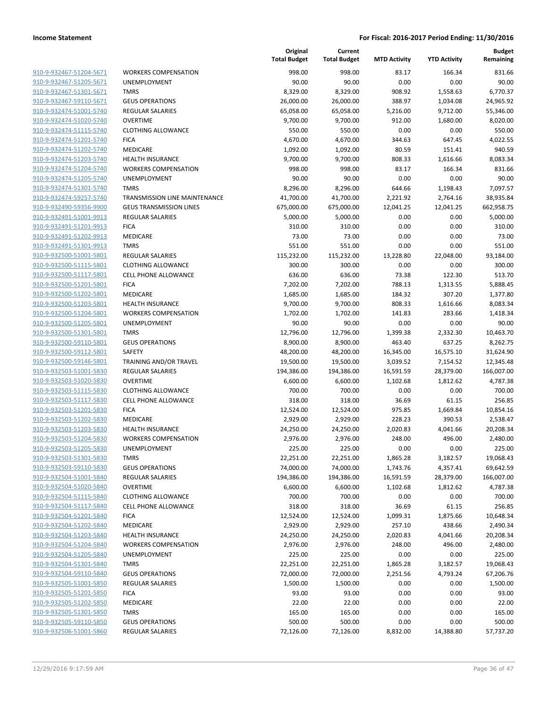| 910-9-932467-51204-5671        |
|--------------------------------|
| 910-9-932467-51205-5671        |
| 910-9-932467-51301-5671        |
| 910-9-932467-59110-5671        |
| 910-9-932474-51001-5740        |
| 910-9-932474-51020-5740        |
| 910-9-932474-51115-5740        |
| 910-9-932474-51201-5740        |
| 910-9-932474-51202-5740        |
| 910-9-932474-51203-5740        |
| 910-9-932474-51204-5740        |
| 910-9-932474-51205-5740        |
| 910-9-932474-51301-5740        |
| 910-9-932474-59257-5740        |
| 910-9-932490-59356-9900        |
| 910-9-932491-51001-9913        |
| 910-9-932491-51201-9913        |
| 910-9-932491-51202-9913        |
| <u>910-9-932491-51301-9913</u> |
| 910-9-932500-51001-5801        |
| 910-9-932500-51115-5801        |
| 910-9-932500-51117-5801        |
| 910-9-932500-51201-5801        |
| 910-9-932500-51202-5801        |
| 910-9-932500-51203-5801        |
| 910-9-932500-51204-5801        |
| 910-9-932500-51205-5801        |
| 910-9-932500-51301-5801        |
| 910-9-932500-59110-5801        |
| 910-9-932500-59112-5801        |
| 910-9-932500-59146-5801        |
| 910-9-932503-51001-5830        |
| 910-9-932503-51020-5830        |
| 910-9-932503-51115-5830        |
| 910-9-932503-51117-5830        |
| 910-9-932503-51201-5830        |
| 910-9-932503-51202-5830        |
| 910-9-932503-51203-5830        |
| 910-9-932503-51204-5830        |
| 910-9-932503-51205-5830        |
| 910-9-932503-51301-5830        |
| 910-9-932503-59110-5830        |
| 910-9-932504-51001-5840        |
| 910-9-932504-51020-5840        |
| 910-9-932504-51115-5840        |
| 910-9-932504-51117-5840        |
| 910-9-932504-51201-5840        |
| 910-9-932504-51202-5840        |
| 910-9-932504-51203-5840        |
| 910-9-932504-51204-5840        |
| 910-9-932504-51205-5840        |
| 910-9-932504-51301-5840        |
| 910-9-932504-59110-5840        |
| 910-9-932505-51001-5850        |
| 910-9-932505-51201-5850        |
| 910-9-932505-51202-5850        |
| 910-9-932505-51301-5850        |
| 910-9-932505-59110-5850        |
| 910-9-932506-51001-5860        |
|                                |

|                         |                                | Original<br><b>Total Budget</b> | Current<br><b>Total Budget</b> | <b>MTD Activity</b> | <b>YTD Activity</b> | <b>Budget</b><br>Remaining |
|-------------------------|--------------------------------|---------------------------------|--------------------------------|---------------------|---------------------|----------------------------|
| 910-9-932467-51204-5671 | <b>WORKERS COMPENSATION</b>    | 998.00                          | 998.00                         | 83.17               | 166.34              | 831.66                     |
| 910-9-932467-51205-5671 | UNEMPLOYMENT                   | 90.00                           | 90.00                          | 0.00                | 0.00                | 90.00                      |
| 910-9-932467-51301-5671 | <b>TMRS</b>                    | 8,329.00                        | 8,329.00                       | 908.92              | 1,558.63            | 6,770.37                   |
| 910-9-932467-59110-5671 | <b>GEUS OPERATIONS</b>         | 26,000.00                       | 26,000.00                      | 388.97              | 1,034.08            | 24,965.92                  |
| 910-9-932474-51001-5740 | <b>REGULAR SALARIES</b>        | 65,058.00                       | 65,058.00                      | 5,216.00            | 9,712.00            | 55,346.00                  |
| 910-9-932474-51020-5740 | <b>OVERTIME</b>                | 9,700.00                        | 9,700.00                       | 912.00              | 1,680.00            | 8,020.00                   |
| 910-9-932474-51115-5740 | <b>CLOTHING ALLOWANCE</b>      | 550.00                          | 550.00                         | 0.00                | 0.00                | 550.00                     |
| 910-9-932474-51201-5740 | <b>FICA</b>                    | 4,670.00                        | 4,670.00                       | 344.63              | 647.45              | 4,022.55                   |
| 910-9-932474-51202-5740 | MEDICARE                       | 1,092.00                        | 1,092.00                       | 80.59               | 151.41              | 940.59                     |
| 910-9-932474-51203-5740 | <b>HEALTH INSURANCE</b>        | 9,700.00                        | 9,700.00                       | 808.33              | 1,616.66            | 8,083.34                   |
| 910-9-932474-51204-5740 | <b>WORKERS COMPENSATION</b>    | 998.00                          | 998.00                         | 83.17               | 166.34              | 831.66                     |
| 910-9-932474-51205-5740 | UNEMPLOYMENT                   | 90.00                           | 90.00                          | 0.00                | 0.00                | 90.00                      |
| 910-9-932474-51301-5740 | <b>TMRS</b>                    | 8,296.00                        | 8,296.00                       | 644.66              | 1,198.43            | 7,097.57                   |
| 910-9-932474-59257-5740 | TRANSMISSION LINE MAINTENANCE  | 41,700.00                       | 41,700.00                      | 2,221.92            | 2,764.16            | 38,935.84                  |
| 910-9-932490-59356-9900 | <b>GEUS TRANSMISSION LINES</b> | 675,000.00                      | 675,000.00                     | 12,041.25           | 12,041.25           | 662,958.75                 |
| 910-9-932491-51001-9913 | <b>REGULAR SALARIES</b>        | 5,000.00                        | 5,000.00                       | 0.00                | 0.00                | 5,000.00                   |
| 910-9-932491-51201-9913 | <b>FICA</b>                    | 310.00                          | 310.00                         | 0.00                | 0.00                | 310.00                     |
| 910-9-932491-51202-9913 | MEDICARE                       | 73.00                           | 73.00                          | 0.00                | 0.00                | 73.00                      |
| 910-9-932491-51301-9913 | <b>TMRS</b>                    | 551.00                          | 551.00                         | 0.00                | 0.00                | 551.00                     |
| 910-9-932500-51001-5801 | <b>REGULAR SALARIES</b>        | 115,232.00                      | 115,232.00                     | 13,228.80           | 22,048.00           | 93,184.00                  |
| 910-9-932500-51115-5801 | <b>CLOTHING ALLOWANCE</b>      | 300.00                          | 300.00                         | 0.00                | 0.00                | 300.00                     |
| 910-9-932500-51117-5801 | <b>CELL PHONE ALLOWANCE</b>    | 636.00                          | 636.00                         | 73.38               | 122.30              | 513.70                     |
| 910-9-932500-51201-5801 | <b>FICA</b>                    | 7,202.00                        | 7,202.00                       | 788.13              | 1,313.55            | 5,888.45                   |
| 910-9-932500-51202-5801 | MEDICARE                       | 1,685.00                        | 1,685.00                       | 184.32              | 307.20              | 1,377.80                   |
| 910-9-932500-51203-5801 | <b>HEALTH INSURANCE</b>        | 9,700.00                        | 9,700.00                       | 808.33              | 1,616.66            | 8,083.34                   |
| 910-9-932500-51204-5801 | <b>WORKERS COMPENSATION</b>    | 1,702.00                        | 1,702.00                       | 141.83              | 283.66              | 1,418.34                   |
| 910-9-932500-51205-5801 | UNEMPLOYMENT                   | 90.00                           | 90.00                          | 0.00                | 0.00                | 90.00                      |
| 910-9-932500-51301-5801 | <b>TMRS</b>                    | 12,796.00                       | 12,796.00                      | 1,399.38            | 2,332.30            | 10,463.70                  |
| 910-9-932500-59110-5801 | <b>GEUS OPERATIONS</b>         | 8,900.00                        | 8,900.00                       | 463.40              | 637.25              | 8,262.75                   |
| 910-9-932500-59112-5801 | SAFETY                         | 48,200.00                       | 48,200.00                      | 16,345.00           | 16,575.10           | 31,624.90                  |
| 910-9-932500-59146-5801 | TRAINING AND/OR TRAVEL         | 19,500.00                       | 19,500.00                      | 3,039.52            | 7,154.52            | 12,345.48                  |
| 910-9-932503-51001-5830 | <b>REGULAR SALARIES</b>        | 194,386.00                      | 194,386.00                     | 16,591.59           | 28,379.00           | 166,007.00                 |
| 910-9-932503-51020-5830 | <b>OVERTIME</b>                | 6,600.00                        | 6,600.00                       | 1,102.68            | 1,812.62            | 4,787.38                   |
| 910-9-932503-51115-5830 | <b>CLOTHING ALLOWANCE</b>      | 700.00                          | 700.00                         | 0.00                | 0.00                | 700.00                     |
| 910-9-932503-51117-5830 | <b>CELL PHONE ALLOWANCE</b>    | 318.00                          | 318.00                         | 36.69               | 61.15               | 256.85                     |
| 910-9-932503-51201-5830 | <b>FICA</b>                    | 12,524.00                       | 12,524.00                      | 975.85              | 1,669.84            | 10,854.16                  |
| 910-9-932503-51202-5830 | <b>MEDICARE</b>                | 2,929.00                        | 2,929.00                       | 228.23              | 390.53              | 2,538.47                   |
| 910-9-932503-51203-5830 | <b>HEALTH INSURANCE</b>        | 24,250.00                       | 24,250.00                      | 2,020.83            | 4,041.66            | 20,208.34                  |
| 910-9-932503-51204-5830 | <b>WORKERS COMPENSATION</b>    | 2,976.00                        | 2,976.00                       | 248.00              | 496.00              | 2.480.00                   |
| 910-9-932503-51205-5830 | UNEMPLOYMENT                   | 225.00                          | 225.00                         | 0.00                | 0.00                | 225.00                     |
| 910-9-932503-51301-5830 | <b>TMRS</b>                    | 22,251.00                       | 22,251.00                      | 1,865.28            | 3,182.57            | 19,068.43                  |
| 910-9-932503-59110-5830 | <b>GEUS OPERATIONS</b>         | 74,000.00                       | 74,000.00                      | 1,743.76            | 4,357.41            | 69,642.59                  |
| 910-9-932504-51001-5840 | <b>REGULAR SALARIES</b>        | 194,386.00                      | 194,386.00                     | 16,591.59           | 28,379.00           | 166,007.00                 |
| 910-9-932504-51020-5840 | <b>OVERTIME</b>                | 6,600.00                        | 6,600.00                       | 1,102.68            | 1,812.62            | 4,787.38                   |
| 910-9-932504-51115-5840 | <b>CLOTHING ALLOWANCE</b>      | 700.00                          | 700.00                         | 0.00                | 0.00                | 700.00                     |
| 910-9-932504-51117-5840 | <b>CELL PHONE ALLOWANCE</b>    | 318.00                          | 318.00                         | 36.69               | 61.15               | 256.85                     |
| 910-9-932504-51201-5840 | <b>FICA</b>                    | 12,524.00                       | 12,524.00                      | 1,099.31            | 1,875.66            | 10,648.34                  |
| 910-9-932504-51202-5840 | MEDICARE                       | 2,929.00                        | 2,929.00                       | 257.10              | 438.66              | 2,490.34                   |
| 910-9-932504-51203-5840 | <b>HEALTH INSURANCE</b>        | 24,250.00                       | 24,250.00                      | 2,020.83            | 4,041.66            | 20,208.34                  |
| 910-9-932504-51204-5840 | <b>WORKERS COMPENSATION</b>    | 2,976.00                        | 2,976.00                       | 248.00              | 496.00              | 2,480.00                   |
| 910-9-932504-51205-5840 | <b>UNEMPLOYMENT</b>            | 225.00                          | 225.00                         | 0.00                | 0.00                | 225.00                     |
| 910-9-932504-51301-5840 | <b>TMRS</b>                    | 22,251.00                       | 22,251.00                      | 1,865.28            | 3,182.57            | 19,068.43                  |
| 910-9-932504-59110-5840 | <b>GEUS OPERATIONS</b>         | 72,000.00                       | 72,000.00                      | 2,251.56            | 4,793.24            | 67,206.76                  |
| 910-9-932505-51001-5850 | <b>REGULAR SALARIES</b>        | 1,500.00                        | 1,500.00                       | 0.00                | 0.00                | 1,500.00                   |
| 910-9-932505-51201-5850 | <b>FICA</b>                    | 93.00                           | 93.00                          | 0.00                | 0.00                | 93.00                      |
| 910-9-932505-51202-5850 | MEDICARE                       | 22.00                           | 22.00                          | 0.00                | 0.00                | 22.00                      |
| 910-9-932505-51301-5850 | <b>TMRS</b>                    | 165.00                          | 165.00                         | 0.00                | 0.00                | 165.00                     |
| 910-9-932505-59110-5850 | <b>GEUS OPERATIONS</b>         | 500.00                          | 500.00                         | 0.00                | 0.00                | 500.00                     |
| 910-9-932506-51001-5860 | <b>REGULAR SALARIES</b>        | 72,126.00                       | 72,126.00                      | 8,832.00            | 14,388.80           | 57,737.20                  |
|                         |                                |                                 |                                |                     |                     |                            |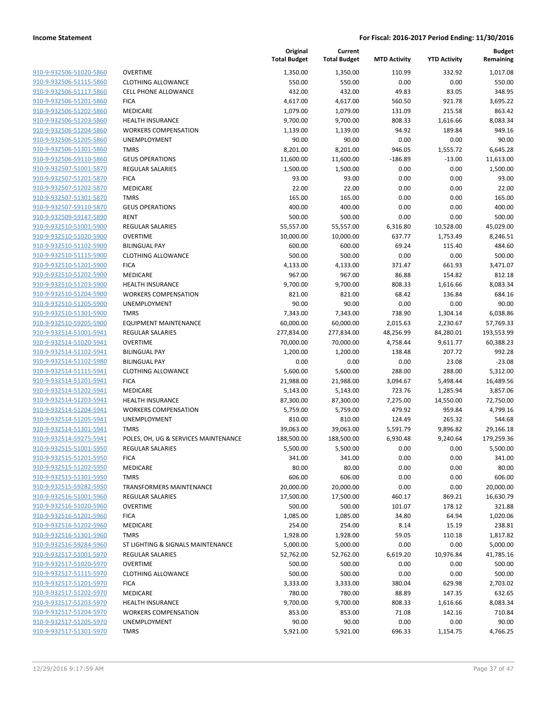| 910-9-932506-51020-5860 |
|-------------------------|
| 910-9-932506-51115-5860 |
| 910-9-932506-51117-5860 |
| 910-9-932506-51201-5860 |
| 910-9-932506-51202-5860 |
| 910-9-932506-51203-5860 |
| 910-9-932506-51204-5860 |
| 910-9-932506-51205-5860 |
| 910-9-932506-51301-5860 |
| 910-9-932506-59110-5860 |
| 910-9-932507-51001-5870 |
| 910-9-932507-51201-5870 |
| 910-9-932507-51202-5870 |
| 910-9-932507-51301-5870 |
| 910-9-932507-59110-5870 |
| 910-9-932509-59147-5890 |
| 910-9-932510-51001-5900 |
| 910-9-932510-51020-5900 |
| 910-9-932510-51102-5900 |
| 910-9-932510-51115-5900 |
|                         |
| 910-9-932510-51201-5900 |
| 910-9-932510-51202-5900 |
| 910-9-932510-51203-5900 |
| 910-9-932510-51204-5900 |
| 910-9-932510-51205-5900 |
| 910-9-932510-51301-5900 |
| 910-9-932510-59205-5900 |
| 910-9-932514-51001-5941 |
| 910-9-932514-51020-5941 |
| 910-9-932514-51102-5941 |
| 910-9-932514-51102-5980 |
| 910-9-932514-51115-5941 |
| 910-9-932514-51201-5941 |
| 910-9-932514-51202-5941 |
| 910-9-932514-51203-5941 |
| 910-9-932514-51204-5941 |
| 910-9-932514-51205-5941 |
| 910-9-932514-51301-5941 |
| 910-9-932514-59275-5941 |
| 910-9-932515-51001-5950 |
| 910-9-932515-51201-5950 |
| 910-9-932515-51202-5950 |
| 910-9-932515-51301-5950 |
| 910-9-932515-59282-5950 |
| 910-9-932516-51001-5960 |
| 910-9-932516-51020-5960 |
| 910-9-932516-51201-5960 |
| 910-9-932516-51202-5960 |
| 910-9-932516-51301-5960 |
| 910-9-932516-59284-5960 |
| 910-9-932517-51001-5970 |
| 910-9-932517-51020-5970 |
| 910-9-932517-51115-5970 |
| 910-9-932517-51201-5970 |
| 910-9-932517-51202-5970 |
| 910-9-932517-51203-5970 |
| 910-9-932517-51204-5970 |
| 910-9-932517-51205-5970 |
| 910-9-932517-51301-5970 |
|                         |

|                                                    |                                             | Original<br><b>Total Budget</b> | Current<br><b>Total Budget</b> | <b>MTD Activity</b> | <b>YTD Activity</b> | <b>Budget</b><br>Remaining |
|----------------------------------------------------|---------------------------------------------|---------------------------------|--------------------------------|---------------------|---------------------|----------------------------|
| 910-9-932506-51020-5860                            | <b>OVERTIME</b>                             | 1,350.00                        | 1,350.00                       | 110.99              | 332.92              | 1,017.08                   |
| 910-9-932506-51115-5860                            | <b>CLOTHING ALLOWANCE</b>                   | 550.00                          | 550.00                         | 0.00                | 0.00                | 550.00                     |
| 910-9-932506-51117-5860                            | <b>CELL PHONE ALLOWANCE</b>                 | 432.00                          | 432.00                         | 49.83               | 83.05               | 348.95                     |
| 910-9-932506-51201-5860                            | <b>FICA</b>                                 | 4,617.00                        | 4,617.00                       | 560.50              | 921.78              | 3,695.22                   |
| 910-9-932506-51202-5860                            | MEDICARE                                    | 1,079.00                        | 1,079.00                       | 131.09              | 215.58              | 863.42                     |
| 910-9-932506-51203-5860                            | <b>HEALTH INSURANCE</b>                     | 9,700.00                        | 9,700.00                       | 808.33              | 1,616.66            | 8,083.34                   |
| 910-9-932506-51204-5860                            | <b>WORKERS COMPENSATION</b>                 | 1,139.00                        | 1,139.00                       | 94.92               | 189.84              | 949.16                     |
| 910-9-932506-51205-5860                            | UNEMPLOYMENT                                | 90.00                           | 90.00                          | 0.00                | 0.00                | 90.00                      |
| 910-9-932506-51301-5860                            | <b>TMRS</b>                                 | 8,201.00                        | 8,201.00                       | 946.05              | 1,555.72            | 6,645.28                   |
| 910-9-932506-59110-5860                            | <b>GEUS OPERATIONS</b>                      | 11,600.00                       | 11,600.00                      | $-186.89$           | $-13.00$            | 11,613.00                  |
| 910-9-932507-51001-5870                            | <b>REGULAR SALARIES</b>                     | 1,500.00                        | 1,500.00                       | 0.00                | 0.00                | 1,500.00                   |
| 910-9-932507-51201-5870                            | <b>FICA</b>                                 | 93.00                           | 93.00                          | 0.00                | 0.00                | 93.00                      |
| 910-9-932507-51202-5870                            | MEDICARE                                    | 22.00                           | 22.00                          | 0.00                | 0.00                | 22.00                      |
| 910-9-932507-51301-5870                            | <b>TMRS</b>                                 | 165.00                          | 165.00                         | 0.00                | 0.00                | 165.00                     |
| 910-9-932507-59110-5870                            | <b>GEUS OPERATIONS</b>                      | 400.00                          | 400.00                         | 0.00                | 0.00                | 400.00                     |
| 910-9-932509-59147-5890                            | <b>RENT</b>                                 | 500.00                          | 500.00                         | 0.00                | 0.00                | 500.00                     |
| 910-9-932510-51001-5900                            | <b>REGULAR SALARIES</b>                     | 55,557.00                       | 55,557.00                      | 6,316.80            | 10,528.00           | 45,029.00                  |
| 910-9-932510-51020-5900                            | <b>OVERTIME</b>                             | 10,000.00                       | 10,000.00                      | 637.77              | 1,753.49            | 8,246.51                   |
| 910-9-932510-51102-5900                            | <b>BILINGUAL PAY</b>                        | 600.00                          | 600.00                         | 69.24               | 115.40              | 484.60                     |
| 910-9-932510-51115-5900                            | <b>CLOTHING ALLOWANCE</b>                   | 500.00                          | 500.00                         | 0.00                | 0.00                | 500.00                     |
| 910-9-932510-51201-5900                            | <b>FICA</b>                                 | 4,133.00                        | 4,133.00                       | 371.47              | 661.93              | 3,471.07                   |
| 910-9-932510-51202-5900                            | MEDICARE                                    | 967.00                          | 967.00                         | 86.88               | 154.82              | 812.18                     |
| 910-9-932510-51203-5900                            | <b>HEALTH INSURANCE</b>                     | 9,700.00                        | 9,700.00                       | 808.33              | 1,616.66            | 8,083.34                   |
| 910-9-932510-51204-5900                            | <b>WORKERS COMPENSATION</b>                 | 821.00                          | 821.00                         | 68.42               | 136.84              | 684.16                     |
| 910-9-932510-51205-5900                            | UNEMPLOYMENT                                | 90.00                           | 90.00                          | 0.00                | 0.00                | 90.00                      |
| 910-9-932510-51301-5900                            | <b>TMRS</b>                                 | 7,343.00                        | 7,343.00                       | 738.90              | 1,304.14            | 6,038.86                   |
| 910-9-932510-59205-5900                            | <b>EQUIPMENT MAINTENANCE</b>                | 60,000.00                       | 60,000.00                      | 2,015.63            | 2,230.67            | 57,769.33                  |
| 910-9-932514-51001-5941                            | <b>REGULAR SALARIES</b>                     | 277,834.00                      | 277,834.00                     | 48,256.99           | 84,280.01           | 193,553.99                 |
| 910-9-932514-51020-5941                            | <b>OVERTIME</b>                             | 70,000.00                       | 70,000.00                      | 4,758.44            | 9,611.77            | 60,388.23                  |
| 910-9-932514-51102-5941                            | <b>BILINGUAL PAY</b>                        | 1,200.00                        | 1,200.00                       | 138.48              | 207.72              | 992.28                     |
| 910-9-932514-51102-5980                            | <b>BILINGUAL PAY</b>                        | 0.00                            | 0.00                           | 0.00                | 23.08               | $-23.08$                   |
| 910-9-932514-51115-5941                            | <b>CLOTHING ALLOWANCE</b>                   | 5,600.00                        | 5,600.00                       | 288.00              | 288.00              | 5,312.00                   |
| 910-9-932514-51201-5941                            | <b>FICA</b>                                 | 21,988.00                       | 21,988.00                      | 3,094.67            | 5,498.44            | 16,489.56                  |
| 910-9-932514-51202-5941                            | MEDICARE                                    | 5,143.00                        | 5,143.00                       | 723.76              | 1,285.94            | 3,857.06                   |
| 910-9-932514-51203-5941                            | <b>HEALTH INSURANCE</b>                     | 87,300.00                       | 87,300.00                      | 7,275.00            | 14,550.00           | 72,750.00                  |
| 910-9-932514-51204-5941<br>910-9-932514-51205-5941 | <b>WORKERS COMPENSATION</b><br>UNEMPLOYMENT | 5,759.00                        | 5,759.00                       | 479.92              | 959.84              | 4,799.16<br>544.68         |
| 910-9-932514-51301-5941                            | <b>TMRS</b>                                 | 810.00<br>39,063.00             | 810.00                         | 124.49<br>5,591.79  | 265.32<br>9,896.82  | 29,166.18                  |
| 910-9-932514-59275-5941                            | POLES, OH, UG & SERVICES MAINTENANCE        | 188,500.00                      | 39,063.00<br>188,500.00        | 6,930.48            | 9,240.64            | 179,259.36                 |
| 910-9-932515-51001-5950                            | <b>REGULAR SALARIES</b>                     | 5,500.00                        | 5,500.00                       | 0.00                | 0.00                | 5,500.00                   |
| 910-9-932515-51201-5950                            | <b>FICA</b>                                 | 341.00                          | 341.00                         | 0.00                | 0.00                | 341.00                     |
| 910-9-932515-51202-5950                            | MEDICARE                                    | 80.00                           | 80.00                          | 0.00                | 0.00                | 80.00                      |
| 910-9-932515-51301-5950                            | <b>TMRS</b>                                 | 606.00                          | 606.00                         | 0.00                | 0.00                | 606.00                     |
| 910-9-932515-59282-5950                            | <b>TRANSFORMERS MAINTENANCE</b>             | 20,000.00                       | 20,000.00                      | 0.00                | 0.00                | 20,000.00                  |
| 910-9-932516-51001-5960                            | <b>REGULAR SALARIES</b>                     | 17,500.00                       | 17,500.00                      | 460.17              | 869.21              | 16,630.79                  |
| 910-9-932516-51020-5960                            | <b>OVERTIME</b>                             | 500.00                          | 500.00                         | 101.07              | 178.12              | 321.88                     |
| 910-9-932516-51201-5960                            | <b>FICA</b>                                 | 1,085.00                        | 1,085.00                       | 34.80               | 64.94               | 1,020.06                   |
| 910-9-932516-51202-5960                            | MEDICARE                                    | 254.00                          | 254.00                         | 8.14                | 15.19               | 238.81                     |
| 910-9-932516-51301-5960                            | <b>TMRS</b>                                 | 1,928.00                        | 1,928.00                       | 59.05               | 110.18              | 1,817.82                   |
| 910-9-932516-59284-5960                            | ST LIGHTING & SIGNALS MAINTENANCE           | 5,000.00                        | 5,000.00                       | 0.00                | 0.00                | 5,000.00                   |
| 910-9-932517-51001-5970                            | <b>REGULAR SALARIES</b>                     | 52,762.00                       | 52,762.00                      | 6,619.20            | 10,976.84           | 41,785.16                  |
| 910-9-932517-51020-5970                            | <b>OVERTIME</b>                             | 500.00                          | 500.00                         | 0.00                | 0.00                | 500.00                     |
| 910-9-932517-51115-5970                            | <b>CLOTHING ALLOWANCE</b>                   | 500.00                          | 500.00                         | 0.00                | 0.00                | 500.00                     |
| 910-9-932517-51201-5970                            | <b>FICA</b>                                 | 3,333.00                        | 3,333.00                       | 380.04              | 629.98              | 2,703.02                   |
| 910-9-932517-51202-5970                            | MEDICARE                                    | 780.00                          | 780.00                         | 88.89               | 147.35              | 632.65                     |
| 910-9-932517-51203-5970                            | <b>HEALTH INSURANCE</b>                     | 9,700.00                        | 9,700.00                       | 808.33              | 1,616.66            | 8,083.34                   |
| 910-9-932517-51204-5970                            | <b>WORKERS COMPENSATION</b>                 | 853.00                          | 853.00                         | 71.08               | 142.16              | 710.84                     |
| 910-9-932517-51205-5970                            | UNEMPLOYMENT                                | 90.00                           | 90.00                          | 0.00                | 0.00                | 90.00                      |
| 910-9-932517-51301-5970                            | <b>TMRS</b>                                 | 5,921.00                        | 5,921.00                       | 696.33              | 1,154.75            | 4,766.25                   |
|                                                    |                                             |                                 |                                |                     |                     |                            |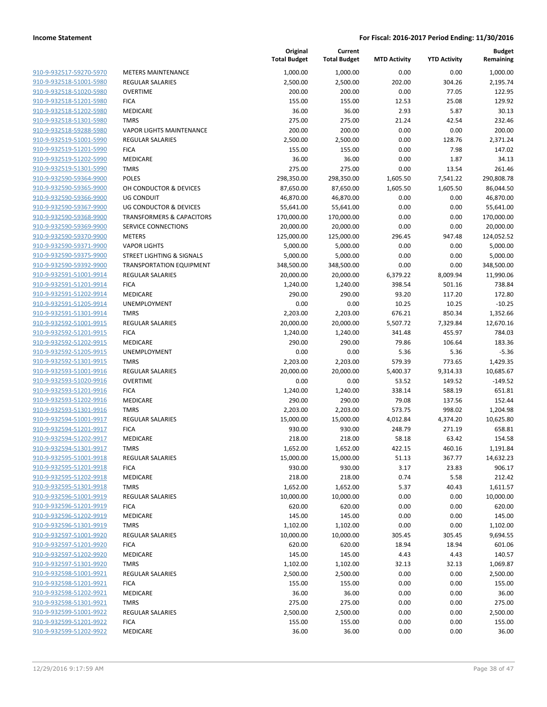| <u>910-9-932517-59270-5970</u>                     |
|----------------------------------------------------|
| 910-9-932518-51001-5980                            |
| 910-9-932518-51020-5980                            |
| 910-9-932518-51201-5980                            |
| 910-9-932518-51202-5980                            |
| 910-9-932518-51301-5980                            |
| 910-9-932518-59288-5980                            |
| 910-9-932519-51001-5990                            |
| 910-9-932519-51201-5990<br>910-9-932519-51202-5990 |
| 910-9-932519-51301-5990                            |
| 910-9-932590-59364-9900                            |
| 910-9-932590-59365-9900                            |
| 910-9-932590-59366-9900                            |
| 910-9-932590-59367-9900                            |
| 910-9-932590-59368-9900                            |
| 910-9-932590-59369-9900                            |
| 910-9-932590-59370-9900                            |
| 910-9-932590-59371-9900                            |
| 910-9-932590-59375-9900                            |
| 910-9-932590-59392-9900                            |
| 910-9-932591-51001-9914                            |
| 910-9-932591-51201-9914                            |
| 910-9-932591-51202-9914                            |
| 910-9-932591-51205-9914                            |
| 910-9-932591-51301-9914                            |
| 910-9-932592-51001-9915                            |
| 910-9-932592-51201-9915                            |
| 910-9-932592-51202-9915                            |
| 910-9-932592-51205-9915                            |
| 910-9-932592-51301-9915                            |
| 910-9-932593-51001-9916                            |
| 910-9-932593-51020-9916                            |
| 910-9-932593-51201-9916                            |
| 910-9-932593-51202-9916                            |
| 910-9-932593-51301-9916                            |
| 910-9-932594-51001-9917                            |
| 910-9-932594-51201-9917                            |
| 910-9-932594-51202-9917                            |
| 910-9-932594-51301-9917                            |
| 910-9-932595-51001-9918                            |
| 910-9-932595-51201-9918                            |
| 910-9-932595-51202-9918                            |
| 910-9-932595-51301-9918                            |
| 910-9-932596-51001-9919                            |
| 910-9-932596-51201-9919                            |
| <u>910-9-932596-51202-9919</u>                     |
| 910-9-932596-51301-9919                            |
| 910-9-932597-51001-9920                            |
| 910-9-932597-51201-9920                            |
| 910-9-932597-51202-9920                            |
| 910-9-932597-51301-9920                            |
| 910-9-932598-51001-9921                            |
| <u>910-9-932598-51201-9921</u>                     |
| 910-9-932598-51202-9921                            |
| 910-9-932598-51301-9921                            |
| 910-9-932599-51001-9922                            |
| 910-9-932599-51201-9922<br>910-9-932599-51202-9922 |
|                                                    |

|                         |                                      | Original<br><b>Total Budget</b> | Current<br><b>Total Budget</b> | <b>MTD Activity</b> | <b>YTD Activity</b> | <b>Budget</b><br>Remaining |
|-------------------------|--------------------------------------|---------------------------------|--------------------------------|---------------------|---------------------|----------------------------|
| 910-9-932517-59270-5970 | <b>METERS MAINTENANCE</b>            | 1,000.00                        | 1,000.00                       | 0.00                | 0.00                | 1,000.00                   |
| 910-9-932518-51001-5980 | REGULAR SALARIES                     | 2,500.00                        | 2,500.00                       | 202.00              | 304.26              | 2,195.74                   |
| 910-9-932518-51020-5980 | <b>OVERTIME</b>                      | 200.00                          | 200.00                         | 0.00                | 77.05               | 122.95                     |
| 910-9-932518-51201-5980 | <b>FICA</b>                          | 155.00                          | 155.00                         | 12.53               | 25.08               | 129.92                     |
| 910-9-932518-51202-5980 | <b>MEDICARE</b>                      | 36.00                           | 36.00                          | 2.93                | 5.87                | 30.13                      |
| 910-9-932518-51301-5980 | <b>TMRS</b>                          | 275.00                          | 275.00                         | 21.24               | 42.54               | 232.46                     |
| 910-9-932518-59288-5980 | <b>VAPOR LIGHTS MAINTENANCE</b>      | 200.00                          | 200.00                         | 0.00                | 0.00                | 200.00                     |
| 910-9-932519-51001-5990 | REGULAR SALARIES                     | 2,500.00                        | 2,500.00                       | 0.00                | 128.76              | 2,371.24                   |
| 910-9-932519-51201-5990 | <b>FICA</b>                          | 155.00                          | 155.00                         | 0.00                | 7.98                | 147.02                     |
| 910-9-932519-51202-5990 | <b>MEDICARE</b>                      | 36.00                           | 36.00                          | 0.00                | 1.87                | 34.13                      |
| 910-9-932519-51301-5990 | <b>TMRS</b>                          | 275.00                          | 275.00                         | 0.00                | 13.54               | 261.46                     |
| 910-9-932590-59364-9900 | <b>POLES</b>                         | 298,350.00                      | 298,350.00                     | 1,605.50            | 7,541.22            | 290,808.78                 |
| 910-9-932590-59365-9900 | OH CONDUCTOR & DEVICES               | 87,650.00                       | 87,650.00                      | 1,605.50            | 1,605.50            | 86,044.50                  |
| 910-9-932590-59366-9900 | <b>UG CONDUIT</b>                    | 46,870.00                       | 46,870.00                      | 0.00                | 0.00                | 46,870.00                  |
| 910-9-932590-59367-9900 | <b>UG CONDUCTOR &amp; DEVICES</b>    | 55,641.00                       | 55,641.00                      | 0.00                | 0.00                | 55,641.00                  |
| 910-9-932590-59368-9900 | <b>TRANSFORMERS &amp; CAPACITORS</b> | 170,000.00                      | 170,000.00                     | 0.00                | 0.00                | 170,000.00                 |
| 910-9-932590-59369-9900 | SERVICE CONNECTIONS                  | 20,000.00                       | 20,000.00                      | 0.00                | 0.00                | 20,000.00                  |
| 910-9-932590-59370-9900 | <b>METERS</b>                        | 125,000.00                      | 125,000.00                     | 296.45              | 947.48              | 124,052.52                 |
| 910-9-932590-59371-9900 | <b>VAPOR LIGHTS</b>                  | 5,000.00                        | 5,000.00                       | 0.00                | 0.00                | 5,000.00                   |
| 910-9-932590-59375-9900 | <b>STREET LIGHTING &amp; SIGNALS</b> | 5,000.00                        | 5,000.00                       | 0.00                | 0.00                | 5,000.00                   |
| 910-9-932590-59392-9900 | <b>TRANSPORTATION EQUIPMENT</b>      | 348,500.00                      | 348,500.00                     | 0.00                | 0.00                | 348,500.00                 |
| 910-9-932591-51001-9914 | <b>REGULAR SALARIES</b>              | 20,000.00                       | 20,000.00                      | 6,379.22            | 8,009.94            | 11,990.06                  |
| 910-9-932591-51201-9914 | <b>FICA</b>                          | 1,240.00                        | 1,240.00                       | 398.54              | 501.16              | 738.84                     |
| 910-9-932591-51202-9914 | MEDICARE                             | 290.00                          | 290.00                         | 93.20               | 117.20              | 172.80                     |
| 910-9-932591-51205-9914 | <b>UNEMPLOYMENT</b>                  | 0.00                            | 0.00                           | 10.25               | 10.25               | $-10.25$                   |
| 910-9-932591-51301-9914 | <b>TMRS</b>                          | 2,203.00                        | 2,203.00                       | 676.21              | 850.34              | 1,352.66                   |
| 910-9-932592-51001-9915 | REGULAR SALARIES                     | 20,000.00                       | 20,000.00                      | 5,507.72            | 7,329.84            | 12,670.16                  |
| 910-9-932592-51201-9915 | <b>FICA</b>                          | 1,240.00                        | 1,240.00                       | 341.48              | 455.97              | 784.03                     |
| 910-9-932592-51202-9915 | MEDICARE                             | 290.00                          | 290.00                         | 79.86               | 106.64              | 183.36                     |
| 910-9-932592-51205-9915 | <b>UNEMPLOYMENT</b>                  | 0.00                            | 0.00                           | 5.36                | 5.36                | $-5.36$                    |
| 910-9-932592-51301-9915 | <b>TMRS</b>                          | 2,203.00                        | 2,203.00                       | 579.39              | 773.65              | 1,429.35                   |
| 910-9-932593-51001-9916 | REGULAR SALARIES                     | 20,000.00                       | 20,000.00                      | 5,400.37            | 9,314.33            | 10,685.67                  |
| 910-9-932593-51020-9916 | <b>OVERTIME</b>                      | 0.00                            | 0.00                           | 53.52               | 149.52              | $-149.52$                  |
| 910-9-932593-51201-9916 | <b>FICA</b>                          | 1,240.00                        | 1,240.00                       | 338.14              | 588.19              | 651.81                     |
| 910-9-932593-51202-9916 | <b>MEDICARE</b>                      | 290.00                          | 290.00                         | 79.08               | 137.56              | 152.44                     |
| 910-9-932593-51301-9916 | <b>TMRS</b>                          | 2,203.00                        | 2,203.00                       | 573.75              | 998.02              | 1,204.98                   |
| 910-9-932594-51001-9917 | REGULAR SALARIES                     | 15,000.00                       | 15,000.00                      | 4,012.84            | 4,374.20            | 10,625.80                  |
| 910-9-932594-51201-9917 | <b>FICA</b>                          | 930.00                          | 930.00                         | 248.79              | 271.19              | 658.81                     |
| 910-9-932594-51202-9917 | MEDICARE                             | 218.00                          | 218.00                         | 58.18               | 63.42               | 154.58                     |
| 910-9-932594-51301-9917 | <b>TMRS</b>                          | 1,652.00                        | 1,652.00                       | 422.15              | 460.16              | 1,191.84                   |
| 910-9-932595-51001-9918 | REGULAR SALARIES                     | 15,000.00                       | 15,000.00                      | 51.13               | 367.77              | 14,632.23                  |
| 910-9-932595-51201-9918 | <b>FICA</b>                          | 930.00                          | 930.00                         | 3.17                | 23.83               | 906.17                     |
| 910-9-932595-51202-9918 | MEDICARE                             | 218.00                          | 218.00                         | 0.74                | 5.58                | 212.42                     |
| 910-9-932595-51301-9918 | <b>TMRS</b>                          | 1,652.00                        | 1,652.00                       | 5.37                | 40.43               | 1,611.57                   |
| 910-9-932596-51001-9919 | <b>REGULAR SALARIES</b>              | 10,000.00                       | 10,000.00                      | 0.00                | 0.00                | 10,000.00                  |
| 910-9-932596-51201-9919 | <b>FICA</b>                          | 620.00                          | 620.00                         | 0.00                | 0.00                | 620.00                     |
| 910-9-932596-51202-9919 | MEDICARE                             | 145.00                          | 145.00                         | 0.00                | 0.00                | 145.00                     |
| 910-9-932596-51301-9919 | <b>TMRS</b>                          | 1,102.00                        | 1,102.00                       | 0.00                | 0.00                | 1,102.00                   |
| 910-9-932597-51001-9920 | <b>REGULAR SALARIES</b>              | 10,000.00                       | 10,000.00                      | 305.45              | 305.45              | 9,694.55                   |
| 910-9-932597-51201-9920 | <b>FICA</b>                          | 620.00                          | 620.00                         | 18.94               | 18.94               | 601.06                     |
| 910-9-932597-51202-9920 | MEDICARE                             | 145.00                          | 145.00                         | 4.43                | 4.43                | 140.57                     |
| 910-9-932597-51301-9920 | <b>TMRS</b>                          | 1,102.00                        | 1,102.00                       | 32.13               | 32.13               | 1,069.87                   |
| 910-9-932598-51001-9921 | REGULAR SALARIES                     | 2,500.00                        | 2,500.00                       | 0.00                | 0.00                | 2,500.00                   |
| 910-9-932598-51201-9921 | <b>FICA</b>                          | 155.00                          | 155.00                         | 0.00                | 0.00                | 155.00                     |
| 910-9-932598-51202-9921 | MEDICARE                             | 36.00                           | 36.00                          | 0.00                | 0.00                | 36.00                      |
| 910-9-932598-51301-9921 | <b>TMRS</b>                          | 275.00                          | 275.00                         | 0.00                | 0.00                | 275.00                     |
| 910-9-932599-51001-9922 | REGULAR SALARIES                     | 2,500.00                        | 2,500.00                       | 0.00                | 0.00                | 2,500.00                   |
| 910-9-932599-51201-9922 | <b>FICA</b>                          | 155.00                          | 155.00                         | 0.00                | 0.00                | 155.00                     |
| 910-9-932599-51202-9922 | MEDICARE                             | 36.00                           | 36.00                          | 0.00                | 0.00                | 36.00                      |
|                         |                                      |                                 |                                |                     |                     |                            |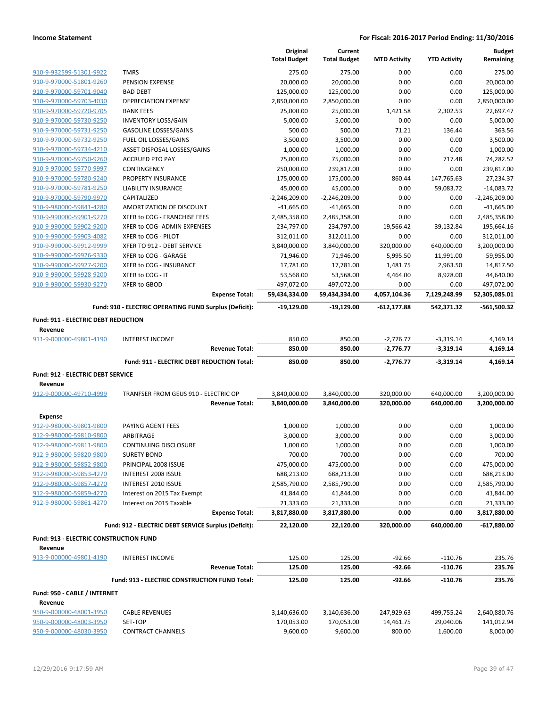|                                            |                                                        | Original<br><b>Total Budget</b> | Current<br><b>Total Budget</b> | <b>MTD Activity</b> | <b>YTD Activity</b> | <b>Budget</b><br>Remaining |
|--------------------------------------------|--------------------------------------------------------|---------------------------------|--------------------------------|---------------------|---------------------|----------------------------|
| 910-9-932599-51301-9922                    | <b>TMRS</b>                                            | 275.00                          | 275.00                         | 0.00                | 0.00                | 275.00                     |
| 910-9-970000-51801-9260                    | PENSION EXPENSE                                        | 20,000.00                       | 20,000.00                      | 0.00                | 0.00                | 20,000.00                  |
| 910-9-970000-59701-9040                    | <b>BAD DEBT</b>                                        | 125,000.00                      | 125,000.00                     | 0.00                | 0.00                | 125,000.00                 |
| 910-9-970000-59703-4030                    | <b>DEPRECIATION EXPENSE</b>                            | 2,850,000.00                    | 2,850,000.00                   | 0.00                | 0.00                | 2,850,000.00               |
| 910-9-970000-59720-9705                    | <b>BANK FEES</b>                                       | 25,000.00                       | 25,000.00                      | 1,421.58            | 2,302.53            | 22,697.47                  |
| 910-9-970000-59730-9250                    | <b>INVENTORY LOSS/GAIN</b>                             | 5,000.00                        | 5,000.00                       | 0.00                | 0.00                | 5,000.00                   |
| 910-9-970000-59731-9250                    | <b>GASOLINE LOSSES/GAINS</b>                           | 500.00                          | 500.00                         | 71.21               | 136.44              | 363.56                     |
| 910-9-970000-59732-9250                    | FUEL OIL LOSSES/GAINS                                  | 3,500.00                        | 3,500.00                       | 0.00                | 0.00                | 3,500.00                   |
| 910-9-970000-59734-4210                    | ASSET DISPOSAL LOSSES/GAINS                            | 1,000.00                        | 1,000.00                       | 0.00                | 0.00                | 1,000.00                   |
| 910-9-970000-59750-9260                    | <b>ACCRUED PTO PAY</b>                                 | 75,000.00                       | 75,000.00                      | 0.00                | 717.48              | 74,282.52                  |
| 910-9-970000-59770-9997                    | CONTINGENCY                                            | 250,000.00                      | 239,817.00                     | 0.00                | 0.00                | 239,817.00                 |
| 910-9-970000-59780-9240                    | PROPERTY INSURANCE                                     | 175,000.00                      | 175,000.00                     | 860.44              | 147,765.63          | 27,234.37                  |
| 910-9-970000-59781-9250                    | LIABILITY INSURANCE                                    | 45,000.00                       | 45,000.00                      | 0.00                | 59,083.72           | $-14,083.72$               |
| 910-9-970000-59790-9970                    | CAPITALIZED                                            | $-2,246,209.00$                 | $-2,246,209.00$                | 0.00                | 0.00                | $-2,246,209.00$            |
| 910-9-980000-59841-4280                    | AMORTIZATION OF DISCOUNT                               | $-41,665.00$                    | -41,665.00                     | 0.00                | 0.00                | $-41,665.00$               |
| 910-9-990000-59901-9270                    | XFER to COG - FRANCHISE FEES                           | 2,485,358.00                    | 2,485,358.00                   | 0.00                | 0.00                | 2,485,358.00               |
| 910-9-990000-59902-9200                    | XFER to COG- ADMIN EXPENSES                            | 234,797.00                      | 234,797.00                     | 19,566.42           | 39,132.84           | 195,664.16                 |
| 910-9-990000-59903-4082                    | XFER to COG - PILOT                                    | 312,011.00                      | 312,011.00                     | 0.00                | 0.00                | 312,011.00                 |
| 910-9-990000-59912-9999                    | XFER TO 912 - DEBT SERVICE                             | 3,840,000.00                    | 3,840,000.00                   | 320,000.00          | 640,000.00          | 3,200,000.00               |
| 910-9-990000-59926-9330                    | XFER to COG - GARAGE                                   | 71,946.00                       | 71,946.00                      | 5,995.50            | 11,991.00           | 59,955.00                  |
| 910-9-990000-59927-9200                    | XFER to COG - INSURANCE                                | 17,781.00                       | 17,781.00                      | 1,481.75            | 2,963.50            | 14,817.50                  |
| 910-9-990000-59928-9200                    | XFER to COG - IT                                       | 53,568.00                       | 53,568.00                      | 4,464.00            | 8,928.00            | 44,640.00                  |
| 910-9-990000-59930-9270                    | XFER to GBOD                                           | 497,072.00                      | 497,072.00                     | 0.00                | 0.00                | 497,072.00                 |
|                                            | <b>Expense Total:</b>                                  | 59,434,334.00                   | 59,434,334.00                  | 4,057,104.36        | 7,129,248.99        | 52,305,085.01              |
|                                            | Fund: 910 - ELECTRIC OPERATING FUND Surplus (Deficit): | -19,129.00                      | -19,129.00                     | $-612, 177.88$      | 542,371.32          | -561,500.32                |
| <b>Fund: 911 - ELECTRIC DEBT REDUCTION</b> |                                                        |                                 |                                |                     |                     |                            |
| Revenue<br>911-9-000000-49801-4190         | <b>INTEREST INCOME</b>                                 | 850.00                          | 850.00                         | $-2,776.77$         | $-3,319.14$         | 4,169.14                   |
|                                            | <b>Revenue Total:</b>                                  | 850.00                          | 850.00                         | $-2,776.77$         | $-3,319.14$         | 4,169.14                   |
|                                            | Fund: 911 - ELECTRIC DEBT REDUCTION Total:             | 850.00                          | 850.00                         | $-2,776.77$         | $-3,319.14$         | 4,169.14                   |
| Fund: 912 - ELECTRIC DEBT SERVICE          |                                                        |                                 |                                |                     |                     |                            |
| Revenue                                    |                                                        |                                 |                                |                     |                     |                            |
| 912-9-000000-49710-4999                    | TRANFSER FROM GEUS 910 - ELECTRIC OP                   | 3,840,000.00                    | 3,840,000.00                   | 320,000.00          | 640,000.00          | 3,200,000.00               |
|                                            | <b>Revenue Total:</b>                                  | 3,840,000.00                    | 3,840,000.00                   | 320,000.00          | 640,000.00          | 3,200,000.00               |
| Expense                                    |                                                        |                                 |                                |                     |                     |                            |
| 912-9-980000-59801-9800                    | PAYING AGENT FEES                                      | 1,000.00                        | 1,000.00                       | 0.00                | 0.00                | 1,000.00                   |
| 912-9-980000-59810-9800                    | ARBITRAGE                                              | 3,000.00                        | 3,000.00                       | 0.00                | 0.00                | 3,000.00                   |
| 912-9-980000-59811-9800                    | CONTINUING DISCLOSURE                                  | 1,000.00                        | 1,000.00                       | 0.00                | 0.00                | 1.000.00                   |
| 912-9-980000-59820-9800                    |                                                        |                                 |                                |                     |                     |                            |
| 912-9-980000-59852-9800                    | <b>SURETY BOND</b>                                     | 700.00                          | 700.00                         | 0.00                | 0.00                | 700.00                     |
| 912-9-980000-59853-4270                    | PRINCIPAL 2008 ISSUE                                   | 475,000.00                      | 475,000.00                     | 0.00                | 0.00                | 475,000.00                 |
|                                            | INTEREST 2008 ISSUE                                    | 688,213.00                      | 688,213.00                     | 0.00                | 0.00                | 688,213.00                 |
| 912-9-980000-59857-4270                    | INTEREST 2010 ISSUE                                    | 2,585,790.00                    | 2,585,790.00                   | 0.00                | 0.00                | 2,585,790.00               |
| 912-9-980000-59859-4270                    | Interest on 2015 Tax Exempt                            | 41,844.00                       | 41,844.00                      | 0.00                | 0.00                | 41,844.00                  |
| 912-9-980000-59861-4270                    | Interest on 2015 Taxable                               | 21,333.00                       | 21,333.00                      | 0.00                | 0.00                | 21,333.00                  |
|                                            | <b>Expense Total:</b>                                  | 3,817,880.00                    | 3,817,880.00                   | 0.00                | 0.00                | 3,817,880.00               |
|                                            | Fund: 912 - ELECTRIC DEBT SERVICE Surplus (Deficit):   | 22,120.00                       | 22,120.00                      | 320,000.00          | 640,000.00          | $-617,880.00$              |
| Fund: 913 - ELECTRIC CONSTRUCTION FUND     |                                                        |                                 |                                |                     |                     |                            |
| Revenue                                    |                                                        |                                 |                                |                     |                     |                            |
| 913-9-000000-49801-4190                    | <b>INTEREST INCOME</b>                                 | 125.00                          | 125.00                         | $-92.66$            | $-110.76$           | 235.76                     |
|                                            | <b>Revenue Total:</b>                                  | 125.00                          | 125.00                         | $-92.66$            | $-110.76$           | 235.76                     |
|                                            | Fund: 913 - ELECTRIC CONSTRUCTION FUND Total:          | 125.00                          | 125.00                         | $-92.66$            | $-110.76$           | 235.76                     |
| Fund: 950 - CABLE / INTERNET               |                                                        |                                 |                                |                     |                     |                            |
| Revenue<br>950-9-000000-48001-3950         | <b>CABLE REVENUES</b>                                  | 3,140,636.00                    | 3,140,636.00                   | 247,929.63          | 499,755.24          | 2,640,880.76               |
| 950-9-000000-48003-3950                    | SET-TOP                                                | 170,053.00                      | 170,053.00                     | 14,461.75           | 29,040.06           | 141,012.94                 |
| 950-9-000000-48030-3950                    | <b>CONTRACT CHANNELS</b>                               | 9,600.00                        | 9,600.00                       | 800.00              | 1,600.00            | 8,000.00                   |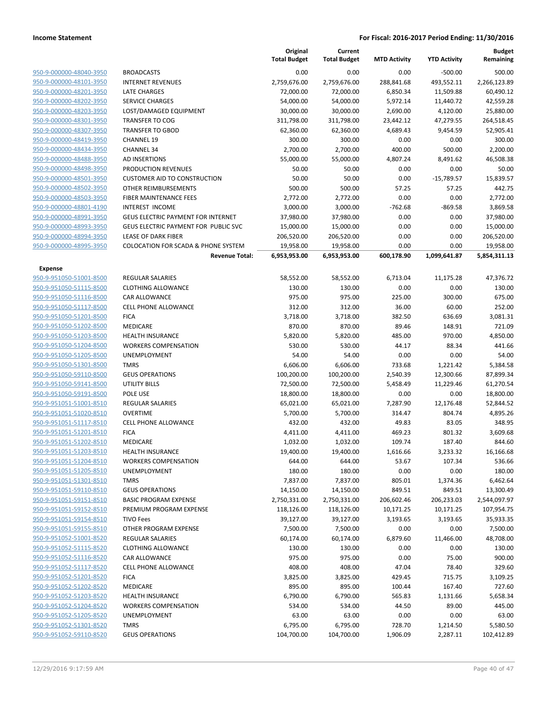|                         |                                                | Original<br><b>Total Budget</b> | Current<br><b>Total Budget</b> | <b>MTD Activity</b> | <b>YTD Activity</b> | <b>Budget</b><br>Remaining |
|-------------------------|------------------------------------------------|---------------------------------|--------------------------------|---------------------|---------------------|----------------------------|
| 950-9-000000-48040-3950 | <b>BROADCASTS</b>                              | 0.00                            | 0.00                           | 0.00                | $-500.00$           | 500.00                     |
| 950-9-000000-48101-3950 | <b>INTERNET REVENUES</b>                       | 2,759,676.00                    | 2,759,676.00                   | 288,841.68          | 493,552.11          | 2,266,123.89               |
| 950-9-000000-48201-3950 | <b>LATE CHARGES</b>                            | 72,000.00                       | 72,000.00                      | 6,850.34            | 11,509.88           | 60,490.12                  |
| 950-9-000000-48202-3950 | <b>SERVICE CHARGES</b>                         | 54,000.00                       | 54,000.00                      | 5,972.14            | 11,440.72           | 42,559.28                  |
| 950-9-000000-48203-3950 | LOST/DAMAGED EQUIPMENT                         | 30,000.00                       | 30,000.00                      | 2,690.00            | 4,120.00            | 25,880.00                  |
| 950-9-000000-48301-3950 | <b>TRANSFER TO COG</b>                         | 311,798.00                      | 311,798.00                     | 23,442.12           | 47,279.55           | 264,518.45                 |
| 950-9-000000-48307-3950 | <b>TRANSFER TO GBOD</b>                        | 62,360.00                       | 62,360.00                      | 4,689.43            | 9,454.59            | 52,905.41                  |
| 950-9-000000-48419-3950 | <b>CHANNEL 19</b>                              | 300.00                          | 300.00                         | 0.00                | 0.00                | 300.00                     |
| 950-9-000000-48434-3950 | <b>CHANNEL 34</b>                              | 2,700.00                        | 2,700.00                       | 400.00              | 500.00              | 2,200.00                   |
| 950-9-000000-48488-3950 | <b>AD INSERTIONS</b>                           | 55,000.00                       | 55,000.00                      | 4,807.24            | 8,491.62            | 46,508.38                  |
| 950-9-000000-48498-3950 | PRODUCTION REVENUES                            | 50.00                           | 50.00                          | 0.00                | 0.00                | 50.00                      |
| 950-9-000000-48501-3950 | <b>CUSTOMER AID TO CONSTRUCTION</b>            | 50.00                           | 50.00                          | 0.00                | $-15,789.57$        | 15,839.57                  |
| 950-9-000000-48502-3950 | OTHER REIMBURSEMENTS                           | 500.00                          | 500.00                         | 57.25               | 57.25               | 442.75                     |
| 950-9-000000-48503-3950 | FIBER MAINTENANCE FEES                         | 2,772.00                        | 2,772.00                       | 0.00                | 0.00                | 2,772.00                   |
| 950-9-000000-48801-4190 | <b>INTEREST INCOME</b>                         | 3,000.00                        | 3,000.00                       | $-762.68$           | $-869.58$           | 3,869.58                   |
| 950-9-000000-48991-3950 | GEUS ELECTRIC PAYMENT FOR INTERNET             | 37,980.00                       | 37,980.00                      | 0.00                | 0.00                | 37,980.00                  |
| 950-9-000000-48993-3950 | <b>GEUS ELECTRIC PAYMENT FOR PUBLIC SVC</b>    | 15,000.00                       | 15,000.00                      | 0.00                | 0.00                | 15,000.00                  |
| 950-9-000000-48994-3950 | <b>LEASE OF DARK FIBER</b>                     | 206,520.00                      | 206,520.00                     | 0.00                | 0.00                | 206,520.00                 |
| 950-9-000000-48995-3950 | <b>COLOCATION FOR SCADA &amp; PHONE SYSTEM</b> | 19,958.00                       | 19,958.00                      | 0.00                | 0.00                | 19,958.00                  |
|                         | <b>Revenue Total:</b>                          | 6,953,953.00                    | 6,953,953.00                   | 600,178.90          | 1,099,641.87        | 5,854,311.13               |
| <b>Expense</b>          |                                                |                                 |                                |                     |                     |                            |
| 950-9-951050-51001-8500 | <b>REGULAR SALARIES</b>                        | 58,552.00                       | 58,552.00                      | 6,713.04            | 11,175.28           | 47,376.72                  |
| 950-9-951050-51115-8500 | <b>CLOTHING ALLOWANCE</b>                      | 130.00                          | 130.00                         | 0.00                | 0.00                | 130.00                     |
| 950-9-951050-51116-8500 | CAR ALLOWANCE                                  | 975.00                          | 975.00                         | 225.00              | 300.00              | 675.00                     |
| 950-9-951050-51117-8500 | <b>CELL PHONE ALLOWANCE</b>                    | 312.00                          | 312.00                         | 36.00               | 60.00               | 252.00                     |
| 950-9-951050-51201-8500 | <b>FICA</b>                                    | 3,718.00                        | 3,718.00                       | 382.50              | 636.69              | 3,081.31                   |
| 950-9-951050-51202-8500 | MEDICARE                                       | 870.00                          | 870.00                         | 89.46               | 148.91              | 721.09                     |
| 950-9-951050-51203-8500 | <b>HEALTH INSURANCE</b>                        | 5,820.00                        | 5,820.00                       | 485.00              | 970.00              | 4,850.00                   |
| 950-9-951050-51204-8500 | <b>WORKERS COMPENSATION</b>                    | 530.00                          | 530.00                         | 44.17               | 88.34               | 441.66                     |
| 950-9-951050-51205-8500 | UNEMPLOYMENT                                   | 54.00                           | 54.00                          | 0.00                | 0.00                | 54.00                      |
| 950-9-951050-51301-8500 | <b>TMRS</b>                                    | 6,606.00                        | 6,606.00                       | 733.68              | 1,221.42            | 5,384.58                   |
| 950-9-951050-59110-8500 | <b>GEUS OPERATIONS</b>                         | 100,200.00                      | 100,200.00                     | 2,540.39            | 12,300.66           | 87,899.34                  |
| 950-9-951050-59141-8500 | UTILITY BILLS                                  | 72,500.00                       | 72,500.00                      | 5,458.49            | 11,229.46           | 61,270.54                  |
| 950-9-951050-59191-8500 | POLE USE                                       | 18,800.00                       | 18,800.00                      | 0.00                | 0.00                | 18,800.00                  |
| 950-9-951051-51001-8510 | <b>REGULAR SALARIES</b>                        | 65,021.00                       | 65,021.00                      | 7,287.90            | 12,176.48           | 52,844.52                  |
| 950-9-951051-51020-8510 | <b>OVERTIME</b>                                | 5,700.00                        | 5,700.00                       | 314.47              | 804.74              | 4,895.26                   |
| 950-9-951051-51117-8510 | <b>CELL PHONE ALLOWANCE</b>                    | 432.00                          | 432.00                         | 49.83               | 83.05               | 348.95                     |
| 950-9-951051-51201-8510 | <b>FICA</b>                                    | 4,411.00                        | 4,411.00                       | 469.23              | 801.32              | 3,609.68                   |
| 950-9-951051-51202-8510 | MEDICARE                                       | 1,032.00                        | 1,032.00                       | 109.74              | 187.40              | 844.60                     |
| 950-9-951051-51203-8510 | <b>HEALTH INSURANCE</b>                        | 19,400.00                       | 19,400.00                      | 1,616.66            | 3,233.32            | 16,166.68                  |
| 950-9-951051-51204-8510 | <b>WORKERS COMPENSATION</b>                    | 644.00                          | 644.00                         | 53.67               | 107.34              | 536.66                     |
| 950-9-951051-51205-8510 | <b>UNEMPLOYMENT</b>                            | 180.00                          | 180.00                         | 0.00                | 0.00                | 180.00                     |
| 950-9-951051-51301-8510 | <b>TMRS</b>                                    | 7,837.00                        | 7,837.00                       | 805.01              | 1,374.36            | 6,462.64                   |
| 950-9-951051-59110-8510 | <b>GEUS OPERATIONS</b>                         | 14,150.00                       | 14,150.00                      | 849.51              | 849.51              | 13,300.49                  |
| 950-9-951051-59151-8510 | <b>BASIC PROGRAM EXPENSE</b>                   | 2,750,331.00                    | 2,750,331.00                   | 206,602.46          | 206,233.03          | 2,544,097.97               |
| 950-9-951051-59152-8510 | PREMIUM PROGRAM EXPENSE                        | 118,126.00                      | 118,126.00                     | 10,171.25           | 10,171.25           | 107,954.75                 |
| 950-9-951051-59154-8510 | <b>TIVO Fees</b>                               | 39,127.00                       | 39,127.00                      | 3,193.65            | 3,193.65            | 35,933.35                  |
| 950-9-951051-59155-8510 | OTHER PROGRAM EXPENSE                          | 7,500.00                        | 7,500.00                       | 0.00                | 0.00                | 7,500.00                   |
| 950-9-951052-51001-8520 | REGULAR SALARIES                               | 60,174.00                       | 60,174.00                      | 6,879.60            | 11,466.00           | 48,708.00                  |
| 950-9-951052-51115-8520 | <b>CLOTHING ALLOWANCE</b>                      | 130.00                          | 130.00                         | 0.00                | 0.00                | 130.00                     |
| 950-9-951052-51116-8520 | CAR ALLOWANCE                                  | 975.00                          | 975.00                         | 0.00                | 75.00               | 900.00                     |
| 950-9-951052-51117-8520 | <b>CELL PHONE ALLOWANCE</b>                    | 408.00                          | 408.00                         | 47.04               | 78.40               | 329.60                     |
| 950-9-951052-51201-8520 | <b>FICA</b>                                    | 3,825.00                        | 3,825.00                       | 429.45              | 715.75              | 3,109.25                   |
| 950-9-951052-51202-8520 | MEDICARE                                       | 895.00                          | 895.00                         | 100.44              | 167.40              | 727.60                     |
| 950-9-951052-51203-8520 | <b>HEALTH INSURANCE</b>                        | 6,790.00                        | 6,790.00                       | 565.83              | 1,131.66            | 5,658.34                   |
| 950-9-951052-51204-8520 | <b>WORKERS COMPENSATION</b>                    | 534.00                          | 534.00                         | 44.50               | 89.00               | 445.00                     |
| 950-9-951052-51205-8520 | UNEMPLOYMENT                                   | 63.00                           | 63.00                          | 0.00                | 0.00                | 63.00                      |
| 950-9-951052-51301-8520 | <b>TMRS</b>                                    | 6,795.00                        | 6,795.00                       | 728.70              | 1,214.50            | 5,580.50                   |
| 950-9-951052-59110-8520 | <b>GEUS OPERATIONS</b>                         | 104,700.00                      | 104,700.00                     | 1,906.09            | 2,287.11            | 102,412.89                 |
|                         |                                                |                                 |                                |                     |                     |                            |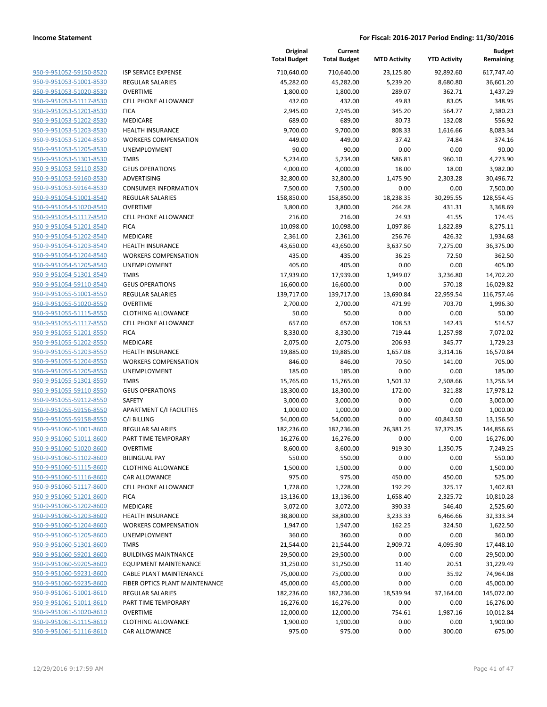| 950-9-951052-59150-8520        |
|--------------------------------|
| 950-9-951053-51001-8530        |
| 950-9-951053-51020-8530        |
| <u>950-9-951053-51117-8530</u> |
| <u>950-9-951053-51201-8530</u> |
| 950-9-951053-51202-8530        |
| 950-9-951053-51203-8530        |
| 950-9-951053-51204-8530        |
| <u>950-9-951053-51205-8530</u> |
| 950-9-951053-51301-8530        |
| 950-9-951053-59110-8530        |
| 950-9-951053-59160-8530        |
| <u>950-9-951053-59164-8530</u> |
| <u>950-9-951054-51001-8540</u> |
| 950-9-951054-51020-8540        |
| 950-9-951054-51117-8540        |
| 950-9-951054-51201-8540        |
| 950-9-951054-51202-8540        |
| <u>950-9-951054-51203-8540</u> |
| 950-9-951054-51204-8540        |
| 950-9-951054-51205-8540        |
| 950-9-951054-51301-8540        |
| <u>950-9-951054-59110-8540</u> |
| <u>950-9-951055-51001-8550</u> |
| 950-9-951055-51020-8550        |
| 950-9-951055-51115-8550        |
| 950-9-951055-51117-8550        |
| 950-9-951055-51201-8550        |
| <u>950-9-951055-51202-8550</u> |
| 950-9-951055-51203-8550        |
| 950-9-951055-51204-8550        |
| 950-9-951055-51205-8550        |
| <u>950-9-951055-51301-8550</u> |
| <u>950-9-951055-59110-8550</u> |
| 950-9-951055-59112-8550        |
| 950-9-951055-59156-8550        |
| 950-9-951055-59158-8550        |
| 950-9-951060-51001-8600        |
| <u>950-9-951060-51011-8600</u> |
| 950-9-951060-51020-8600        |
| 950-9-951060-51102-8600        |
| 950-9-951060-51115-8600        |
| 950-9-951060-51116-8600        |
| <u>950-9-951060-51117-8600</u> |
| 950-9-951060-51201-8600        |
| 950-9-951060-51202-8600        |
| 950-9-951060-51203-8600        |
| 950-9-951060-51204-8600        |
| 950-9-951060-51205-8600        |
| <u>950-9-951060-51301-8600</u> |
| 950-9-951060-59201-8600        |
| 950-9-951060-59205-8600        |
| 950-9-951060-59231-8600        |
| <u>950-9-951060-59235-8600</u> |
| 950-9-951061-51001-8610        |
| 950-9-951061-51011-8610        |
| 950-9-951061-51020-8610        |
| 950-9-951061-51115-8610        |
| <u>950-9-951061-51116-8610</u> |
|                                |

|                                            | Tot |
|--------------------------------------------|-----|
| SP SERVICE EXPENSE                         | 7   |
| <b>EGULAR SALARIES</b>                     |     |
| <b>OVERTIME</b>                            |     |
| <b>ELL PHONE ALLOWANCE</b>                 |     |
| ICA                                        |     |
| <i><b>AEDICARE</b></i>                     |     |
| IEALTH INSURANCE                           |     |
| VORKERS COMPENSATION                       |     |
| <b>INEMPLOYMENT</b>                        |     |
| <b>MRS</b>                                 |     |
| EUS OPERATIONS                             |     |
| <b>\DVERTISING</b>                         |     |
| ONSUMER INFORMATION:                       |     |
| <b>EGULAR SALARIES</b>                     | 1   |
| <b>OVERTIME</b>                            |     |
| <b>ELL PHONE ALLOWANCE</b>                 |     |
| ICA                                        |     |
| <i><b>AEDICARE</b></i>                     |     |
| IEALTH INSURANCE                           |     |
| VORKERS COMPENSATION                       |     |
| <b>JNEMPLOYMENT</b>                        |     |
| <b>MRS</b>                                 |     |
| <b>GEUS OPERATIONS</b>                     |     |
| <b>EGULAR SALARIES</b>                     | 1   |
| <b>OVERTIME</b>                            |     |
| LOTHING ALLOWANCE:                         |     |
| <b>ELL PHONE ALLOWANCE</b>                 |     |
| ICA                                        |     |
| <i><b>AEDICARE</b></i><br>IEALTH INSURANCE |     |
| <b>VORKERS COMPENSATION</b>                |     |
| JNEMPLOYMENT                               |     |
| <b>MRS</b>                                 |     |
| <b>EUS OPERATIONS</b>                      |     |
| AFETY                                      |     |
| PARTMENT C/I FACILITIES                    |     |
| :/I BILLING                                |     |
| <b>EGULAR SALARIES</b>                     | 1   |
| <b>ART TIME TEMPORARY</b>                  |     |
| <b>OVERTIME</b>                            |     |
| IILINGUAL PAY                              |     |
| LOTHING ALLOWANCE                          |     |
| AR ALLOWANCE                               |     |
| <b>ELL PHONE ALLOWANCE</b>                 |     |
| ICA                                        |     |
| <i><b>AEDICARE</b></i>                     |     |
| IEALTH INSURANCE                           |     |
| <b>VORKERS COMPENSATION</b>                |     |
| <b>JNEMPLOYMENT</b>                        |     |
| MRS                                        |     |
| <b>UILDINGS MAINTNANCE</b>                 |     |
| QUIPMENT MAINTENANCE                       |     |
| ABLE PLANT MAINTENANCE                     |     |
| <b>IBER OPTICS PLANT MAINTENANCE</b>       |     |
| <b>EGULAR SALARIES</b>                     | 1   |
| ART TIME TEMPORARY                         |     |
| )VERTIME                                   |     |
| LOTHING ALLOWANCE                          |     |
| AR ALLOWANCE:                              |     |

|                         |                                 | Original<br><b>Total Budget</b> | Current<br><b>Total Budget</b> | <b>MTD Activity</b> | <b>YTD Activity</b> | <b>Budget</b><br>Remaining |
|-------------------------|---------------------------------|---------------------------------|--------------------------------|---------------------|---------------------|----------------------------|
| 950-9-951052-59150-8520 | ISP SERVICE EXPENSE             | 710,640.00                      | 710,640.00                     | 23,125.80           | 92,892.60           | 617,747.40                 |
| 950-9-951053-51001-8530 | <b>REGULAR SALARIES</b>         | 45,282.00                       | 45,282.00                      | 5,239.20            | 8,680.80            | 36,601.20                  |
| 950-9-951053-51020-8530 | <b>OVERTIME</b>                 | 1,800.00                        | 1,800.00                       | 289.07              | 362.71              | 1,437.29                   |
| 950-9-951053-51117-8530 | <b>CELL PHONE ALLOWANCE</b>     | 432.00                          | 432.00                         | 49.83               | 83.05               | 348.95                     |
| 950-9-951053-51201-8530 | <b>FICA</b>                     | 2,945.00                        | 2,945.00                       | 345.20              | 564.77              | 2,380.23                   |
| 950-9-951053-51202-8530 | MEDICARE                        | 689.00                          | 689.00                         | 80.73               | 132.08              | 556.92                     |
| 950-9-951053-51203-8530 | <b>HEALTH INSURANCE</b>         | 9,700.00                        | 9,700.00                       | 808.33              | 1,616.66            | 8,083.34                   |
| 950-9-951053-51204-8530 | <b>WORKERS COMPENSATION</b>     | 449.00                          | 449.00                         | 37.42               | 74.84               | 374.16                     |
| 950-9-951053-51205-8530 | UNEMPLOYMENT                    | 90.00                           | 90.00                          | 0.00                | 0.00                | 90.00                      |
| 950-9-951053-51301-8530 | <b>TMRS</b>                     | 5,234.00                        | 5,234.00                       | 586.81              | 960.10              | 4,273.90                   |
| 950-9-951053-59110-8530 | <b>GEUS OPERATIONS</b>          | 4,000.00                        | 4,000.00                       | 18.00               | 18.00               | 3,982.00                   |
| 950-9-951053-59160-8530 | ADVERTISING                     | 32,800.00                       | 32,800.00                      | 1,475.90            | 2,303.28            | 30,496.72                  |
| 950-9-951053-59164-8530 | <b>CONSUMER INFORMATION</b>     | 7,500.00                        | 7,500.00                       | 0.00                | 0.00                | 7,500.00                   |
| 950-9-951054-51001-8540 | REGULAR SALARIES                | 158,850.00                      | 158,850.00                     | 18,238.35           | 30,295.55           | 128,554.45                 |
| 950-9-951054-51020-8540 | <b>OVERTIME</b>                 | 3,800.00                        | 3,800.00                       | 264.28              | 431.31              | 3,368.69                   |
| 950-9-951054-51117-8540 | <b>CELL PHONE ALLOWANCE</b>     | 216.00                          | 216.00                         | 24.93               | 41.55               | 174.45                     |
| 950-9-951054-51201-8540 | <b>FICA</b>                     | 10,098.00                       | 10,098.00                      | 1,097.86            | 1,822.89            | 8,275.11                   |
| 950-9-951054-51202-8540 | MEDICARE                        | 2,361.00                        | 2,361.00                       | 256.76              | 426.32              | 1,934.68                   |
| 950-9-951054-51203-8540 | HEALTH INSURANCE                | 43,650.00                       | 43,650.00                      | 3,637.50            | 7,275.00            | 36,375.00                  |
| 950-9-951054-51204-8540 | <b>WORKERS COMPENSATION</b>     | 435.00                          | 435.00                         | 36.25               | 72.50               | 362.50                     |
| 950-9-951054-51205-8540 | UNEMPLOYMENT                    | 405.00                          | 405.00                         | 0.00                | 0.00                | 405.00                     |
| 950-9-951054-51301-8540 | <b>TMRS</b>                     | 17,939.00                       | 17,939.00                      | 1,949.07            | 3,236.80            | 14,702.20                  |
| 950-9-951054-59110-8540 | <b>GEUS OPERATIONS</b>          | 16,600.00                       | 16,600.00                      | 0.00                | 570.18              | 16,029.82                  |
| 950-9-951055-51001-8550 | <b>REGULAR SALARIES</b>         | 139,717.00                      | 139,717.00                     | 13,690.84           | 22,959.54           | 116,757.46                 |
| 950-9-951055-51020-8550 | <b>OVERTIME</b>                 | 2,700.00                        | 2,700.00                       | 471.99              | 703.70              | 1,996.30                   |
| 950-9-951055-51115-8550 | <b>CLOTHING ALLOWANCE</b>       | 50.00                           | 50.00                          | 0.00                | 0.00                | 50.00                      |
| 950-9-951055-51117-8550 | <b>CELL PHONE ALLOWANCE</b>     | 657.00                          | 657.00                         | 108.53              | 142.43              | 514.57                     |
| 950-9-951055-51201-8550 | <b>FICA</b>                     | 8,330.00                        | 8,330.00                       | 719.44              | 1,257.98            | 7,072.02                   |
| 950-9-951055-51202-8550 | MEDICARE                        | 2,075.00                        | 2,075.00                       | 206.93              | 345.77              | 1,729.23                   |
| 950-9-951055-51203-8550 | <b>HEALTH INSURANCE</b>         | 19,885.00                       | 19,885.00                      | 1,657.08            | 3,314.16            | 16,570.84                  |
| 950-9-951055-51204-8550 | <b>WORKERS COMPENSATION</b>     | 846.00                          | 846.00                         | 70.50               | 141.00              | 705.00                     |
| 950-9-951055-51205-8550 | <b>UNEMPLOYMENT</b>             | 185.00                          | 185.00                         | 0.00                | 0.00                | 185.00                     |
| 950-9-951055-51301-8550 | <b>TMRS</b>                     | 15,765.00                       | 15,765.00                      | 1,501.32            | 2,508.66            | 13,256.34                  |
| 950-9-951055-59110-8550 | <b>GEUS OPERATIONS</b>          | 18,300.00                       | 18,300.00                      | 172.00              | 321.88              | 17,978.12                  |
| 950-9-951055-59112-8550 | SAFETY                          | 3,000.00                        | 3,000.00                       | 0.00                | 0.00                | 3,000.00                   |
| 950-9-951055-59156-8550 | <b>APARTMENT C/I FACILITIES</b> | 1,000.00                        | 1,000.00                       | 0.00                | 0.00                | 1,000.00                   |
| 950-9-951055-59158-8550 | C/I BILLING                     | 54,000.00                       | 54,000.00                      | 0.00                | 40,843.50           | 13,156.50                  |
| 950-9-951060-51001-8600 | <b>REGULAR SALARIES</b>         | 182,236.00                      | 182,236.00                     | 26,381.25           | 37,379.35           | 144,856.65                 |
| 950-9-951060-51011-8600 | PART TIME TEMPORARY             | 16,276.00                       | 16,276.00                      | 0.00                | 0.00                | 16,276.00                  |
| 950-9-951060-51020-8600 | <b>OVERTIME</b>                 | 8,600.00                        | 8,600.00                       | 919.30              | 1,350.75            | 7,249.25                   |
| 950-9-951060-51102-8600 | <b>BILINGUAL PAY</b>            | 550.00                          | 550.00                         | 0.00                | 0.00                | 550.00                     |
| 950-9-951060-51115-8600 | <b>CLOTHING ALLOWANCE</b>       | 1,500.00                        | 1,500.00                       | 0.00                | 0.00                | 1,500.00                   |
| 950-9-951060-51116-8600 | CAR ALLOWANCE                   | 975.00                          | 975.00                         | 450.00              | 450.00              | 525.00                     |
| 950-9-951060-51117-8600 | <b>CELL PHONE ALLOWANCE</b>     | 1,728.00                        | 1,728.00                       | 192.29              | 325.17              | 1,402.83                   |
| 950-9-951060-51201-8600 | <b>FICA</b>                     | 13,136.00                       | 13,136.00                      | 1,658.40            | 2,325.72            | 10,810.28                  |
| 950-9-951060-51202-8600 | MEDICARE                        | 3,072.00                        | 3,072.00                       | 390.33              | 546.40              | 2,525.60                   |
| 950-9-951060-51203-8600 | <b>HEALTH INSURANCE</b>         | 38,800.00                       | 38,800.00                      | 3,233.33            | 6,466.66            | 32,333.34                  |
| 950-9-951060-51204-8600 | <b>WORKERS COMPENSATION</b>     | 1,947.00                        | 1,947.00                       | 162.25              | 324.50              | 1,622.50                   |
| 950-9-951060-51205-8600 | UNEMPLOYMENT                    | 360.00                          | 360.00                         | 0.00                | 0.00                | 360.00                     |
| 950-9-951060-51301-8600 | <b>TMRS</b>                     | 21,544.00                       | 21,544.00                      | 2,909.72            | 4,095.90            | 17,448.10                  |
| 950-9-951060-59201-8600 | <b>BUILDINGS MAINTNANCE</b>     | 29,500.00                       | 29,500.00                      | 0.00                | 0.00                | 29,500.00                  |
| 950-9-951060-59205-8600 | <b>EQUIPMENT MAINTENANCE</b>    | 31,250.00                       | 31,250.00                      | 11.40               | 20.51               | 31,229.49                  |
| 950-9-951060-59231-8600 | <b>CABLE PLANT MAINTENANCE</b>  | 75,000.00                       | 75,000.00                      | 0.00                | 35.92               | 74,964.08                  |
| 950-9-951060-59235-8600 | FIBER OPTICS PLANT MAINTENANCE  | 45,000.00                       | 45,000.00                      | 0.00                | 0.00                | 45,000.00                  |
| 950-9-951061-51001-8610 | REGULAR SALARIES                | 182,236.00                      | 182,236.00                     | 18,539.94           | 37,164.00           | 145,072.00                 |
| 950-9-951061-51011-8610 | PART TIME TEMPORARY             | 16,276.00                       | 16,276.00                      | 0.00                | 0.00                | 16,276.00                  |
| 950-9-951061-51020-8610 | <b>OVERTIME</b>                 | 12,000.00                       | 12,000.00                      | 754.61              | 1,987.16            | 10,012.84                  |
| 950-9-951061-51115-8610 | <b>CLOTHING ALLOWANCE</b>       | 1,900.00                        | 1,900.00                       | 0.00                | 0.00                | 1,900.00                   |
| 950-9-951061-51116-8610 | CAR ALLOWANCE                   | 975.00                          | 975.00                         | 0.00                | 300.00              | 675.00                     |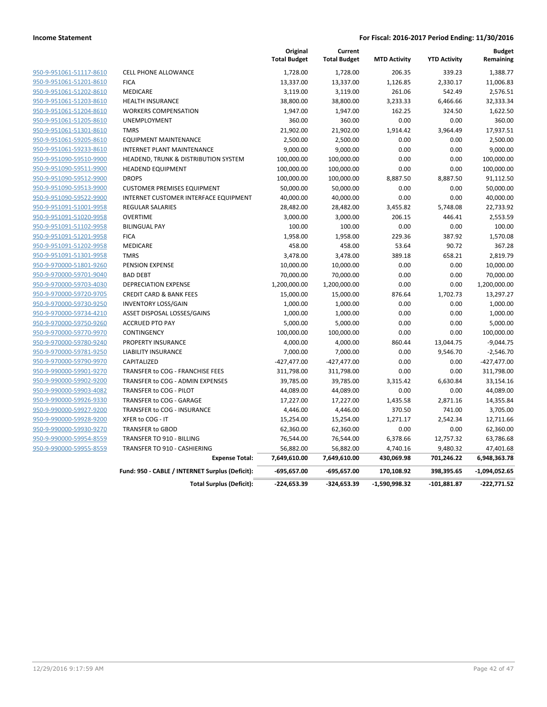|                         |                                                 | Original<br><b>Total Budget</b> | Current<br><b>Total Budget</b> | <b>MTD Activity</b> | <b>YTD Activity</b> | <b>Budget</b><br>Remaining |
|-------------------------|-------------------------------------------------|---------------------------------|--------------------------------|---------------------|---------------------|----------------------------|
| 950-9-951061-51117-8610 | <b>CELL PHONE ALLOWANCE</b>                     | 1,728.00                        | 1,728.00                       | 206.35              | 339.23              | 1,388.77                   |
| 950-9-951061-51201-8610 | <b>FICA</b>                                     | 13,337.00                       | 13,337.00                      | 1,126.85            | 2,330.17            | 11,006.83                  |
| 950-9-951061-51202-8610 | MEDICARE                                        | 3,119.00                        | 3,119.00                       | 261.06              | 542.49              | 2,576.51                   |
| 950-9-951061-51203-8610 | <b>HEALTH INSURANCE</b>                         | 38,800.00                       | 38,800.00                      | 3,233.33            | 6,466.66            | 32,333.34                  |
| 950-9-951061-51204-8610 | <b>WORKERS COMPENSATION</b>                     | 1,947.00                        | 1,947.00                       | 162.25              | 324.50              | 1,622.50                   |
| 950-9-951061-51205-8610 | <b>UNEMPLOYMENT</b>                             | 360.00                          | 360.00                         | 0.00                | 0.00                | 360.00                     |
| 950-9-951061-51301-8610 | <b>TMRS</b>                                     | 21,902.00                       | 21,902.00                      | 1,914.42            | 3,964.49            | 17,937.51                  |
| 950-9-951061-59205-8610 | <b>EQUIPMENT MAINTENANCE</b>                    | 2,500.00                        | 2,500.00                       | 0.00                | 0.00                | 2,500.00                   |
| 950-9-951061-59233-8610 | <b>INTERNET PLANT MAINTENANCE</b>               | 9,000.00                        | 9,000.00                       | 0.00                | 0.00                | 9,000.00                   |
| 950-9-951090-59510-9900 | HEADEND, TRUNK & DISTRIBUTION SYSTEM            | 100,000.00                      | 100,000.00                     | 0.00                | 0.00                | 100,000.00                 |
| 950-9-951090-59511-9900 | <b>HEADEND EQUIPMENT</b>                        | 100,000.00                      | 100,000.00                     | 0.00                | 0.00                | 100,000.00                 |
| 950-9-951090-59512-9900 | <b>DROPS</b>                                    | 100,000.00                      | 100,000.00                     | 8,887.50            | 8,887.50            | 91,112.50                  |
| 950-9-951090-59513-9900 | <b>CUSTOMER PREMISES EQUIPMENT</b>              | 50,000.00                       | 50,000.00                      | 0.00                | 0.00                | 50,000.00                  |
| 950-9-951090-59522-9900 | INTERNET CUSTOMER INTERFACE EQUIPMENT           | 40,000.00                       | 40,000.00                      | 0.00                | 0.00                | 40,000.00                  |
| 950-9-951091-51001-9958 | <b>REGULAR SALARIES</b>                         | 28,482.00                       | 28,482.00                      | 3,455.82            | 5,748.08            | 22,733.92                  |
| 950-9-951091-51020-9958 | <b>OVERTIME</b>                                 | 3,000.00                        | 3,000.00                       | 206.15              | 446.41              | 2,553.59                   |
| 950-9-951091-51102-9958 | <b>BILINGUAL PAY</b>                            | 100.00                          | 100.00                         | 0.00                | 0.00                | 100.00                     |
| 950-9-951091-51201-9958 | <b>FICA</b>                                     | 1,958.00                        | 1,958.00                       | 229.36              | 387.92              | 1,570.08                   |
| 950-9-951091-51202-9958 | <b>MEDICARE</b>                                 | 458.00                          | 458.00                         | 53.64               | 90.72               | 367.28                     |
| 950-9-951091-51301-9958 | <b>TMRS</b>                                     | 3,478.00                        | 3,478.00                       | 389.18              | 658.21              | 2,819.79                   |
| 950-9-970000-51801-9260 | PENSION EXPENSE                                 | 10,000.00                       | 10,000.00                      | 0.00                | 0.00                | 10,000.00                  |
| 950-9-970000-59701-9040 | <b>BAD DEBT</b>                                 | 70,000.00                       | 70,000.00                      | 0.00                | 0.00                | 70,000.00                  |
| 950-9-970000-59703-4030 | <b>DEPRECIATION EXPENSE</b>                     | 1,200,000.00                    | 1,200,000.00                   | 0.00                | 0.00                | 1,200,000.00               |
| 950-9-970000-59720-9705 | <b>CREDIT CARD &amp; BANK FEES</b>              | 15,000.00                       | 15,000.00                      | 876.64              | 1,702.73            | 13,297.27                  |
| 950-9-970000-59730-9250 | <b>INVENTORY LOSS/GAIN</b>                      | 1,000.00                        | 1,000.00                       | 0.00                | 0.00                | 1,000.00                   |
| 950-9-970000-59734-4210 | ASSET DISPOSAL LOSSES/GAINS                     | 1,000.00                        | 1,000.00                       | 0.00                | 0.00                | 1,000.00                   |
| 950-9-970000-59750-9260 | <b>ACCRUED PTO PAY</b>                          | 5,000.00                        | 5,000.00                       | 0.00                | 0.00                | 5,000.00                   |
| 950-9-970000-59770-9970 | CONTINGENCY                                     | 100,000.00                      | 100,000.00                     | 0.00                | 0.00                | 100,000.00                 |
| 950-9-970000-59780-9240 | PROPERTY INSURANCE                              | 4,000.00                        | 4,000.00                       | 860.44              | 13,044.75           | $-9,044.75$                |
| 950-9-970000-59781-9250 | <b>LIABILITY INSURANCE</b>                      | 7,000.00                        | 7,000.00                       | 0.00                | 9,546.70            | $-2,546.70$                |
| 950-9-970000-59790-9970 | CAPITALIZED                                     | $-427,477.00$                   | $-427,477.00$                  | 0.00                | 0.00                | $-427,477.00$              |
| 950-9-990000-59901-9270 | TRANSFER to COG - FRANCHISE FEES                | 311,798.00                      | 311,798.00                     | 0.00                | 0.00                | 311,798.00                 |
| 950-9-990000-59902-9200 | TRANSFER to COG - ADMIN EXPENSES                | 39,785.00                       | 39,785.00                      | 3,315.42            | 6,630.84            | 33,154.16                  |
| 950-9-990000-59903-4082 | TRANSFER to COG - PILOT                         | 44,089.00                       | 44,089.00                      | 0.00                | 0.00                | 44,089.00                  |
| 950-9-990000-59926-9330 | TRANSFER to COG - GARAGE                        | 17,227.00                       | 17,227.00                      | 1,435.58            | 2,871.16            | 14,355.84                  |
| 950-9-990000-59927-9200 | TRANSFER to COG - INSURANCE                     | 4,446.00                        | 4,446.00                       | 370.50              | 741.00              | 3,705.00                   |
| 950-9-990000-59928-9200 | XFER to COG - IT                                | 15,254.00                       | 15,254.00                      | 1,271.17            | 2,542.34            | 12,711.66                  |
| 950-9-990000-59930-9270 | <b>TRANSFER to GBOD</b>                         | 62,360.00                       | 62,360.00                      | 0.00                | 0.00                | 62,360.00                  |
| 950-9-990000-59954-8559 | <b>TRANSFER TO 910 - BILLING</b>                | 76,544.00                       | 76,544.00                      | 6,378.66            | 12,757.32           | 63,786.68                  |
| 950-9-990000-59955-8559 | TRANSFER TO 910 - CASHIERING                    | 56,882.00                       | 56,882.00                      | 4,740.16            | 9,480.32            | 47,401.68                  |
|                         | <b>Expense Total:</b>                           | 7,649,610.00                    | 7,649,610.00                   | 430,069.98          | 701,246.22          | 6,948,363.78               |
|                         | Fund: 950 - CABLE / INTERNET Surplus (Deficit): | $-695,657.00$                   | -695,657.00                    | 170,108.92          | 398,395.65          | $-1,094,052.65$            |
|                         | <b>Total Surplus (Deficit):</b>                 | $-224,653.39$                   | $-324,653.39$                  | $-1,590,998.32$     | $-101,881.87$       | -222,771.52                |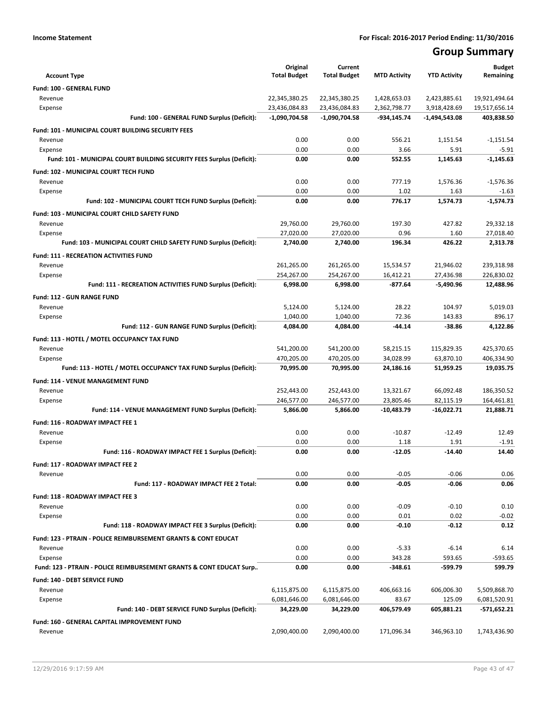# **Group Summary**

|                                                                           | Original                       | Current                        |                              |                              | <b>Budget</b>                  |
|---------------------------------------------------------------------------|--------------------------------|--------------------------------|------------------------------|------------------------------|--------------------------------|
| <b>Account Type</b>                                                       | <b>Total Budget</b>            | <b>Total Budget</b>            | <b>MTD Activity</b>          | <b>YTD Activity</b>          | Remaining                      |
| <b>Fund: 100 - GENERAL FUND</b>                                           |                                |                                |                              |                              |                                |
| Revenue<br>Expense                                                        | 22,345,380.25<br>23,436,084.83 | 22,345,380.25<br>23,436,084.83 | 1,428,653.03<br>2,362,798.77 | 2,423,885.61<br>3,918,428.69 | 19,921,494.64<br>19,517,656.14 |
| Fund: 100 - GENERAL FUND Surplus (Deficit):                               | $-1,090,704.58$                | $-1,090,704.58$                | -934,145.74                  | -1,494,543.08                | 403,838.50                     |
|                                                                           |                                |                                |                              |                              |                                |
| Fund: 101 - MUNICIPAL COURT BUILDING SECURITY FEES<br>Revenue             | 0.00                           | 0.00                           | 556.21                       | 1,151.54                     | $-1,151.54$                    |
| Expense                                                                   | 0.00                           | 0.00                           | 3.66                         | 5.91                         | $-5.91$                        |
| Fund: 101 - MUNICIPAL COURT BUILDING SECURITY FEES Surplus (Deficit):     | 0.00                           | 0.00                           | 552.55                       | 1,145.63                     | $-1.145.63$                    |
| <b>Fund: 102 - MUNICIPAL COURT TECH FUND</b>                              |                                |                                |                              |                              |                                |
| Revenue                                                                   | 0.00                           | 0.00                           | 777.19                       | 1,576.36                     | $-1,576.36$                    |
| Expense                                                                   | 0.00                           | 0.00                           | 1.02                         | 1.63                         | $-1.63$                        |
| Fund: 102 - MUNICIPAL COURT TECH FUND Surplus (Deficit):                  | 0.00                           | 0.00                           | 776.17                       | 1,574.73                     | $-1,574.73$                    |
| Fund: 103 - MUNICIPAL COURT CHILD SAFETY FUND                             |                                |                                |                              |                              |                                |
| Revenue                                                                   | 29,760.00                      | 29,760.00                      | 197.30                       | 427.82                       | 29,332.18                      |
| Expense                                                                   | 27,020.00                      | 27,020.00                      | 0.96                         | 1.60                         | 27,018.40                      |
| Fund: 103 - MUNICIPAL COURT CHILD SAFETY FUND Surplus (Deficit):          | 2,740.00                       | 2,740.00                       | 196.34                       | 426.22                       | 2,313.78                       |
| <b>Fund: 111 - RECREATION ACTIVITIES FUND</b>                             |                                |                                |                              |                              |                                |
| Revenue                                                                   | 261,265.00                     | 261,265.00                     | 15,534.57                    | 21,946.02                    | 239,318.98                     |
| Expense                                                                   | 254,267.00                     | 254,267.00                     | 16,412.21                    | 27,436.98                    | 226,830.02                     |
| Fund: 111 - RECREATION ACTIVITIES FUND Surplus (Deficit):                 | 6,998.00                       | 6,998.00                       | $-877.64$                    | $-5,490.96$                  | 12,488.96                      |
| <b>Fund: 112 - GUN RANGE FUND</b>                                         |                                |                                |                              |                              |                                |
| Revenue                                                                   | 5,124.00                       | 5,124.00                       | 28.22                        | 104.97                       | 5,019.03                       |
| Expense                                                                   | 1,040.00                       | 1,040.00                       | 72.36                        | 143.83                       | 896.17                         |
| Fund: 112 - GUN RANGE FUND Surplus (Deficit):                             | 4,084.00                       | 4,084.00                       | -44.14                       | -38.86                       | 4,122.86                       |
| Fund: 113 - HOTEL / MOTEL OCCUPANCY TAX FUND                              |                                |                                |                              |                              |                                |
| Revenue                                                                   | 541,200.00                     | 541,200.00                     | 58,215.15                    | 115,829.35                   | 425,370.65                     |
| Expense                                                                   | 470,205.00                     | 470,205.00                     | 34,028.99                    | 63,870.10                    | 406,334.90                     |
| Fund: 113 - HOTEL / MOTEL OCCUPANCY TAX FUND Surplus (Deficit):           | 70,995.00                      | 70,995.00                      | 24,186.16                    | 51,959.25                    | 19,035.75                      |
| Fund: 114 - VENUE MANAGEMENT FUND                                         |                                |                                |                              |                              |                                |
| Revenue                                                                   | 252,443.00                     | 252,443.00                     | 13,321.67                    | 66,092.48                    | 186,350.52                     |
| Expense                                                                   | 246,577.00                     | 246,577.00                     | 23,805.46                    | 82,115.19                    | 164,461.81                     |
| Fund: 114 - VENUE MANAGEMENT FUND Surplus (Deficit):                      | 5,866.00                       | 5,866.00                       | $-10,483.79$                 | $-16,022.71$                 | 21,888.71                      |
| Fund: 116 - ROADWAY IMPACT FEE 1                                          |                                |                                |                              |                              |                                |
| Revenue                                                                   | 0.00                           | 0.00                           | $-10.87$                     | $-12.49$                     | 12.49                          |
| Expense                                                                   | 0.00<br>0.00                   | 0.00<br>0.00                   | 1.18<br>$-12.05$             | 1.91<br>$-14.40$             | $-1.91$<br>14.40               |
| Fund: 116 - ROADWAY IMPACT FEE 1 Surplus (Deficit):                       |                                |                                |                              |                              |                                |
| <b>Fund: 117 - ROADWAY IMPACT FEE 2</b>                                   |                                |                                |                              |                              |                                |
| Revenue<br>Fund: 117 - ROADWAY IMPACT FEE 2 Total:                        | 0.00<br>0.00                   | 0.00<br>0.00                   | $-0.05$<br>$-0.05$           | $-0.06$<br>$-0.06$           | 0.06<br>0.06                   |
|                                                                           |                                |                                |                              |                              |                                |
| Fund: 118 - ROADWAY IMPACT FEE 3                                          |                                |                                |                              |                              |                                |
| Revenue<br>Expense                                                        | 0.00<br>0.00                   | 0.00<br>0.00                   | $-0.09$<br>0.01              | $-0.10$<br>0.02              | 0.10<br>$-0.02$                |
| Fund: 118 - ROADWAY IMPACT FEE 3 Surplus (Deficit):                       | 0.00                           | 0.00                           | $-0.10$                      | $-0.12$                      | 0.12                           |
|                                                                           |                                |                                |                              |                              |                                |
| Fund: 123 - PTRAIN - POLICE REIMBURSEMENT GRANTS & CONT EDUCAT<br>Revenue | 0.00                           | 0.00                           | $-5.33$                      | $-6.14$                      | 6.14                           |
| Expense                                                                   | 0.00                           | 0.00                           | 343.28                       | 593.65                       | $-593.65$                      |
| Fund: 123 - PTRAIN - POLICE REIMBURSEMENT GRANTS & CONT EDUCAT Surp       | 0.00                           | 0.00                           | -348.61                      | -599.79                      | 599.79                         |
| Fund: 140 - DEBT SERVICE FUND                                             |                                |                                |                              |                              |                                |
| Revenue                                                                   | 6,115,875.00                   | 6,115,875.00                   | 406,663.16                   | 606,006.30                   | 5,509,868.70                   |
| Expense                                                                   | 6,081,646.00                   | 6,081,646.00                   | 83.67                        | 125.09                       | 6,081,520.91                   |
| Fund: 140 - DEBT SERVICE FUND Surplus (Deficit):                          | 34,229.00                      | 34,229.00                      | 406,579.49                   | 605,881.21                   | -571,652.21                    |
| Fund: 160 - GENERAL CAPITAL IMPROVEMENT FUND                              |                                |                                |                              |                              |                                |
| Revenue                                                                   | 2,090,400.00                   | 2,090,400.00                   | 171,096.34                   | 346,963.10                   | 1,743,436.90                   |
|                                                                           |                                |                                |                              |                              |                                |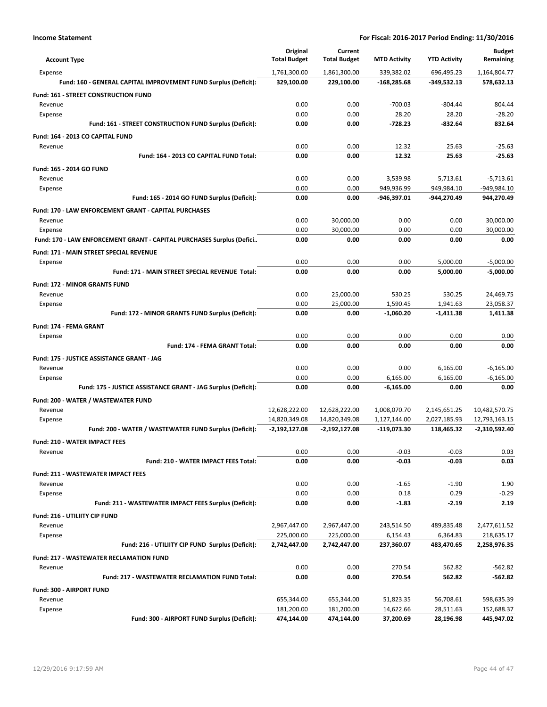| <b>Account Type</b>                                                   | Original<br><b>Total Budget</b> | Current<br><b>Total Budget</b> | <b>MTD Activity</b>    | <b>YTD Activity</b>    | Budget<br>Remaining        |
|-----------------------------------------------------------------------|---------------------------------|--------------------------------|------------------------|------------------------|----------------------------|
| Expense                                                               | 1,761,300.00                    | 1,861,300.00                   | 339,382.02             | 696,495.23             | 1,164,804.77               |
| Fund: 160 - GENERAL CAPITAL IMPROVEMENT FUND Surplus (Deficit):       | 329,100.00                      | 229,100.00                     | $-168,285.68$          | -349,532.13            | 578,632.13                 |
| Fund: 161 - STREET CONSTRUCTION FUND                                  |                                 |                                |                        |                        |                            |
| Revenue                                                               | 0.00                            | 0.00                           | $-700.03$              | $-804.44$              | 804.44                     |
| Expense                                                               | 0.00                            | 0.00                           | 28.20                  | 28.20                  | $-28.20$                   |
| Fund: 161 - STREET CONSTRUCTION FUND Surplus (Deficit):               | 0.00                            | 0.00                           | $-728.23$              | $-832.64$              | 832.64                     |
| Fund: 164 - 2013 CO CAPITAL FUND                                      |                                 |                                |                        |                        |                            |
| Revenue                                                               | 0.00                            | 0.00                           | 12.32                  | 25.63                  | $-25.63$                   |
| Fund: 164 - 2013 CO CAPITAL FUND Total:                               | 0.00                            | 0.00                           | 12.32                  | 25.63                  | $-25.63$                   |
| Fund: 165 - 2014 GO FUND                                              |                                 |                                |                        |                        |                            |
| Revenue                                                               | 0.00                            | 0.00                           | 3,539.98               | 5,713.61               | $-5,713.61$                |
| Expense                                                               | 0.00                            | 0.00                           | 949,936.99             | 949,984.10             | -949,984.10                |
| Fund: 165 - 2014 GO FUND Surplus (Deficit):                           | 0.00                            | 0.00                           | -946,397.01            | -944,270.49            | 944,270.49                 |
|                                                                       |                                 |                                |                        |                        |                            |
| Fund: 170 - LAW ENFORCEMENT GRANT - CAPITAL PURCHASES<br>Revenue      | 0.00                            | 30,000.00                      | 0.00                   | 0.00                   | 30,000.00                  |
| Expense                                                               | 0.00                            | 30,000.00                      | 0.00                   | 0.00                   | 30,000.00                  |
| Fund: 170 - LAW ENFORCEMENT GRANT - CAPITAL PURCHASES Surplus (Defici | 0.00                            | 0.00                           | 0.00                   | 0.00                   | 0.00                       |
|                                                                       |                                 |                                |                        |                        |                            |
| Fund: 171 - MAIN STREET SPECIAL REVENUE                               |                                 |                                |                        |                        |                            |
| Expense<br>Fund: 171 - MAIN STREET SPECIAL REVENUE Total:             | 0.00<br>0.00                    | 0.00<br>0.00                   | 0.00<br>0.00           | 5,000.00<br>5,000.00   | $-5.000.00$<br>$-5,000.00$ |
|                                                                       |                                 |                                |                        |                        |                            |
| <b>Fund: 172 - MINOR GRANTS FUND</b>                                  |                                 |                                |                        |                        |                            |
| Revenue                                                               | 0.00                            | 25,000.00                      | 530.25                 | 530.25                 | 24,469.75                  |
| Expense                                                               | 0.00                            | 25,000.00                      | 1,590.45               | 1,941.63               | 23,058.37                  |
| Fund: 172 - MINOR GRANTS FUND Surplus (Deficit):                      | 0.00                            | 0.00                           | $-1,060.20$            | $-1,411.38$            | 1,411.38                   |
| Fund: 174 - FEMA GRANT                                                |                                 |                                |                        |                        |                            |
| Expense                                                               | 0.00                            | 0.00                           | 0.00                   | 0.00                   | 0.00                       |
| Fund: 174 - FEMA GRANT Total:                                         | 0.00                            | 0.00                           | 0.00                   | 0.00                   | 0.00                       |
| Fund: 175 - JUSTICE ASSISTANCE GRANT - JAG                            |                                 |                                |                        |                        |                            |
| Revenue                                                               | 0.00                            | 0.00                           | 0.00                   | 6,165.00               | $-6,165.00$                |
| Expense                                                               | 0.00                            | 0.00                           | 6,165.00               | 6,165.00               | $-6,165.00$                |
| Fund: 175 - JUSTICE ASSISTANCE GRANT - JAG Surplus (Deficit):         | 0.00                            | 0.00                           | $-6,165.00$            | 0.00                   | 0.00                       |
| Fund: 200 - WATER / WASTEWATER FUND                                   |                                 |                                |                        |                        |                            |
| Revenue                                                               | 12,628,222.00                   | 12,628,222.00                  | 1,008,070.70           | 2,145,651.25           | 10,482,570.75              |
| Expense                                                               | 14,820,349.08                   | 14,820,349.08                  | 1,127,144.00           | 2,027,185.93           | 12,793,163.15              |
| Fund: 200 - WATER / WASTEWATER FUND Surplus (Deficit):                | -2,192,127.08                   | -2,192,127.08                  | -119,073.30            | 118,465.32             | -2,310,592.40              |
| <b>Fund: 210 - WATER IMPACT FEES</b>                                  |                                 |                                |                        |                        |                            |
| Revenue                                                               | 0.00                            | 0.00                           | $-0.03$                | $-0.03$                | 0.03                       |
| Fund: 210 - WATER IMPACT FEES Total:                                  | 0.00                            | 0.00                           | $-0.03$                | $-0.03$                | 0.03                       |
| <b>Fund: 211 - WASTEWATER IMPACT FEES</b>                             |                                 |                                |                        |                        |                            |
| Revenue                                                               | 0.00                            | 0.00                           | $-1.65$                | $-1.90$                | 1.90                       |
| Expense                                                               | 0.00                            | 0.00                           | 0.18                   | 0.29                   | $-0.29$                    |
| Fund: 211 - WASTEWATER IMPACT FEES Surplus (Deficit):                 | 0.00                            | 0.00                           | $-1.83$                | $-2.19$                | 2.19                       |
| Fund: 216 - UTILIITY CIP FUND                                         |                                 |                                |                        |                        |                            |
| Revenue                                                               | 2,967,447.00                    | 2,967,447.00                   | 243,514.50             | 489,835.48             | 2,477,611.52               |
| Expense                                                               | 225,000.00                      | 225,000.00                     | 6,154.43               | 6,364.83               | 218,635.17                 |
| Fund: 216 - UTILIITY CIP FUND Surplus (Deficit):                      | 2,742,447.00                    | 2,742,447.00                   | 237,360.07             | 483,470.65             | 2,258,976.35               |
| Fund: 217 - WASTEWATER RECLAMATION FUND                               |                                 |                                |                        |                        |                            |
| Revenue                                                               | 0.00                            | 0.00                           | 270.54                 | 562.82                 | $-562.82$                  |
| Fund: 217 - WASTEWATER RECLAMATION FUND Total:                        | 0.00                            | 0.00                           | 270.54                 | 562.82                 | $-562.82$                  |
|                                                                       |                                 |                                |                        |                        |                            |
| Fund: 300 - AIRPORT FUND<br>Revenue                                   |                                 |                                |                        |                        |                            |
| Expense                                                               | 655,344.00<br>181,200.00        | 655,344.00<br>181,200.00       | 51,823.35<br>14,622.66 | 56,708.61<br>28,511.63 | 598,635.39<br>152,688.37   |
| Fund: 300 - AIRPORT FUND Surplus (Deficit):                           | 474,144.00                      | 474,144.00                     | 37,200.69              | 28,196.98              | 445,947.02                 |
|                                                                       |                                 |                                |                        |                        |                            |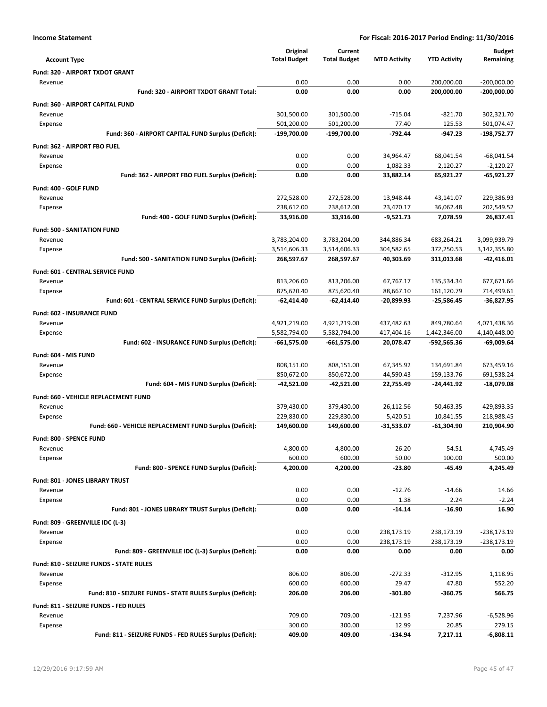|                                                            | Original            | Current             |                     |                     | <b>Budget</b> |
|------------------------------------------------------------|---------------------|---------------------|---------------------|---------------------|---------------|
| <b>Account Type</b>                                        | <b>Total Budget</b> | <b>Total Budget</b> | <b>MTD Activity</b> | <b>YTD Activity</b> | Remaining     |
| Fund: 320 - AIRPORT TXDOT GRANT                            |                     |                     |                     |                     |               |
| Revenue                                                    | 0.00                | 0.00                | 0.00                | 200,000.00          | $-200,000.00$ |
| Fund: 320 - AIRPORT TXDOT GRANT Total:                     | 0.00                | 0.00                | 0.00                | 200,000.00          | $-200,000.00$ |
| Fund: 360 - AIRPORT CAPITAL FUND                           |                     |                     |                     |                     |               |
| Revenue                                                    | 301,500.00          | 301,500.00          | $-715.04$           | $-821.70$           | 302,321.70    |
| Expense                                                    | 501,200.00          | 501,200.00          | 77.40               | 125.53              | 501,074.47    |
| Fund: 360 - AIRPORT CAPITAL FUND Surplus (Deficit):        | -199,700.00         | -199,700.00         | $-792.44$           | $-947.23$           | -198,752.77   |
| Fund: 362 - AIRPORT FBO FUEL                               |                     |                     |                     |                     |               |
| Revenue                                                    | 0.00                | 0.00                | 34,964.47           | 68,041.54           | $-68,041.54$  |
| Expense                                                    | 0.00                | 0.00                | 1,082.33            | 2,120.27            | $-2.120.27$   |
| Fund: 362 - AIRPORT FBO FUEL Surplus (Deficit):            | 0.00                | 0.00                | 33,882.14           | 65,921.27           | -65,921.27    |
| Fund: 400 - GOLF FUND                                      |                     |                     |                     |                     |               |
| Revenue                                                    | 272,528.00          | 272,528.00          | 13,948.44           | 43,141.07           | 229,386.93    |
| Expense                                                    | 238,612.00          | 238,612.00          | 23,470.17           | 36,062.48           | 202,549.52    |
| Fund: 400 - GOLF FUND Surplus (Deficit):                   | 33,916.00           | 33,916.00           | $-9,521.73$         | 7,078.59            | 26,837.41     |
| <b>Fund: 500 - SANITATION FUND</b>                         |                     |                     |                     |                     |               |
| Revenue                                                    | 3,783,204.00        | 3,783,204.00        | 344,886.34          | 683,264.21          | 3,099,939.79  |
| Expense                                                    | 3,514,606.33        | 3,514,606.33        | 304,582.65          | 372,250.53          | 3,142,355.80  |
| Fund: 500 - SANITATION FUND Surplus (Deficit):             | 268,597.67          | 268,597.67          | 40,303.69           | 311,013.68          | -42,416.01    |
| <b>Fund: 601 - CENTRAL SERVICE FUND</b>                    |                     |                     |                     |                     |               |
| Revenue                                                    | 813,206.00          | 813,206.00          | 67,767.17           | 135,534.34          | 677,671.66    |
| Expense                                                    | 875,620.40          | 875,620.40          | 88,667.10           | 161,120.79          | 714,499.61    |
| Fund: 601 - CENTRAL SERVICE FUND Surplus (Deficit):        | -62,414.40          | -62,414.40          | $-20,899.93$        | $-25,586.45$        | $-36,827.95$  |
| Fund: 602 - INSURANCE FUND                                 |                     |                     |                     |                     |               |
| Revenue                                                    | 4,921,219.00        | 4,921,219.00        | 437,482.63          | 849,780.64          | 4,071,438.36  |
| Expense                                                    | 5,582,794.00        | 5,582,794.00        | 417,404.16          | 1,442,346.00        | 4,140,448.00  |
| Fund: 602 - INSURANCE FUND Surplus (Deficit):              | -661,575.00         | $-661,575.00$       | 20,078.47           | -592,565.36         | -69,009.64    |
| Fund: 604 - MIS FUND                                       |                     |                     |                     |                     |               |
| Revenue                                                    | 808,151.00          | 808,151.00          | 67,345.92           | 134,691.84          | 673,459.16    |
| Expense                                                    | 850,672.00          | 850,672.00          | 44,590.43           | 159,133.76          | 691,538.24    |
| Fund: 604 - MIS FUND Surplus (Deficit):                    | -42,521.00          | -42,521.00          | 22,755.49           | $-24,441.92$        | -18,079.08    |
| Fund: 660 - VEHICLE REPLACEMENT FUND                       |                     |                     |                     |                     |               |
| Revenue                                                    | 379,430.00          | 379,430.00          | $-26,112.56$        | $-50,463.35$        | 429,893.35    |
| Expense                                                    | 229,830.00          | 229,830.00          | 5,420.51            | 10,841.55           | 218,988.45    |
| Fund: 660 - VEHICLE REPLACEMENT FUND Surplus (Deficit):    | 149,600.00          | 149,600.00          | $-31,533.07$        | $-61,304.90$        | 210,904.90    |
| Fund: 800 - SPENCE FUND                                    |                     |                     |                     |                     |               |
| Revenue                                                    | 4,800.00            | 4,800.00            | 26.20               | 54.51               | 4,745.49      |
| Expense                                                    | 600.00              | 600.00              | 50.00               | 100.00              | 500.00        |
| Fund: 800 - SPENCE FUND Surplus (Deficit):                 | 4,200.00            | 4,200.00            | $-23.80$            | $-45.49$            | 4,245.49      |
| Fund: 801 - JONES LIBRARY TRUST                            |                     |                     |                     |                     |               |
| Revenue                                                    | 0.00                | 0.00                | $-12.76$            | $-14.66$            | 14.66         |
| Expense                                                    | 0.00                | 0.00                | 1.38                | 2.24                | $-2.24$       |
| Fund: 801 - JONES LIBRARY TRUST Surplus (Deficit):         | 0.00                | 0.00                | $-14.14$            | -16.90              | 16.90         |
| Fund: 809 - GREENVILLE IDC (L-3)                           |                     |                     |                     |                     |               |
| Revenue                                                    | 0.00                | 0.00                | 238,173.19          | 238,173.19          | $-238,173.19$ |
| Expense                                                    | 0.00                | 0.00                | 238,173.19          | 238,173.19          | $-238,173.19$ |
| Fund: 809 - GREENVILLE IDC (L-3) Surplus (Deficit):        | 0.00                | 0.00                | 0.00                | 0.00                | 0.00          |
| <b>Fund: 810 - SEIZURE FUNDS - STATE RULES</b>             |                     |                     |                     |                     |               |
| Revenue                                                    | 806.00              | 806.00              | $-272.33$           | $-312.95$           | 1,118.95      |
| Expense                                                    | 600.00              | 600.00              | 29.47               | 47.80               | 552.20        |
| Fund: 810 - SEIZURE FUNDS - STATE RULES Surplus (Deficit): | 206.00              | 206.00              | $-301.80$           | $-360.75$           | 566.75        |
| Fund: 811 - SEIZURE FUNDS - FED RULES                      |                     |                     |                     |                     |               |
| Revenue                                                    | 709.00              | 709.00              | $-121.95$           | 7,237.96            | $-6,528.96$   |
| Expense                                                    | 300.00              | 300.00              | 12.99               | 20.85               | 279.15        |
| Fund: 811 - SEIZURE FUNDS - FED RULES Surplus (Deficit):   | 409.00              | 409.00              | $-134.94$           | 7,217.11            | $-6,808.11$   |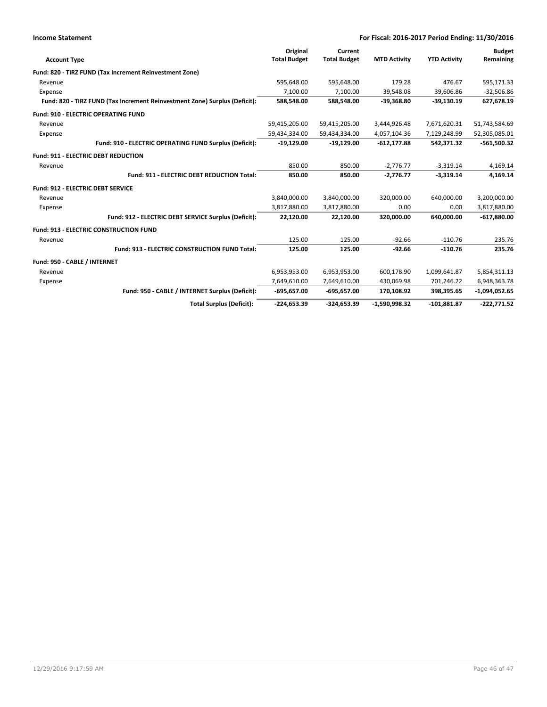| <b>Income Statement</b>      |                                                                            |                     |                     | For Fiscal: 2016-2017 Period Ending: 11/30/2016 |                     |                 |
|------------------------------|----------------------------------------------------------------------------|---------------------|---------------------|-------------------------------------------------|---------------------|-----------------|
|                              |                                                                            | Original            | Current             |                                                 |                     | <b>Budget</b>   |
| <b>Account Type</b>          |                                                                            | <b>Total Budget</b> | <b>Total Budget</b> | <b>MTD Activity</b>                             | <b>YTD Activity</b> | Remaining       |
|                              | Fund: 820 - TIRZ FUND (Tax Increment Reinvestment Zone)                    |                     |                     |                                                 |                     |                 |
| Revenue                      |                                                                            | 595,648.00          | 595,648.00          | 179.28                                          | 476.67              | 595,171.33      |
| Expense                      |                                                                            | 7,100.00            | 7.100.00            | 39,548.08                                       | 39,606.86           | $-32,506.86$    |
|                              | Fund: 820 - TIRZ FUND (Tax Increment Reinvestment Zone) Surplus (Deficit): | 588,548.00          | 588,548.00          | $-39,368.80$                                    | $-39,130.19$        | 627,678.19      |
|                              | <b>Fund: 910 - ELECTRIC OPERATING FUND</b>                                 |                     |                     |                                                 |                     |                 |
| Revenue                      |                                                                            | 59,415,205.00       | 59,415,205.00       | 3,444,926.48                                    | 7,671,620.31        | 51,743,584.69   |
| Expense                      |                                                                            | 59,434,334.00       | 59,434,334.00       | 4,057,104.36                                    | 7,129,248.99        | 52,305,085.01   |
|                              | Fund: 910 - ELECTRIC OPERATING FUND Surplus (Deficit):                     | $-19,129.00$        | $-19,129.00$        | $-612, 177.88$                                  | 542,371.32          | $-561,500.32$   |
|                              | <b>Fund: 911 - ELECTRIC DEBT REDUCTION</b>                                 |                     |                     |                                                 |                     |                 |
| Revenue                      |                                                                            | 850.00              | 850.00              | $-2,776.77$                                     | $-3,319.14$         | 4,169.14        |
|                              | Fund: 911 - ELECTRIC DEBT REDUCTION Total:                                 | 850.00              | 850.00              | $-2,776.77$                                     | $-3,319.14$         | 4,169.14        |
|                              | Fund: 912 - ELECTRIC DEBT SERVICE                                          |                     |                     |                                                 |                     |                 |
| Revenue                      |                                                                            | 3,840,000.00        | 3,840,000.00        | 320,000.00                                      | 640,000.00          | 3,200,000.00    |
| Expense                      |                                                                            | 3,817,880.00        | 3,817,880.00        | 0.00                                            | 0.00                | 3,817,880.00    |
|                              | Fund: 912 - ELECTRIC DEBT SERVICE Surplus (Deficit):                       | 22,120.00           | 22,120.00           | 320,000.00                                      | 640,000.00          | $-617,880.00$   |
|                              | <b>Fund: 913 - ELECTRIC CONSTRUCTION FUND</b>                              |                     |                     |                                                 |                     |                 |
| Revenue                      |                                                                            | 125.00              | 125.00              | $-92.66$                                        | $-110.76$           | 235.76          |
|                              | Fund: 913 - ELECTRIC CONSTRUCTION FUND Total:                              | 125.00              | 125.00              | $-92.66$                                        | $-110.76$           | 235.76          |
| Fund: 950 - CABLE / INTERNET |                                                                            |                     |                     |                                                 |                     |                 |
| Revenue                      |                                                                            | 6,953,953.00        | 6,953,953.00        | 600,178.90                                      | 1,099,641.87        | 5,854,311.13    |
| Expense                      |                                                                            | 7,649,610.00        | 7,649,610.00        | 430,069.98                                      | 701,246.22          | 6,948,363.78    |
|                              | Fund: 950 - CABLE / INTERNET Surplus (Deficit):                            | $-695,657.00$       | $-695,657.00$       | 170,108.92                                      | 398,395.65          | $-1,094,052.65$ |
|                              | <b>Total Surplus (Deficit):</b>                                            | $-224,653.39$       | -324,653.39         | $-1,590,998.32$                                 | $-101,881.87$       | $-222.771.52$   |